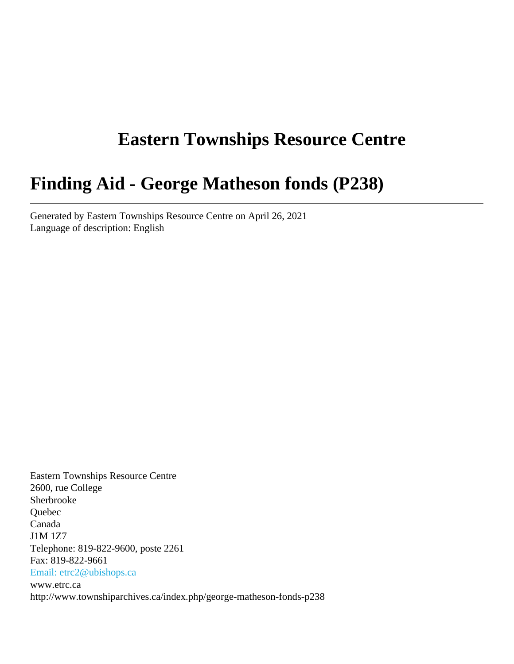# **Eastern Townships Resource Centre**

# **Finding Aid - George Matheson fonds (P238)**

Generated by Eastern Townships Resource Centre on April 26, 2021 Language of description: English

Eastern Townships Resource Centre 2600, rue College Sherbrooke Quebec Canada J1M 1Z7 Telephone: 819-822-9600, poste 2261 Fax: 819-822-9661 [Email: etrc2@ubishops.ca](mailto:Email: etrc2@ubishops.ca) www.etrc.ca http://www.townshiparchives.ca/index.php/george-matheson-fonds-p238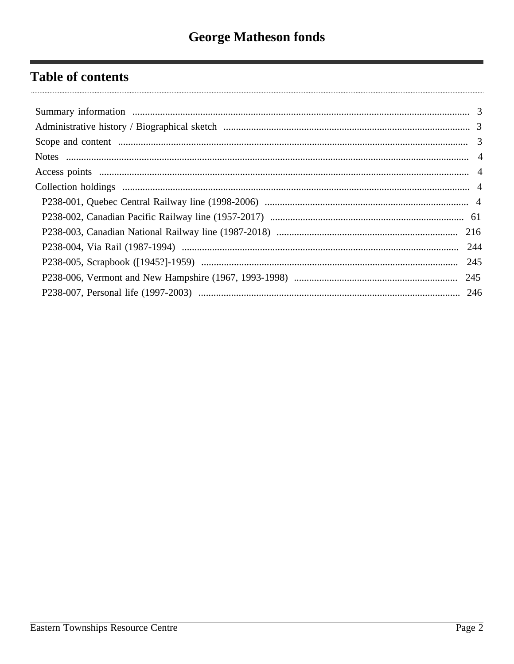# **Table of contents**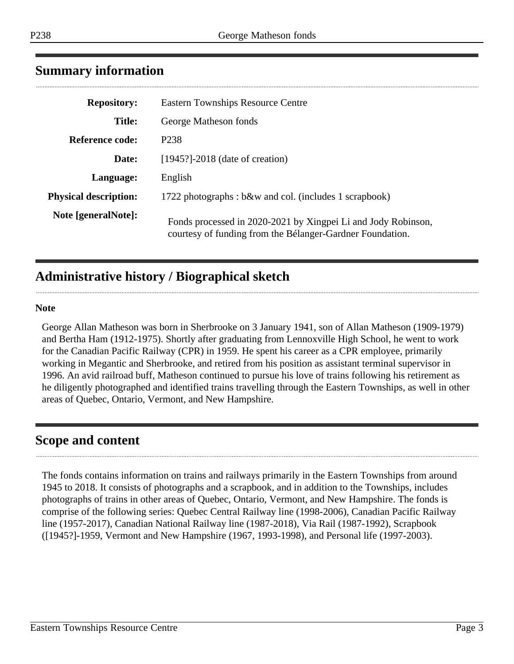# <span id="page-2-0"></span>**Summary information**

| <b>Repository:</b>           | <b>Eastern Townships Resource Centre</b>                                                                                   |
|------------------------------|----------------------------------------------------------------------------------------------------------------------------|
| <b>Title:</b>                | George Matheson fonds                                                                                                      |
| <b>Reference code:</b>       | P <sub>238</sub>                                                                                                           |
| Date:                        | $[1945?]$ -2018 (date of creation)                                                                                         |
| Language:                    | English                                                                                                                    |
| <b>Physical description:</b> | 1722 photographs: b&w and col. (includes 1 scrapbook)                                                                      |
| Note [generalNote]:          | Fonds processed in 2020-2021 by Xingpei Li and Jody Robinson,<br>courtesy of funding from the Bélanger-Gardner Foundation. |

# <span id="page-2-1"></span>**Administrative history / Biographical sketch**

#### **Note**

George Allan Matheson was born in Sherbrooke on 3 January 1941, son of Allan Matheson (1909-1979) and Bertha Ham (1912-1975). Shortly after graduating from Lennoxville High School, he went to work for the Canadian Pacific Railway (CPR) in 1959. He spent his career as a CPR employee, primarily working in Megantic and Sherbrooke, and retired from his position as assistant terminal supervisor in 1996. An avid railroad buff, Matheson continued to pursue his love of trains following his retirement as he diligently photographed and identified trains travelling through the Eastern Townships, as well in other areas of Quebec, Ontario, Vermont, and New Hampshire.

# <span id="page-2-2"></span>**Scope and content**

The fonds contains information on trains and railways primarily in the Eastern Townships from around 1945 to 2018. It consists of photographs and a scrapbook, and in addition to the Townships, includes photographs of trains in other areas of Quebec, Ontario, Vermont, and New Hampshire. The fonds is comprise of the following series: Quebec Central Railway line (1998-2006), Canadian Pacific Railway line (1957-2017), Canadian National Railway line (1987-2018), Via Rail (1987-1992), Scrapbook ([1945?]-1959, Vermont and New Hampshire (1967, 1993-1998), and Personal life (1997-2003).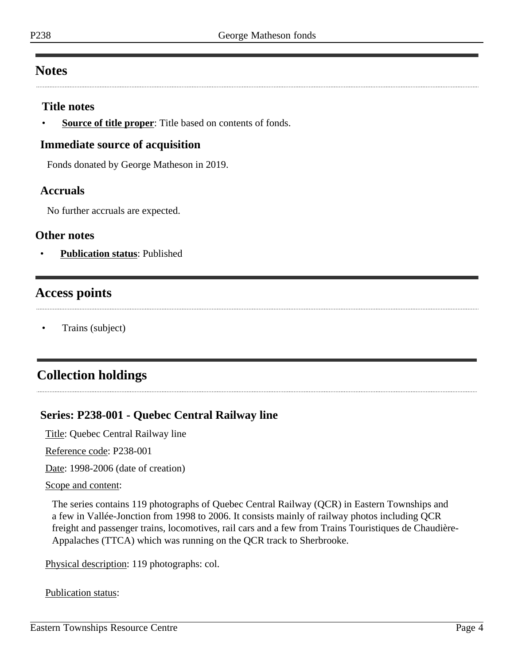# <span id="page-3-0"></span>**Notes**

### **Title notes**

**Source of title proper**: Title based on contents of fonds.

### **Immediate source of acquisition**

Fonds donated by George Matheson in 2019.

### **Accruals**

No further accruals are expected.

### **Other notes**

• **Publication status**: Published

# <span id="page-3-1"></span>**Access points**

• Trains (subject)

# <span id="page-3-2"></span>**Collection holdings**

## <span id="page-3-3"></span>**Series: P238-001 - Quebec Central Railway line**

Title: Quebec Central Railway line

Reference code: P238-001

Date: 1998-2006 (date of creation)

#### Scope and content:

The series contains 119 photographs of Quebec Central Railway (QCR) in Eastern Townships and a few in Vallée-Jonction from 1998 to 2006. It consists mainly of railway photos including QCR freight and passenger trains, locomotives, rail cars and a few from Trains Touristiques de Chaudière-Appalaches (TTCA) which was running on the QCR track to Sherbrooke.

Physical description: 119 photographs: col.

#### Publication status: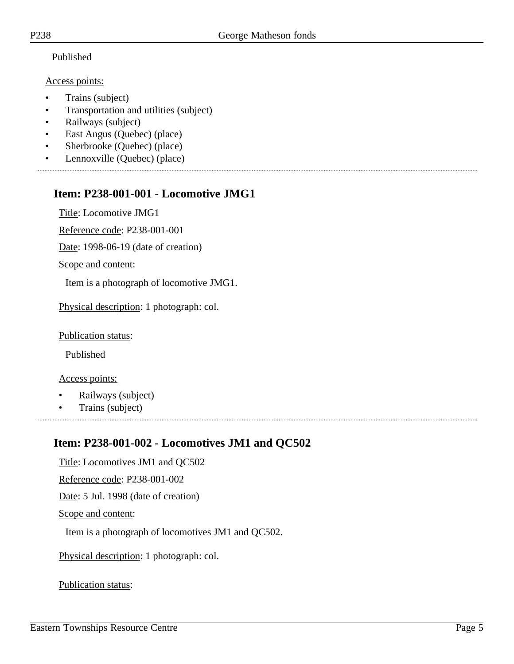### Published

### Access points:

- Trains (subject)
- Transportation and utilities (subject)
- Railways (subject)
- East Angus (Quebec) (place)
- Sherbrooke (Quebec) (place)
- Lennoxville (Quebec) (place)

# **Item: P238-001-001 - Locomotive JMG1**

Title: Locomotive JMG1

Reference code: P238-001-001

Date: 1998-06-19 (date of creation)

Scope and content:

Item is a photograph of locomotive JMG1.

Physical description: 1 photograph: col.

Publication status:

Published

Access points:

- Railways (subject)
- Trains (subject)

# **Item: P238-001-002 - Locomotives JM1 and QC502**

Title: Locomotives JM1 and QC502 Reference code: P238-001-002 Date: 5 Jul. 1998 (date of creation) Scope and content: Item is a photograph of locomotives JM1 and QC502. Physical description: 1 photograph: col.

Publication status: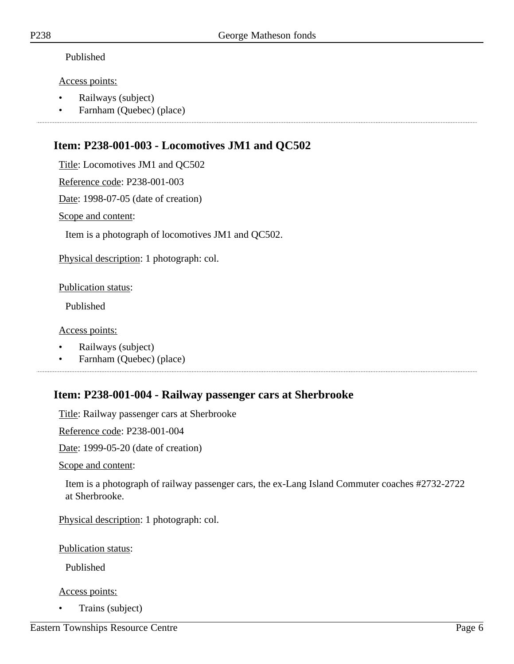### Published

### Access points:

- Railways (subject)
- Farnham (Quebec) (place)

# **Item: P238-001-003 - Locomotives JM1 and QC502**

Title: Locomotives JM1 and QC502

Reference code: P238-001-003

Date: 1998-07-05 (date of creation)

Scope and content:

Item is a photograph of locomotives JM1 and QC502.

Physical description: 1 photograph: col.

### Publication status:

Published

### Access points:

- Railways (subject)
- Farnham (Quebec) (place)

# **Item: P238-001-004 - Railway passenger cars at Sherbrooke**

Title: Railway passenger cars at Sherbrooke

Reference code: P238-001-004

Date: 1999-05-20 (date of creation)

Scope and content:

Item is a photograph of railway passenger cars, the ex-Lang Island Commuter coaches #2732-2722 at Sherbrooke.

Physical description: 1 photograph: col.

Publication status:

Published

### Access points:

• Trains (subject)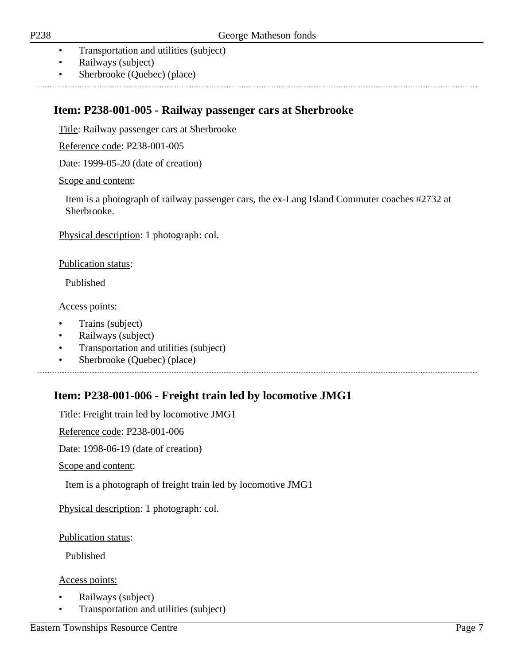- Transportation and utilities (subject)
- Railways (subject)
- Sherbrooke (Quebec) (place)

## **Item: P238-001-005 - Railway passenger cars at Sherbrooke**

Title: Railway passenger cars at Sherbrooke

Reference code: P238-001-005

Date: 1999-05-20 (date of creation)

### Scope and content:

Item is a photograph of railway passenger cars, the ex-Lang Island Commuter coaches #2732 at Sherbrooke.

Physical description: 1 photograph: col.

### Publication status:

Published

Access points:

- Trains (subject)
- Railways (subject)
- Transportation and utilities (subject)
- Sherbrooke (Quebec) (place)

# **Item: P238-001-006 - Freight train led by locomotive JMG1**

Title: Freight train led by locomotive JMG1

Reference code: P238-001-006

Date: 1998-06-19 (date of creation)

Scope and content:

Item is a photograph of freight train led by locomotive JMG1

Physical description: 1 photograph: col.

Publication status:

Published

- Railways (subject)
- Transportation and utilities (subject)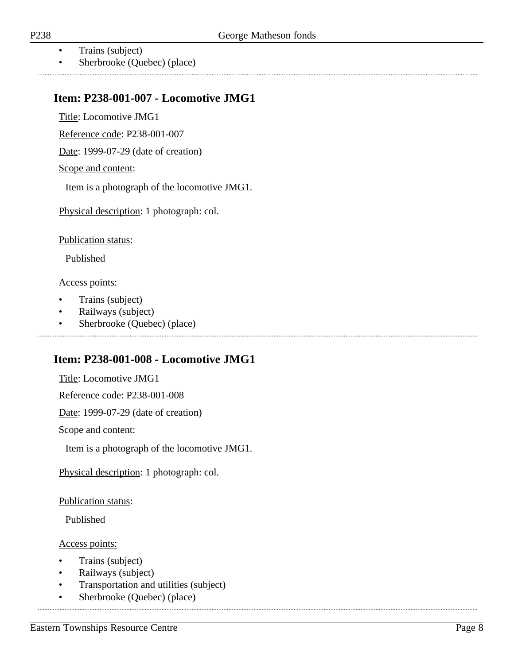- Trains (subject)
- Sherbrooke (Quebec) (place)

### **Item: P238-001-007 - Locomotive JMG1**

Title: Locomotive JMG1

Reference code: P238-001-007

Date: 1999-07-29 (date of creation)

#### Scope and content:

Item is a photograph of the locomotive JMG1.

Physical description: 1 photograph: col.

Publication status:

Published

Access points:

- Trains (subject)
- Railways (subject)
- Sherbrooke (Quebec) (place)

## **Item: P238-001-008 - Locomotive JMG1**

Title: Locomotive JMG1

Reference code: P238-001-008

Date: 1999-07-29 (date of creation)

Scope and content:

Item is a photograph of the locomotive JMG1.

Physical description: 1 photograph: col.

Publication status:

Published

#### Access points:

- Trains (subject)
- Railways (subject)
- Transportation and utilities (subject)

• Sherbrooke (Quebec) (place)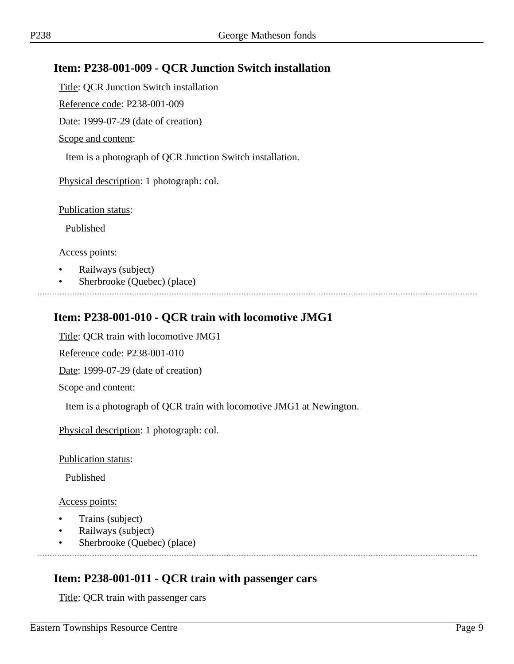# **Item: P238-001-009 - QCR Junction Switch installation**

Title: QCR Junction Switch installation

Reference code: P238-001-009

Date: 1999-07-29 (date of creation)

Scope and content:

Item is a photograph of QCR Junction Switch installation.

Physical description: 1 photograph: col.

Publication status:

Published

Access points:

- Railways (subject)
- Sherbrooke (Quebec) (place)

## **Item: P238-001-010 - QCR train with locomotive JMG1**

Title: QCR train with locomotive JMG1

Reference code: P238-001-010

Date: 1999-07-29 (date of creation)

Scope and content:

Item is a photograph of QCR train with locomotive JMG1 at Newington.

Physical description: 1 photograph: col.

Publication status:

Published

Access points:

- Trains (subject)
- Railways (subject)
- Sherbrooke (Quebec) (place)

## **Item: P238-001-011 - QCR train with passenger cars**

Title: QCR train with passenger cars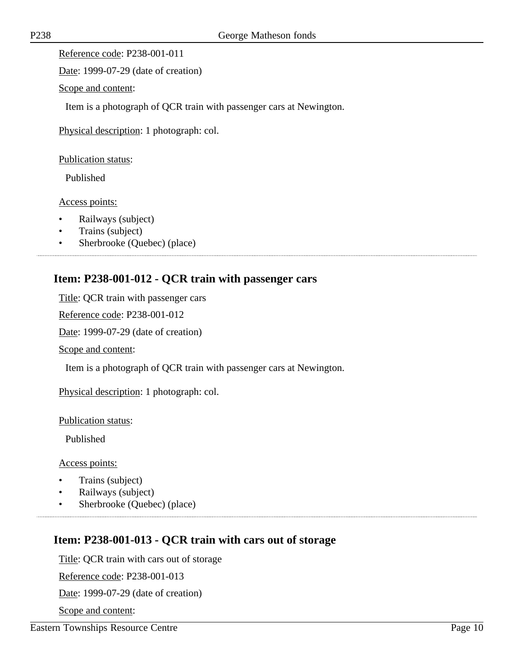Reference code: P238-001-011

Date: 1999-07-29 (date of creation)

Scope and content:

Item is a photograph of QCR train with passenger cars at Newington.

Physical description: 1 photograph: col.

Publication status:

Published

Access points:

- Railways (subject)
- Trains (subject)
- Sherbrooke (Quebec) (place)

# **Item: P238-001-012 - QCR train with passenger cars**

Title: QCR train with passenger cars

Reference code: P238-001-012

Date: 1999-07-29 (date of creation)

Scope and content:

Item is a photograph of QCR train with passenger cars at Newington.

Physical description: 1 photograph: col.

Publication status:

Published

Access points:

- Trains (subject)
- Railways (subject)
- Sherbrooke (Quebec) (place)

## **Item: P238-001-013 - QCR train with cars out of storage**

Title: QCR train with cars out of storage

Reference code: P238-001-013

Date: 1999-07-29 (date of creation)

Scope and content: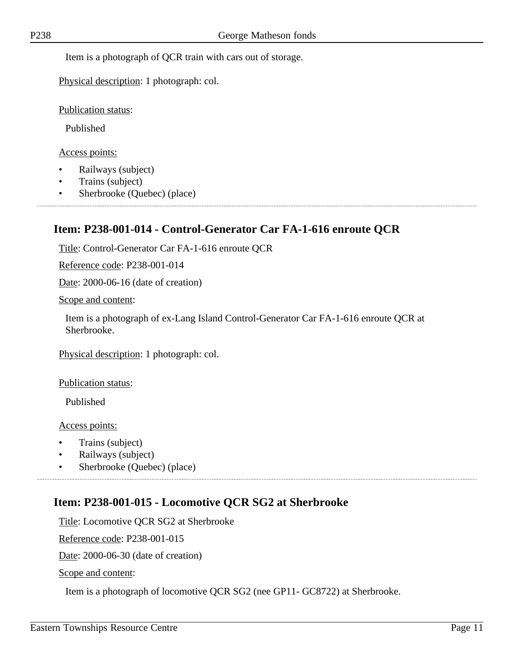Item is a photograph of QCR train with cars out of storage.

Physical description: 1 photograph: col.

Publication status:

Published

Access points:

- Railways (subject)
- Trains (subject)
- Sherbrooke (Quebec) (place)

# **Item: P238-001-014 - Control-Generator Car FA-1-616 enroute QCR**

Title: Control-Generator Car FA-1-616 enroute QCR

Reference code: P238-001-014

Date: 2000-06-16 (date of creation)

Scope and content:

Item is a photograph of ex-Lang Island Control-Generator Car FA-1-616 enroute QCR at Sherbrooke.

Physical description: 1 photograph: col.

Publication status:

Published

Access points:

- Trains (subject)
- Railways (subject)
- Sherbrooke (Quebec) (place)

# **Item: P238-001-015 - Locomotive QCR SG2 at Sherbrooke**

Title: Locomotive QCR SG2 at Sherbrooke

Reference code: P238-001-015

Date: 2000-06-30 (date of creation)

Scope and content:

Item is a photograph of locomotive QCR SG2 (nee GP11- GC8722) at Sherbrooke.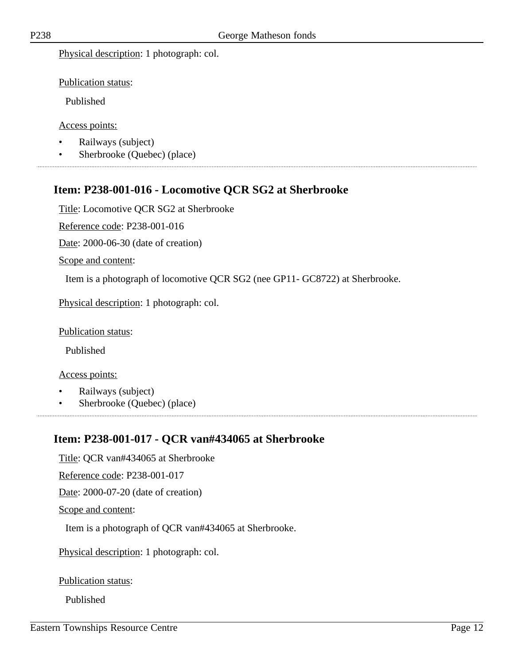Physical description: 1 photograph: col.

Publication status:

Published

Access points:

- Railways (subject)
- Sherbrooke (Quebec) (place)

# **Item: P238-001-016 - Locomotive QCR SG2 at Sherbrooke**

Title: Locomotive QCR SG2 at Sherbrooke

Reference code: P238-001-016

Date: 2000-06-30 (date of creation)

Scope and content:

Item is a photograph of locomotive QCR SG2 (nee GP11- GC8722) at Sherbrooke.

Physical description: 1 photograph: col.

Publication status:

Published

#### Access points:

- Railways (subject)
- Sherbrooke (Quebec) (place)

# **Item: P238-001-017 - QCR van#434065 at Sherbrooke**

Title: QCR van#434065 at Sherbrooke Reference code: P238-001-017 Date: 2000-07-20 (date of creation) Scope and content: Item is a photograph of QCR van#434065 at Sherbrooke.

Physical description: 1 photograph: col.

Publication status:

Published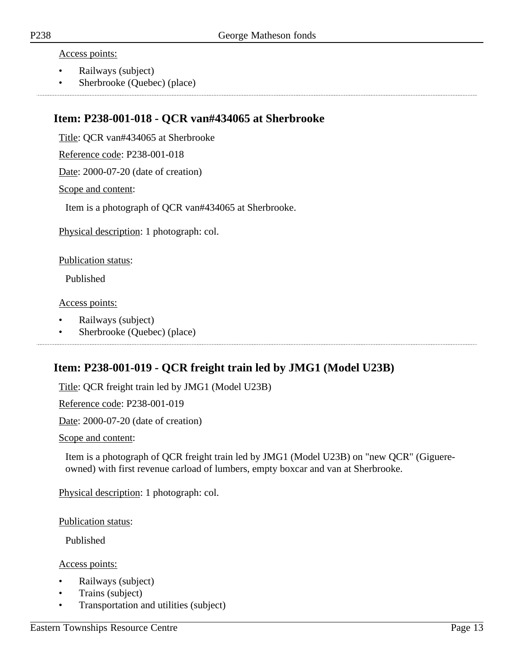Access points:

- Railways (subject)
- Sherbrooke (Quebec) (place)

### **Item: P238-001-018 - QCR van#434065 at Sherbrooke**

Title: QCR van#434065 at Sherbrooke

Reference code: P238-001-018

Date: 2000-07-20 (date of creation)

Scope and content:

Item is a photograph of QCR van#434065 at Sherbrooke.

Physical description: 1 photograph: col.

Publication status:

Published

Access points:

- Railways (subject)
- Sherbrooke (Quebec) (place)

# **Item: P238-001-019 - QCR freight train led by JMG1 (Model U23B)**

Title: QCR freight train led by JMG1 (Model U23B)

Reference code: P238-001-019

Date: 2000-07-20 (date of creation)

Scope and content:

Item is a photograph of QCR freight train led by JMG1 (Model U23B) on "new QCR" (Giguereowned) with first revenue carload of lumbers, empty boxcar and van at Sherbrooke.

Physical description: 1 photograph: col.

Publication status:

Published

- Railways (subject)
- Trains (subject)
- Transportation and utilities (subject)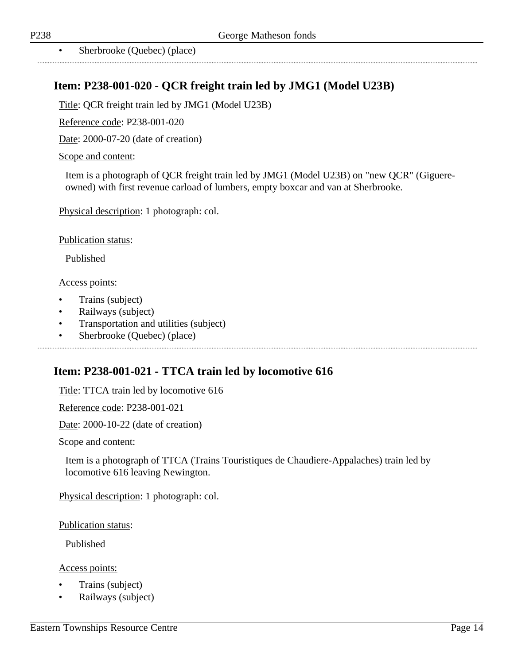# **Item: P238-001-020 - QCR freight train led by JMG1 (Model U23B)**

Title: QCR freight train led by JMG1 (Model U23B)

Reference code: P238-001-020

Date: 2000-07-20 (date of creation)

#### Scope and content:

Item is a photograph of QCR freight train led by JMG1 (Model U23B) on "new QCR" (Giguereowned) with first revenue carload of lumbers, empty boxcar and van at Sherbrooke.

Physical description: 1 photograph: col.

Publication status:

Published

#### Access points:

- Trains (subject)
- Railways (subject)
- Transportation and utilities (subject)
- Sherbrooke (Quebec) (place)

### **Item: P238-001-021 - TTCA train led by locomotive 616**

Title: TTCA train led by locomotive 616

Reference code: P238-001-021

Date: 2000-10-22 (date of creation)

Scope and content:

Item is a photograph of TTCA (Trains Touristiques de Chaudiere-Appalaches) train led by locomotive 616 leaving Newington.

Physical description: 1 photograph: col.

Publication status:

Published

- Trains (subject)
- Railways (subject)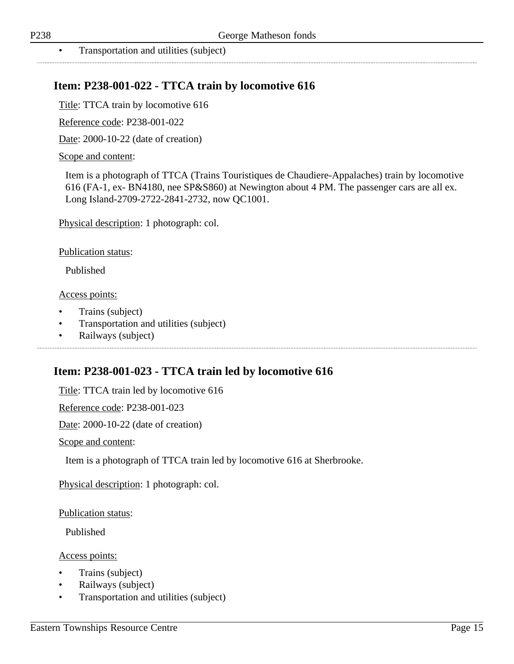## **Item: P238-001-022 - TTCA train by locomotive 616**

Title: TTCA train by locomotive 616

Reference code: P238-001-022

Date: 2000-10-22 (date of creation)

#### Scope and content:

Item is a photograph of TTCA (Trains Touristiques de Chaudiere-Appalaches) train by locomotive 616 (FA-1, ex- BN4180, nee SP&S860) at Newington about 4 PM. The passenger cars are all ex. Long Island-2709-2722-2841-2732, now QC1001.

Physical description: 1 photograph: col.

Publication status:

Published

#### Access points:

- Trains (subject)
- Transportation and utilities (subject)
- Railways (subject)

### **Item: P238-001-023 - TTCA train led by locomotive 616**

Title: TTCA train led by locomotive 616

Reference code: P238-001-023

Date: 2000-10-22 (date of creation)

Scope and content:

Item is a photograph of TTCA train led by locomotive 616 at Sherbrooke.

Physical description: 1 photograph: col.

Publication status:

Published

- Trains (subject)
- Railways (subject)
- Transportation and utilities (subject)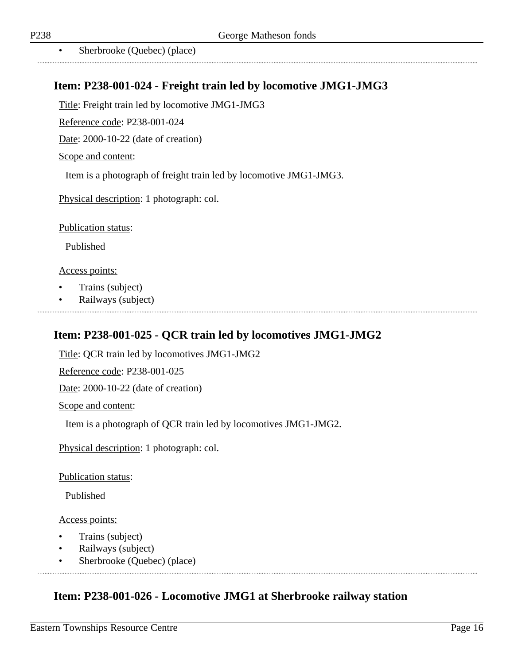• Sherbrooke (Quebec) (place)

# **Item: P238-001-024 - Freight train led by locomotive JMG1-JMG3**

Title: Freight train led by locomotive JMG1-JMG3

Reference code: P238-001-024

Date: 2000-10-22 (date of creation)

Scope and content:

Item is a photograph of freight train led by locomotive JMG1-JMG3.

Physical description: 1 photograph: col.

Publication status:

Published

Access points:

- Trains (subject)
- Railways (subject)

# **Item: P238-001-025 - QCR train led by locomotives JMG1-JMG2**

Title: QCR train led by locomotives JMG1-JMG2

Reference code: P238-001-025

Date: 2000-10-22 (date of creation)

Scope and content:

Item is a photograph of QCR train led by locomotives JMG1-JMG2.

Physical description: 1 photograph: col.

Publication status:

Published

Access points:

- Trains (subject)
- Railways (subject)
- Sherbrooke (Quebec) (place)

# **Item: P238-001-026 - Locomotive JMG1 at Sherbrooke railway station**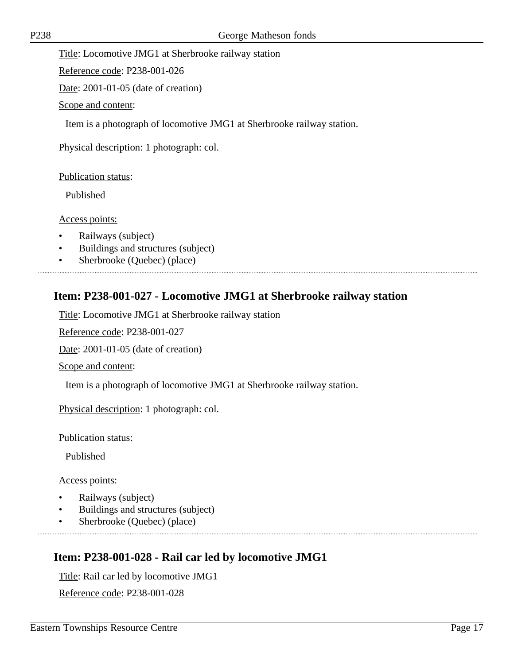Title: Locomotive JMG1 at Sherbrooke railway station

Reference code: P238-001-026

Date: 2001-01-05 (date of creation)

Scope and content:

Item is a photograph of locomotive JMG1 at Sherbrooke railway station.

Physical description: 1 photograph: col.

Publication status:

Published

#### Access points:

- Railways (subject)
- Buildings and structures (subject)

• Sherbrooke (Quebec) (place)

## **Item: P238-001-027 - Locomotive JMG1 at Sherbrooke railway station**

Title: Locomotive JMG1 at Sherbrooke railway station

Reference code: P238-001-027

Date: 2001-01-05 (date of creation)

Scope and content:

Item is a photograph of locomotive JMG1 at Sherbrooke railway station.

Physical description: 1 photograph: col.

Publication status:

Published

#### Access points:

- Railways (subject)
- Buildings and structures (subject)
- Sherbrooke (Quebec) (place)

# **Item: P238-001-028 - Rail car led by locomotive JMG1**

Title: Rail car led by locomotive JMG1

Reference code: P238-001-028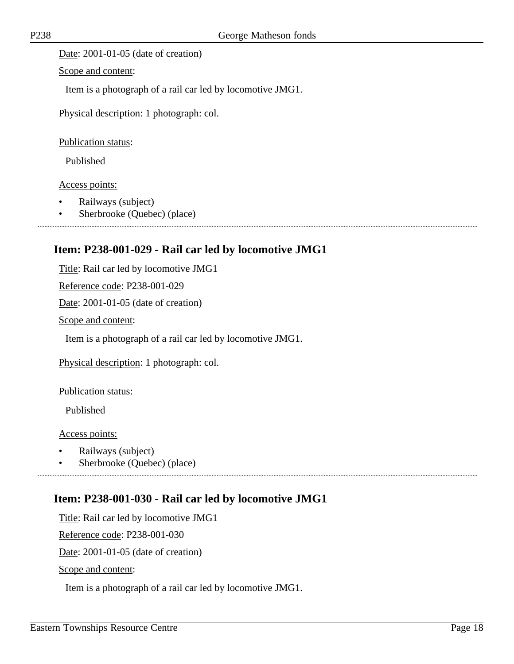Date: 2001-01-05 (date of creation)

Scope and content:

Item is a photograph of a rail car led by locomotive JMG1.

Physical description: 1 photograph: col.

Publication status:

Published

Access points:

- Railways (subject)
- Sherbrooke (Quebec) (place)

### **Item: P238-001-029 - Rail car led by locomotive JMG1**

Title: Rail car led by locomotive JMG1 Reference code: P238-001-029 Date: 2001-01-05 (date of creation)

Scope and content:

Item is a photograph of a rail car led by locomotive JMG1.

Physical description: 1 photograph: col.

Publication status:

Published

Access points:

- Railways (subject)
- Sherbrooke (Quebec) (place)

### **Item: P238-001-030 - Rail car led by locomotive JMG1**

Title: Rail car led by locomotive JMG1 Reference code: P238-001-030 Date: 2001-01-05 (date of creation) Scope and content:

Item is a photograph of a rail car led by locomotive JMG1.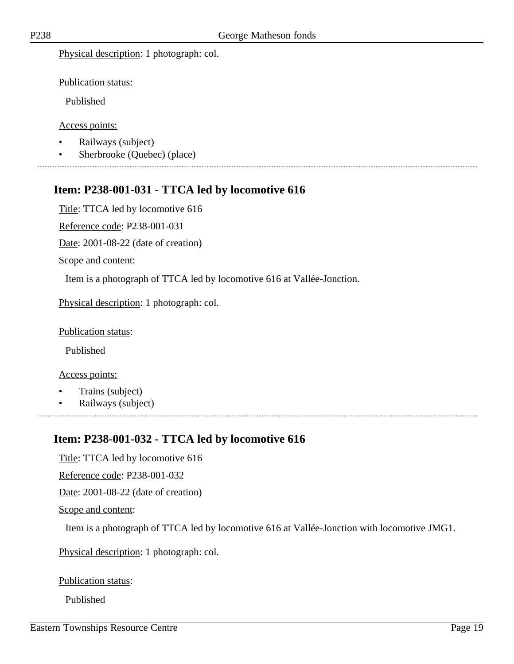Physical description: 1 photograph: col.

Publication status:

Published

Access points:

- Railways (subject)
- Sherbrooke (Quebec) (place)

# **Item: P238-001-031 - TTCA led by locomotive 616**

Title: TTCA led by locomotive 616

Reference code: P238-001-031

Date: 2001-08-22 (date of creation)

Scope and content:

Item is a photograph of TTCA led by locomotive 616 at Vallée-Jonction.

Physical description: 1 photograph: col.

Publication status:

Published

Access points:

- Trains (subject)
- Railways (subject)

# **Item: P238-001-032 - TTCA led by locomotive 616**

Title: TTCA led by locomotive 616 Reference code: P238-001-032 Date: 2001-08-22 (date of creation) Scope and content: Item is a photograph of TTCA led by locomotive 616 at Vallée-Jonction with locomotive JMG1.

Physical description: 1 photograph: col.

Publication status:

Published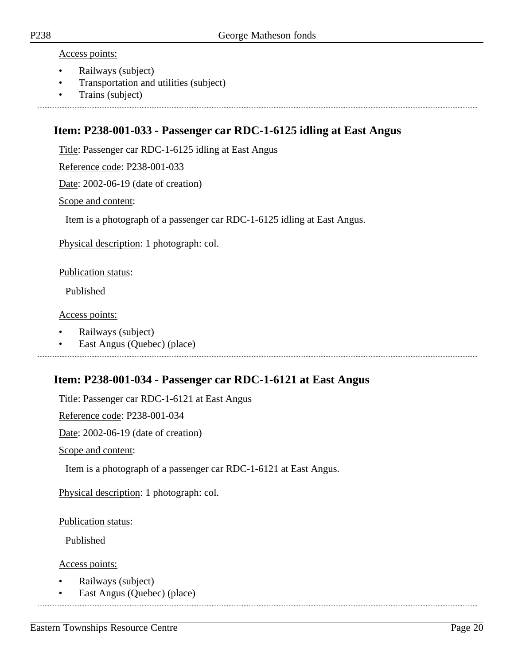#### Access points:

- Railways (subject)
- Transportation and utilities (subject)
- Trains (subject)

### **Item: P238-001-033 - Passenger car RDC-1-6125 idling at East Angus**

Title: Passenger car RDC-1-6125 idling at East Angus

Reference code: P238-001-033

Date: 2002-06-19 (date of creation)

#### Scope and content:

Item is a photograph of a passenger car RDC-1-6125 idling at East Angus.

Physical description: 1 photograph: col.

Publication status:

Published

#### Access points:

- Railways (subject)
- East Angus (Quebec) (place)

### **Item: P238-001-034 - Passenger car RDC-1-6121 at East Angus**

Title: Passenger car RDC-1-6121 at East Angus

Reference code: P238-001-034

Date: 2002-06-19 (date of creation)

Scope and content:

Item is a photograph of a passenger car RDC-1-6121 at East Angus.

Physical description: 1 photograph: col.

Publication status:

Published

- Railways (subject)
- East Angus (Quebec) (place)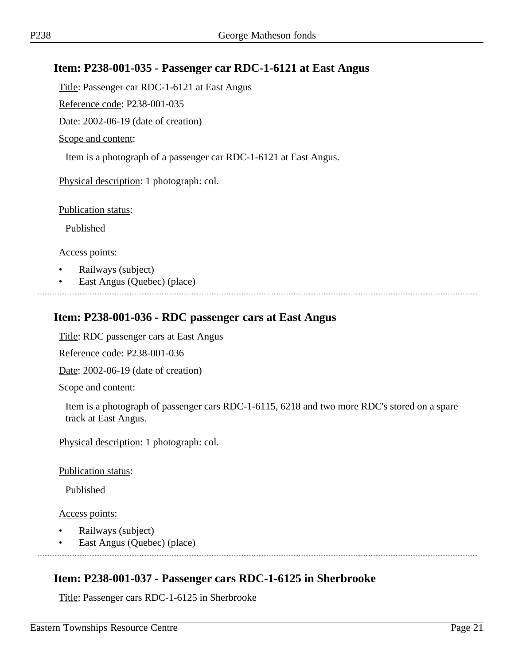### **Item: P238-001-035 - Passenger car RDC-1-6121 at East Angus**

Title: Passenger car RDC-1-6121 at East Angus

Reference code: P238-001-035

Date: 2002-06-19 (date of creation)

Scope and content:

Item is a photograph of a passenger car RDC-1-6121 at East Angus.

Physical description: 1 photograph: col.

Publication status:

Published

Access points:

- Railways (subject)
- East Angus (Quebec) (place)

### **Item: P238-001-036 - RDC passenger cars at East Angus**

Title: RDC passenger cars at East Angus

Reference code: P238-001-036

Date: 2002-06-19 (date of creation)

Scope and content:

Item is a photograph of passenger cars RDC-1-6115, 6218 and two more RDC's stored on a spare track at East Angus.

Physical description: 1 photograph: col.

Publication status:

Published

Access points:

- Railways (subject)
- East Angus (Quebec) (place)

## **Item: P238-001-037 - Passenger cars RDC-1-6125 in Sherbrooke**

Title: Passenger cars RDC-1-6125 in Sherbrooke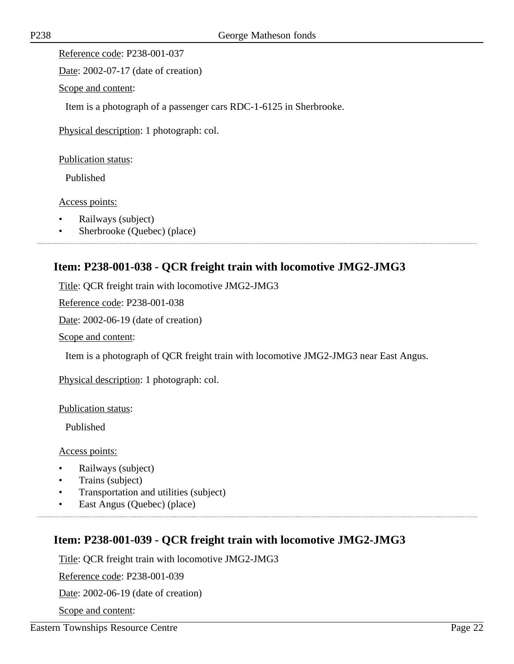Reference code: P238-001-037

Date: 2002-07-17 (date of creation)

Scope and content:

Item is a photograph of a passenger cars RDC-1-6125 in Sherbrooke.

Physical description: 1 photograph: col.

Publication status:

Published

Access points:

- Railways (subject)
- Sherbrooke (Quebec) (place)

## **Item: P238-001-038 - QCR freight train with locomotive JMG2-JMG3**

Title: QCR freight train with locomotive JMG2-JMG3

Reference code: P238-001-038

Date: 2002-06-19 (date of creation)

Scope and content:

Item is a photograph of QCR freight train with locomotive JMG2-JMG3 near East Angus.

Physical description: 1 photograph: col.

Publication status:

Published

Access points:

- Railways (subject)
- Trains (subject)
- Transportation and utilities (subject)
- East Angus (Quebec) (place)

## **Item: P238-001-039 - QCR freight train with locomotive JMG2-JMG3**

Title: QCR freight train with locomotive JMG2-JMG3

Reference code: P238-001-039

Date: 2002-06-19 (date of creation)

Scope and content: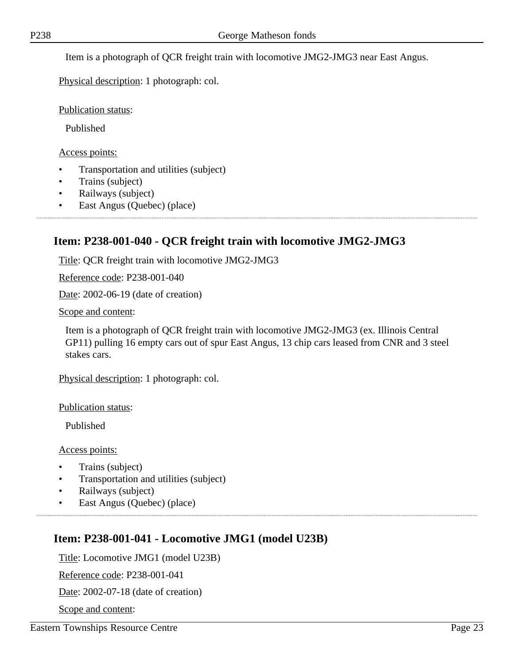Item is a photograph of QCR freight train with locomotive JMG2-JMG3 near East Angus.

Physical description: 1 photograph: col.

Publication status:

Published

Access points:

- Transportation and utilities (subject)
- Trains (subject)
- Railways (subject)
- East Angus (Quebec) (place)

# **Item: P238-001-040 - QCR freight train with locomotive JMG2-JMG3**

Title: QCR freight train with locomotive JMG2-JMG3

Reference code: P238-001-040

Date: 2002-06-19 (date of creation)

Scope and content:

Item is a photograph of QCR freight train with locomotive JMG2-JMG3 (ex. Illinois Central GP11) pulling 16 empty cars out of spur East Angus, 13 chip cars leased from CNR and 3 steel stakes cars.

Physical description: 1 photograph: col.

Publication status:

Published

Access points:

- Trains (subject)
- Transportation and utilities (subject)
- Railways (subject)
- East Angus (Quebec) (place)

# **Item: P238-001-041 - Locomotive JMG1 (model U23B)**

Title: Locomotive JMG1 (model U23B)

Reference code: P238-001-041

Date: 2002-07-18 (date of creation)

Scope and content: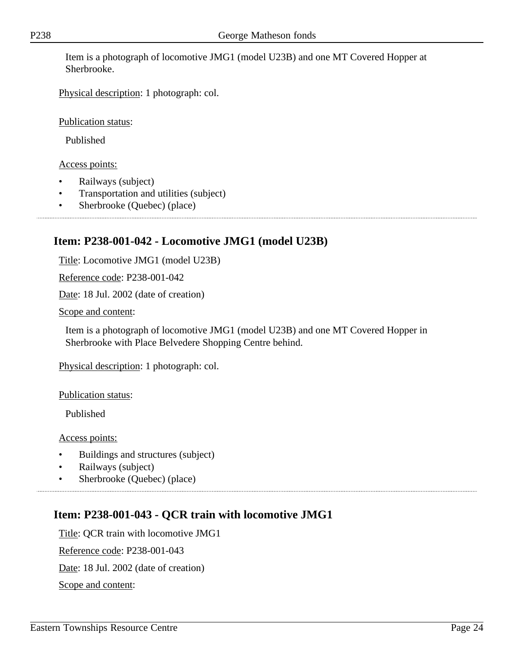Item is a photograph of locomotive JMG1 (model U23B) and one MT Covered Hopper at Sherbrooke.

Physical description: 1 photograph: col.

Publication status:

Published

### Access points:

- Railways (subject)
- Transportation and utilities (subject)
- Sherbrooke (Quebec) (place)

# **Item: P238-001-042 - Locomotive JMG1 (model U23B)**

Title: Locomotive JMG1 (model U23B)

Reference code: P238-001-042

Date: 18 Jul. 2002 (date of creation)

Scope and content:

Item is a photograph of locomotive JMG1 (model U23B) and one MT Covered Hopper in Sherbrooke with Place Belvedere Shopping Centre behind.

Physical description: 1 photograph: col.

Publication status:

Published

Access points:

- Buildings and structures (subject)
- Railways (subject)
- Sherbrooke (Quebec) (place)

# **Item: P238-001-043 - QCR train with locomotive JMG1**

Title: QCR train with locomotive JMG1 Reference code: P238-001-043 Date: 18 Jul. 2002 (date of creation) Scope and content: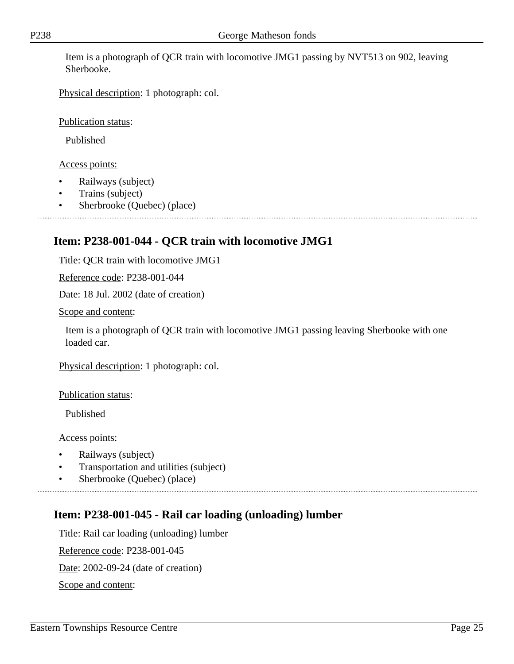Item is a photograph of QCR train with locomotive JMG1 passing by NVT513 on 902, leaving Sherbooke.

Physical description: 1 photograph: col.

Publication status:

Published

Access points:

- Railways (subject)
- Trains (subject)
- Sherbrooke (Quebec) (place)

# **Item: P238-001-044 - QCR train with locomotive JMG1**

Title: QCR train with locomotive JMG1

Reference code: P238-001-044

Date: 18 Jul. 2002 (date of creation)

Scope and content:

Item is a photograph of QCR train with locomotive JMG1 passing leaving Sherbooke with one loaded car.

Physical description: 1 photograph: col.

Publication status:

Published

Access points:

- Railways (subject)
- Transportation and utilities (subject)
- Sherbrooke (Quebec) (place)

# **Item: P238-001-045 - Rail car loading (unloading) lumber**

Title: Rail car loading (unloading) lumber Reference code: P238-001-045 Date: 2002-09-24 (date of creation) Scope and content: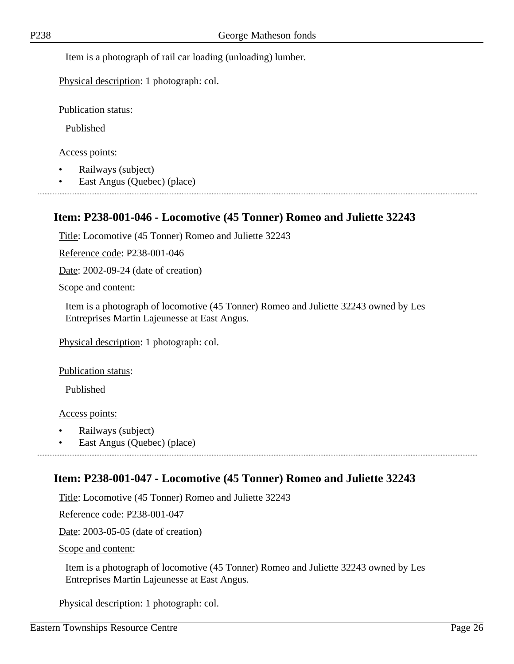Item is a photograph of rail car loading (unloading) lumber.

Physical description: 1 photograph: col.

Publication status:

Published

Access points:

- Railways (subject)
- East Angus (Quebec) (place)

## **Item: P238-001-046 - Locomotive (45 Tonner) Romeo and Juliette 32243**

Title: Locomotive (45 Tonner) Romeo and Juliette 32243

Reference code: P238-001-046

Date: 2002-09-24 (date of creation)

Scope and content:

Item is a photograph of locomotive (45 Tonner) Romeo and Juliette 32243 owned by Les Entreprises Martin Lajeunesse at East Angus.

Physical description: 1 photograph: col.

Publication status:

Published

Access points:

- Railways (subject)
- East Angus (Quebec) (place)

## **Item: P238-001-047 - Locomotive (45 Tonner) Romeo and Juliette 32243**

Title: Locomotive (45 Tonner) Romeo and Juliette 32243

Reference code: P238-001-047

Date: 2003-05-05 (date of creation)

Scope and content:

Item is a photograph of locomotive (45 Tonner) Romeo and Juliette 32243 owned by Les Entreprises Martin Lajeunesse at East Angus.

Physical description: 1 photograph: col.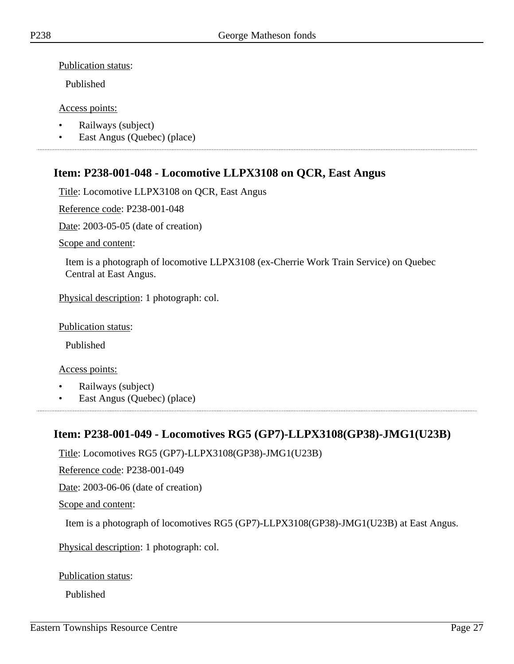Publication status:

Published

Access points:

- Railways (subject)
- East Angus (Quebec) (place)

# **Item: P238-001-048 - Locomotive LLPX3108 on QCR, East Angus**

Title: Locomotive LLPX3108 on QCR, East Angus

Reference code: P238-001-048

Date: 2003-05-05 (date of creation)

Scope and content:

Item is a photograph of locomotive LLPX3108 (ex-Cherrie Work Train Service) on Quebec Central at East Angus.

Physical description: 1 photograph: col.

Publication status:

Published

Access points:

- Railways (subject)
- East Angus (Quebec) (place)

## **Item: P238-001-049 - Locomotives RG5 (GP7)-LLPX3108(GP38)-JMG1(U23B)**

Title: Locomotives RG5 (GP7)-LLPX3108(GP38)-JMG1(U23B)

Reference code: P238-001-049

Date: 2003-06-06 (date of creation)

Scope and content:

Item is a photograph of locomotives RG5 (GP7)-LLPX3108(GP38)-JMG1(U23B) at East Angus.

Physical description: 1 photograph: col.

Publication status:

Published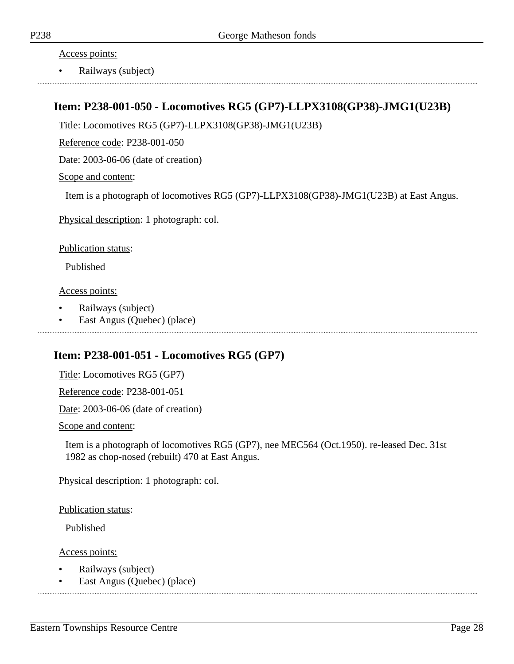Access points:

• Railways (subject)

## **Item: P238-001-050 - Locomotives RG5 (GP7)-LLPX3108(GP38)-JMG1(U23B)**

Title: Locomotives RG5 (GP7)-LLPX3108(GP38)-JMG1(U23B)

Reference code: P238-001-050

Date: 2003-06-06 (date of creation)

#### Scope and content:

Item is a photograph of locomotives RG5 (GP7)-LLPX3108(GP38)-JMG1(U23B) at East Angus.

Physical description: 1 photograph: col.

Publication status:

Published

Access points:

- Railways (subject)
- East Angus (Quebec) (place)

# **Item: P238-001-051 - Locomotives RG5 (GP7)**

Title: Locomotives RG5 (GP7)

Reference code: P238-001-051

Date: 2003-06-06 (date of creation)

Scope and content:

Item is a photograph of locomotives RG5 (GP7), nee MEC564 (Oct.1950). re-leased Dec. 31st 1982 as chop-nosed (rebuilt) 470 at East Angus.

Physical description: 1 photograph: col.

Publication status:

Published

- Railways (subject)
- East Angus (Quebec) (place)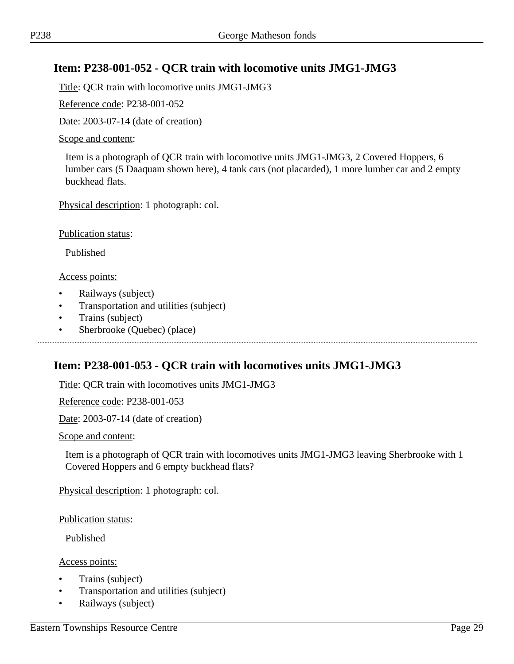# **Item: P238-001-052 - QCR train with locomotive units JMG1-JMG3**

Title: QCR train with locomotive units JMG1-JMG3

Reference code: P238-001-052

Date: 2003-07-14 (date of creation)

#### Scope and content:

Item is a photograph of QCR train with locomotive units JMG1-JMG3, 2 Covered Hoppers, 6 lumber cars (5 Daaquam shown here), 4 tank cars (not placarded), 1 more lumber car and 2 empty buckhead flats.

Physical description: 1 photograph: col.

Publication status:

Published

#### Access points:

- Railways (subject)
- Transportation and utilities (subject)
- Trains (subject)
- Sherbrooke (Quebec) (place)

## **Item: P238-001-053 - QCR train with locomotives units JMG1-JMG3**

Title: QCR train with locomotives units JMG1-JMG3

Reference code: P238-001-053

Date: 2003-07-14 (date of creation)

#### Scope and content:

Item is a photograph of QCR train with locomotives units JMG1-JMG3 leaving Sherbrooke with 1 Covered Hoppers and 6 empty buckhead flats?

Physical description: 1 photograph: col.

Publication status:

Published

- Trains (subject)
- Transportation and utilities (subject)
- Railways (subject)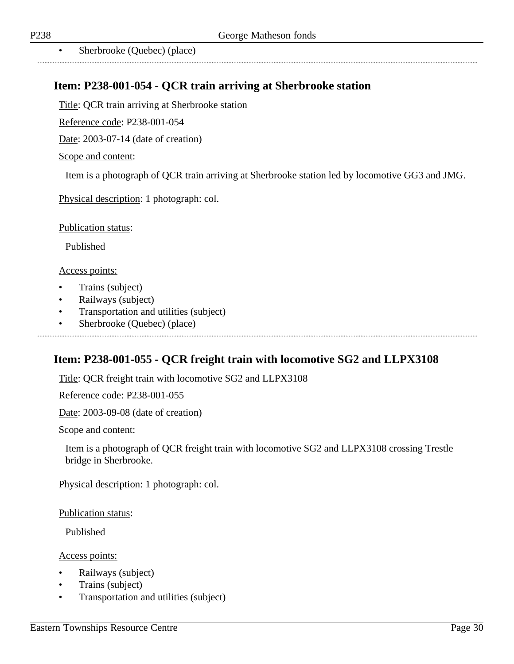Sherbrooke (Quebec) (place)

# **Item: P238-001-054 - QCR train arriving at Sherbrooke station**

Title: QCR train arriving at Sherbrooke station

Reference code: P238-001-054

Date: 2003-07-14 (date of creation)

#### Scope and content:

Item is a photograph of QCR train arriving at Sherbrooke station led by locomotive GG3 and JMG.

Physical description: 1 photograph: col.

Publication status:

Published

#### Access points:

- Trains (subject)
- Railways (subject)
- Transportation and utilities (subject)
- Sherbrooke (Quebec) (place)

### **Item: P238-001-055 - QCR freight train with locomotive SG2 and LLPX3108**

Title: QCR freight train with locomotive SG2 and LLPX3108

Reference code: P238-001-055

Date: 2003-09-08 (date of creation)

Scope and content:

Item is a photograph of QCR freight train with locomotive SG2 and LLPX3108 crossing Trestle bridge in Sherbrooke.

Physical description: 1 photograph: col.

Publication status:

Published

- Railways (subject)
- Trains (subject)
- Transportation and utilities (subject)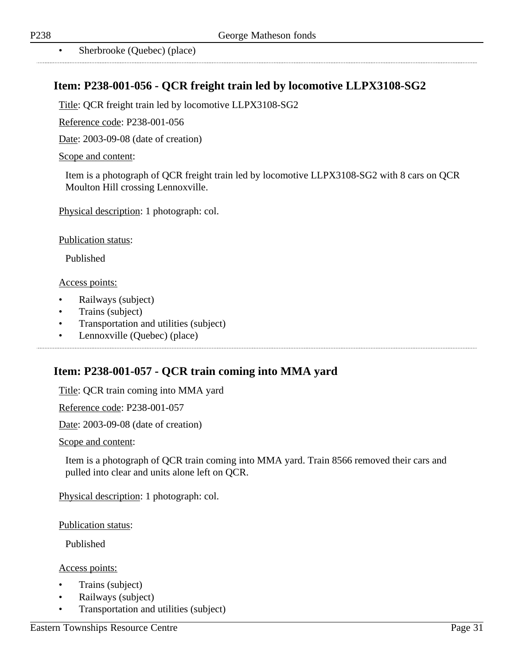Sherbrooke (Quebec) (place)

### **Item: P238-001-056 - QCR freight train led by locomotive LLPX3108-SG2**

Title: QCR freight train led by locomotive LLPX3108-SG2

Reference code: P238-001-056

Date: 2003-09-08 (date of creation)

#### Scope and content:

Item is a photograph of QCR freight train led by locomotive LLPX3108-SG2 with 8 cars on QCR Moulton Hill crossing Lennoxville.

Physical description: 1 photograph: col.

Publication status:

Published

#### Access points:

- Railways (subject)
- Trains (subject)
- Transportation and utilities (subject)
- Lennoxville (Quebec) (place)

### **Item: P238-001-057 - QCR train coming into MMA yard**

Title: QCR train coming into MMA yard

Reference code: P238-001-057

Date: 2003-09-08 (date of creation)

Scope and content:

Item is a photograph of QCR train coming into MMA yard. Train 8566 removed their cars and pulled into clear and units alone left on QCR.

Physical description: 1 photograph: col.

Publication status:

Published

- Trains (subject)
- Railways (subject)
- Transportation and utilities (subject)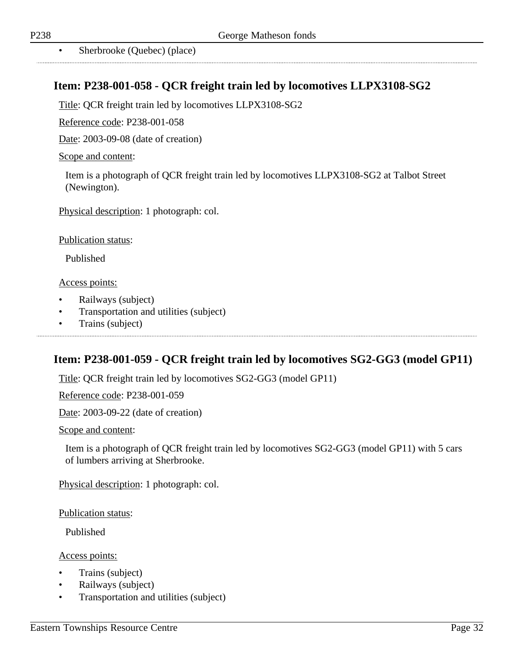Sherbrooke (Ouebec) (place)

# **Item: P238-001-058 - QCR freight train led by locomotives LLPX3108-SG2**

Title: QCR freight train led by locomotives LLPX3108-SG2

Reference code: P238-001-058

Date: 2003-09-08 (date of creation)

#### Scope and content:

Item is a photograph of QCR freight train led by locomotives LLPX3108-SG2 at Talbot Street (Newington).

Physical description: 1 photograph: col.

Publication status:

Published

#### Access points:

- Railways (subject)
- Transportation and utilities (subject)
- Trains (subject)

## **Item: P238-001-059 - QCR freight train led by locomotives SG2-GG3 (model GP11)**

Title: QCR freight train led by locomotives SG2-GG3 (model GP11)

Reference code: P238-001-059

Date: 2003-09-22 (date of creation)

Scope and content:

Item is a photograph of QCR freight train led by locomotives SG2-GG3 (model GP11) with 5 cars of lumbers arriving at Sherbrooke.

Physical description: 1 photograph: col.

Publication status:

Published

- Trains (subject)
- Railways (subject)
- Transportation and utilities (subject)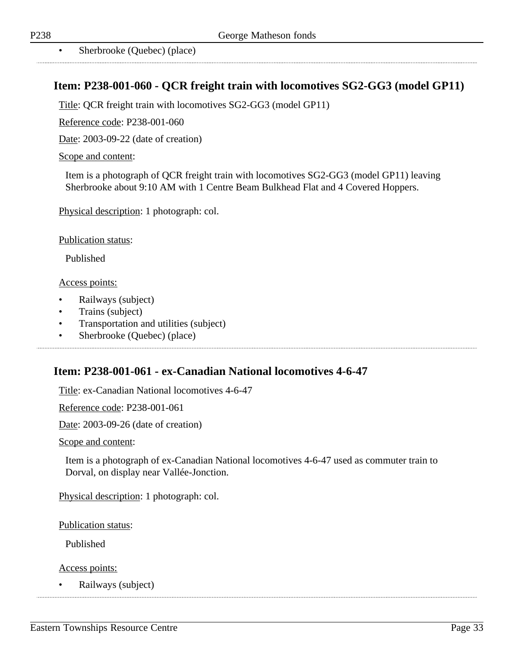Sherbrooke (Ouebec) (place)

### **Item: P238-001-060 - QCR freight train with locomotives SG2-GG3 (model GP11)**

Title: QCR freight train with locomotives SG2-GG3 (model GP11)

Reference code: P238-001-060

Date: 2003-09-22 (date of creation)

#### Scope and content:

Item is a photograph of QCR freight train with locomotives SG2-GG3 (model GP11) leaving Sherbrooke about 9:10 AM with 1 Centre Beam Bulkhead Flat and 4 Covered Hoppers.

Physical description: 1 photograph: col.

Publication status:

Published

#### Access points:

- Railways (subject)
- Trains (subject)
- Transportation and utilities (subject)
- Sherbrooke (Quebec) (place)

### **Item: P238-001-061 - ex-Canadian National locomotives 4-6-47**

Title: ex-Canadian National locomotives 4-6-47

Reference code: P238-001-061

Date: 2003-09-26 (date of creation)

Scope and content:

Item is a photograph of ex-Canadian National locomotives 4-6-47 used as commuter train to Dorval, on display near Vallée-Jonction.

Physical description: 1 photograph: col.

Publication status:

Published

Access points:

• Railways (subject)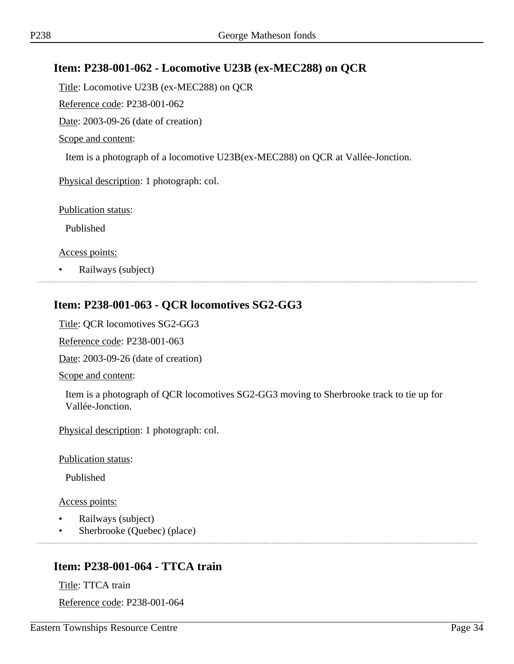# **Item: P238-001-062 - Locomotive U23B (ex-MEC288) on QCR**

Title: Locomotive U23B (ex-MEC288) on QCR

Reference code: P238-001-062

Date: 2003-09-26 (date of creation)

Scope and content:

Item is a photograph of a locomotive U23B(ex-MEC288) on QCR at Vallée-Jonction.

Physical description: 1 photograph: col.

Publication status:

Published

Access points:

• Railways (subject)

# **Item: P238-001-063 - QCR locomotives SG2-GG3**

Title: QCR locomotives SG2-GG3

Reference code: P238-001-063

Date: 2003-09-26 (date of creation)

Scope and content:

Item is a photograph of QCR locomotives SG2-GG3 moving to Sherbrooke track to tie up for Vallée-Jonction.

Physical description: 1 photograph: col.

Publication status:

Published

Access points:

- Railways (subject)
- Sherbrooke (Quebec) (place)

# **Item: P238-001-064 - TTCA train**

Title: TTCA train Reference code: P238-001-064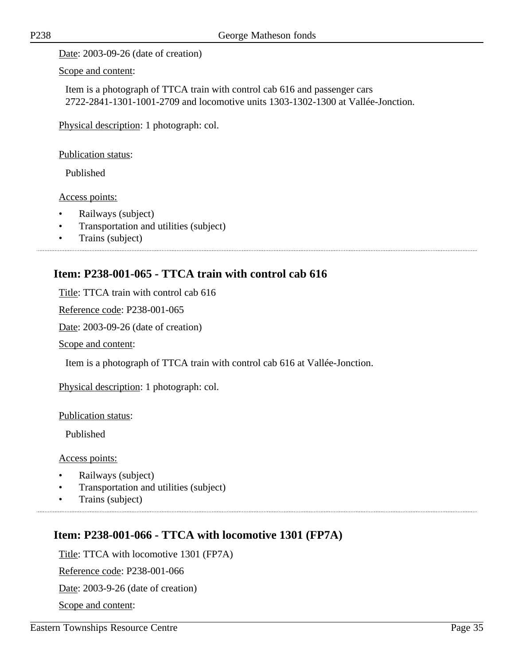Date: 2003-09-26 (date of creation)

Scope and content:

Item is a photograph of TTCA train with control cab 616 and passenger cars 2722-2841-1301-1001-2709 and locomotive units 1303-1302-1300 at Vallée-Jonction.

Physical description: 1 photograph: col.

Publication status:

Published

Access points:

- Railways (subject)
- Transportation and utilities (subject)
- Trains (subject)

# **Item: P238-001-065 - TTCA train with control cab 616**

Title: TTCA train with control cab 616

Reference code: P238-001-065

Date: 2003-09-26 (date of creation)

Scope and content:

Item is a photograph of TTCA train with control cab 616 at Vallée-Jonction.

Physical description: 1 photograph: col.

Publication status:

Published

Access points:

- Railways (subject)
- Transportation and utilities (subject)
- Trains (subject)

## **Item: P238-001-066 - TTCA with locomotive 1301 (FP7A)**

Title: TTCA with locomotive 1301 (FP7A)

Reference code: P238-001-066

Date: 2003-9-26 (date of creation)

Scope and content: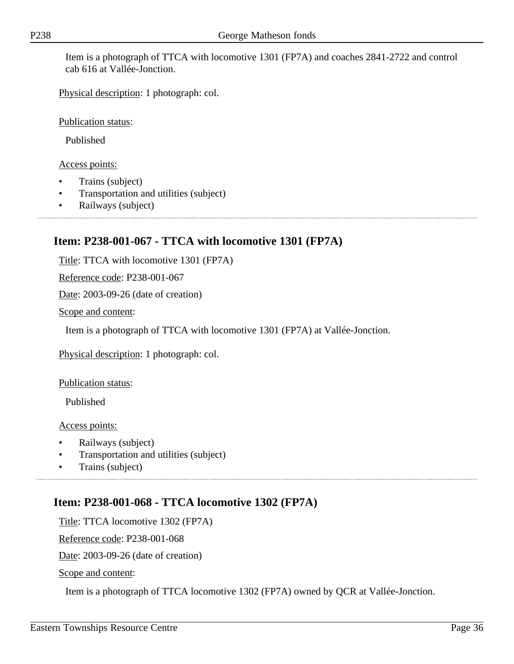Item is a photograph of TTCA with locomotive 1301 (FP7A) and coaches 2841-2722 and control cab 616 at Vallée-Jonction.

Physical description: 1 photograph: col.

Publication status:

Published

#### Access points:

- Trains (subject)
- Transportation and utilities (subject)
- Railways (subject)

### **Item: P238-001-067 - TTCA with locomotive 1301 (FP7A)**

Title: TTCA with locomotive 1301 (FP7A)

Reference code: P238-001-067

Date: 2003-09-26 (date of creation)

Scope and content:

Item is a photograph of TTCA with locomotive 1301 (FP7A) at Vallée-Jonction.

Physical description: 1 photograph: col.

Publication status:

Published

Access points:

- Railways (subject)
- Transportation and utilities (subject)
- Trains (subject)

## **Item: P238-001-068 - TTCA locomotive 1302 (FP7A)**

Title: TTCA locomotive 1302 (FP7A)

Reference code: P238-001-068

Date: 2003-09-26 (date of creation)

Scope and content:

Item is a photograph of TTCA locomotive 1302 (FP7A) owned by QCR at Vallée-Jonction.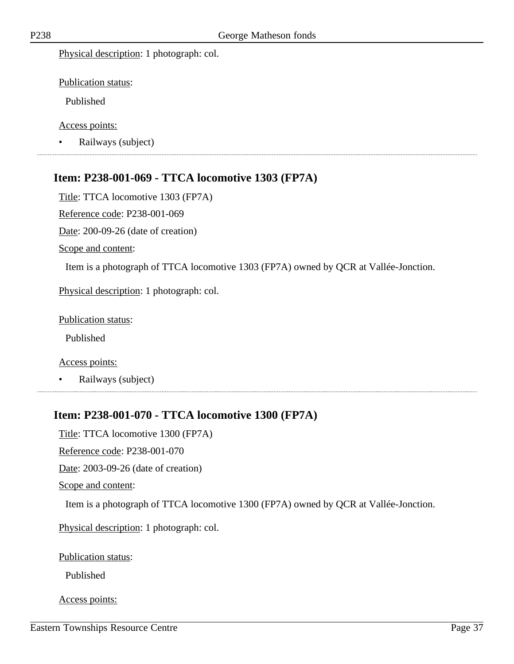Physical description: 1 photograph: col.

Publication status:

Published

Access points:

• Railways (subject)

# **Item: P238-001-069 - TTCA locomotive 1303 (FP7A)**

Title: TTCA locomotive 1303 (FP7A)

Reference code: P238-001-069

Date: 200-09-26 (date of creation)

Scope and content:

Item is a photograph of TTCA locomotive 1303 (FP7A) owned by QCR at Vallée-Jonction.

Physical description: 1 photograph: col.

Publication status:

Published

Access points:

• Railways (subject)

# **Item: P238-001-070 - TTCA locomotive 1300 (FP7A)**

Title: TTCA locomotive 1300 (FP7A)

Reference code: P238-001-070

Date: 2003-09-26 (date of creation)

Scope and content:

Item is a photograph of TTCA locomotive 1300 (FP7A) owned by QCR at Vallée-Jonction.

Physical description: 1 photograph: col.

Publication status:

Published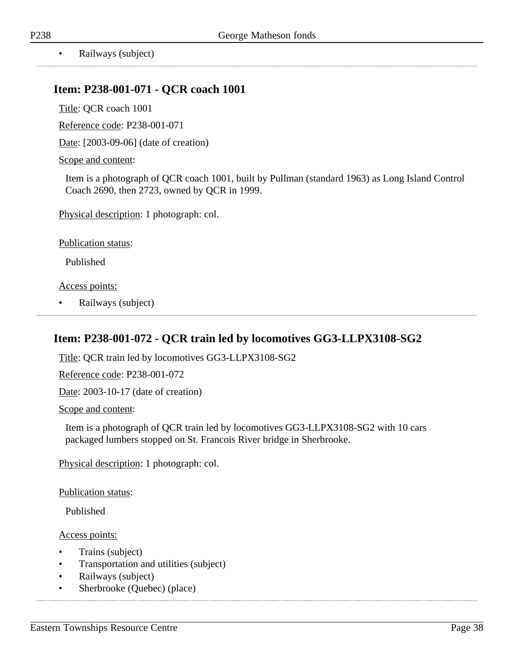### **Item: P238-001-071 - QCR coach 1001**

Title: QCR coach 1001

Reference code: P238-001-071

Date: [2003-09-06] (date of creation)

#### Scope and content:

Item is a photograph of QCR coach 1001, built by Pullman (standard 1963) as Long Island Control Coach 2690, then 2723, owned by QCR in 1999.

Physical description: 1 photograph: col.

Publication status:

Published

Access points:

• Railways (subject)

## **Item: P238-001-072 - QCR train led by locomotives GG3-LLPX3108-SG2**

Title: QCR train led by locomotives GG3-LLPX3108-SG2

Reference code: P238-001-072

Date: 2003-10-17 (date of creation)

Scope and content:

Item is a photograph of QCR train led by locomotives GG3-LLPX3108-SG2 with 10 cars packaged lumbers stopped on St. Francois River bridge in Sherbrooke.

Physical description: 1 photograph: col.

Publication status:

Published

- Trains (subject)
- Transportation and utilities (subject)
- Railways (subject)
- Sherbrooke (Quebec) (place)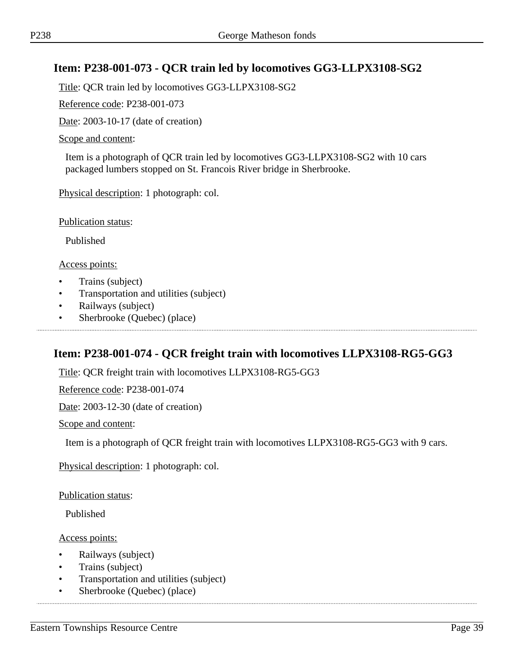# **Item: P238-001-073 - QCR train led by locomotives GG3-LLPX3108-SG2**

Title: QCR train led by locomotives GG3-LLPX3108-SG2

Reference code: P238-001-073

Date: 2003-10-17 (date of creation)

#### Scope and content:

Item is a photograph of QCR train led by locomotives GG3-LLPX3108-SG2 with 10 cars packaged lumbers stopped on St. Francois River bridge in Sherbrooke.

Physical description: 1 photograph: col.

Publication status:

Published

Access points:

- Trains (subject)
- Transportation and utilities (subject)
- Railways (subject)
- Sherbrooke (Quebec) (place)

## **Item: P238-001-074 - QCR freight train with locomotives LLPX3108-RG5-GG3**

Title: QCR freight train with locomotives LLPX3108-RG5-GG3

Reference code: P238-001-074

Date: 2003-12-30 (date of creation)

Scope and content:

Item is a photograph of QCR freight train with locomotives LLPX3108-RG5-GG3 with 9 cars.

Physical description: 1 photograph: col.

Publication status:

Published

- Railways (subject)
- Trains (subject)
- Transportation and utilities (subject)
- Sherbrooke (Quebec) (place)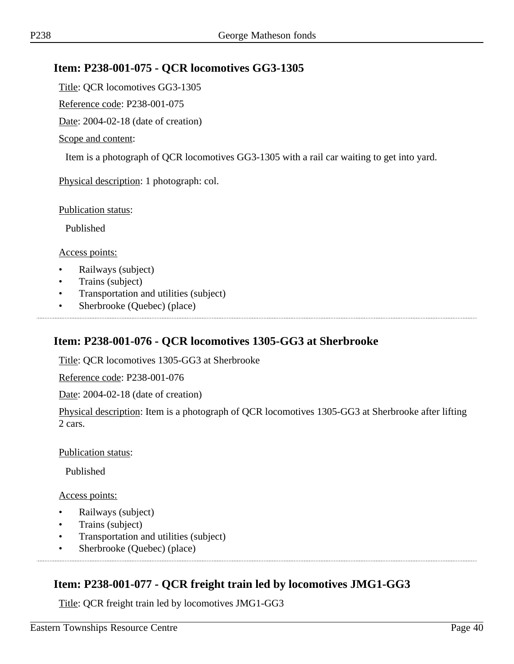## **Item: P238-001-075 - QCR locomotives GG3-1305**

Title: QCR locomotives GG3-1305

Reference code: P238-001-075

Date: 2004-02-18 (date of creation)

#### Scope and content:

Item is a photograph of QCR locomotives GG3-1305 with a rail car waiting to get into yard.

Physical description: 1 photograph: col.

Publication status:

Published

Access points:

- Railways (subject)
- Trains (subject)
- Transportation and utilities (subject)
- Sherbrooke (Quebec) (place)

### **Item: P238-001-076 - QCR locomotives 1305-GG3 at Sherbrooke**

Title: QCR locomotives 1305-GG3 at Sherbrooke

Reference code: P238-001-076

Date: 2004-02-18 (date of creation)

Physical description: Item is a photograph of QCR locomotives 1305-GG3 at Sherbrooke after lifting 2 cars.

#### Publication status:

Published

#### Access points:

- Railways (subject)
- Trains (subject)
- Transportation and utilities (subject)
- Sherbrooke (Quebec) (place)

# **Item: P238-001-077 - QCR freight train led by locomotives JMG1-GG3**

Title: QCR freight train led by locomotives JMG1-GG3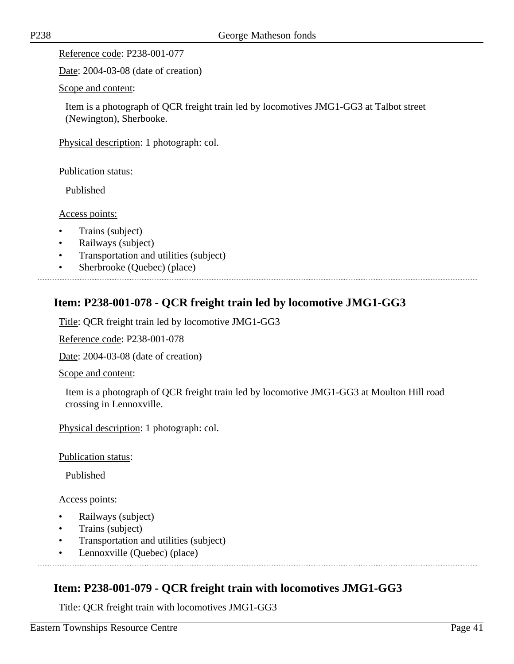Date: 2004-03-08 (date of creation)

Scope and content:

Item is a photograph of QCR freight train led by locomotives JMG1-GG3 at Talbot street (Newington), Sherbooke.

Physical description: 1 photograph: col.

Publication status:

Published

Access points:

- Trains (subject)
- Railways (subject)
- Transportation and utilities (subject)
- Sherbrooke (Quebec) (place)

# **Item: P238-001-078 - QCR freight train led by locomotive JMG1-GG3**

Title: QCR freight train led by locomotive JMG1-GG3

Reference code: P238-001-078

Date: 2004-03-08 (date of creation)

Scope and content:

Item is a photograph of QCR freight train led by locomotive JMG1-GG3 at Moulton Hill road crossing in Lennoxville.

Physical description: 1 photograph: col.

Publication status:

Published

Access points:

- Railways (subject)
- Trains (subject)
- Transportation and utilities (subject)
- Lennoxville (Quebec) (place)

# **Item: P238-001-079 - QCR freight train with locomotives JMG1-GG3**

Title: QCR freight train with locomotives JMG1-GG3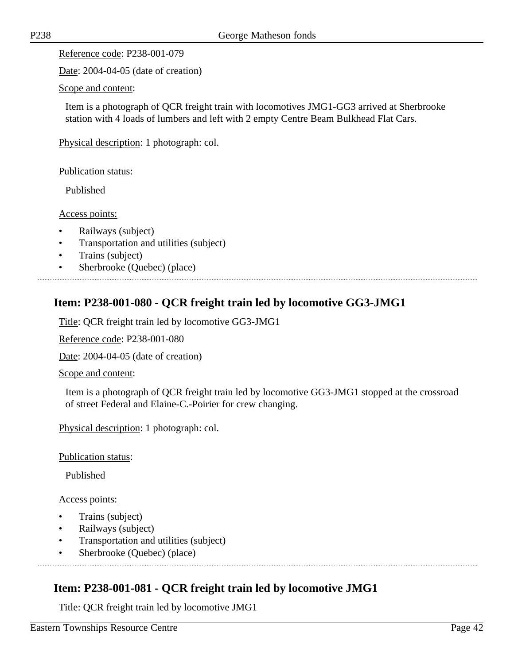Date: 2004-04-05 (date of creation)

#### Scope and content:

Item is a photograph of QCR freight train with locomotives JMG1-GG3 arrived at Sherbrooke station with 4 loads of lumbers and left with 2 empty Centre Beam Bulkhead Flat Cars.

Physical description: 1 photograph: col.

Publication status:

Published

Access points:

- Railways (subject)
- Transportation and utilities (subject)
- Trains (subject)
- Sherbrooke (Quebec) (place)

# **Item: P238-001-080 - QCR freight train led by locomotive GG3-JMG1**

Title: QCR freight train led by locomotive GG3-JMG1

Reference code: P238-001-080

Date: 2004-04-05 (date of creation)

Scope and content:

Item is a photograph of QCR freight train led by locomotive GG3-JMG1 stopped at the crossroad of street Federal and Elaine-C.-Poirier for crew changing.

Physical description: 1 photograph: col.

Publication status:

Published

Access points:

- Trains (subject)
- Railways (subject)
- Transportation and utilities (subject)
- Sherbrooke (Quebec) (place)

# **Item: P238-001-081 - QCR freight train led by locomotive JMG1**

Title: QCR freight train led by locomotive JMG1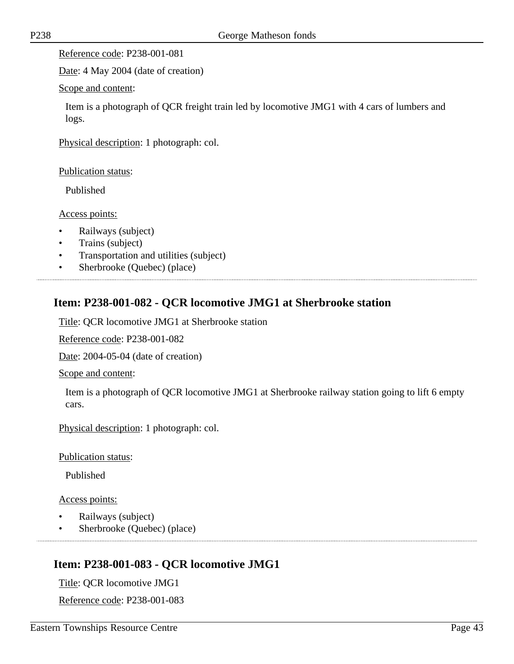Date: 4 May 2004 (date of creation)

Scope and content:

Item is a photograph of QCR freight train led by locomotive JMG1 with 4 cars of lumbers and logs.

Physical description: 1 photograph: col.

Publication status:

Published

Access points:

- Railways (subject)
- Trains (subject)
- Transportation and utilities (subject)
- Sherbrooke (Quebec) (place)

# **Item: P238-001-082 - QCR locomotive JMG1 at Sherbrooke station**

Title: QCR locomotive JMG1 at Sherbrooke station

Reference code: P238-001-082

Date: 2004-05-04 (date of creation)

Scope and content:

Item is a photograph of QCR locomotive JMG1 at Sherbrooke railway station going to lift 6 empty cars.

Physical description: 1 photograph: col.

Publication status:

Published

Access points:

- Railways (subject)
- Sherbrooke (Quebec) (place)

# **Item: P238-001-083 - QCR locomotive JMG1**

Title: QCR locomotive JMG1

Reference code: P238-001-083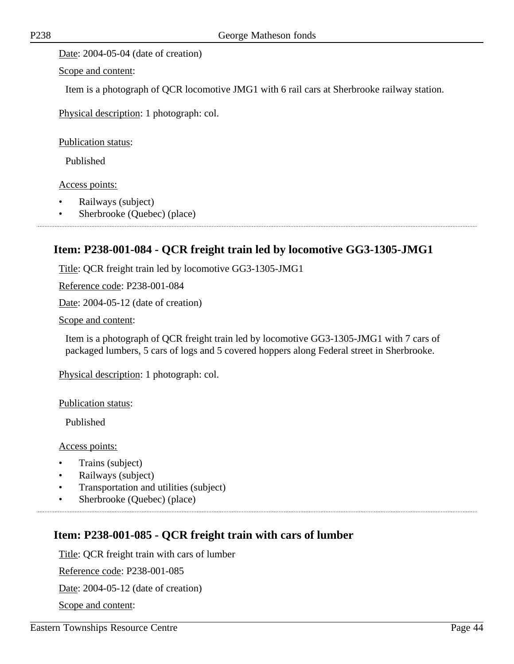Date: 2004-05-04 (date of creation)

Scope and content:

Item is a photograph of QCR locomotive JMG1 with 6 rail cars at Sherbrooke railway station.

Physical description: 1 photograph: col.

Publication status:

Published

Access points:

- Railways (subject)
- Sherbrooke (Quebec) (place)

## **Item: P238-001-084 - QCR freight train led by locomotive GG3-1305-JMG1**

Title: QCR freight train led by locomotive GG3-1305-JMG1

Reference code: P238-001-084

Date: 2004-05-12 (date of creation)

Scope and content:

Item is a photograph of QCR freight train led by locomotive GG3-1305-JMG1 with 7 cars of packaged lumbers, 5 cars of logs and 5 covered hoppers along Federal street in Sherbrooke.

Physical description: 1 photograph: col.

Publication status:

Published

Access points:

- Trains (subject)
- Railways (subject)
- Transportation and utilities (subject)
- Sherbrooke (Quebec) (place)

## **Item: P238-001-085 - QCR freight train with cars of lumber**

Title: QCR freight train with cars of lumber

Reference code: P238-001-085

Date: 2004-05-12 (date of creation)

Scope and content: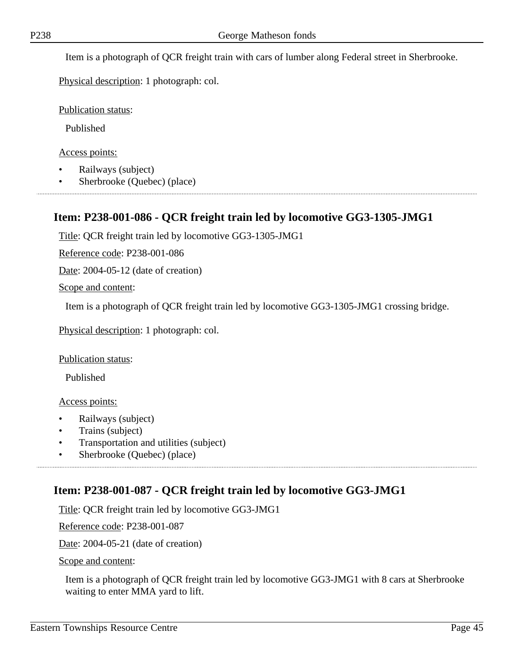Item is a photograph of QCR freight train with cars of lumber along Federal street in Sherbrooke.

Physical description: 1 photograph: col.

Publication status:

Published

Access points:

- Railways (subject)
- Sherbrooke (Quebec) (place)

# **Item: P238-001-086 - QCR freight train led by locomotive GG3-1305-JMG1**

Title: QCR freight train led by locomotive GG3-1305-JMG1

Reference code: P238-001-086

Date: 2004-05-12 (date of creation)

Scope and content:

Item is a photograph of QCR freight train led by locomotive GG3-1305-JMG1 crossing bridge.

Physical description: 1 photograph: col.

Publication status:

Published

Access points:

- Railways (subject)
- Trains (subject)
- Transportation and utilities (subject)
- Sherbrooke (Quebec) (place)

# **Item: P238-001-087 - QCR freight train led by locomotive GG3-JMG1**

Title: QCR freight train led by locomotive GG3-JMG1

Reference code: P238-001-087

Date: 2004-05-21 (date of creation)

Scope and content:

Item is a photograph of QCR freight train led by locomotive GG3-JMG1 with 8 cars at Sherbrooke waiting to enter MMA yard to lift.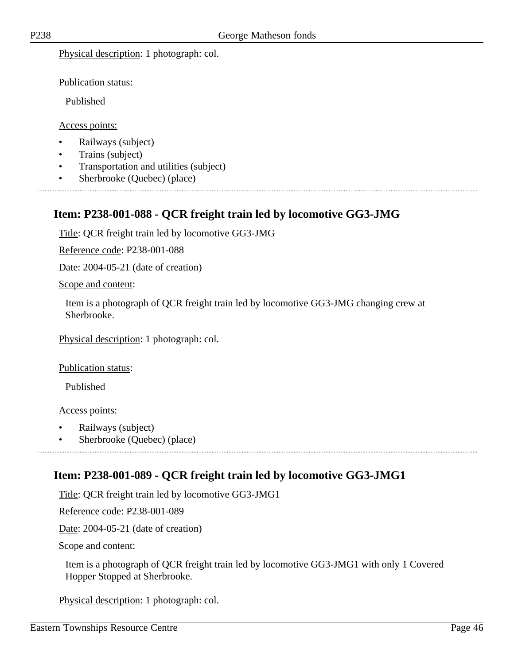Physical description: 1 photograph: col.

Publication status:

Published

Access points:

- Railways (subject)
- Trains (subject)
- Transportation and utilities (subject)
- Sherbrooke (Quebec) (place)

# **Item: P238-001-088 - QCR freight train led by locomotive GG3-JMG**

Title: QCR freight train led by locomotive GG3-JMG

Reference code: P238-001-088

Date: 2004-05-21 (date of creation)

Scope and content:

Item is a photograph of QCR freight train led by locomotive GG3-JMG changing crew at Sherbrooke.

Physical description: 1 photograph: col.

Publication status:

Published

Access points:

- Railways (subject)
- Sherbrooke (Quebec) (place)

# **Item: P238-001-089 - QCR freight train led by locomotive GG3-JMG1**

Title: QCR freight train led by locomotive GG3-JMG1

Reference code: P238-001-089

Date: 2004-05-21 (date of creation)

Scope and content:

Item is a photograph of QCR freight train led by locomotive GG3-JMG1 with only 1 Covered Hopper Stopped at Sherbrooke.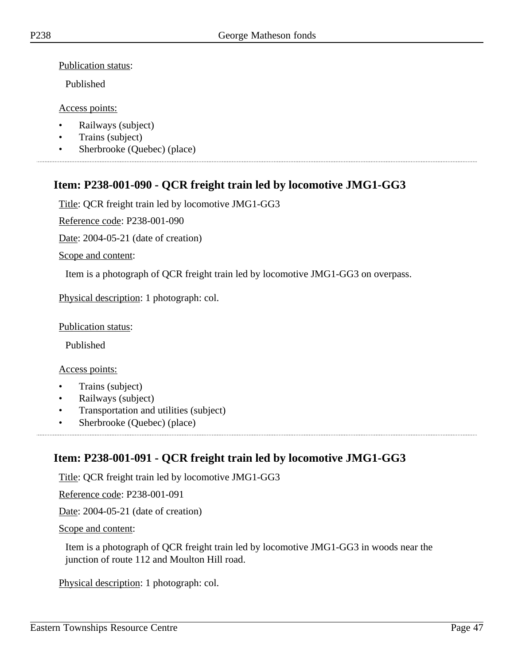Published

#### Access points:

- Railways (subject)
- Trains (subject)
- Sherbrooke (Quebec) (place)

# **Item: P238-001-090 - QCR freight train led by locomotive JMG1-GG3**

Title: QCR freight train led by locomotive JMG1-GG3

Reference code: P238-001-090

Date: 2004-05-21 (date of creation)

Scope and content:

Item is a photograph of QCR freight train led by locomotive JMG1-GG3 on overpass.

Physical description: 1 photograph: col.

Publication status:

Published

### Access points:

- Trains (subject)
- Railways (subject)
- Transportation and utilities (subject)
- Sherbrooke (Quebec) (place)

# **Item: P238-001-091 - QCR freight train led by locomotive JMG1-GG3**

Title: QCR freight train led by locomotive JMG1-GG3

Reference code: P238-001-091

Date: 2004-05-21 (date of creation)

Scope and content:

Item is a photograph of QCR freight train led by locomotive JMG1-GG3 in woods near the junction of route 112 and Moulton Hill road.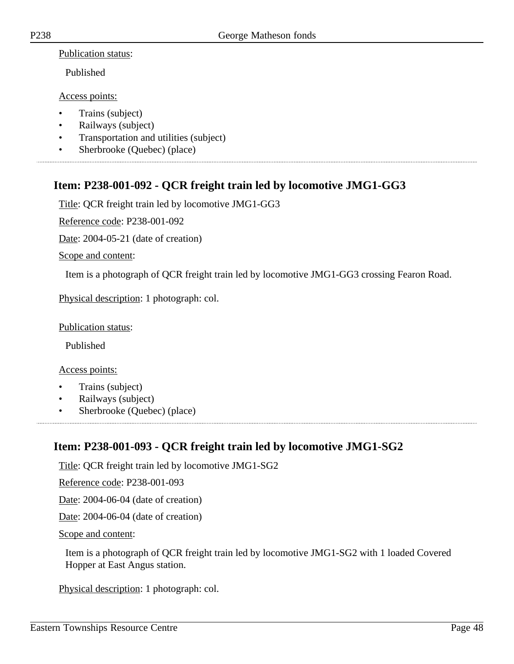Published

#### Access points:

- Trains (subject)
- Railways (subject)
- Transportation and utilities (subject)
- Sherbrooke (Quebec) (place)

# **Item: P238-001-092 - QCR freight train led by locomotive JMG1-GG3**

Title: QCR freight train led by locomotive JMG1-GG3

Reference code: P238-001-092

Date: 2004-05-21 (date of creation)

#### Scope and content:

Item is a photograph of QCR freight train led by locomotive JMG1-GG3 crossing Fearon Road.

Physical description: 1 photograph: col.

#### Publication status:

Published

#### Access points:

- Trains (subject)
- Railways (subject)
- Sherbrooke (Quebec) (place)

## **Item: P238-001-093 - QCR freight train led by locomotive JMG1-SG2**

Title: QCR freight train led by locomotive JMG1-SG2

Reference code: P238-001-093

Date: 2004-06-04 (date of creation)

Date: 2004-06-04 (date of creation)

#### Scope and content:

Item is a photograph of QCR freight train led by locomotive JMG1-SG2 with 1 loaded Covered Hopper at East Angus station.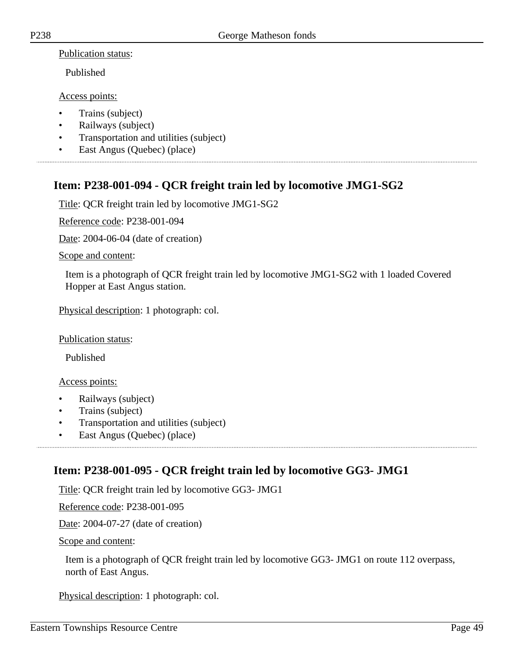Published

Access points:

- Trains (subject)
- Railways (subject)
- Transportation and utilities (subject)
- East Angus (Quebec) (place)

# **Item: P238-001-094 - QCR freight train led by locomotive JMG1-SG2**

Title: QCR freight train led by locomotive JMG1-SG2

Reference code: P238-001-094

Date: 2004-06-04 (date of creation)

Scope and content:

Item is a photograph of QCR freight train led by locomotive JMG1-SG2 with 1 loaded Covered Hopper at East Angus station.

Physical description: 1 photograph: col.

Publication status:

Published

Access points:

- Railways (subject)
- Trains (subject)
- Transportation and utilities (subject)
- East Angus (Quebec) (place)

# **Item: P238-001-095 - QCR freight train led by locomotive GG3- JMG1**

Title: QCR freight train led by locomotive GG3- JMG1

Reference code: P238-001-095

Date: 2004-07-27 (date of creation)

Scope and content:

Item is a photograph of QCR freight train led by locomotive GG3- JMG1 on route 112 overpass, north of East Angus.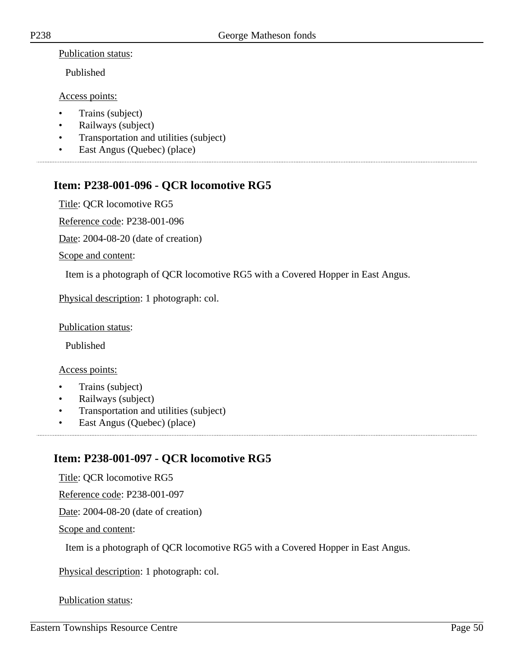Published

Access points:

- Trains (subject)
- Railways (subject)
- Transportation and utilities (subject)
- East Angus (Quebec) (place)

# **Item: P238-001-096 - QCR locomotive RG5**

Title: QCR locomotive RG5

Reference code: P238-001-096

Date: 2004-08-20 (date of creation)

Scope and content:

Item is a photograph of QCR locomotive RG5 with a Covered Hopper in East Angus.

Physical description: 1 photograph: col.

#### Publication status:

Published

#### Access points:

- Trains (subject)
- Railways (subject)
- Transportation and utilities (subject)
- East Angus (Quebec) (place)

# **Item: P238-001-097 - QCR locomotive RG5**

Title: QCR locomotive RG5

Reference code: P238-001-097

Date: 2004-08-20 (date of creation)

Scope and content:

Item is a photograph of QCR locomotive RG5 with a Covered Hopper in East Angus.

Physical description: 1 photograph: col.

### Publication status: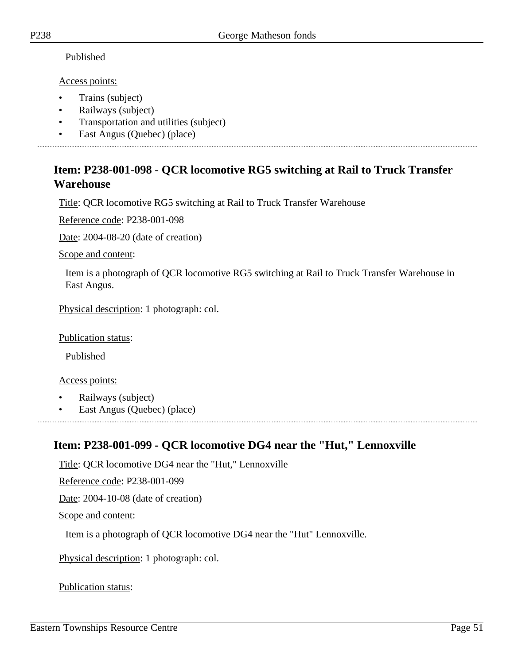### Published

Access points:

- Trains (subject)
- Railways (subject)
- Transportation and utilities (subject)
- East Angus (Quebec) (place)

# **Item: P238-001-098 - QCR locomotive RG5 switching at Rail to Truck Transfer Warehouse**

Title: QCR locomotive RG5 switching at Rail to Truck Transfer Warehouse

Reference code: P238-001-098

Date: 2004-08-20 (date of creation)

Scope and content:

Item is a photograph of QCR locomotive RG5 switching at Rail to Truck Transfer Warehouse in East Angus.

Physical description: 1 photograph: col.

Publication status:

Published

Access points:

- Railways (subject)
- East Angus (Quebec) (place)

# **Item: P238-001-099 - QCR locomotive DG4 near the "Hut," Lennoxville**

Title: QCR locomotive DG4 near the "Hut," Lennoxville

Reference code: P238-001-099

Date: 2004-10-08 (date of creation)

Scope and content:

Item is a photograph of QCR locomotive DG4 near the "Hut" Lennoxville.

Physical description: 1 photograph: col.

### Publication status: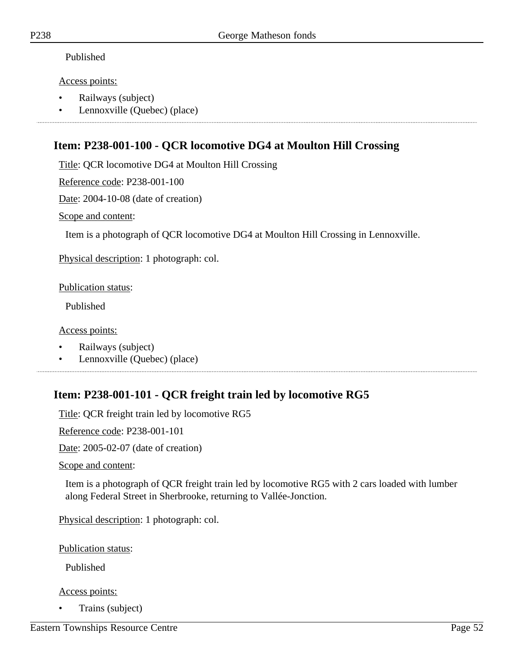### Published

### Access points:

- Railways (subject)
- Lennoxville (Quebec) (place)

# **Item: P238-001-100 - QCR locomotive DG4 at Moulton Hill Crossing**

Title: QCR locomotive DG4 at Moulton Hill Crossing

Reference code: P238-001-100

Date: 2004-10-08 (date of creation)

Scope and content:

Item is a photograph of QCR locomotive DG4 at Moulton Hill Crossing in Lennoxville.

Physical description: 1 photograph: col.

Publication status:

Published

### Access points:

- Railways (subject)
- Lennoxville (Quebec) (place)

# **Item: P238-001-101 - QCR freight train led by locomotive RG5**

Title: QCR freight train led by locomotive RG5

Reference code: P238-001-101

Date: 2005-02-07 (date of creation)

Scope and content:

Item is a photograph of QCR freight train led by locomotive RG5 with 2 cars loaded with lumber along Federal Street in Sherbrooke, returning to Vallée-Jonction.

Physical description: 1 photograph: col.

Publication status:

Published

Access points:

• Trains (subject)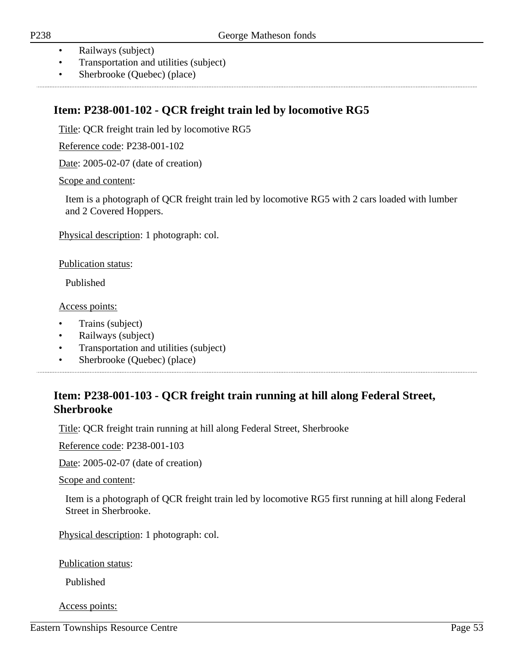- Railways (subject)
- Transportation and utilities (subject)
- Sherbrooke (Quebec) (place)

# **Item: P238-001-102 - QCR freight train led by locomotive RG5**

Title: QCR freight train led by locomotive RG5

Reference code: P238-001-102

Date: 2005-02-07 (date of creation)

Scope and content:

Item is a photograph of QCR freight train led by locomotive RG5 with 2 cars loaded with lumber and 2 Covered Hoppers.

Physical description: 1 photograph: col.

Publication status:

Published

Access points:

- Trains (subject)
- Railways (subject)
- Transportation and utilities (subject)
- Sherbrooke (Quebec) (place)

# **Item: P238-001-103 - QCR freight train running at hill along Federal Street, Sherbrooke**

Title: QCR freight train running at hill along Federal Street, Sherbrooke

Reference code: P238-001-103

Date: 2005-02-07 (date of creation)

Scope and content:

Item is a photograph of QCR freight train led by locomotive RG5 first running at hill along Federal Street in Sherbrooke.

Physical description: 1 photograph: col.

Publication status:

Published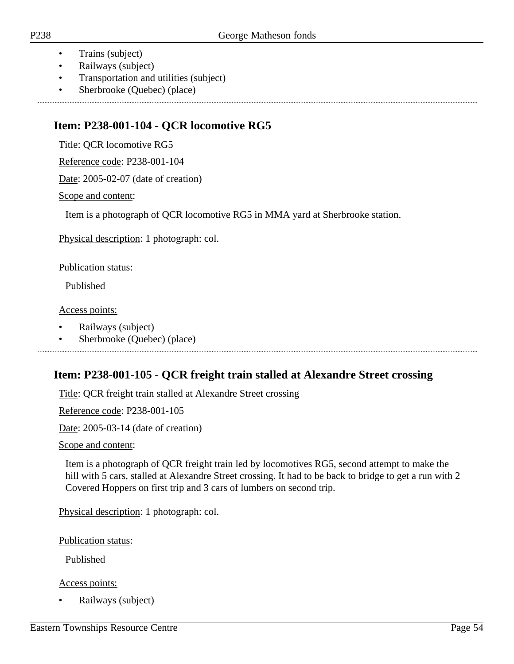- Trains (subject)
- Railways (subject)
- Transportation and utilities (subject)
- Sherbrooke (Quebec) (place)

# **Item: P238-001-104 - QCR locomotive RG5**

Title: QCR locomotive RG5

Reference code: P238-001-104

Date: 2005-02-07 (date of creation)

Scope and content:

Item is a photograph of QCR locomotive RG5 in MMA yard at Sherbrooke station.

Physical description: 1 photograph: col.

Publication status:

Published

Access points:

- Railways (subject)
- Sherbrooke (Quebec) (place)

# **Item: P238-001-105 - QCR freight train stalled at Alexandre Street crossing**

Title: QCR freight train stalled at Alexandre Street crossing

Reference code: P238-001-105

Date: 2005-03-14 (date of creation)

Scope and content:

Item is a photograph of QCR freight train led by locomotives RG5, second attempt to make the hill with 5 cars, stalled at Alexandre Street crossing. It had to be back to bridge to get a run with 2 Covered Hoppers on first trip and 3 cars of lumbers on second trip.

Physical description: 1 photograph: col.

Publication status:

Published

Access points:

• Railways (subject)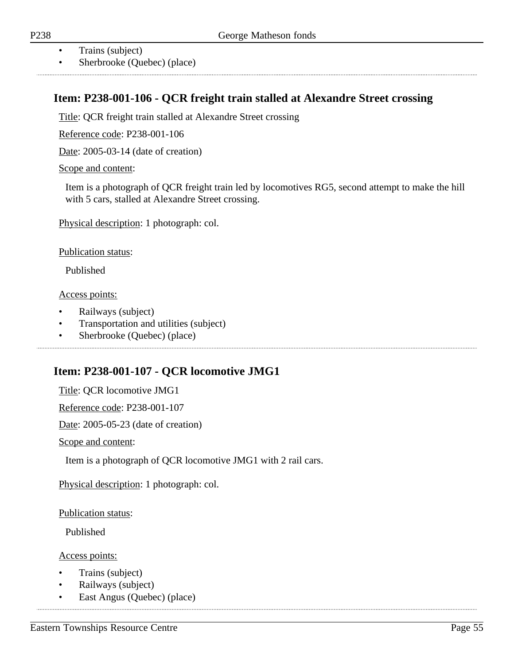- Trains (subject)
- Sherbrooke (Quebec) (place)

# **Item: P238-001-106 - QCR freight train stalled at Alexandre Street crossing**

Title: QCR freight train stalled at Alexandre Street crossing

Reference code: P238-001-106

Date: 2005-03-14 (date of creation)

Scope and content:

Item is a photograph of QCR freight train led by locomotives RG5, second attempt to make the hill with 5 cars, stalled at Alexandre Street crossing.

Physical description: 1 photograph: col.

Publication status:

Published

Access points:

- Railways (subject)
- Transportation and utilities (subject)
- Sherbrooke (Quebec) (place)

# **Item: P238-001-107 - QCR locomotive JMG1**

Title: QCR locomotive JMG1

Reference code: P238-001-107

Date: 2005-05-23 (date of creation)

Scope and content:

Item is a photograph of QCR locomotive JMG1 with 2 rail cars.

Physical description: 1 photograph: col.

Publication status:

Published

- Trains (subject)
- Railways (subject)
- East Angus (Quebec) (place)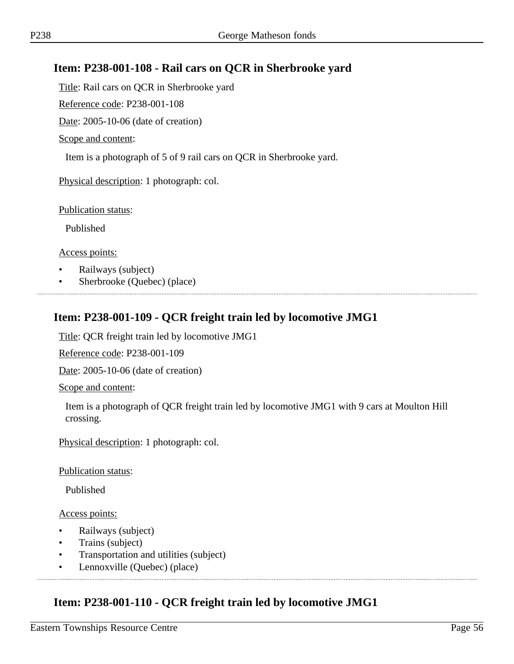# **Item: P238-001-108 - Rail cars on QCR in Sherbrooke yard**

Title: Rail cars on QCR in Sherbrooke yard

Reference code: P238-001-108

Date: 2005-10-06 (date of creation)

Scope and content:

Item is a photograph of 5 of 9 rail cars on QCR in Sherbrooke yard.

Physical description: 1 photograph: col.

Publication status:

Published

Access points:

- Railways (subject)
- Sherbrooke (Quebec) (place)

## **Item: P238-001-109 - QCR freight train led by locomotive JMG1**

Title: QCR freight train led by locomotive JMG1

Reference code: P238-001-109

Date: 2005-10-06 (date of creation)

Scope and content:

Item is a photograph of QCR freight train led by locomotive JMG1 with 9 cars at Moulton Hill crossing.

Physical description: 1 photograph: col.

Publication status:

Published

Access points:

- Railways (subject)
- Trains (subject)
- Transportation and utilities (subject)
- Lennoxville (Quebec) (place)

## **Item: P238-001-110 - QCR freight train led by locomotive JMG1**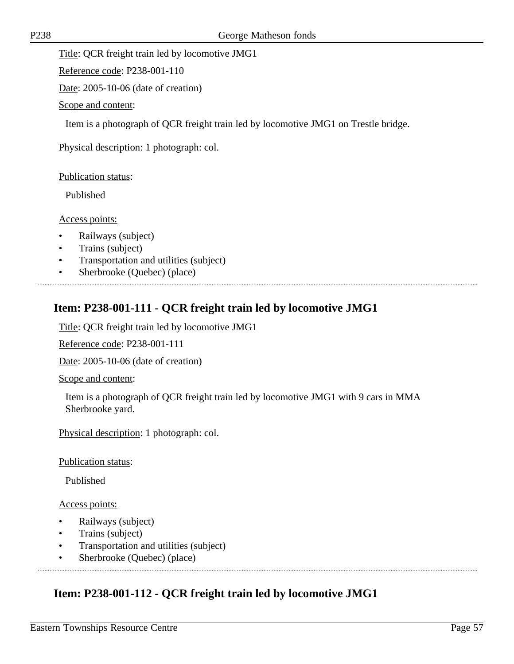Title: QCR freight train led by locomotive JMG1

Reference code: P238-001-110

Date: 2005-10-06 (date of creation)

Scope and content:

Item is a photograph of QCR freight train led by locomotive JMG1 on Trestle bridge.

Physical description: 1 photograph: col.

Publication status:

Published

### Access points:

- Railways (subject)
- Trains (subject)
- Transportation and utilities (subject)
- Sherbrooke (Quebec) (place)

# **Item: P238-001-111 - QCR freight train led by locomotive JMG1**

Title: QCR freight train led by locomotive JMG1

Reference code: P238-001-111

Date: 2005-10-06 (date of creation)

Scope and content:

Item is a photograph of QCR freight train led by locomotive JMG1 with 9 cars in MMA Sherbrooke yard.

Physical description: 1 photograph: col.

Publication status:

Published

Access points:

- Railways (subject)
- Trains (subject)
- Transportation and utilities (subject)
- Sherbrooke (Quebec) (place)

# **Item: P238-001-112 - QCR freight train led by locomotive JMG1**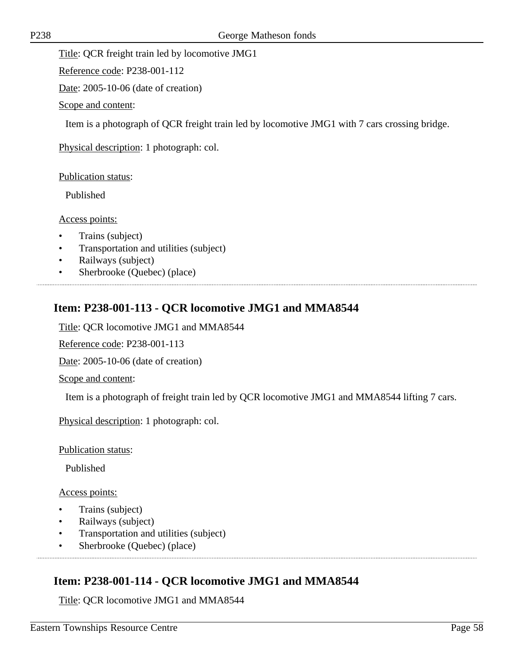Title: QCR freight train led by locomotive JMG1

Reference code: P238-001-112

Date: 2005-10-06 (date of creation)

Scope and content:

Item is a photograph of QCR freight train led by locomotive JMG1 with 7 cars crossing bridge.

Physical description: 1 photograph: col.

Publication status:

Published

#### Access points:

- Trains (subject)
- Transportation and utilities (subject)
- Railways (subject)
- Sherbrooke (Quebec) (place)

# **Item: P238-001-113 - QCR locomotive JMG1 and MMA8544**

Title: QCR locomotive JMG1 and MMA8544

Reference code: P238-001-113

Date: 2005-10-06 (date of creation)

Scope and content:

Item is a photograph of freight train led by QCR locomotive JMG1 and MMA8544 lifting 7 cars.

Physical description: 1 photograph: col.

Publication status:

Published

Access points:

- Trains (subject)
- Railways (subject)
- Transportation and utilities (subject)
- Sherbrooke (Quebec) (place)

## **Item: P238-001-114 - QCR locomotive JMG1 and MMA8544**

Title: QCR locomotive JMG1 and MMA8544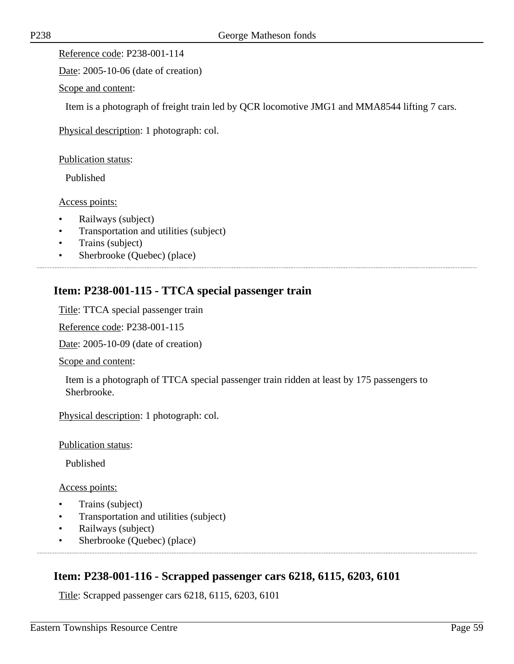Date: 2005-10-06 (date of creation)

Scope and content:

Item is a photograph of freight train led by QCR locomotive JMG1 and MMA8544 lifting 7 cars.

Physical description: 1 photograph: col.

Publication status:

Published

Access points:

- Railways (subject)
- Transportation and utilities (subject)
- Trains (subject)
- Sherbrooke (Quebec) (place)

## **Item: P238-001-115 - TTCA special passenger train**

Title: TTCA special passenger train

Reference code: P238-001-115

Date: 2005-10-09 (date of creation)

Scope and content:

Item is a photograph of TTCA special passenger train ridden at least by 175 passengers to Sherbrooke.

Physical description: 1 photograph: col.

Publication status:

Published

#### Access points:

- Trains (subject)
- Transportation and utilities (subject)
- Railways (subject)
- Sherbrooke (Quebec) (place)

### **Item: P238-001-116 - Scrapped passenger cars 6218, 6115, 6203, 6101**

Title: Scrapped passenger cars 6218, 6115, 6203, 6101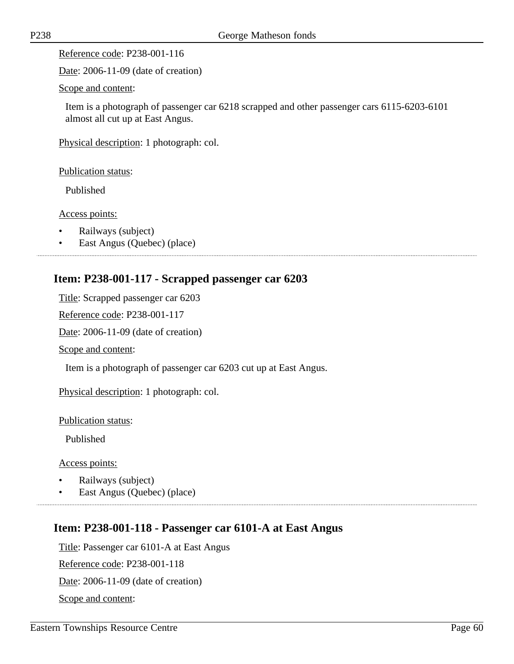Date: 2006-11-09 (date of creation)

Scope and content:

Item is a photograph of passenger car 6218 scrapped and other passenger cars 6115-6203-6101 almost all cut up at East Angus.

Physical description: 1 photograph: col.

Publication status:

Published

Access points:

- Railways (subject)
- East Angus (Quebec) (place)

..............................

# **Item: P238-001-117 - Scrapped passenger car 6203**

Title: Scrapped passenger car 6203

Reference code: P238-001-117

Date: 2006-11-09 (date of creation)

Scope and content:

Item is a photograph of passenger car 6203 cut up at East Angus.

Physical description: 1 photograph: col.

Publication status:

Published

Access points:

- Railways (subject)
- East Angus (Quebec) (place)

# **Item: P238-001-118 - Passenger car 6101-A at East Angus**

Title: Passenger car 6101-A at East Angus

Reference code: P238-001-118

Date: 2006-11-09 (date of creation)

Scope and content: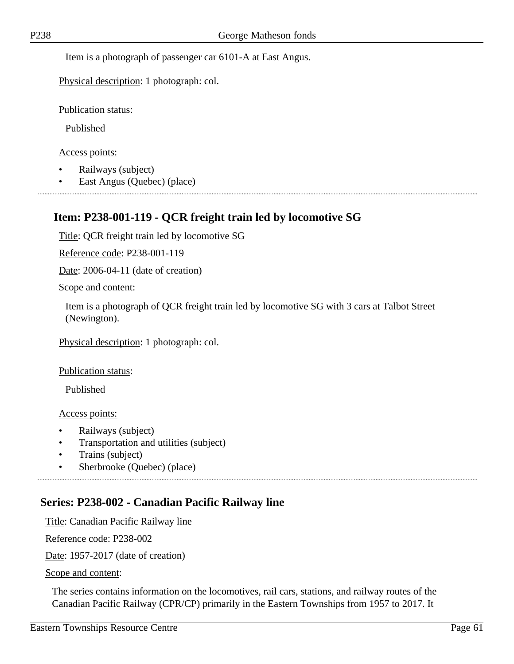Item is a photograph of passenger car 6101-A at East Angus.

Physical description: 1 photograph: col.

Publication status:

Published

Access points:

- Railways (subject)
- East Angus (Quebec) (place)

## **Item: P238-001-119 - QCR freight train led by locomotive SG**

Title: QCR freight train led by locomotive SG

Reference code: P238-001-119

Date: 2006-04-11 (date of creation)

Scope and content:

Item is a photograph of QCR freight train led by locomotive SG with 3 cars at Talbot Street (Newington).

Physical description: 1 photograph: col.

Publication status:

Published

Access points:

- Railways (subject)
- Transportation and utilities (subject)
- Trains (subject)
- Sherbrooke (Quebec) (place)

## **Series: P238-002 - Canadian Pacific Railway line**

Title: Canadian Pacific Railway line

Reference code: P238-002

Date: 1957-2017 (date of creation)

Scope and content:

The series contains information on the locomotives, rail cars, stations, and railway routes of the Canadian Pacific Railway (CPR/CP) primarily in the Eastern Townships from 1957 to 2017. It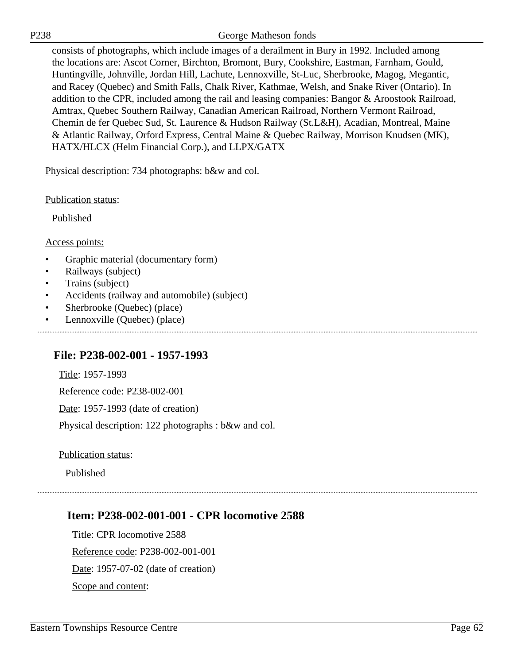P238 George Matheson fonds

consists of photographs, which include images of a derailment in Bury in 1992. Included among the locations are: Ascot Corner, Birchton, Bromont, Bury, Cookshire, Eastman, Farnham, Gould, Huntingville, Johnville, Jordan Hill, Lachute, Lennoxville, St-Luc, Sherbrooke, Magog, Megantic, and Racey (Quebec) and Smith Falls, Chalk River, Kathmae, Welsh, and Snake River (Ontario). In addition to the CPR, included among the rail and leasing companies: Bangor & Aroostook Railroad, Amtrax, Quebec Southern Railway, Canadian American Railroad, Northern Vermont Railroad, Chemin de fer Quebec Sud, St. Laurence & Hudson Railway (St.L&H), Acadian, Montreal, Maine & Atlantic Railway, Orford Express, Central Maine & Quebec Railway, Morrison Knudsen (MK), HATX/HLCX (Helm Financial Corp.), and LLPX/GATX

Physical description: 734 photographs: b&w and col.

Publication status:

Published

Access points:

- Graphic material (documentary form)
- Railways (subject)
- Trains (subject)
- Accidents (railway and automobile) (subject)
- Sherbrooke (Quebec) (place)
- Lennoxville (Quebec) (place)

### **File: P238-002-001 - 1957-1993**

Title: 1957-1993

Reference code: P238-002-001

Date: 1957-1993 (date of creation)

Physical description: 122 photographs : b&w and col.

Publication status:

Published

### **Item: P238-002-001-001 - CPR locomotive 2588**

Title: CPR locomotive 2588 Reference code: P238-002-001-001 Date: 1957-07-02 (date of creation) Scope and content: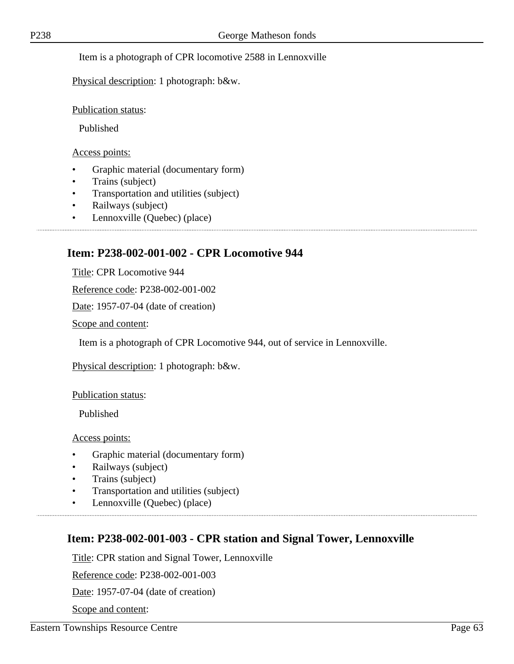### Item is a photograph of CPR locomotive 2588 in Lennoxville

Physical description: 1 photograph: b&w.

#### Publication status:

Published

#### Access points:

- Graphic material (documentary form)
- Trains (subject)
- Transportation and utilities (subject)
- Railways (subject)
- Lennoxville (Quebec) (place)

## **Item: P238-002-001-002 - CPR Locomotive 944**

Title: CPR Locomotive 944

Reference code: P238-002-001-002

Date: 1957-07-04 (date of creation)

Scope and content:

Item is a photograph of CPR Locomotive 944, out of service in Lennoxville.

Physical description: 1 photograph: b&w.

#### Publication status:

Published

Access points:

- Graphic material (documentary form)
- Railways (subject)
- Trains (subject)
- Transportation and utilities (subject)
- Lennoxville (Quebec) (place)

## **Item: P238-002-001-003 - CPR station and Signal Tower, Lennoxville**

Title: CPR station and Signal Tower, Lennoxville

Reference code: P238-002-001-003

Date: 1957-07-04 (date of creation)

Scope and content: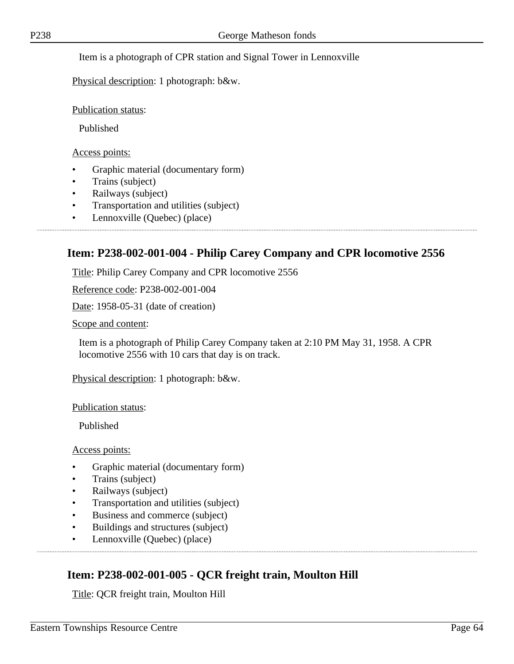### Item is a photograph of CPR station and Signal Tower in Lennoxville

Physical description: 1 photograph: b&w.

Publication status:

Published

Access points:

- Graphic material (documentary form)
- Trains (subject)
- Railways (subject)
- Transportation and utilities (subject)
- Lennoxville (Quebec) (place)

## **Item: P238-002-001-004 - Philip Carey Company and CPR locomotive 2556**

Title: Philip Carey Company and CPR locomotive 2556

Reference code: P238-002-001-004

Date: 1958-05-31 (date of creation)

Scope and content:

Item is a photograph of Philip Carey Company taken at 2:10 PM May 31, 1958. A CPR locomotive 2556 with 10 cars that day is on track.

Physical description: 1 photograph: b&w.

Publication status:

Published

Access points:

- Graphic material (documentary form)
- Trains (subject)
- Railways (subject)
- Transportation and utilities (subject)
- Business and commerce (subject)
- Buildings and structures (subject)
- Lennoxville (Quebec) (place)

## **Item: P238-002-001-005 - QCR freight train, Moulton Hill**

Title: QCR freight train, Moulton Hill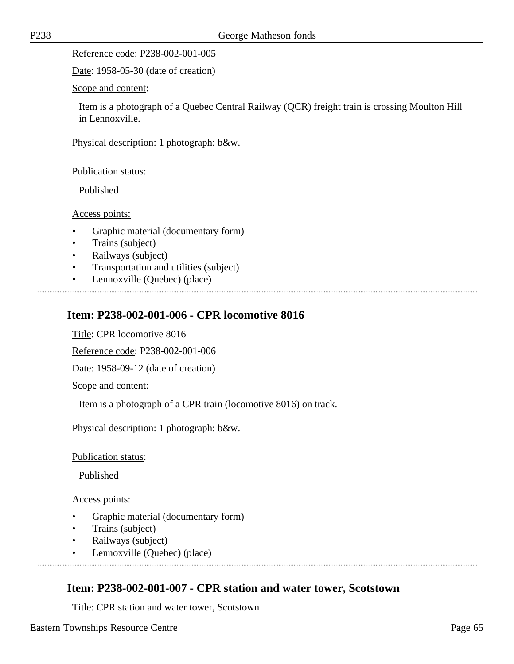Date: 1958-05-30 (date of creation)

Scope and content:

Item is a photograph of a Quebec Central Railway (QCR) freight train is crossing Moulton Hill in Lennoxville.

Physical description: 1 photograph: b&w.

Publication status:

Published

Access points:

- Graphic material (documentary form)
- Trains (subject)
- Railways (subject)
- Transportation and utilities (subject)
- Lennoxville (Quebec) (place)

# **Item: P238-002-001-006 - CPR locomotive 8016**

Title: CPR locomotive 8016

Reference code: P238-002-001-006

Date: 1958-09-12 (date of creation)

Scope and content:

Item is a photograph of a CPR train (locomotive 8016) on track.

Physical description: 1 photograph: b&w.

Publication status:

Published

Access points:

- Graphic material (documentary form)
- Trains (subject)
- Railways (subject)
- Lennoxville (Quebec) (place)

## **Item: P238-002-001-007 - CPR station and water tower, Scotstown**

Title: CPR station and water tower, Scotstown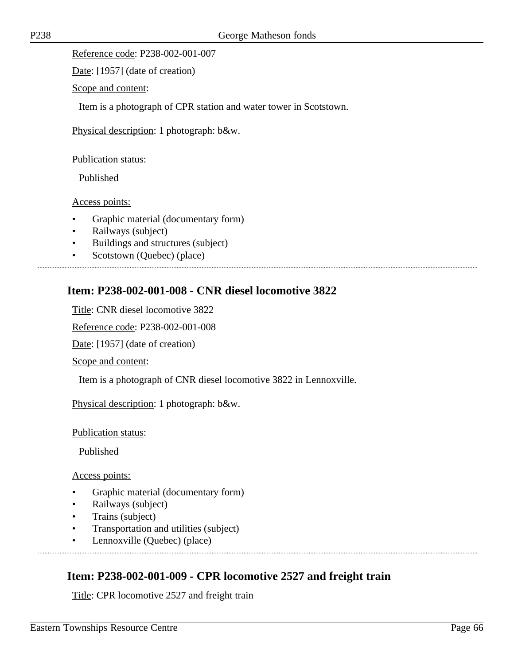Date: [1957] (date of creation)

Scope and content:

Item is a photograph of CPR station and water tower in Scotstown.

Physical description: 1 photograph: b&w.

Publication status:

Published

Access points:

- Graphic material (documentary form)
- Railways (subject)
- Buildings and structures (subject)
- Scotstown (Quebec) (place)

# **Item: P238-002-001-008 - CNR diesel locomotive 3822**

Title: CNR diesel locomotive 3822

Reference code: P238-002-001-008

Date: [1957] (date of creation)

Scope and content:

Item is a photograph of CNR diesel locomotive 3822 in Lennoxville.

Physical description: 1 photograph: b&w.

Publication status:

Published

Access points:

- Graphic material (documentary form)
- Railways (subject)
- Trains (subject)
- Transportation and utilities (subject)
- Lennoxville (Quebec) (place)

## **Item: P238-002-001-009 - CPR locomotive 2527 and freight train**

Title: CPR locomotive 2527 and freight train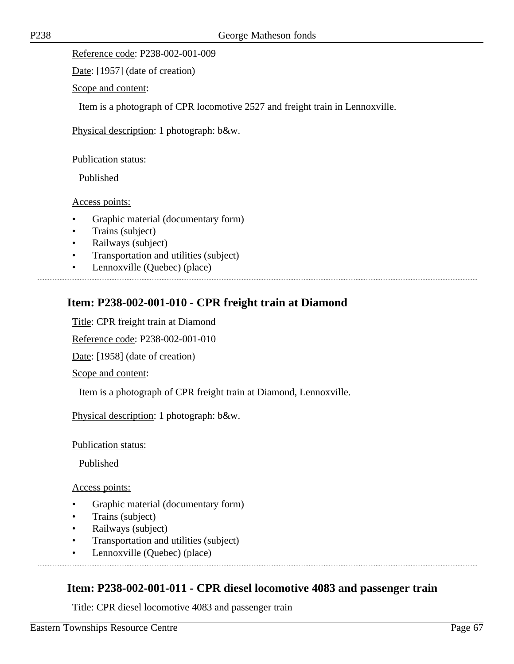Date: [1957] (date of creation)

Scope and content:

Item is a photograph of CPR locomotive 2527 and freight train in Lennoxville.

Physical description: 1 photograph: b&w.

Publication status:

Published

Access points:

- Graphic material (documentary form)
- Trains (subject)
- Railways (subject)
- Transportation and utilities (subject)
- Lennoxville (Quebec) (place)

## **Item: P238-002-001-010 - CPR freight train at Diamond**

Title: CPR freight train at Diamond

Reference code: P238-002-001-010

Date: [1958] (date of creation)

Scope and content:

Item is a photograph of CPR freight train at Diamond, Lennoxville.

Physical description: 1 photograph: b&w.

Publication status:

Published

Access points:

- Graphic material (documentary form)
- Trains (subject)
- Railways (subject)
- Transportation and utilities (subject)
- Lennoxville (Quebec) (place)

### **Item: P238-002-001-011 - CPR diesel locomotive 4083 and passenger train**

Title: CPR diesel locomotive 4083 and passenger train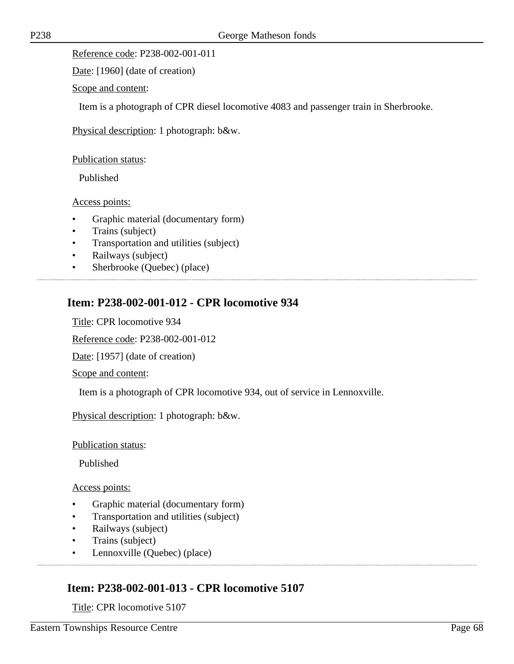Date: [1960] (date of creation)

Scope and content:

Item is a photograph of CPR diesel locomotive 4083 and passenger train in Sherbrooke.

Physical description: 1 photograph: b&w.

Publication status:

Published

Access points:

- Graphic material (documentary form)
- Trains (subject)
- Transportation and utilities (subject)
- Railways (subject)
- Sherbrooke (Quebec) (place)

## **Item: P238-002-001-012 - CPR locomotive 934**

Title: CPR locomotive 934

Reference code: P238-002-001-012

Date: [1957] (date of creation)

Scope and content:

Item is a photograph of CPR locomotive 934, out of service in Lennoxville.

Physical description: 1 photograph: b&w.

Publication status:

Published

Access points:

- Graphic material (documentary form)
- Transportation and utilities (subject)
- Railways (subject)
- Trains (subject)
- Lennoxville (Quebec) (place)

## **Item: P238-002-001-013 - CPR locomotive 5107**

Title: CPR locomotive 5107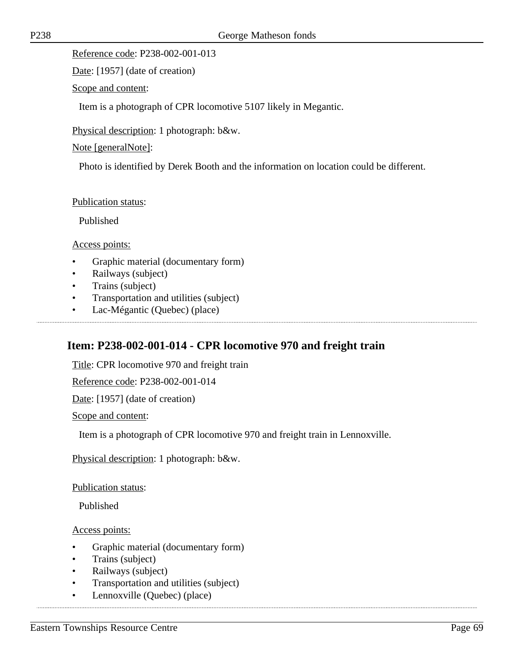Date: [1957] (date of creation)

Scope and content:

Item is a photograph of CPR locomotive 5107 likely in Megantic.

Physical description: 1 photograph: b&w.

Note [generalNote]:

Photo is identified by Derek Booth and the information on location could be different.

### Publication status:

Published

### Access points:

- Graphic material (documentary form)
- Railways (subject)
- Trains (subject)
- Transportation and utilities (subject)
- Lac-Mégantic (Quebec) (place)

# **Item: P238-002-001-014 - CPR locomotive 970 and freight train**

Title: CPR locomotive 970 and freight train

Reference code: P238-002-001-014

Date: [1957] (date of creation)

Scope and content:

Item is a photograph of CPR locomotive 970 and freight train in Lennoxville.

Physical description: 1 photograph: b&w.

Publication status:

Published

- Graphic material (documentary form)
- Trains (subject)
- Railways (subject)
- Transportation and utilities (subject)
- Lennoxville (Quebec) (place)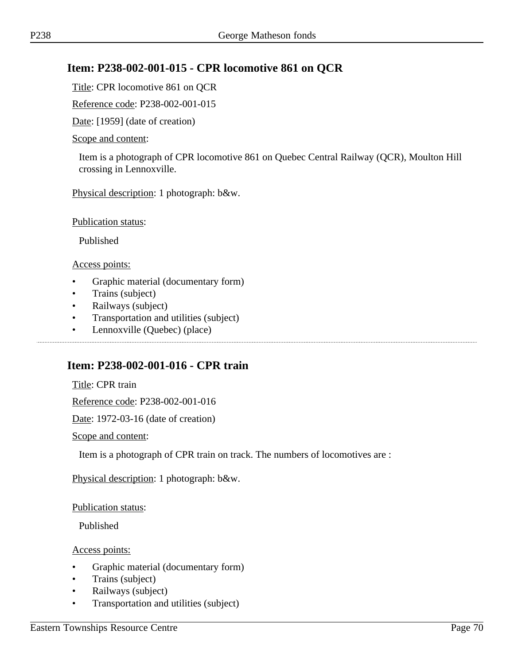## **Item: P238-002-001-015 - CPR locomotive 861 on QCR**

Title: CPR locomotive 861 on QCR

Reference code: P238-002-001-015

Date: [1959] (date of creation)

#### Scope and content:

Item is a photograph of CPR locomotive 861 on Quebec Central Railway (QCR), Moulton Hill crossing in Lennoxville.

Physical description: 1 photograph: b&w.

Publication status:

Published

Access points:

- Graphic material (documentary form)
- Trains (subject)
- Railways (subject)
- Transportation and utilities (subject)
- Lennoxville (Quebec) (place)

## **Item: P238-002-001-016 - CPR train**

Title: CPR train

Reference code: P238-002-001-016

Date: 1972-03-16 (date of creation)

#### Scope and content:

Item is a photograph of CPR train on track. The numbers of locomotives are :

Physical description: 1 photograph: b&w.

Publication status:

Published

- Graphic material (documentary form)
- Trains (subject)
- Railways (subject)
- Transportation and utilities (subject)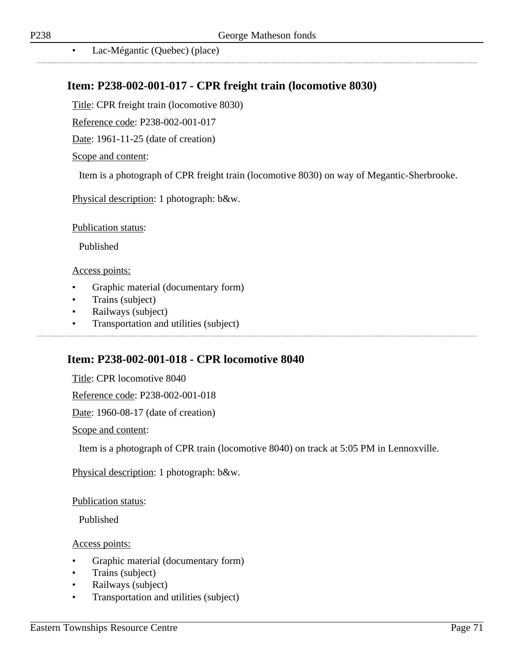...............................

• Lac-Mégantic (Quebec) (place)

## **Item: P238-002-001-017 - CPR freight train (locomotive 8030)**

Title: CPR freight train (locomotive 8030)

Reference code: P238-002-001-017

Date: 1961-11-25 (date of creation)

#### Scope and content:

Item is a photograph of CPR freight train (locomotive 8030) on way of Megantic-Sherbrooke.

Physical description: 1 photograph: b&w.

Publication status:

Published

#### Access points:

- Graphic material (documentary form)
- Trains (subject)
- Railways (subject)
- Transportation and utilities (subject)

### **Item: P238-002-001-018 - CPR locomotive 8040**

Title: CPR locomotive 8040

Reference code: P238-002-001-018

Date: 1960-08-17 (date of creation)

Scope and content:

Item is a photograph of CPR train (locomotive 8040) on track at 5:05 PM in Lennoxville.

Physical description: 1 photograph: b&w.

Publication status:

Published

- Graphic material (documentary form)
- Trains (subject)
- Railways (subject)
- Transportation and utilities (subject)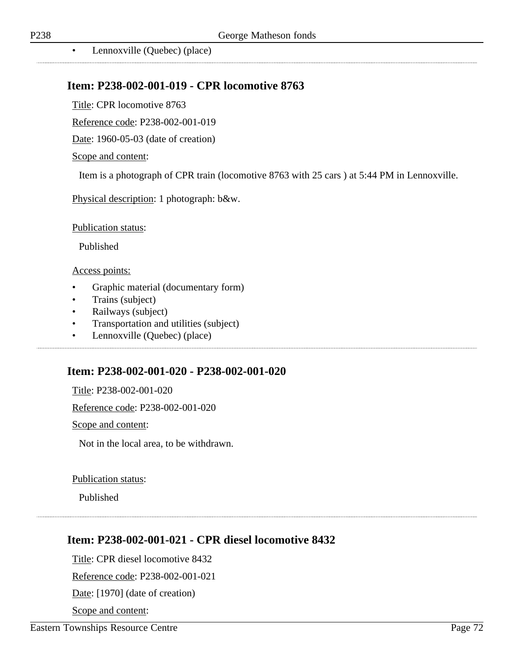..................................

• Lennoxville (Quebec) (place)

### **Item: P238-002-001-019 - CPR locomotive 8763**

Title: CPR locomotive 8763

Reference code: P238-002-001-019

Date: 1960-05-03 (date of creation)

#### Scope and content:

Item is a photograph of CPR train (locomotive 8763 with 25 cars ) at 5:44 PM in Lennoxville.

Physical description: 1 photograph: b&w.

Publication status:

Published

#### Access points:

- Graphic material (documentary form)
- Trains (subject)
- Railways (subject)
- Transportation and utilities (subject)
- Lennoxville (Quebec) (place)

### **Item: P238-002-001-020 - P238-002-001-020**

Title: P238-002-001-020

Reference code: P238-002-001-020

Scope and content:

Not in the local area, to be withdrawn.

#### Publication status:

Published

### **Item: P238-002-001-021 - CPR diesel locomotive 8432**

Title: CPR diesel locomotive 8432 Reference code: P238-002-001-021

Date: [1970] (date of creation)

Scope and content: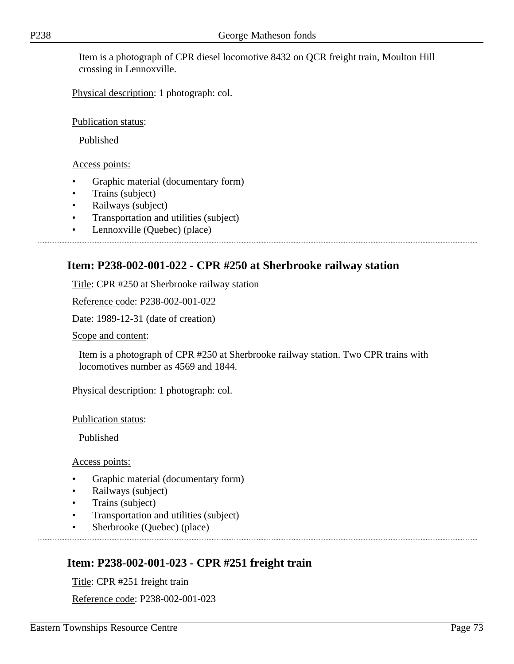Item is a photograph of CPR diesel locomotive 8432 on QCR freight train, Moulton Hill crossing in Lennoxville.

Physical description: 1 photograph: col.

Publication status:

Published

Access points:

- Graphic material (documentary form)
- Trains (subject)
- Railways (subject)
- Transportation and utilities (subject)
- Lennoxville (Quebec) (place)

# **Item: P238-002-001-022 - CPR #250 at Sherbrooke railway station**

Title: CPR #250 at Sherbrooke railway station

Reference code: P238-002-001-022

Date: 1989-12-31 (date of creation)

Scope and content:

Item is a photograph of CPR #250 at Sherbrooke railway station. Two CPR trains with locomotives number as 4569 and 1844.

Physical description: 1 photograph: col.

Publication status:

Published

Access points:

- Graphic material (documentary form)
- Railways (subject)
- Trains (subject)
- Transportation and utilities (subject)
- Sherbrooke (Quebec) (place)

# **Item: P238-002-001-023 - CPR #251 freight train**

Title: CPR #251 freight train

Reference code: P238-002-001-023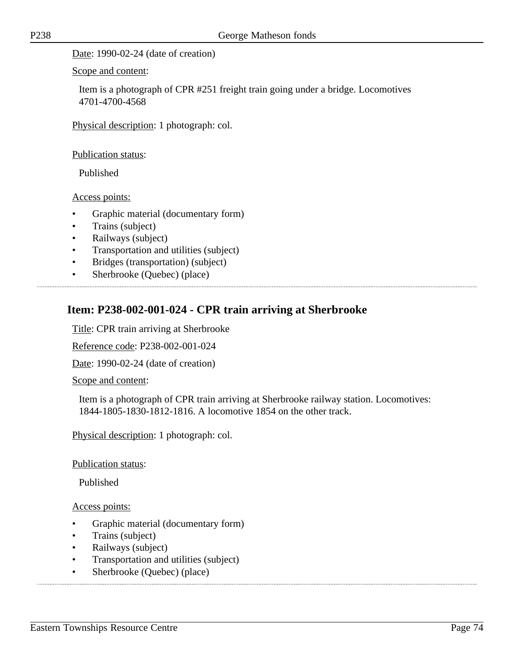Date: 1990-02-24 (date of creation)

Scope and content:

Item is a photograph of CPR #251 freight train going under a bridge. Locomotives 4701-4700-4568

Physical description: 1 photograph: col.

Publication status:

Published

Access points:

- Graphic material (documentary form)
- Trains (subject)
- Railways (subject)
- Transportation and utilities (subject)
- Bridges (transportation) (subject)
- Sherbrooke (Quebec) (place)

# **Item: P238-002-001-024 - CPR train arriving at Sherbrooke**

Title: CPR train arriving at Sherbrooke

Reference code: P238-002-001-024

Date: 1990-02-24 (date of creation)

Scope and content:

Item is a photograph of CPR train arriving at Sherbrooke railway station. Locomotives: 1844-1805-1830-1812-1816. A locomotive 1854 on the other track.

Physical description: 1 photograph: col.

Publication status:

Published

Access points:

- Graphic material (documentary form)
- Trains (subject)
- Railways (subject)
- Transportation and utilities (subject)
- Sherbrooke (Quebec) (place)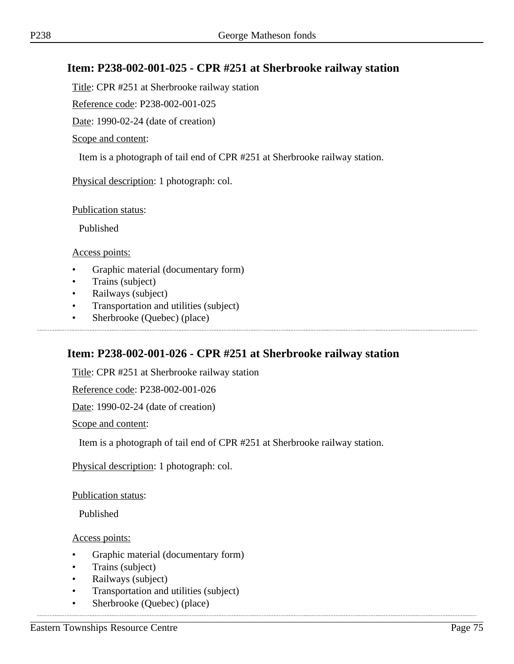# **Item: P238-002-001-025 - CPR #251 at Sherbrooke railway station**

Title: CPR #251 at Sherbrooke railway station

Reference code: P238-002-001-025

Date: 1990-02-24 (date of creation)

Scope and content:

Item is a photograph of tail end of CPR #251 at Sherbrooke railway station.

Physical description: 1 photograph: col.

Publication status:

Published

Access points:

- Graphic material (documentary form)
- Trains (subject)
- Railways (subject)
- Transportation and utilities (subject)
- Sherbrooke (Quebec) (place)

# **Item: P238-002-001-026 - CPR #251 at Sherbrooke railway station**

Title: CPR #251 at Sherbrooke railway station

Reference code: P238-002-001-026

Date: 1990-02-24 (date of creation)

Scope and content:

Item is a photograph of tail end of CPR #251 at Sherbrooke railway station.

Physical description: 1 photograph: col.

Publication status:

Published

Access points:

- Graphic material (documentary form)
- Trains (subject)
- Railways (subject)
- Transportation and utilities (subject)

• Sherbrooke (Quebec) (place)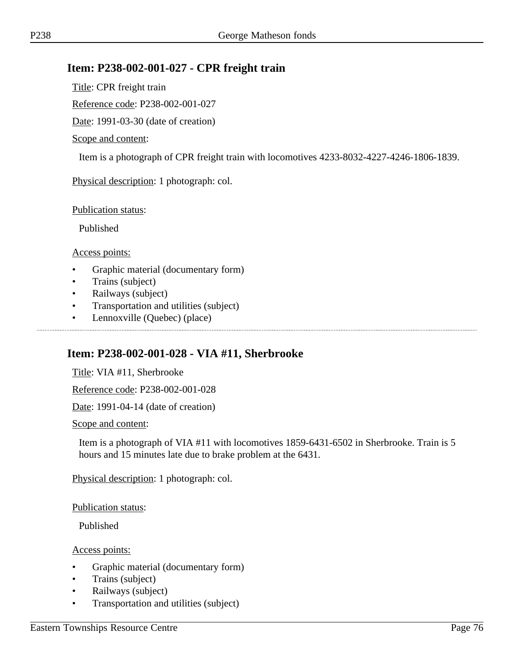## **Item: P238-002-001-027 - CPR freight train**

Title: CPR freight train

Reference code: P238-002-001-027

Date: 1991-03-30 (date of creation)

#### Scope and content:

Item is a photograph of CPR freight train with locomotives 4233-8032-4227-4246-1806-1839.

Physical description: 1 photograph: col.

Publication status:

Published

Access points:

- Graphic material (documentary form)
- Trains (subject)
- Railways (subject)
- Transportation and utilities (subject)
- Lennoxville (Quebec) (place)

# **Item: P238-002-001-028 - VIA #11, Sherbrooke**

Title: VIA #11, Sherbrooke

Reference code: P238-002-001-028

Date: 1991-04-14 (date of creation)

Scope and content:

Item is a photograph of VIA #11 with locomotives 1859-6431-6502 in Sherbrooke. Train is 5 hours and 15 minutes late due to brake problem at the 6431.

Physical description: 1 photograph: col.

Publication status:

Published

Access points:

- Graphic material (documentary form)
- Trains (subject)
- Railways (subject)
- Transportation and utilities (subject)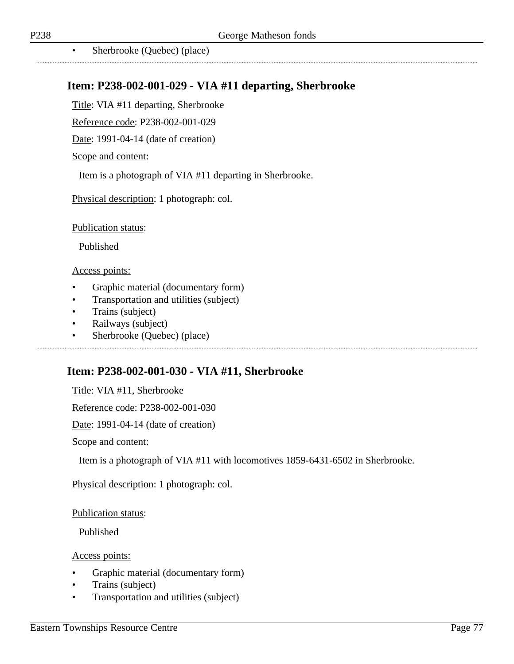...................................

• Sherbrooke (Quebec) (place) 

## **Item: P238-002-001-029 - VIA #11 departing, Sherbrooke**

Title: VIA #11 departing, Sherbrooke

Reference code: P238-002-001-029

Date: 1991-04-14 (date of creation)

#### Scope and content:

Item is a photograph of VIA #11 departing in Sherbrooke.

Physical description: 1 photograph: col.

Publication status:

Published

#### Access points:

- Graphic material (documentary form)
- Transportation and utilities (subject)
- Trains (subject)
- Railways (subject)
- Sherbrooke (Quebec) (place)

## **Item: P238-002-001-030 - VIA #11, Sherbrooke**

Title: VIA #11, Sherbrooke

Reference code: P238-002-001-030

Date: 1991-04-14 (date of creation)

Scope and content:

Item is a photograph of VIA #11 with locomotives 1859-6431-6502 in Sherbrooke.

Physical description: 1 photograph: col.

#### Publication status:

Published

Access points:

- Graphic material (documentary form)
- Trains (subject)
- Transportation and utilities (subject)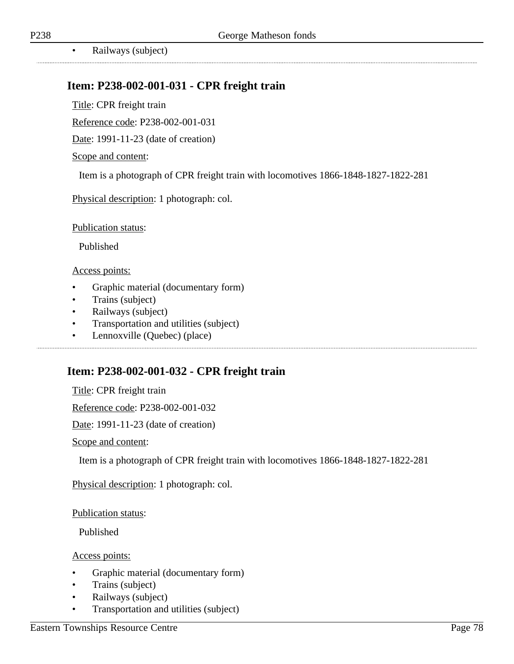• Railways (subject)

# **Item: P238-002-001-031 - CPR freight train**

Title: CPR freight train

Reference code: P238-002-001-031

Date: 1991-11-23 (date of creation)

#### Scope and content:

Item is a photograph of CPR freight train with locomotives 1866-1848-1827-1822-281

Physical description: 1 photograph: col.

Publication status:

Published

#### Access points:

- Graphic material (documentary form)
- Trains (subject)
- Railways (subject)
- Transportation and utilities (subject)
- Lennoxville (Quebec) (place)

# **Item: P238-002-001-032 - CPR freight train**

Title: CPR freight train

Reference code: P238-002-001-032

Date: 1991-11-23 (date of creation)

Scope and content:

Item is a photograph of CPR freight train with locomotives 1866-1848-1827-1822-281

Physical description: 1 photograph: col.

Publication status:

Published

Access points:

- Graphic material (documentary form)
- Trains (subject)
- Railways (subject)
- Transportation and utilities (subject)

.................................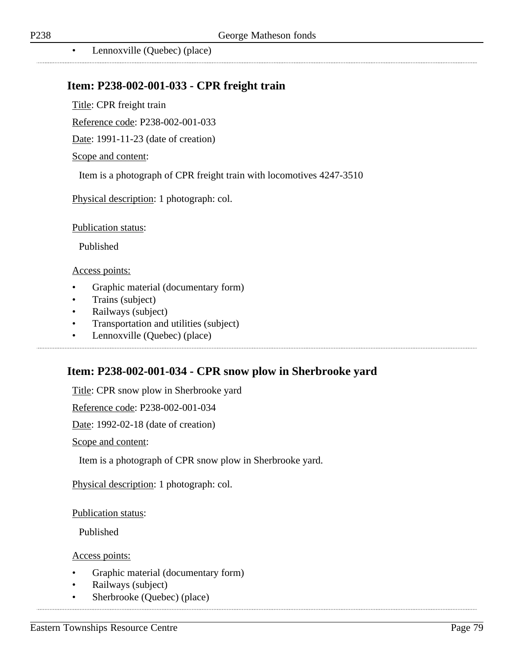.................................

• Lennoxville (Quebec) (place)

## **Item: P238-002-001-033 - CPR freight train**

Title: CPR freight train

Reference code: P238-002-001-033

Date: 1991-11-23 (date of creation)

#### Scope and content:

Item is a photograph of CPR freight train with locomotives 4247-3510

Physical description: 1 photograph: col.

Publication status:

Published

#### Access points:

- Graphic material (documentary form)
- Trains (subject)
- Railways (subject)
- Transportation and utilities (subject)
- Lennoxville (Quebec) (place)

#### **Item: P238-002-001-034 - CPR snow plow in Sherbrooke yard**

Title: CPR snow plow in Sherbrooke yard

Reference code: P238-002-001-034

Date: 1992-02-18 (date of creation)

Scope and content:

Item is a photograph of CPR snow plow in Sherbrooke yard.

Physical description: 1 photograph: col.

Publication status:

Published

Access points:

- Graphic material (documentary form)
- Railways (subject)
- Sherbrooke (Quebec) (place)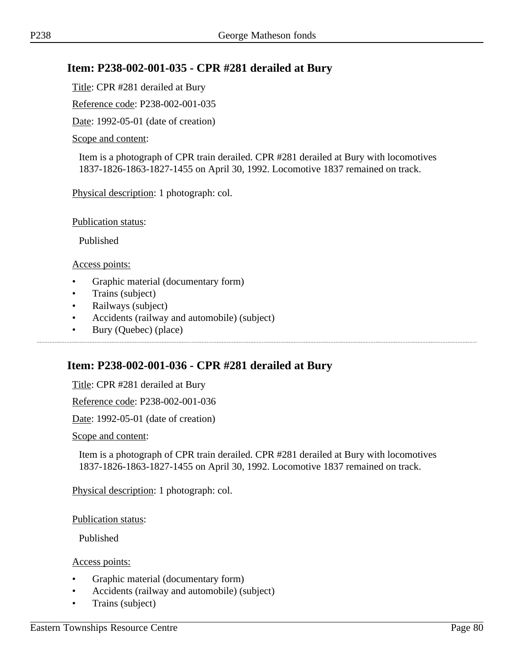# **Item: P238-002-001-035 - CPR #281 derailed at Bury**

Title: CPR #281 derailed at Bury

Reference code: P238-002-001-035

Date: 1992-05-01 (date of creation)

#### Scope and content:

Item is a photograph of CPR train derailed. CPR #281 derailed at Bury with locomotives 1837-1826-1863-1827-1455 on April 30, 1992. Locomotive 1837 remained on track.

Physical description: 1 photograph: col.

Publication status:

Published

Access points:

- Graphic material (documentary form)
- Trains (subject)
- Railways (subject)
- Accidents (railway and automobile) (subject)
- Bury (Quebec) (place)

## **Item: P238-002-001-036 - CPR #281 derailed at Bury**

Title: CPR #281 derailed at Bury

Reference code: P238-002-001-036

Date: 1992-05-01 (date of creation)

Scope and content:

Item is a photograph of CPR train derailed. CPR #281 derailed at Bury with locomotives 1837-1826-1863-1827-1455 on April 30, 1992. Locomotive 1837 remained on track.

Physical description: 1 photograph: col.

Publication status:

Published

Access points:

- Graphic material (documentary form)
- Accidents (railway and automobile) (subject)
- Trains (subject)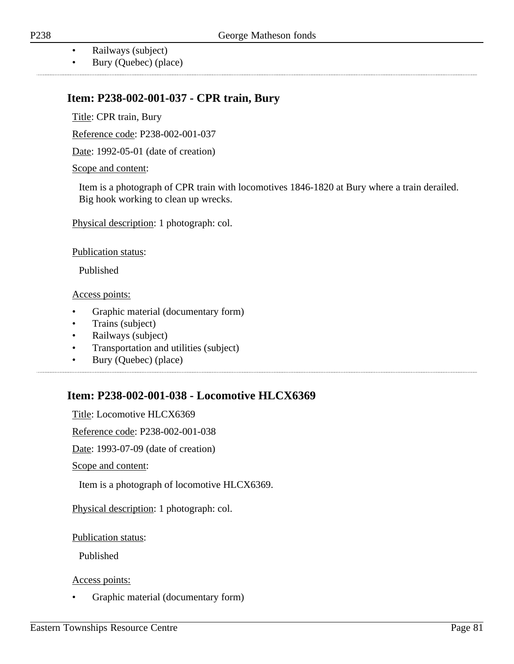- Railways (subject)
- Bury (Quebec) (place)

# **Item: P238-002-001-037 - CPR train, Bury**

Title: CPR train, Bury

Reference code: P238-002-001-037

Date: 1992-05-01 (date of creation)

Scope and content:

Item is a photograph of CPR train with locomotives 1846-1820 at Bury where a train derailed. Big hook working to clean up wrecks.

Physical description: 1 photograph: col.

Publication status:

Published

Access points:

- Graphic material (documentary form)
- Trains (subject)
- Railways (subject)
- Transportation and utilities (subject)
- Bury (Quebec) (place)

# **Item: P238-002-001-038 - Locomotive HLCX6369**

Title: Locomotive HLCX6369 Reference code: P238-002-001-038 Date: 1993-07-09 (date of creation) Scope and content: Item is a photograph of locomotive HLCX6369. Physical description: 1 photograph: col.

Publication status:

Published

Access points:

• Graphic material (documentary form)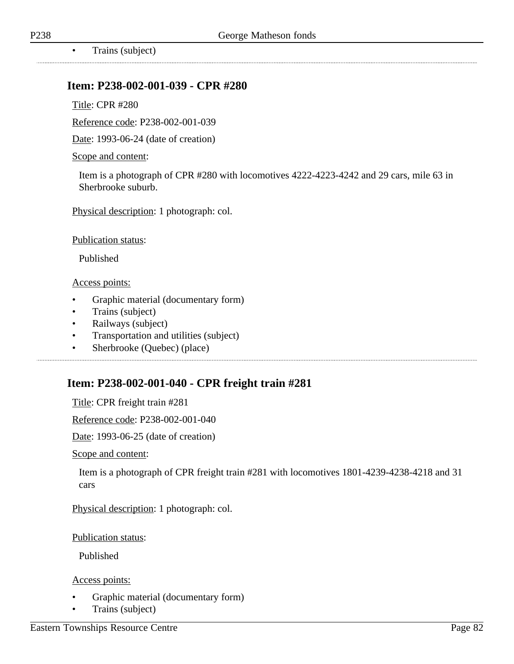• Trains (subject)

#### **Item: P238-002-001-039 - CPR #280**

Title: CPR #280

Reference code: P238-002-001-039

Date: 1993-06-24 (date of creation)

#### Scope and content:

Item is a photograph of CPR #280 with locomotives 4222-4223-4242 and 29 cars, mile 63 in Sherbrooke suburb.

Physical description: 1 photograph: col.

Publication status:

Published

#### Access points:

- Graphic material (documentary form)
- Trains (subject)
- Railways (subject)
- Transportation and utilities (subject)

• Sherbrooke (Quebec) (place)

# **Item: P238-002-001-040 - CPR freight train #281**

Title: CPR freight train #281

Reference code: P238-002-001-040

Date: 1993-06-25 (date of creation)

Scope and content:

Item is a photograph of CPR freight train #281 with locomotives 1801-4239-4238-4218 and 31 cars

Physical description: 1 photograph: col.

Publication status:

Published

#### Access points:

- Graphic material (documentary form)
- Trains (subject)

..................................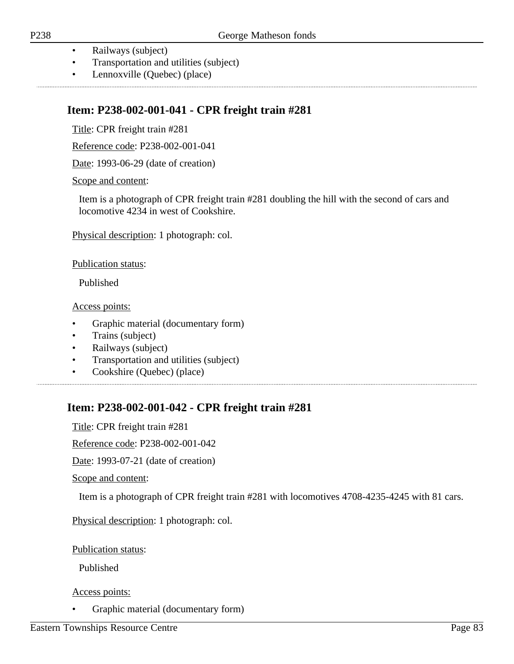- Railways (subject)
- Transportation and utilities (subject)
- Lennoxville (Quebec) (place)

# **Item: P238-002-001-041 - CPR freight train #281**

Title: CPR freight train #281

Reference code: P238-002-001-041

Date: 1993-06-29 (date of creation)

#### Scope and content:

Item is a photograph of CPR freight train #281 doubling the hill with the second of cars and locomotive 4234 in west of Cookshire.

Physical description: 1 photograph: col.

Publication status:

Published

Access points:

- Graphic material (documentary form)
- Trains (subject)
- Railways (subject)
- Transportation and utilities (subject)
- Cookshire (Quebec) (place)

# **Item: P238-002-001-042 - CPR freight train #281**

Title: CPR freight train #281

Reference code: P238-002-001-042

Date: 1993-07-21 (date of creation)

Scope and content:

Item is a photograph of CPR freight train #281 with locomotives 4708-4235-4245 with 81 cars.

Physical description: 1 photograph: col.

Publication status:

Published

Access points:

• Graphic material (documentary form)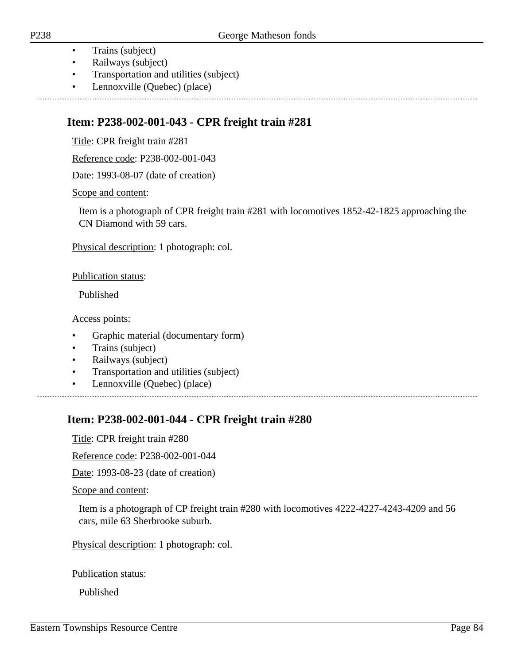- Trains (subject)
- Railways (subject)
- Transportation and utilities (subject)
- Lennoxville (Quebec) (place)

# **Item: P238-002-001-043 - CPR freight train #281**

Title: CPR freight train #281

Reference code: P238-002-001-043

Date: 1993-08-07 (date of creation)

Scope and content:

Item is a photograph of CPR freight train #281 with locomotives 1852-42-1825 approaching the CN Diamond with 59 cars.

Physical description: 1 photograph: col.

Publication status:

Published

Access points:

- Graphic material (documentary form)
- Trains (subject)
- Railways (subject)
- Transportation and utilities (subject)
- Lennoxville (Quebec) (place)

# **Item: P238-002-001-044 - CPR freight train #280**

Title: CPR freight train #280

Reference code: P238-002-001-044

Date: 1993-08-23 (date of creation)

Scope and content:

Item is a photograph of CP freight train #280 with locomotives 4222-4227-4243-4209 and 56 cars, mile 63 Sherbrooke suburb.

Physical description: 1 photograph: col.

Publication status:

Published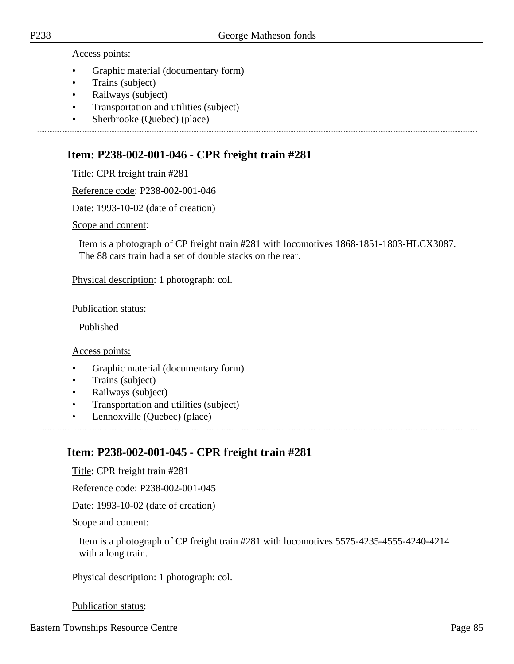Access points:

- Graphic material (documentary form)
- Trains (subject)
- Railways (subject)
- Transportation and utilities (subject)
- Sherbrooke (Quebec) (place)

## **Item: P238-002-001-046 - CPR freight train #281**

Title: CPR freight train #281

Reference code: P238-002-001-046

Date: 1993-10-02 (date of creation)

Scope and content:

Item is a photograph of CP freight train #281 with locomotives 1868-1851-1803-HLCX3087. The 88 cars train had a set of double stacks on the rear.

Physical description: 1 photograph: col.

Publication status:

Published

Access points:

- Graphic material (documentary form)
- Trains (subject)
- Railways (subject)
- Transportation and utilities (subject)
- Lennoxville (Quebec) (place)

# **Item: P238-002-001-045 - CPR freight train #281**

Title: CPR freight train #281

Reference code: P238-002-001-045

Date: 1993-10-02 (date of creation)

Scope and content:

Item is a photograph of CP freight train #281 with locomotives 5575-4235-4555-4240-4214 with a long train.

Physical description: 1 photograph: col.

Publication status: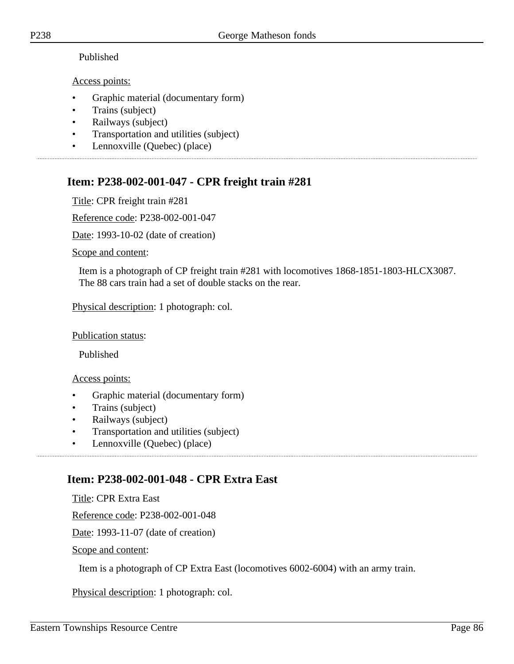#### Published

#### Access points:

- Graphic material (documentary form)
- Trains (subject)
- Railways (subject)
- Transportation and utilities (subject)
- Lennoxville (Quebec) (place)

# **Item: P238-002-001-047 - CPR freight train #281**

Title: CPR freight train #281

Reference code: P238-002-001-047

Date: 1993-10-02 (date of creation)

Scope and content:

Item is a photograph of CP freight train #281 with locomotives 1868-1851-1803-HLCX3087. The 88 cars train had a set of double stacks on the rear.

Physical description: 1 photograph: col.

Publication status:

Published

Access points:

- Graphic material (documentary form)
- Trains (subject)
- Railways (subject)
- Transportation and utilities (subject)
- Lennoxville (Quebec) (place)

# **Item: P238-002-001-048 - CPR Extra East**

Title: CPR Extra East

Reference code: P238-002-001-048

Date: 1993-11-07 (date of creation)

Scope and content:

Item is a photograph of CP Extra East (locomotives 6002-6004) with an army train.

Physical description: 1 photograph: col.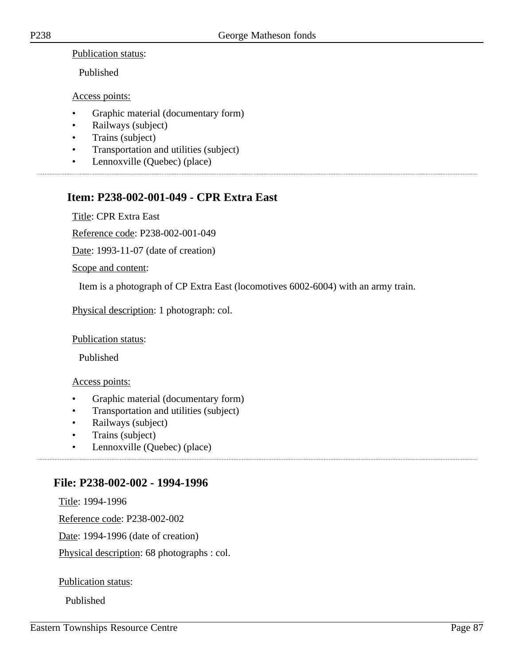Publication status:

Published

Access points:

- Graphic material (documentary form)
- Railways (subject)
- Trains (subject)
- Transportation and utilities (subject)
- Lennoxville (Quebec) (place)

# **Item: P238-002-001-049 - CPR Extra East**

Title: CPR Extra East

Reference code: P238-002-001-049

Date: 1993-11-07 (date of creation)

Scope and content:

Item is a photograph of CP Extra East (locomotives 6002-6004) with an army train.

Physical description: 1 photograph: col.

Publication status:

Published

#### Access points:

- Graphic material (documentary form)
- Transportation and utilities (subject)
- Railways (subject)
- Trains (subject)
- Lennoxville (Quebec) (place)

## **File: P238-002-002 - 1994-1996**

Title: 1994-1996

Reference code: P238-002-002

Date: 1994-1996 (date of creation)

Physical description: 68 photographs : col.

Publication status:

Published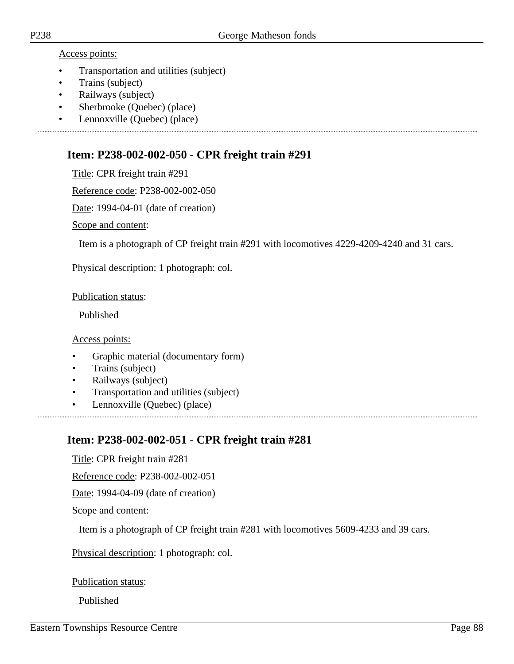#### Access points:

- Transportation and utilities (subject)
- Trains (subject)
- Railways (subject)
- Sherbrooke (Quebec) (place)
- Lennoxville (Quebec) (place)

## **Item: P238-002-002-050 - CPR freight train #291**

Title: CPR freight train #291

Reference code: P238-002-002-050

Date: 1994-04-01 (date of creation)

Scope and content:

Item is a photograph of CP freight train #291 with locomotives 4229-4209-4240 and 31 cars.

Physical description: 1 photograph: col.

Publication status:

Published

Access points:

- Graphic material (documentary form)
- Trains (subject)
- Railways (subject)
- Transportation and utilities (subject)
- Lennoxville (Quebec) (place)

# **Item: P238-002-002-051 - CPR freight train #281**

Title: CPR freight train #281

Reference code: P238-002-002-051

Date: 1994-04-09 (date of creation)

Scope and content:

Item is a photograph of CP freight train #281 with locomotives 5609-4233 and 39 cars.

Physical description: 1 photograph: col.

Publication status:

Published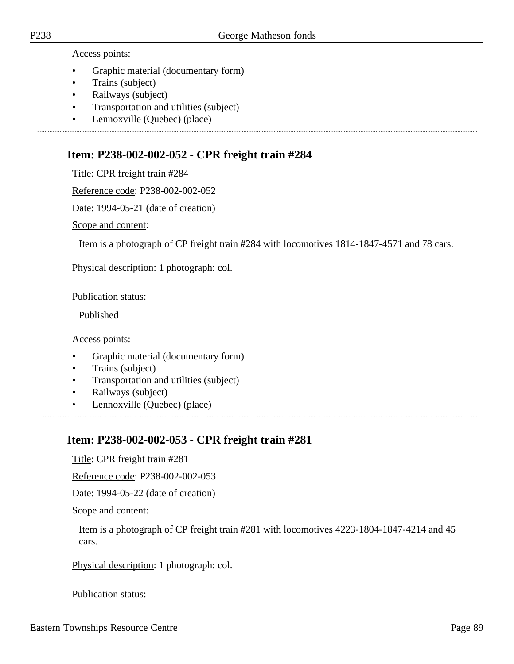Access points:

- Graphic material (documentary form)
- Trains (subject)
- Railways (subject)
- Transportation and utilities (subject)
- Lennoxville (Quebec) (place)

## **Item: P238-002-002-052 - CPR freight train #284**

Title: CPR freight train #284

Reference code: P238-002-002-052

Date: 1994-05-21 (date of creation)

Scope and content:

Item is a photograph of CP freight train #284 with locomotives 1814-1847-4571 and 78 cars.

Physical description: 1 photograph: col.

Publication status:

Published

Access points:

- Graphic material (documentary form)
- Trains (subject)
- Transportation and utilities (subject)
- Railways (subject)
- Lennoxville (Quebec) (place)

# **Item: P238-002-002-053 - CPR freight train #281**

Title: CPR freight train #281

Reference code: P238-002-002-053

Date: 1994-05-22 (date of creation)

Scope and content:

Item is a photograph of CP freight train #281 with locomotives 4223-1804-1847-4214 and 45 cars.

Physical description: 1 photograph: col.

Publication status: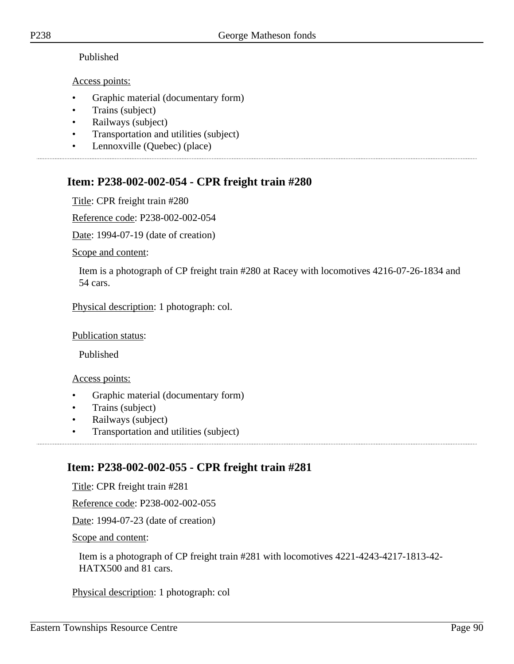#### Published

#### Access points:

- Graphic material (documentary form)
- Trains (subject)
- Railways (subject)
- Transportation and utilities (subject)
- Lennoxville (Quebec) (place)

# **Item: P238-002-002-054 - CPR freight train #280**

Title: CPR freight train #280

Reference code: P238-002-002-054

Date: 1994-07-19 (date of creation)

Scope and content:

Item is a photograph of CP freight train #280 at Racey with locomotives 4216-07-26-1834 and 54 cars.

Physical description: 1 photograph: col.

#### Publication status:

Published

#### Access points:

- Graphic material (documentary form)
- Trains (subject)
- Railways (subject)
- Transportation and utilities (subject)

# **Item: P238-002-002-055 - CPR freight train #281**

Title: CPR freight train #281

Reference code: P238-002-002-055

Date: 1994-07-23 (date of creation)

Scope and content:

Item is a photograph of CP freight train #281 with locomotives 4221-4243-4217-1813-42- HATX500 and 81 cars.

Physical description: 1 photograph: col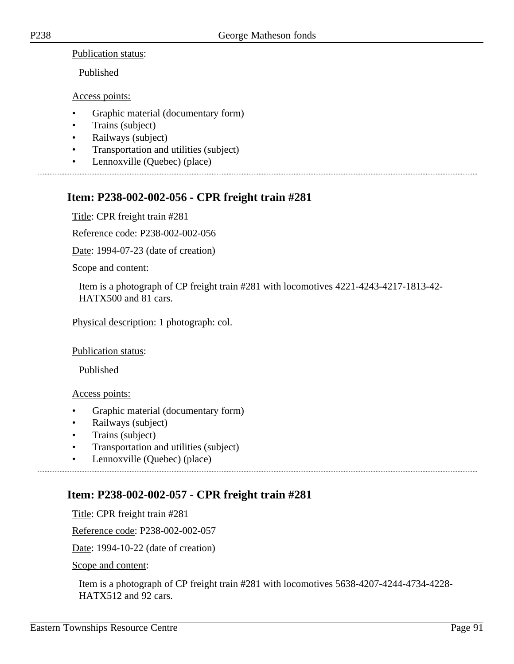Publication status:

Published

Access points:

- Graphic material (documentary form)
- Trains (subject)
- Railways (subject)
- Transportation and utilities (subject)
- Lennoxville (Quebec) (place)

# **Item: P238-002-002-056 - CPR freight train #281**

Title: CPR freight train #281

Reference code: P238-002-002-056

Date: 1994-07-23 (date of creation)

Scope and content:

Item is a photograph of CP freight train #281 with locomotives 4221-4243-4217-1813-42- HATX500 and 81 cars.

Physical description: 1 photograph: col.

Publication status:

Published

Access points:

- Graphic material (documentary form)
- Railways (subject)
- Trains (subject)
- Transportation and utilities (subject)
- Lennoxville (Quebec) (place)

# **Item: P238-002-002-057 - CPR freight train #281**

Title: CPR freight train #281

Reference code: P238-002-002-057

Date: 1994-10-22 (date of creation)

Scope and content:

Item is a photograph of CP freight train #281 with locomotives 5638-4207-4244-4734-4228- HATX512 and 92 cars.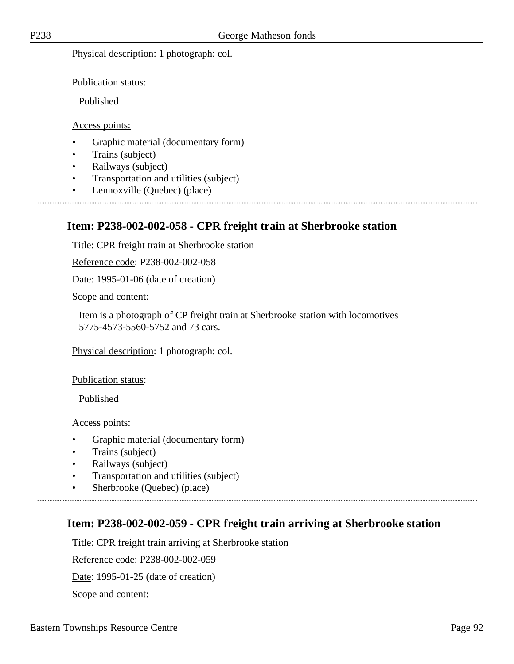Physical description: 1 photograph: col.

Publication status:

Published

#### Access points:

- Graphic material (documentary form)
- Trains (subject)
- Railways (subject)
- Transportation and utilities (subject)

• Lennoxville (Quebec) (place)

#### **Item: P238-002-002-058 - CPR freight train at Sherbrooke station**

Title: CPR freight train at Sherbrooke station

Reference code: P238-002-002-058

Date: 1995-01-06 (date of creation)

Scope and content:

Item is a photograph of CP freight train at Sherbrooke station with locomotives 5775-4573-5560-5752 and 73 cars.

Physical description: 1 photograph: col.

Publication status:

Published

Access points:

- Graphic material (documentary form)
- Trains (subject)
- Railways (subject)
- Transportation and utilities (subject)
- Sherbrooke (Quebec) (place)

#### **Item: P238-002-002-059 - CPR freight train arriving at Sherbrooke station**

Title: CPR freight train arriving at Sherbrooke station

Reference code: P238-002-002-059

Date: 1995-01-25 (date of creation)

Scope and content: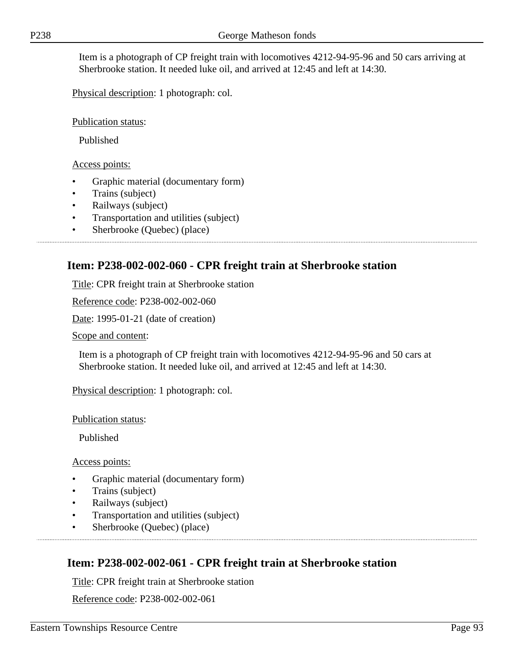Item is a photograph of CP freight train with locomotives 4212-94-95-96 and 50 cars arriving at Sherbrooke station. It needed luke oil, and arrived at 12:45 and left at 14:30.

Physical description: 1 photograph: col.

Publication status:

Published

Access points:

- Graphic material (documentary form)
- Trains (subject)
- Railways (subject)
- Transportation and utilities (subject)
- Sherbrooke (Quebec) (place)

# **Item: P238-002-002-060 - CPR freight train at Sherbrooke station**

Title: CPR freight train at Sherbrooke station

Reference code: P238-002-002-060

Date: 1995-01-21 (date of creation)

Scope and content:

Item is a photograph of CP freight train with locomotives 4212-94-95-96 and 50 cars at Sherbrooke station. It needed luke oil, and arrived at 12:45 and left at 14:30.

Physical description: 1 photograph: col.

Publication status:

Published

Access points:

- Graphic material (documentary form)
- Trains (subject)
- Railways (subject)
- Transportation and utilities (subject)
- Sherbrooke (Quebec) (place)

# **Item: P238-002-002-061 - CPR freight train at Sherbrooke station**

Title: CPR freight train at Sherbrooke station

Reference code: P238-002-002-061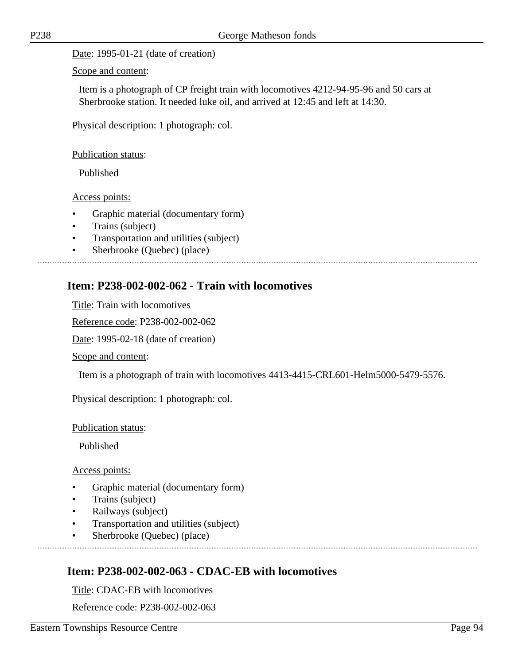Date: 1995-01-21 (date of creation)

Scope and content:

Item is a photograph of CP freight train with locomotives 4212-94-95-96 and 50 cars at Sherbrooke station. It needed luke oil, and arrived at 12:45 and left at 14:30.

Physical description: 1 photograph: col.

Publication status:

Published

Access points:

- Graphic material (documentary form)
- Trains (subject)
- Transportation and utilities (subject)
- Sherbrooke (Quebec) (place)

#### **Item: P238-002-002-062 - Train with locomotives**

Title: Train with locomotives

Reference code: P238-002-002-062

Date: 1995-02-18 (date of creation)

Scope and content:

Item is a photograph of train with locomotives 4413-4415-CRL601-Helm5000-5479-5576.

Physical description: 1 photograph: col.

Publication status:

Published

Access points:

- Graphic material (documentary form)
- Trains (subject)
- Railways (subject)
- Transportation and utilities (subject)
- Sherbrooke (Quebec) (place)

## **Item: P238-002-002-063 - CDAC-EB with locomotives**

Title: CDAC-EB with locomotives

Reference code: P238-002-002-063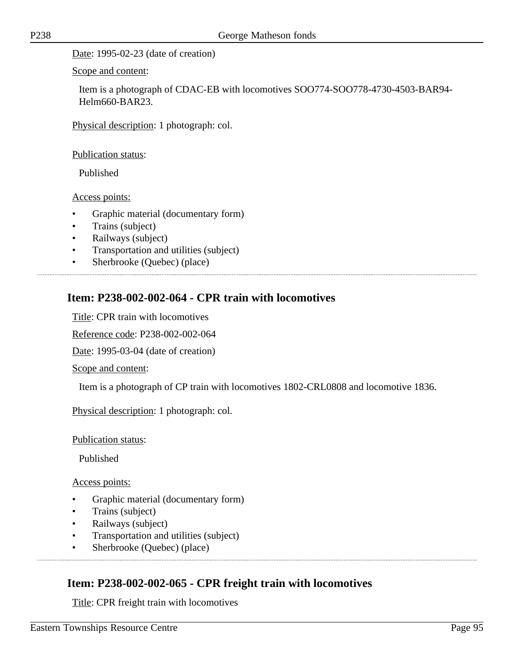Date: 1995-02-23 (date of creation)

Scope and content:

Item is a photograph of CDAC-EB with locomotives SOO774-SOO778-4730-4503-BAR94- Helm660-BAR23.

Physical description: 1 photograph: col.

Publication status:

Published

Access points:

- Graphic material (documentary form)
- Trains (subject)
- Railways (subject)
- Transportation and utilities (subject)

• Sherbrooke (Quebec) (place)

## **Item: P238-002-002-064 - CPR train with locomotives**

Title: CPR train with locomotives

Reference code: P238-002-002-064

Date: 1995-03-04 (date of creation)

Scope and content:

Item is a photograph of CP train with locomotives 1802-CRL0808 and locomotive 1836.

Physical description: 1 photograph: col.

Publication status:

Published

Access points:

- Graphic material (documentary form)
- Trains (subject)
- Railways (subject)
- Transportation and utilities (subject)
- Sherbrooke (Quebec) (place)

## **Item: P238-002-002-065 - CPR freight train with locomotives**

Title: CPR freight train with locomotives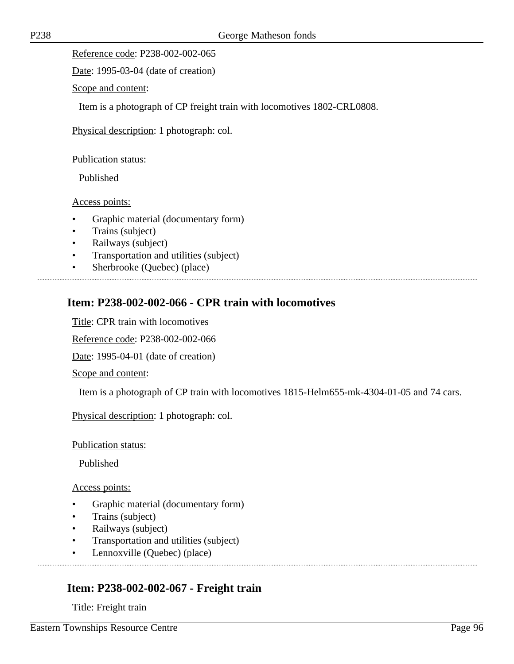Reference code: P238-002-002-065

Date: 1995-03-04 (date of creation)

Scope and content:

Item is a photograph of CP freight train with locomotives 1802-CRL0808.

Physical description: 1 photograph: col.

Publication status:

Published

Access points:

- Graphic material (documentary form)
- Trains (subject)
- Railways (subject)
- Transportation and utilities (subject)
- Sherbrooke (Quebec) (place)

# **Item: P238-002-002-066 - CPR train with locomotives**

Title: CPR train with locomotives

Reference code: P238-002-002-066

Date: 1995-04-01 (date of creation)

Scope and content:

Item is a photograph of CP train with locomotives 1815-Helm655-mk-4304-01-05 and 74 cars.

Physical description: 1 photograph: col.

Publication status:

Published

Access points:

- Graphic material (documentary form)
- Trains (subject)
- Railways (subject)
- Transportation and utilities (subject)
- Lennoxville (Quebec) (place)

## **Item: P238-002-002-067 - Freight train**

Title: Freight train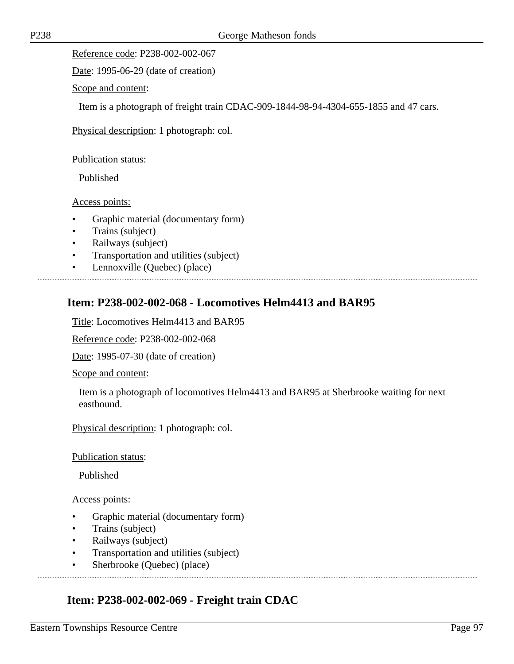Reference code: P238-002-002-067

Date: 1995-06-29 (date of creation)

Scope and content:

Item is a photograph of freight train CDAC-909-1844-98-94-4304-655-1855 and 47 cars.

Physical description: 1 photograph: col.

Publication status:

Published

Access points:

- Graphic material (documentary form)
- Trains (subject)
- Railways (subject)
- Transportation and utilities (subject)
- Lennoxville (Quebec) (place)

# **Item: P238-002-002-068 - Locomotives Helm4413 and BAR95**

Title: Locomotives Helm4413 and BAR95

Reference code: P238-002-002-068

Date: 1995-07-30 (date of creation)

Scope and content:

Item is a photograph of locomotives Helm4413 and BAR95 at Sherbrooke waiting for next eastbound.

Physical description: 1 photograph: col.

Publication status:

Published

Access points:

- Graphic material (documentary form)
- Trains (subject)
- Railways (subject)
- Transportation and utilities (subject)

• Sherbrooke (Quebec) (place)

# **Item: P238-002-002-069 - Freight train CDAC**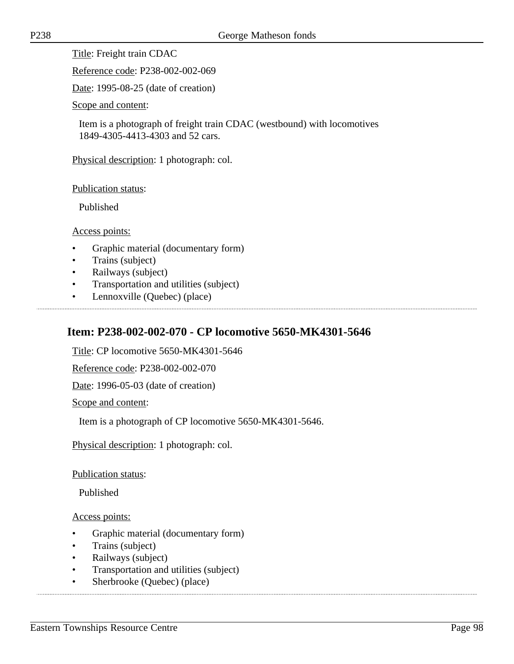Title: Freight train CDAC

Reference code: P238-002-002-069

Date: 1995-08-25 (date of creation)

Scope and content:

Item is a photograph of freight train CDAC (westbound) with locomotives 1849-4305-4413-4303 and 52 cars.

Physical description: 1 photograph: col.

Publication status:

Published

Access points:

- Graphic material (documentary form)
- Trains (subject)
- Railways (subject)
- Transportation and utilities (subject)
- Lennoxville (Quebec) (place)

## **Item: P238-002-002-070 - CP locomotive 5650-MK4301-5646**

Title: CP locomotive 5650-MK4301-5646

Reference code: P238-002-002-070

Date: 1996-05-03 (date of creation)

Scope and content:

Item is a photograph of CP locomotive 5650-MK4301-5646.

Physical description: 1 photograph: col.

Publication status:

Published

Access points:

- Graphic material (documentary form)
- Trains (subject)
- Railways (subject)
- Transportation and utilities (subject)
- Sherbrooke (Quebec) (place)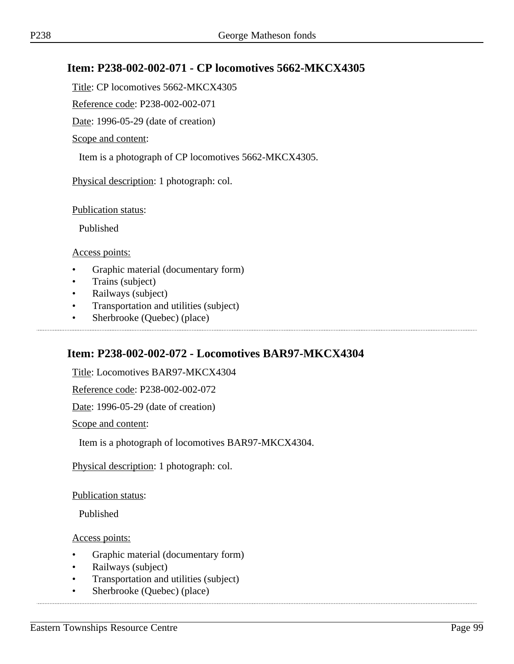# **Item: P238-002-002-071 - CP locomotives 5662-MKCX4305**

Title: CP locomotives 5662-MKCX4305

Reference code: P238-002-002-071

Date: 1996-05-29 (date of creation)

Scope and content:

Item is a photograph of CP locomotives 5662-MKCX4305.

Physical description: 1 photograph: col.

Publication status:

Published

Access points:

- Graphic material (documentary form)
- Trains (subject)
- Railways (subject)
- Transportation and utilities (subject)
- Sherbrooke (Quebec) (place)

# **Item: P238-002-002-072 - Locomotives BAR97-MKCX4304**

Title: Locomotives BAR97-MKCX4304

Reference code: P238-002-002-072

Date: 1996-05-29 (date of creation)

Scope and content:

Item is a photograph of locomotives BAR97-MKCX4304.

Physical description: 1 photograph: col.

Publication status:

Published

Access points:

- Graphic material (documentary form)
- Railways (subject)
- Transportation and utilities (subject)
- Sherbrooke (Quebec) (place)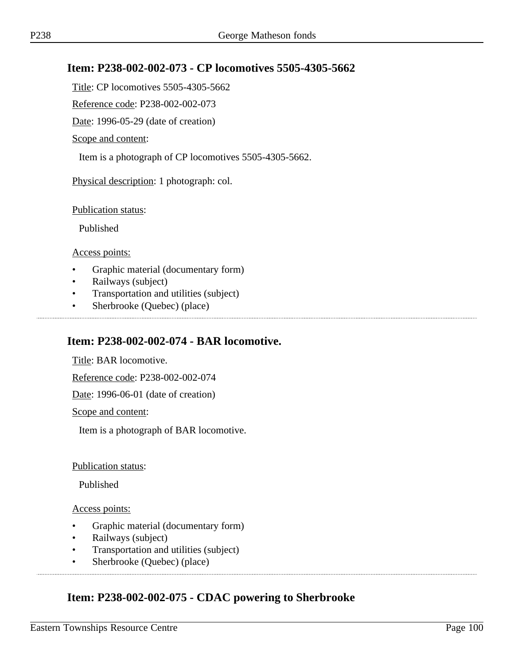## **Item: P238-002-002-073 - CP locomotives 5505-4305-5662**

Title: CP locomotives 5505-4305-5662

Reference code: P238-002-002-073

Date: 1996-05-29 (date of creation)

Scope and content:

Item is a photograph of CP locomotives 5505-4305-5662.

Physical description: 1 photograph: col.

Publication status:

Published

Access points:

- Graphic material (documentary form)
- Railways (subject)
- Transportation and utilities (subject)
- Sherbrooke (Quebec) (place)

## **Item: P238-002-002-074 - BAR locomotive.**

Title: BAR locomotive.

Reference code: P238-002-002-074

Date: 1996-06-01 (date of creation)

Scope and content:

Item is a photograph of BAR locomotive.

#### Publication status:

Published

Access points:

- Graphic material (documentary form)
- Railways (subject)
- Transportation and utilities (subject)
- Sherbrooke (Quebec) (place)

# **Item: P238-002-002-075 - CDAC powering to Sherbrooke**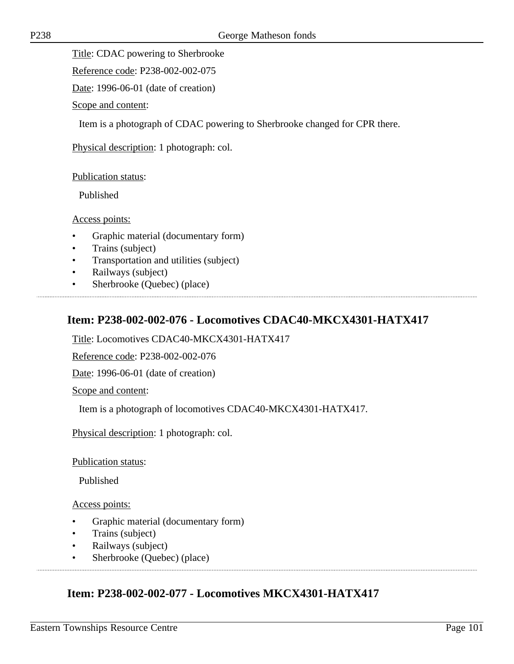Title: CDAC powering to Sherbrooke

Reference code: P238-002-002-075

Date: 1996-06-01 (date of creation)

Scope and content:

Item is a photograph of CDAC powering to Sherbrooke changed for CPR there.

Physical description: 1 photograph: col.

Publication status:

Published

Access points:

- Graphic material (documentary form)
- Trains (subject)
- Transportation and utilities (subject)
- Railways (subject)
- Sherbrooke (Quebec) (place)

# **Item: P238-002-002-076 - Locomotives CDAC40-MKCX4301-HATX417**

Title: Locomotives CDAC40-MKCX4301-HATX417

Reference code: P238-002-002-076

Date: 1996-06-01 (date of creation)

Scope and content:

Item is a photograph of locomotives CDAC40-MKCX4301-HATX417.

Physical description: 1 photograph: col.

Publication status:

Published

Access points:

- Graphic material (documentary form)
- Trains (subject)
- Railways (subject)
- Sherbrooke (Quebec) (place)

# **Item: P238-002-002-077 - Locomotives MKCX4301-HATX417**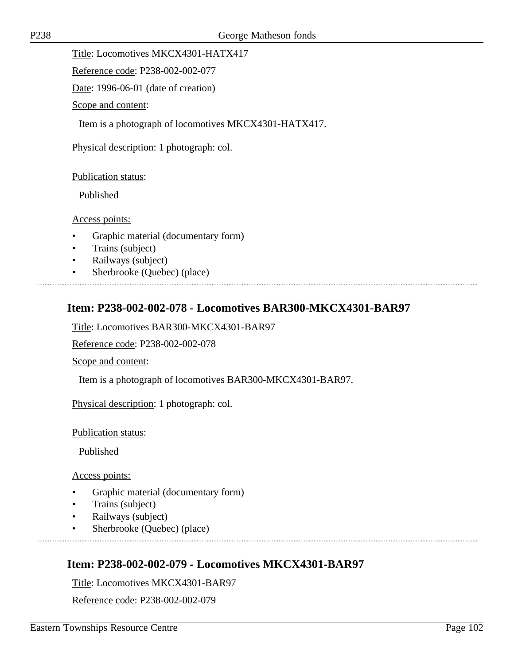Title: Locomotives MKCX4301-HATX417

Reference code: P238-002-002-077

Date: 1996-06-01 (date of creation)

Scope and content:

Item is a photograph of locomotives MKCX4301-HATX417.

Physical description: 1 photograph: col.

#### Publication status:

Published

#### Access points:

- Graphic material (documentary form)
- Trains (subject)
- Railways (subject)
- Sherbrooke (Quebec) (place)

# **Item: P238-002-002-078 - Locomotives BAR300-MKCX4301-BAR97**

Title: Locomotives BAR300-MKCX4301-BAR97

Reference code: P238-002-002-078

Scope and content:

Item is a photograph of locomotives BAR300-MKCX4301-BAR97.

Physical description: 1 photograph: col.

Publication status:

Published

Access points:

- Graphic material (documentary form)
- Trains (subject)
- Railways (subject)
- Sherbrooke (Quebec) (place)

# **Item: P238-002-002-079 - Locomotives MKCX4301-BAR97**

Title: Locomotives MKCX4301-BAR97

Reference code: P238-002-002-079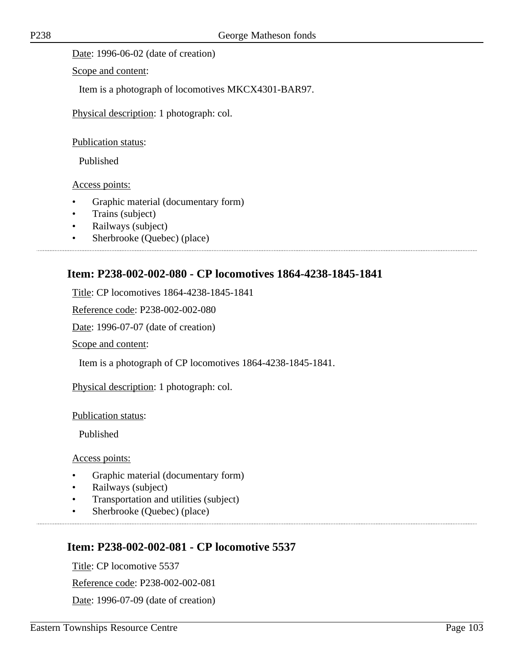Date: 1996-06-02 (date of creation)

Scope and content:

Item is a photograph of locomotives MKCX4301-BAR97.

Physical description: 1 photograph: col.

Publication status:

Published

Access points:

- Graphic material (documentary form)
- Trains (subject)
- Railways (subject)
- Sherbrooke (Quebec) (place)

# **Item: P238-002-002-080 - CP locomotives 1864-4238-1845-1841**

Title: CP locomotives 1864-4238-1845-1841

Reference code: P238-002-002-080

Date: 1996-07-07 (date of creation)

Scope and content:

Item is a photograph of CP locomotives 1864-4238-1845-1841.

Physical description: 1 photograph: col.

Publication status:

Published

Access points:

- Graphic material (documentary form)
- Railways (subject)
- Transportation and utilities (subject)

• Sherbrooke (Quebec) (place)

## **Item: P238-002-002-081 - CP locomotive 5537**

Title: CP locomotive 5537

Reference code: P238-002-002-081

Date: 1996-07-09 (date of creation)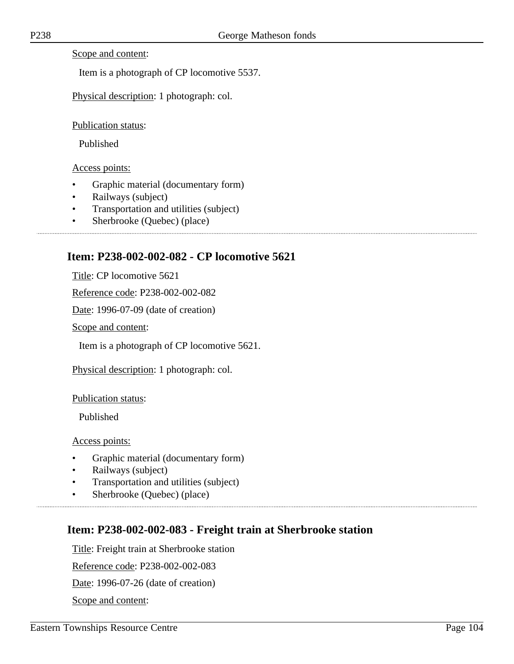Scope and content:

Item is a photograph of CP locomotive 5537.

Physical description: 1 photograph: col.

Publication status:

Published

Access points:

- Graphic material (documentary form)
- Railways (subject)
- Transportation and utilities (subject)
- Sherbrooke (Quebec) (place)

## **Item: P238-002-002-082 - CP locomotive 5621**

Title: CP locomotive 5621

Reference code: P238-002-002-082

Date: 1996-07-09 (date of creation)

Scope and content:

Item is a photograph of CP locomotive 5621.

Physical description: 1 photograph: col.

Publication status:

Published

Access points:

- Graphic material (documentary form)
- Railways (subject)
- Transportation and utilities (subject)

• Sherbrooke (Quebec) (place)

# **Item: P238-002-002-083 - Freight train at Sherbrooke station**

Title: Freight train at Sherbrooke station

Reference code: P238-002-002-083

Date: 1996-07-26 (date of creation)

Scope and content: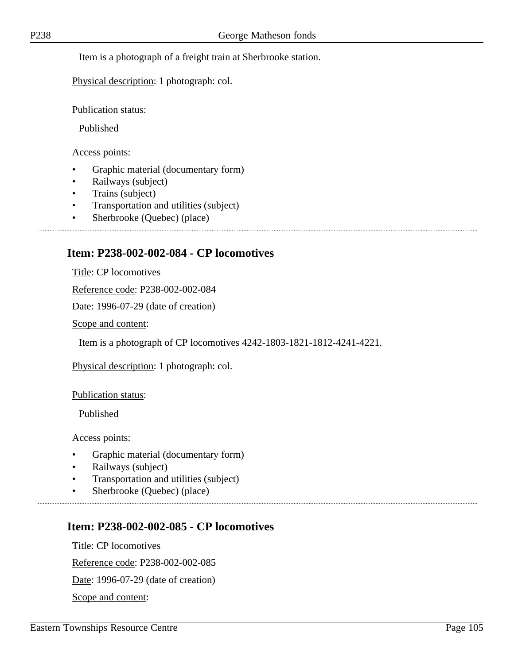Item is a photograph of a freight train at Sherbrooke station.

Physical description: 1 photograph: col.

Publication status:

Published

Access points:

- Graphic material (documentary form)
- Railways (subject)
- Trains (subject)
- Transportation and utilities (subject)
- Sherbrooke (Quebec) (place)

#### **Item: P238-002-002-084 - CP locomotives**

Title: CP locomotives

Reference code: P238-002-002-084

Date: 1996-07-29 (date of creation)

Scope and content:

Item is a photograph of CP locomotives 4242-1803-1821-1812-4241-4221.

Physical description: 1 photograph: col.

Publication status:

Published

Access points:

- Graphic material (documentary form)
- Railways (subject)
- Transportation and utilities (subject)

• Sherbrooke (Quebec) (place)

## **Item: P238-002-002-085 - CP locomotives**

Title: CP locomotives Reference code: P238-002-002-085 Date: 1996-07-29 (date of creation) Scope and content: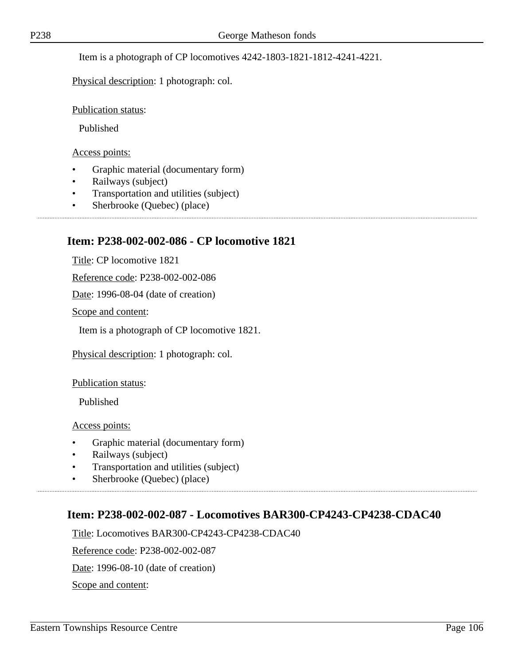Item is a photograph of CP locomotives 4242-1803-1821-1812-4241-4221.

Physical description: 1 photograph: col.

Publication status:

Published

Access points:

- Graphic material (documentary form)
- Railways (subject)
- Transportation and utilities (subject)
- Sherbrooke (Quebec) (place)

#### **Item: P238-002-002-086 - CP locomotive 1821**

Title: CP locomotive 1821

Reference code: P238-002-002-086

Date: 1996-08-04 (date of creation)

Scope and content:

Item is a photograph of CP locomotive 1821.

Physical description: 1 photograph: col.

Publication status:

Published

Access points:

- Graphic material (documentary form)
- Railways (subject)
- Transportation and utilities (subject)
- Sherbrooke (Quebec) (place)

## **Item: P238-002-002-087 - Locomotives BAR300-CP4243-CP4238-CDAC40**

Title: Locomotives BAR300-CP4243-CP4238-CDAC40

Reference code: P238-002-002-087

Date: 1996-08-10 (date of creation)

Scope and content: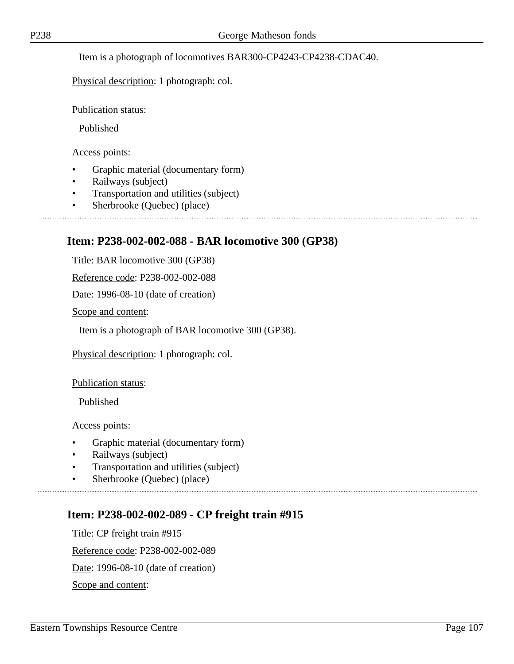Item is a photograph of locomotives BAR300-CP4243-CP4238-CDAC40.

Physical description: 1 photograph: col.

Publication status:

Published

Access points:

- Graphic material (documentary form)
- Railways (subject)
- Transportation and utilities (subject)
- Sherbrooke (Quebec) (place)

## **Item: P238-002-002-088 - BAR locomotive 300 (GP38)**

Title: BAR locomotive 300 (GP38)

Reference code: P238-002-002-088

Date: 1996-08-10 (date of creation)

Scope and content:

Item is a photograph of BAR locomotive 300 (GP38).

Physical description: 1 photograph: col.

Publication status:

Published

Access points:

- Graphic material (documentary form)
- Railways (subject)
- Transportation and utilities (subject)
- Sherbrooke (Quebec) (place)

## **Item: P238-002-002-089 - CP freight train #915**

Title: CP freight train #915 Reference code: P238-002-002-089 Date: 1996-08-10 (date of creation) Scope and content: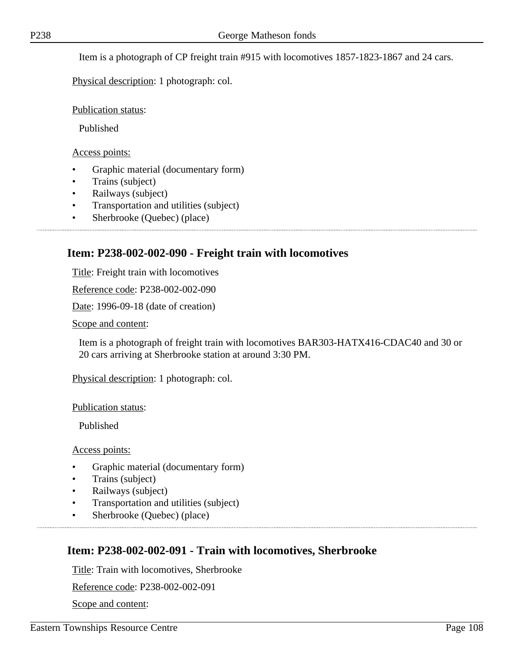Item is a photograph of CP freight train #915 with locomotives 1857-1823-1867 and 24 cars.

Physical description: 1 photograph: col.

Publication status:

Published

Access points:

- Graphic material (documentary form)
- Trains (subject)
- Railways (subject)
- Transportation and utilities (subject)
- Sherbrooke (Quebec) (place)

## **Item: P238-002-002-090 - Freight train with locomotives**

Title: Freight train with locomotives

Reference code: P238-002-002-090

Date: 1996-09-18 (date of creation)

Scope and content:

Item is a photograph of freight train with locomotives BAR303-HATX416-CDAC40 and 30 or 20 cars arriving at Sherbrooke station at around 3:30 PM.

Physical description: 1 photograph: col.

Publication status:

Published

Access points:

- Graphic material (documentary form)
- Trains (subject)
- Railways (subject)
- Transportation and utilities (subject)
- Sherbrooke (Quebec) (place)

## **Item: P238-002-002-091 - Train with locomotives, Sherbrooke**

Title: Train with locomotives, Sherbrooke

Reference code: P238-002-002-091

Scope and content: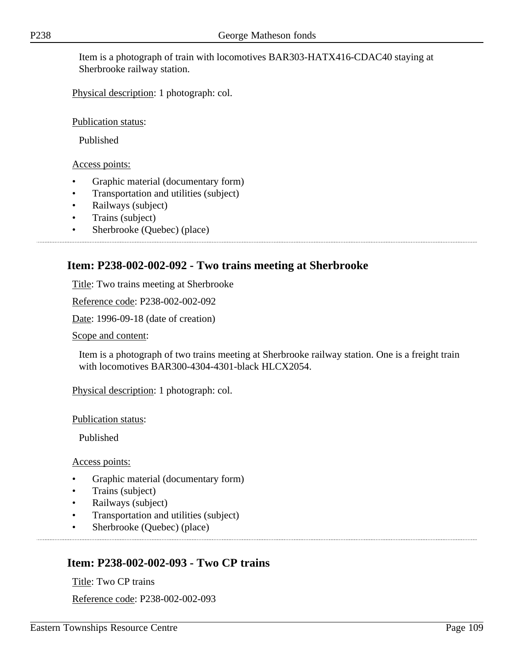Item is a photograph of train with locomotives BAR303-HATX416-CDAC40 staying at Sherbrooke railway station.

Physical description: 1 photograph: col.

Publication status:

Published

Access points:

- Graphic material (documentary form)
- Transportation and utilities (subject)
- Railways (subject)
- Trains (subject)
- Sherbrooke (Quebec) (place)

# **Item: P238-002-002-092 - Two trains meeting at Sherbrooke**

Title: Two trains meeting at Sherbrooke

Reference code: P238-002-002-092

Date: 1996-09-18 (date of creation)

Scope and content:

Item is a photograph of two trains meeting at Sherbrooke railway station. One is a freight train with locomotives BAR300-4304-4301-black HLCX2054.

Physical description: 1 photograph: col.

Publication status:

Published

Access points:

- Graphic material (documentary form)
- Trains (subject)
- Railways (subject)
- Transportation and utilities (subject)
- Sherbrooke (Quebec) (place)

# **Item: P238-002-002-093 - Two CP trains**

Title: Two CP trains Reference code: P238-002-002-093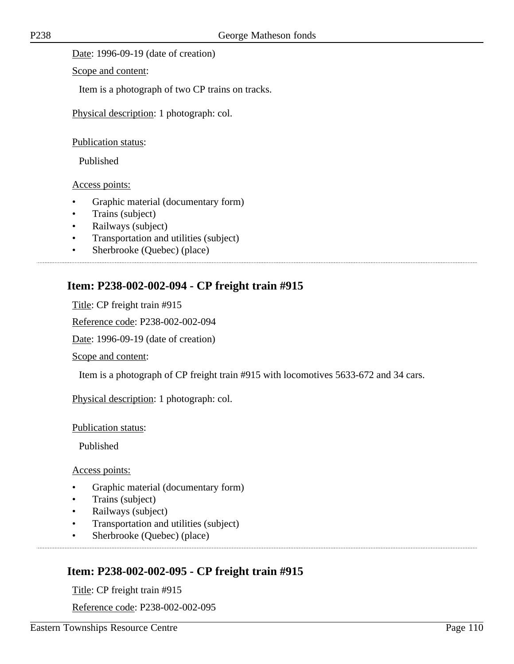Date: 1996-09-19 (date of creation)

Scope and content:

Item is a photograph of two CP trains on tracks.

Physical description: 1 photograph: col.

Publication status:

Published

Access points:

- Graphic material (documentary form)
- Trains (subject)
- Railways (subject)
- Transportation and utilities (subject)
- Sherbrooke (Quebec) (place)

### **Item: P238-002-002-094 - CP freight train #915**

Title: CP freight train #915

Reference code: P238-002-002-094

Date: 1996-09-19 (date of creation)

Scope and content:

Item is a photograph of CP freight train #915 with locomotives 5633-672 and 34 cars.

Physical description: 1 photograph: col.

Publication status:

Published

Access points:

- Graphic material (documentary form)
- Trains (subject)
- Railways (subject)
- Transportation and utilities (subject)
- Sherbrooke (Quebec) (place)

## **Item: P238-002-002-095 - CP freight train #915**

Title: CP freight train #915

Reference code: P238-002-002-095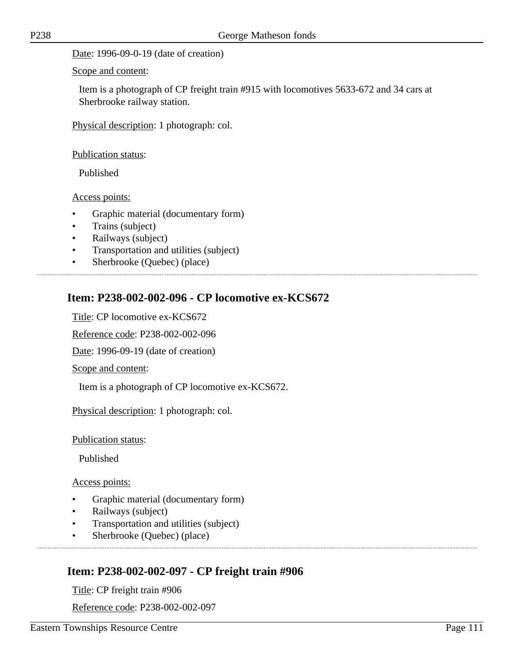Date: 1996-09-0-19 (date of creation)

Scope and content:

Item is a photograph of CP freight train #915 with locomotives 5633-672 and 34 cars at Sherbrooke railway station.

Physical description: 1 photograph: col.

Publication status:

Published

Access points:

- Graphic material (documentary form)
- Trains (subject)
- Railways (subject)
- Transportation and utilities (subject)
- Sherbrooke (Quebec) (place)

## **Item: P238-002-002-096 - CP locomotive ex-KCS672**

Title: CP locomotive ex-KCS672

Reference code: P238-002-002-096

Date: 1996-09-19 (date of creation)

Scope and content:

Item is a photograph of CP locomotive ex-KCS672.

Physical description: 1 photograph: col.

Publication status:

Published

Access points:

- Graphic material (documentary form)
- Railways (subject)
- Transportation and utilities (subject)
- Sherbrooke (Quebec) (place)

## **Item: P238-002-002-097 - CP freight train #906**

Title: CP freight train #906

Reference code: P238-002-002-097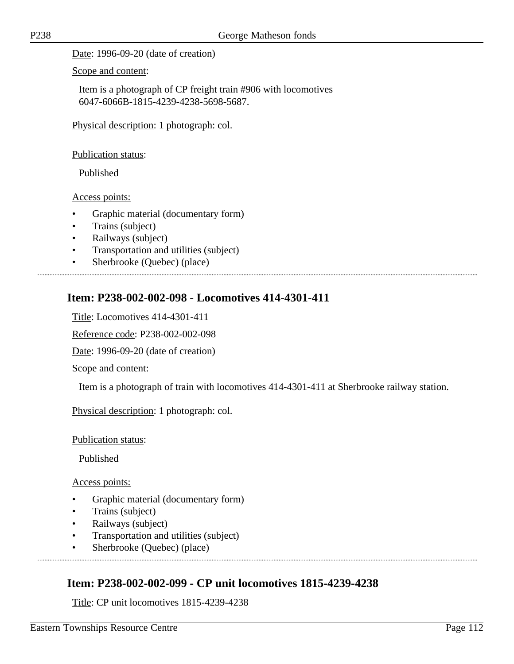Date: 1996-09-20 (date of creation)

Scope and content:

Item is a photograph of CP freight train #906 with locomotives 6047-6066B-1815-4239-4238-5698-5687.

Physical description: 1 photograph: col.

#### Publication status:

Published

### Access points:

- Graphic material (documentary form)
- Trains (subject)
- Railways (subject)
- Transportation and utilities (subject)

• Sherbrooke (Quebec) (place)

# **Item: P238-002-002-098 - Locomotives 414-4301-411**

Title: Locomotives 414-4301-411

Reference code: P238-002-002-098

Date: 1996-09-20 (date of creation)

Scope and content:

Item is a photograph of train with locomotives 414-4301-411 at Sherbrooke railway station.

Physical description: 1 photograph: col.

### Publication status:

Published

Access points:

- Graphic material (documentary form)
- Trains (subject)
- Railways (subject)
- Transportation and utilities (subject)
- Sherbrooke (Quebec) (place)

## **Item: P238-002-002-099 - CP unit locomotives 1815-4239-4238**

Title: CP unit locomotives 1815-4239-4238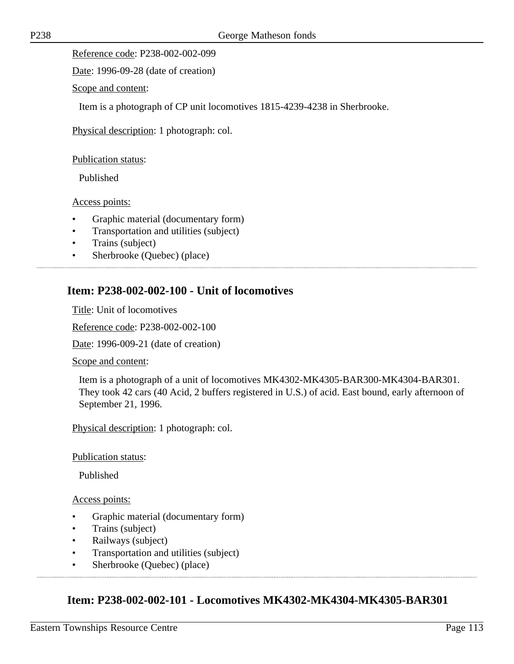Reference code: P238-002-002-099

Date: 1996-09-28 (date of creation)

Scope and content:

Item is a photograph of CP unit locomotives 1815-4239-4238 in Sherbrooke.

Physical description: 1 photograph: col.

Publication status:

Published

Access points:

- Graphic material (documentary form)
- Transportation and utilities (subject)
- Trains (subject)
- Sherbrooke (Quebec) (place)

### **Item: P238-002-002-100 - Unit of locomotives**

Title: Unit of locomotives

Reference code: P238-002-002-100

Date: 1996-009-21 (date of creation)

Scope and content:

Item is a photograph of a unit of locomotives MK4302-MK4305-BAR300-MK4304-BAR301. They took 42 cars (40 Acid, 2 buffers registered in U.S.) of acid. East bound, early afternoon of September 21, 1996.

Physical description: 1 photograph: col.

Publication status:

Published

Access points:

- Graphic material (documentary form)
- Trains (subject)
- Railways (subject)
- Transportation and utilities (subject)

• Sherbrooke (Quebec) (place)

### **Item: P238-002-002-101 - Locomotives MK4302-MK4304-MK4305-BAR301**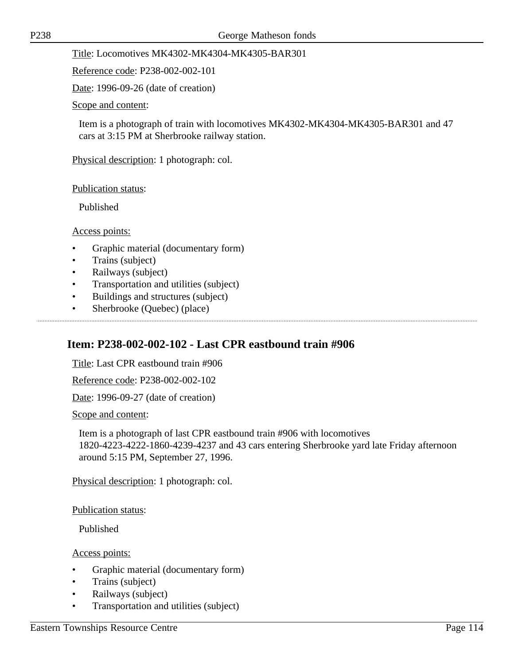Title: Locomotives MK4302-MK4304-MK4305-BAR301

Reference code: P238-002-002-101

Date: 1996-09-26 (date of creation)

Scope and content:

Item is a photograph of train with locomotives MK4302-MK4304-MK4305-BAR301 and 47 cars at 3:15 PM at Sherbrooke railway station.

Physical description: 1 photograph: col.

Publication status:

Published

Access points:

- Graphic material (documentary form)
- Trains (subject)
- Railways (subject)
- Transportation and utilities (subject)
- Buildings and structures (subject)
- Sherbrooke (Quebec) (place)

### **Item: P238-002-002-102 - Last CPR eastbound train #906**

Title: Last CPR eastbound train #906

Reference code: P238-002-002-102

Date: 1996-09-27 (date of creation)

Scope and content:

Item is a photograph of last CPR eastbound train #906 with locomotives 1820-4223-4222-1860-4239-4237 and 43 cars entering Sherbrooke yard late Friday afternoon around 5:15 PM, September 27, 1996.

Physical description: 1 photograph: col.

Publication status:

Published

- Graphic material (documentary form)
- Trains (subject)
- Railways (subject)
- Transportation and utilities (subject)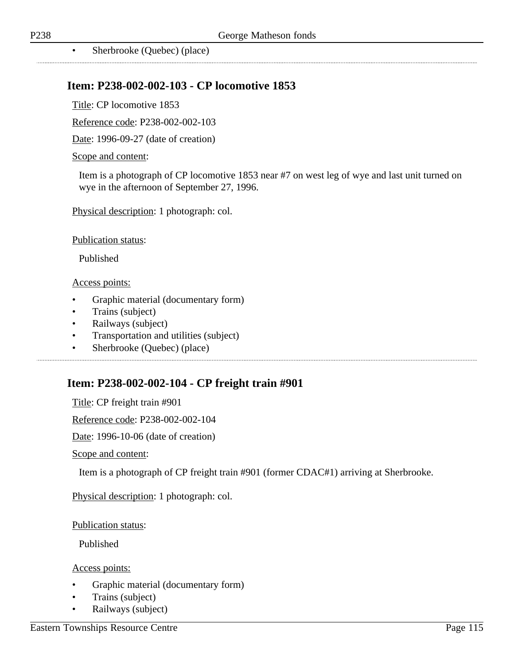• Sherbrooke (Quebec) (place)

### **Item: P238-002-002-103 - CP locomotive 1853**

Title: CP locomotive 1853

Reference code: P238-002-002-103

Date: 1996-09-27 (date of creation)

#### Scope and content:

Item is a photograph of CP locomotive 1853 near #7 on west leg of wye and last unit turned on wye in the afternoon of September 27, 1996.

Physical description: 1 photograph: col.

Publication status:

Published

#### Access points:

- Graphic material (documentary form)
- Trains (subject)
- Railways (subject)
- Transportation and utilities (subject)

• Sherbrooke (Quebec) (place)

### **Item: P238-002-002-104 - CP freight train #901**

Title: CP freight train #901

Reference code: P238-002-002-104

Date: 1996-10-06 (date of creation)

Scope and content:

Item is a photograph of CP freight train #901 (former CDAC#1) arriving at Sherbrooke.

Physical description: 1 photograph: col.

Publication status:

Published

- Graphic material (documentary form)
- Trains (subject)
- Railways (subject)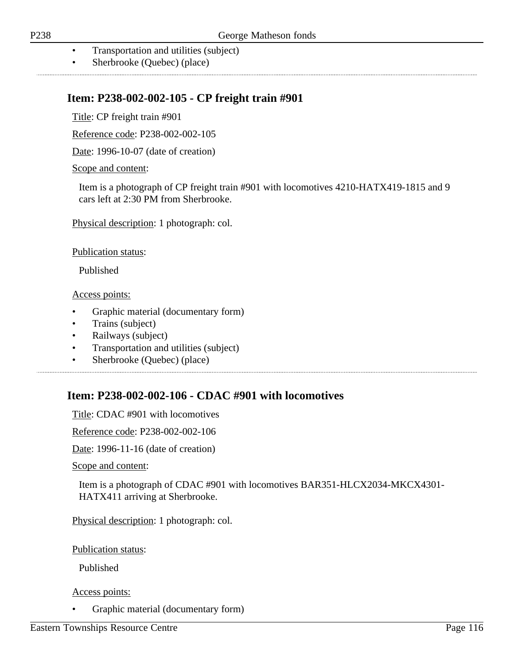- Transportation and utilities (subject)
- Sherbrooke (Quebec) (place)

### **Item: P238-002-002-105 - CP freight train #901**

Title: CP freight train #901

Reference code: P238-002-002-105

Date: 1996-10-07 (date of creation)

Scope and content:

Item is a photograph of CP freight train #901 with locomotives 4210-HATX419-1815 and 9 cars left at 2:30 PM from Sherbrooke.

Physical description: 1 photograph: col.

Publication status:

Published

Access points:

- Graphic material (documentary form)
- Trains (subject)
- Railways (subject)
- Transportation and utilities (subject)
- Sherbrooke (Quebec) (place)

### **Item: P238-002-002-106 - CDAC #901 with locomotives**

Title: CDAC #901 with locomotives

Reference code: P238-002-002-106

Date: 1996-11-16 (date of creation)

Scope and content:

Item is a photograph of CDAC #901 with locomotives BAR351-HLCX2034-MKCX4301- HATX411 arriving at Sherbrooke.

Physical description: 1 photograph: col.

Publication status:

Published

#### Access points:

• Graphic material (documentary form)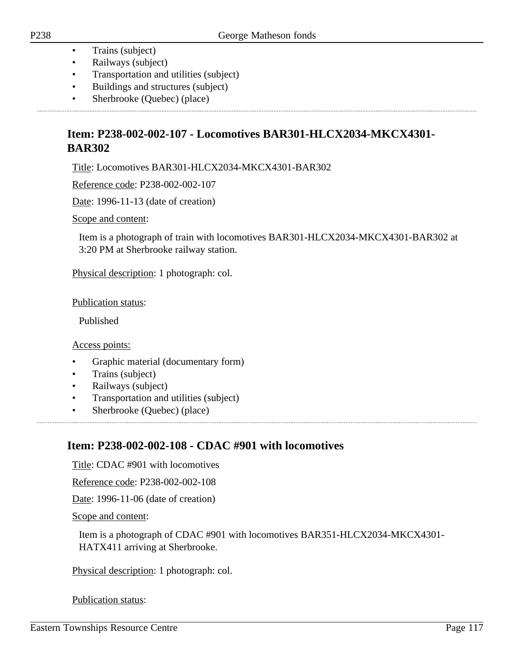- Trains (subject)
- Railways (subject)
- Transportation and utilities (subject)
- Buildings and structures (subject)
- Sherbrooke (Quebec) (place)

## **Item: P238-002-002-107 - Locomotives BAR301-HLCX2034-MKCX4301- BAR302**

Title: Locomotives BAR301-HLCX2034-MKCX4301-BAR302

Reference code: P238-002-002-107

Date: 1996-11-13 (date of creation)

Scope and content:

Item is a photograph of train with locomotives BAR301-HLCX2034-MKCX4301-BAR302 at 3:20 PM at Sherbrooke railway station.

Physical description: 1 photograph: col.

Publication status:

Published

Access points:

- Graphic material (documentary form)
- Trains (subject)
- Railways (subject)
- Transportation and utilities (subject)
- Sherbrooke (Quebec) (place)

### **Item: P238-002-002-108 - CDAC #901 with locomotives**

Title: CDAC #901 with locomotives

Reference code: P238-002-002-108

Date: 1996-11-06 (date of creation)

Scope and content:

Item is a photograph of CDAC #901 with locomotives BAR351-HLCX2034-MKCX4301- HATX411 arriving at Sherbrooke.

Physical description: 1 photograph: col.

Publication status: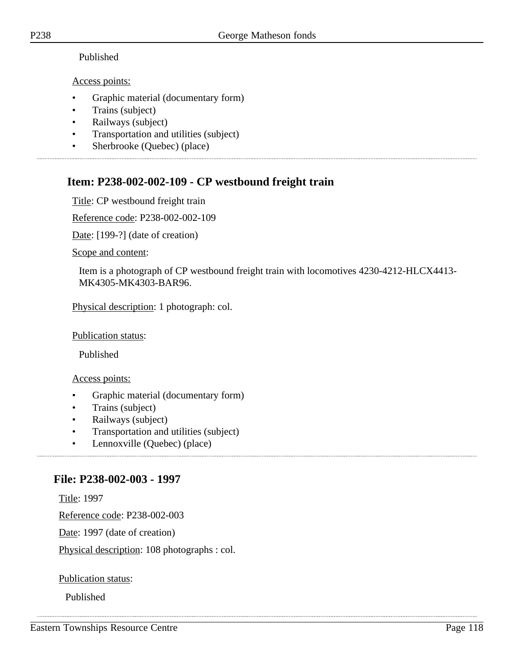### Published

### Access points:

- Graphic material (documentary form)
- Trains (subject)
- Railways (subject)
- Transportation and utilities (subject)
- Sherbrooke (Quebec) (place)

# **Item: P238-002-002-109 - CP westbound freight train**

Title: CP westbound freight train

Reference code: P238-002-002-109

Date: [199-?] (date of creation)

Scope and content:

Item is a photograph of CP westbound freight train with locomotives 4230-4212-HLCX4413- MK4305-MK4303-BAR96.

Physical description: 1 photograph: col.

Publication status:

Published

Access points:

- Graphic material (documentary form)
- Trains (subject)
- Railways (subject)
- Transportation and utilities (subject)
- Lennoxville (Quebec) (place)

## **File: P238-002-003 - 1997**

Title: 1997

Reference code: P238-002-003

Date: 1997 (date of creation)

Physical description: 108 photographs : col.

Publication status:

Published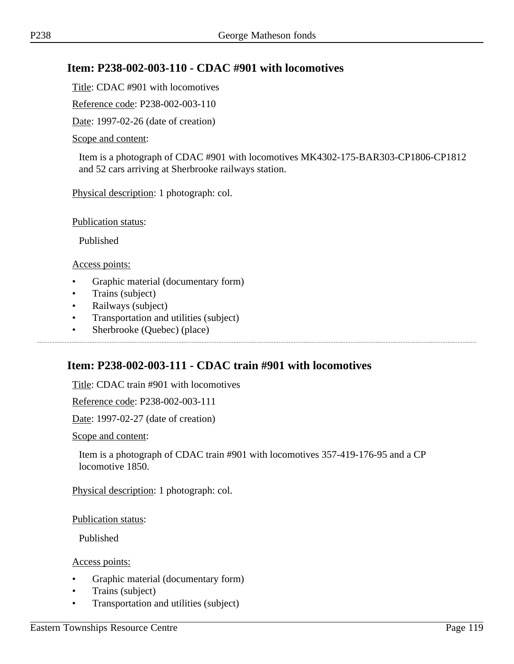## **Item: P238-002-003-110 - CDAC #901 with locomotives**

Title: CDAC #901 with locomotives

Reference code: P238-002-003-110

Date: 1997-02-26 (date of creation)

#### Scope and content:

Item is a photograph of CDAC #901 with locomotives MK4302-175-BAR303-CP1806-CP1812 and 52 cars arriving at Sherbrooke railways station.

Physical description: 1 photograph: col.

Publication status:

Published

Access points:

- Graphic material (documentary form)
- Trains (subject)
- Railways (subject)
- Transportation and utilities (subject)
- Sherbrooke (Quebec) (place)

### **Item: P238-002-003-111 - CDAC train #901 with locomotives**

Title: CDAC train #901 with locomotives

Reference code: P238-002-003-111

Date: 1997-02-27 (date of creation)

Scope and content:

Item is a photograph of CDAC train #901 with locomotives 357-419-176-95 and a CP locomotive 1850.

Physical description: 1 photograph: col.

Publication status:

Published

- Graphic material (documentary form)
- Trains (subject)
- Transportation and utilities (subject)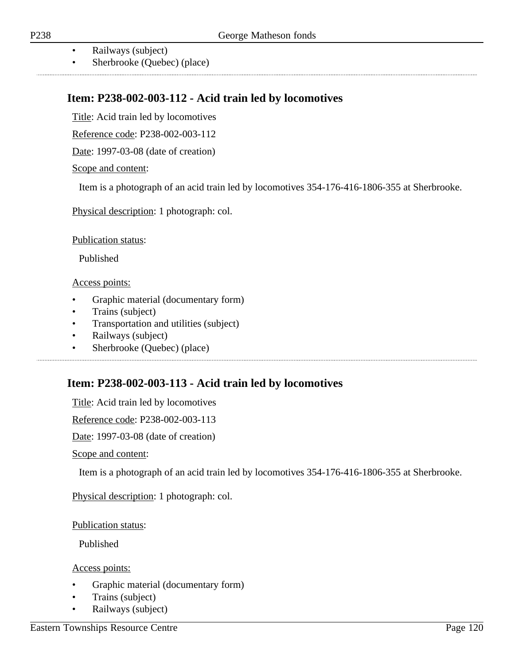- Railways (subject)
- Sherbrooke (Quebec) (place)

# **Item: P238-002-003-112 - Acid train led by locomotives**

Title: Acid train led by locomotives

Reference code: P238-002-003-112

Date: 1997-03-08 (date of creation)

#### Scope and content:

Item is a photograph of an acid train led by locomotives 354-176-416-1806-355 at Sherbrooke.

Physical description: 1 photograph: col.

Publication status:

Published

#### Access points:

- Graphic material (documentary form)
- Trains (subject)
- Transportation and utilities (subject)

- Railways (subject)
- Sherbrooke (Quebec) (place)

## **Item: P238-002-003-113 - Acid train led by locomotives**

Title: Acid train led by locomotives

Reference code: P238-002-003-113

Date: 1997-03-08 (date of creation)

Scope and content:

Item is a photograph of an acid train led by locomotives 354-176-416-1806-355 at Sherbrooke.

Physical description: 1 photograph: col.

Publication status:

Published

- Graphic material (documentary form)
- Trains (subject)
- Railways (subject)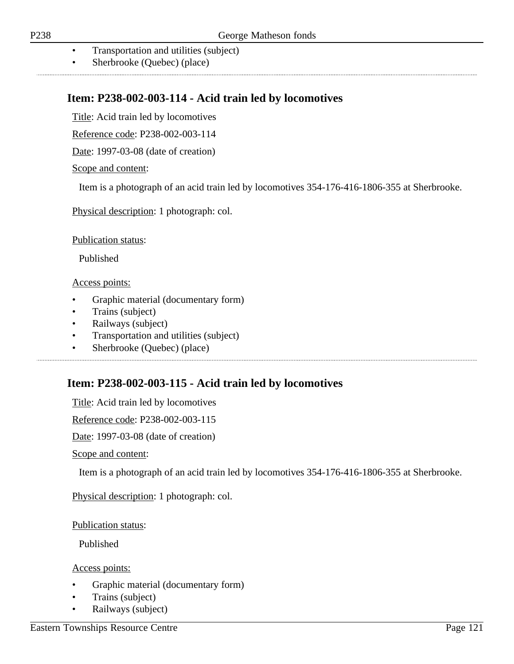- Transportation and utilities (subject)
- Sherbrooke (Quebec) (place)

## **Item: P238-002-003-114 - Acid train led by locomotives**

Title: Acid train led by locomotives

Reference code: P238-002-003-114

Date: 1997-03-08 (date of creation)

Scope and content:

Item is a photograph of an acid train led by locomotives 354-176-416-1806-355 at Sherbrooke.

Physical description: 1 photograph: col.

Publication status:

Published

#### Access points:

- Graphic material (documentary form)
- Trains (subject)
- Railways (subject)
- Transportation and utilities (subject)

• Sherbrooke (Quebec) (place)

## **Item: P238-002-003-115 - Acid train led by locomotives**

Title: Acid train led by locomotives

Reference code: P238-002-003-115

Date: 1997-03-08 (date of creation)

Scope and content:

Item is a photograph of an acid train led by locomotives 354-176-416-1806-355 at Sherbrooke.

Physical description: 1 photograph: col.

Publication status:

Published

- Graphic material (documentary form)
- Trains (subject)
- Railways (subject)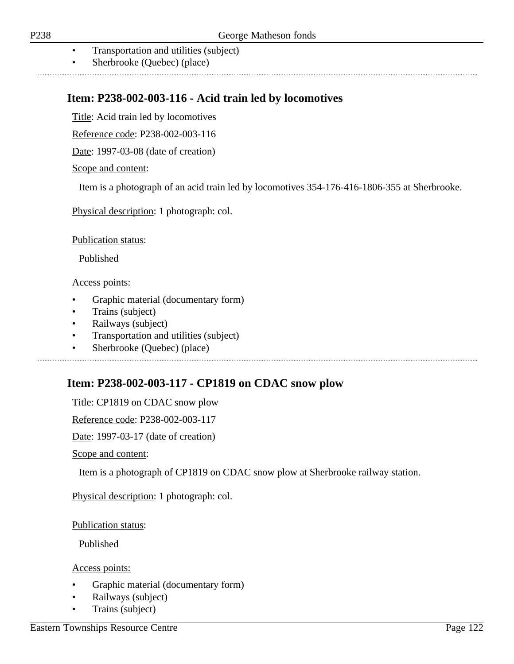- Transportation and utilities (subject)
- Sherbrooke (Quebec) (place)

## **Item: P238-002-003-116 - Acid train led by locomotives**

Title: Acid train led by locomotives

Reference code: P238-002-003-116

Date: 1997-03-08 (date of creation)

Scope and content:

Item is a photograph of an acid train led by locomotives 354-176-416-1806-355 at Sherbrooke.

Physical description: 1 photograph: col.

Publication status:

Published

#### Access points:

- Graphic material (documentary form)
- Trains (subject)
- Railways (subject)
- Transportation and utilities (subject)

• Sherbrooke (Quebec) (place)

## **Item: P238-002-003-117 - CP1819 on CDAC snow plow**

Title: CP1819 on CDAC snow plow

Reference code: P238-002-003-117

Date: 1997-03-17 (date of creation)

Scope and content:

Item is a photograph of CP1819 on CDAC snow plow at Sherbrooke railway station.

Physical description: 1 photograph: col.

Publication status:

Published

- Graphic material (documentary form)
- Railways (subject)
- Trains (subject)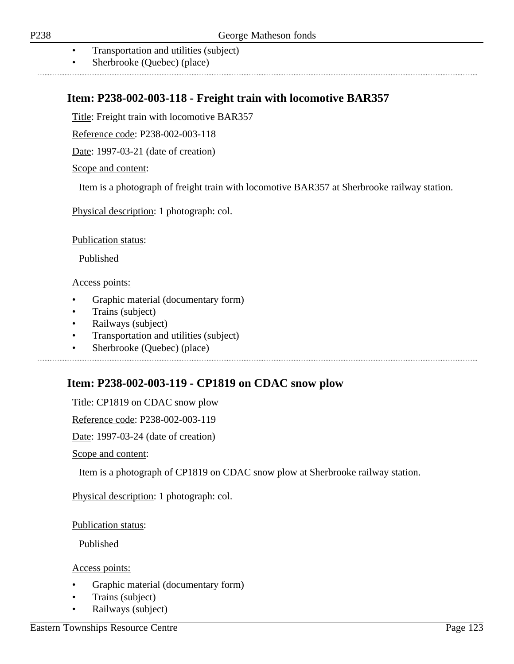- Transportation and utilities (subject)
- Sherbrooke (Quebec) (place)

### **Item: P238-002-003-118 - Freight train with locomotive BAR357**

Title: Freight train with locomotive BAR357

Reference code: P238-002-003-118

Date: 1997-03-21 (date of creation)

Scope and content:

Item is a photograph of freight train with locomotive BAR357 at Sherbrooke railway station.

Physical description: 1 photograph: col.

Publication status:

Published

#### Access points:

- Graphic material (documentary form)
- Trains (subject)
- Railways (subject)
- Transportation and utilities (subject)

• Sherbrooke (Quebec) (place)

## **Item: P238-002-003-119 - CP1819 on CDAC snow plow**

Title: CP1819 on CDAC snow plow

Reference code: P238-002-003-119

Date: 1997-03-24 (date of creation)

Scope and content:

Item is a photograph of CP1819 on CDAC snow plow at Sherbrooke railway station.

Physical description: 1 photograph: col.

Publication status:

Published

- Graphic material (documentary form)
- Trains (subject)
- Railways (subject)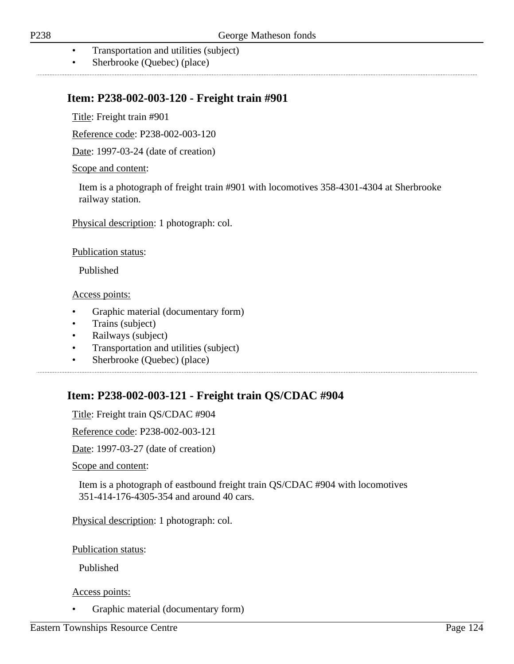- Transportation and utilities (subject)
- Sherbrooke (Quebec) (place)

### **Item: P238-002-003-120 - Freight train #901**

Title: Freight train #901

Reference code: P238-002-003-120

Date: 1997-03-24 (date of creation)

Scope and content:

Item is a photograph of freight train #901 with locomotives 358-4301-4304 at Sherbrooke railway station.

Physical description: 1 photograph: col.

Publication status:

Published

Access points:

- Graphic material (documentary form)
- Trains (subject)
- Railways (subject)
- Transportation and utilities (subject)
- Sherbrooke (Quebec) (place)

## **Item: P238-002-003-121 - Freight train QS/CDAC #904**

Title: Freight train QS/CDAC #904

Reference code: P238-002-003-121

Date: 1997-03-27 (date of creation)

Scope and content:

Item is a photograph of eastbound freight train QS/CDAC #904 with locomotives 351-414-176-4305-354 and around 40 cars.

Physical description: 1 photograph: col.

Publication status:

Published

#### Access points:

• Graphic material (documentary form)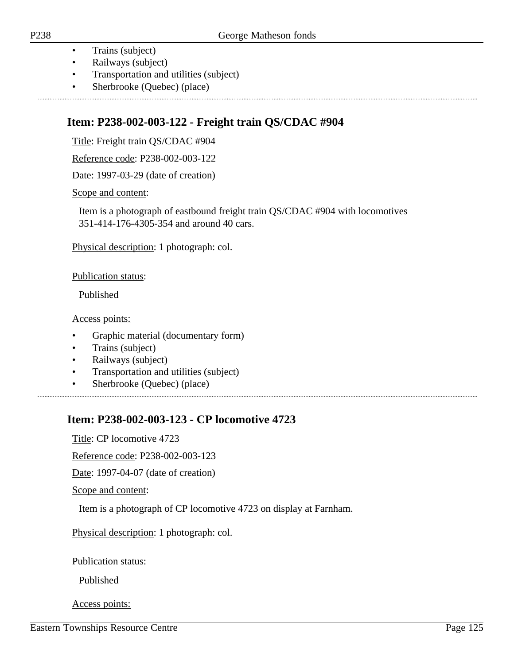- Trains (subject)
- Railways (subject)
- Transportation and utilities (subject)
- Sherbrooke (Quebec) (place)

## **Item: P238-002-003-122 - Freight train QS/CDAC #904**

Title: Freight train QS/CDAC #904

Reference code: P238-002-003-122

Date: 1997-03-29 (date of creation)

Scope and content:

Item is a photograph of eastbound freight train QS/CDAC #904 with locomotives 351-414-176-4305-354 and around 40 cars.

Physical description: 1 photograph: col.

Publication status:

Published

Access points:

- Graphic material (documentary form)
- Trains (subject)
- Railways (subject)
- Transportation and utilities (subject)
- Sherbrooke (Quebec) (place)

## **Item: P238-002-003-123 - CP locomotive 4723**

Title: CP locomotive 4723

Reference code: P238-002-003-123

Date: 1997-04-07 (date of creation)

Scope and content:

Item is a photograph of CP locomotive 4723 on display at Farnham.

Physical description: 1 photograph: col.

Publication status:

Published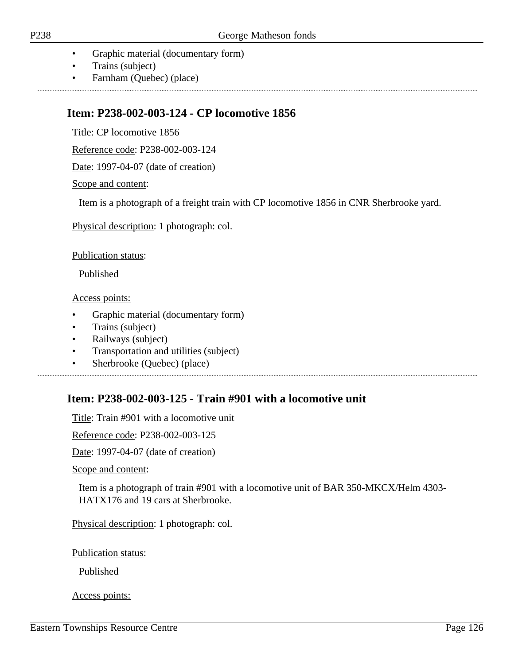- Graphic material (documentary form)
- Trains (subject)
- Farnham (Quebec) (place)

### **Item: P238-002-003-124 - CP locomotive 1856**

Title: CP locomotive 1856

Reference code: P238-002-003-124

Date: 1997-04-07 (date of creation)

Scope and content:

Item is a photograph of a freight train with CP locomotive 1856 in CNR Sherbrooke yard.

Physical description: 1 photograph: col.

Publication status:

Published

Access points:

- Graphic material (documentary form)
- Trains (subject)
- Railways (subject)
- Transportation and utilities (subject)
- Sherbrooke (Quebec) (place)

## **Item: P238-002-003-125 - Train #901 with a locomotive unit**

Title: Train #901 with a locomotive unit

Reference code: P238-002-003-125

Date: 1997-04-07 (date of creation)

Scope and content:

Item is a photograph of train #901 with a locomotive unit of BAR 350-MKCX/Helm 4303- HATX176 and 19 cars at Sherbrooke.

Physical description: 1 photograph: col.

Publication status:

Published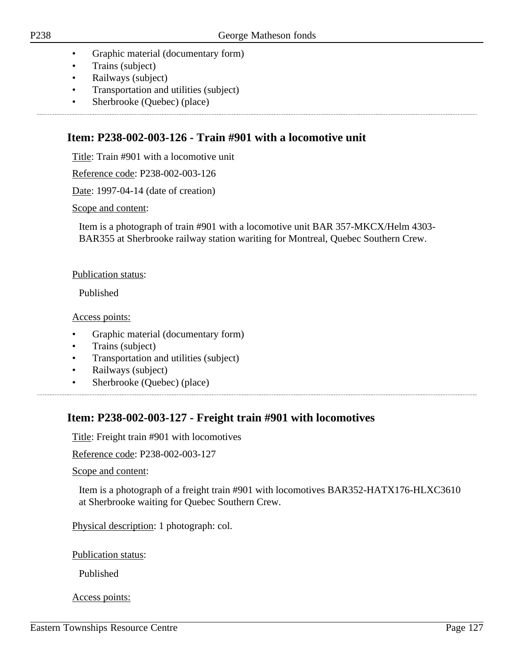- Graphic material (documentary form)
- Trains (subject)
- Railways (subject)
- Transportation and utilities (subject)

• Sherbrooke (Quebec) (place)

## **Item: P238-002-003-126 - Train #901 with a locomotive unit**

Title: Train #901 with a locomotive unit

Reference code: P238-002-003-126

Date: 1997-04-14 (date of creation)

#### Scope and content:

Item is a photograph of train #901 with a locomotive unit BAR 357-MKCX/Helm 4303- BAR355 at Sherbrooke railway station wariting for Montreal, Quebec Southern Crew.

#### Publication status:

Published

Access points:

- Graphic material (documentary form)
- Trains (subject)
- Transportation and utilities (subject)
- Railways (subject)
- Sherbrooke (Quebec) (place)

### **Item: P238-002-003-127 - Freight train #901 with locomotives**

Title: Freight train #901 with locomotives

Reference code: P238-002-003-127

Scope and content:

Item is a photograph of a freight train #901 with locomotives BAR352-HATX176-HLXC3610 at Sherbrooke waiting for Quebec Southern Crew.

Physical description: 1 photograph: col.

Publication status:

Published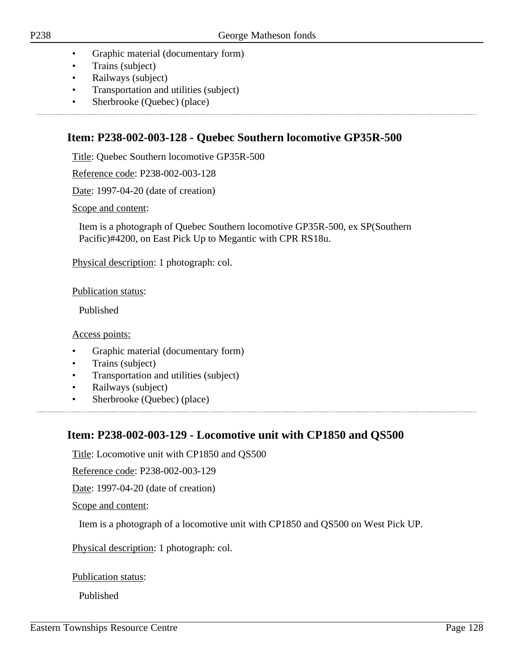- Graphic material (documentary form)
- Trains (subject)
- Railways (subject)
- Transportation and utilities (subject)

• Sherbrooke (Quebec) (place)

### **Item: P238-002-003-128 - Quebec Southern locomotive GP35R-500**

Title: Quebec Southern locomotive GP35R-500

Reference code: P238-002-003-128

Date: 1997-04-20 (date of creation)

Scope and content:

Item is a photograph of Quebec Southern locomotive GP35R-500, ex SP(Southern Pacific)#4200, on East Pick Up to Megantic with CPR RS18u.

Physical description: 1 photograph: col.

Publication status:

Published

Access points:

- Graphic material (documentary form)
- Trains (subject)
- Transportation and utilities (subject)
- Railways (subject)
- Sherbrooke (Quebec) (place)

### **Item: P238-002-003-129 - Locomotive unit with CP1850 and QS500**

Title: Locomotive unit with CP1850 and QS500

Reference code: P238-002-003-129

Date: 1997-04-20 (date of creation)

Scope and content:

Item is a photograph of a locomotive unit with CP1850 and QS500 on West Pick UP.

Physical description: 1 photograph: col.

Publication status:

Published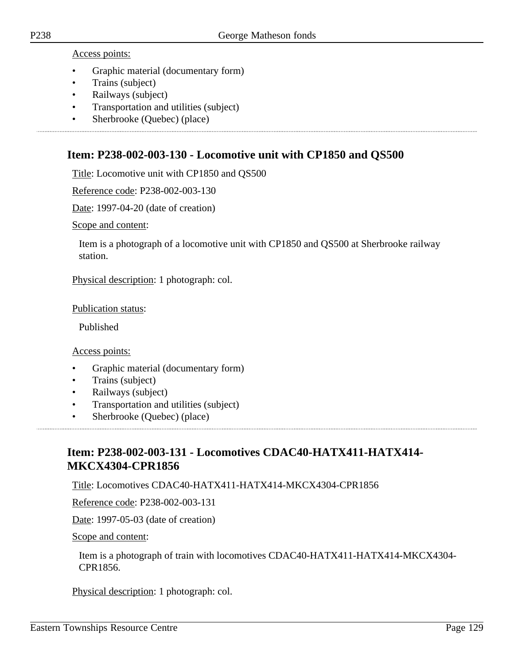Access points:

- Graphic material (documentary form)
- Trains (subject)
- Railways (subject)
- Transportation and utilities (subject)

• Sherbrooke (Quebec) (place)

### **Item: P238-002-003-130 - Locomotive unit with CP1850 and QS500**

Title: Locomotive unit with CP1850 and QS500

Reference code: P238-002-003-130

Date: 1997-04-20 (date of creation)

Scope and content:

Item is a photograph of a locomotive unit with CP1850 and QS500 at Sherbrooke railway station.

Physical description: 1 photograph: col.

Publication status:

Published

Access points:

- Graphic material (documentary form)
- Trains (subject)
- Railways (subject)
- Transportation and utilities (subject)
- Sherbrooke (Quebec) (place)

# **Item: P238-002-003-131 - Locomotives CDAC40-HATX411-HATX414- MKCX4304-CPR1856**

Title: Locomotives CDAC40-HATX411-HATX414-MKCX4304-CPR1856

Reference code: P238-002-003-131

Date: 1997-05-03 (date of creation)

Scope and content:

Item is a photograph of train with locomotives CDAC40-HATX411-HATX414-MKCX4304- CPR1856.

Physical description: 1 photograph: col.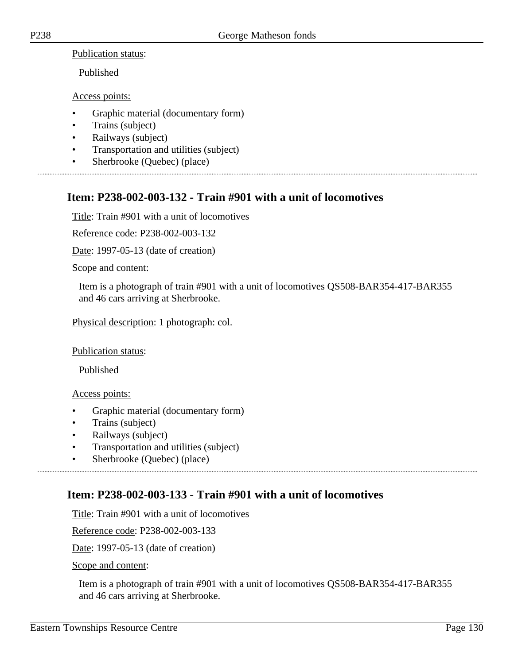Publication status:

Published

Access points:

- Graphic material (documentary form)
- Trains (subject)
- Railways (subject)
- Transportation and utilities (subject)

• Sherbrooke (Quebec) (place)

# **Item: P238-002-003-132 - Train #901 with a unit of locomotives**

Title: Train #901 with a unit of locomotives

Reference code: P238-002-003-132

Date: 1997-05-13 (date of creation)

#### Scope and content:

Item is a photograph of train #901 with a unit of locomotives QS508-BAR354-417-BAR355 and 46 cars arriving at Sherbrooke.

Physical description: 1 photograph: col.

#### Publication status:

Published

#### Access points:

- Graphic material (documentary form)
- Trains (subject)
- Railways (subject)
- Transportation and utilities (subject)
- Sherbrooke (Quebec) (place)

## **Item: P238-002-003-133 - Train #901 with a unit of locomotives**

Title: Train #901 with a unit of locomotives

Reference code: P238-002-003-133

Date: 1997-05-13 (date of creation)

Scope and content:

Item is a photograph of train #901 with a unit of locomotives QS508-BAR354-417-BAR355 and 46 cars arriving at Sherbrooke.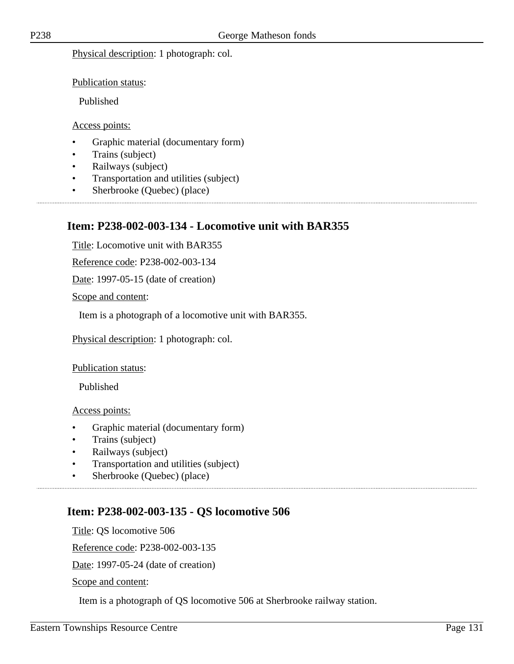Physical description: 1 photograph: col.

Publication status:

Published

#### Access points:

- Graphic material (documentary form)
- Trains (subject)
- Railways (subject)
- Transportation and utilities (subject)

• Sherbrooke (Quebec) (place)

### **Item: P238-002-003-134 - Locomotive unit with BAR355**

Title: Locomotive unit with BAR355

Reference code: P238-002-003-134

Date: 1997-05-15 (date of creation)

Scope and content:

Item is a photograph of a locomotive unit with BAR355.

Physical description: 1 photograph: col.

Publication status:

Published

Access points:

- Graphic material (documentary form)
- Trains (subject)
- Railways (subject)
- Transportation and utilities (subject)
- Sherbrooke (Quebec) (place)

## **Item: P238-002-003-135 - QS locomotive 506**

Title: QS locomotive 506 Reference code: P238-002-003-135 Date: 1997-05-24 (date of creation) Scope and content:

Item is a photograph of QS locomotive 506 at Sherbrooke railway station.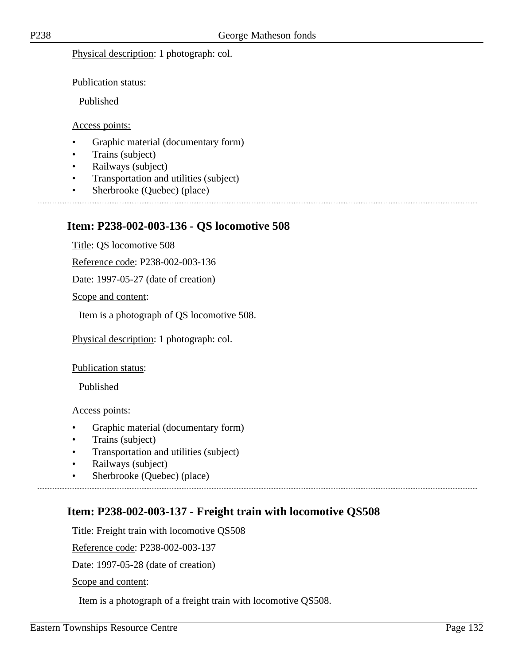Physical description: 1 photograph: col.

Publication status:

Published

#### Access points:

- Graphic material (documentary form)
- Trains (subject)
- Railways (subject)
- Transportation and utilities (subject)

• Sherbrooke (Quebec) (place)

### **Item: P238-002-003-136 - QS locomotive 508**

Title: QS locomotive 508

Reference code: P238-002-003-136

Date: 1997-05-27 (date of creation)

Scope and content:

Item is a photograph of QS locomotive 508.

Physical description: 1 photograph: col.

Publication status:

Published

Access points:

- Graphic material (documentary form)
- Trains (subject)
- Transportation and utilities (subject)
- Railways (subject)
- Sherbrooke (Quebec) (place)

## **Item: P238-002-003-137 - Freight train with locomotive QS508**

Title: Freight train with locomotive QS508

Reference code: P238-002-003-137

Date: 1997-05-28 (date of creation)

Scope and content:

Item is a photograph of a freight train with locomotive QS508.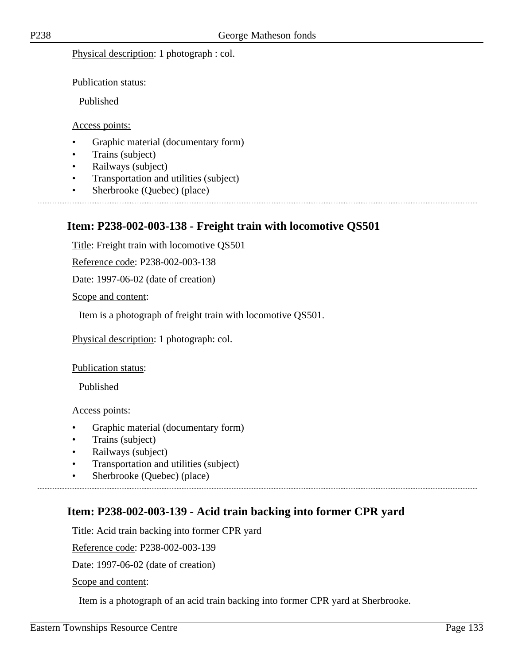Physical description: 1 photograph : col.

Publication status:

Published

#### Access points:

- Graphic material (documentary form)
- Trains (subject)
- Railways (subject)
- Transportation and utilities (subject)

• Sherbrooke (Quebec) (place)

### **Item: P238-002-003-138 - Freight train with locomotive QS501**

Title: Freight train with locomotive QS501

Reference code: P238-002-003-138

Date: 1997-06-02 (date of creation)

Scope and content:

Item is a photograph of freight train with locomotive QS501.

Physical description: 1 photograph: col.

Publication status:

Published

Access points:

- Graphic material (documentary form)
- Trains (subject)
- Railways (subject)
- Transportation and utilities (subject)
- Sherbrooke (Quebec) (place)

### **Item: P238-002-003-139 - Acid train backing into former CPR yard**

Title: Acid train backing into former CPR yard

Reference code: P238-002-003-139

Date: 1997-06-02 (date of creation)

Scope and content:

Item is a photograph of an acid train backing into former CPR yard at Sherbrooke.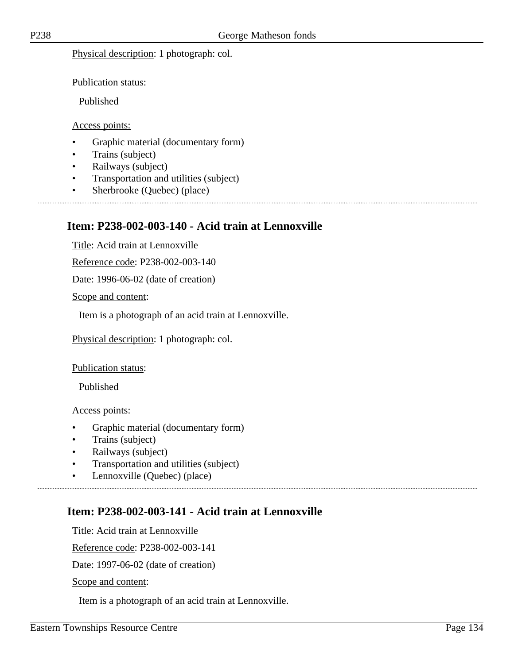Physical description: 1 photograph: col.

Publication status:

Published

#### Access points:

- Graphic material (documentary form)
- Trains (subject)
- Railways (subject)
- Transportation and utilities (subject)

• Sherbrooke (Quebec) (place)

### **Item: P238-002-003-140 - Acid train at Lennoxville**

Title: Acid train at Lennoxville

Reference code: P238-002-003-140

Date: 1996-06-02 (date of creation)

Scope and content:

Item is a photograph of an acid train at Lennoxville.

Physical description: 1 photograph: col.

Publication status:

Published

Access points:

- Graphic material (documentary form)
- Trains (subject)
- Railways (subject)
- Transportation and utilities (subject)
- Lennoxville (Quebec) (place)

## **Item: P238-002-003-141 - Acid train at Lennoxville**

Title: Acid train at Lennoxville

Reference code: P238-002-003-141

Date: 1997-06-02 (date of creation)

Scope and content:

Item is a photograph of an acid train at Lennoxville.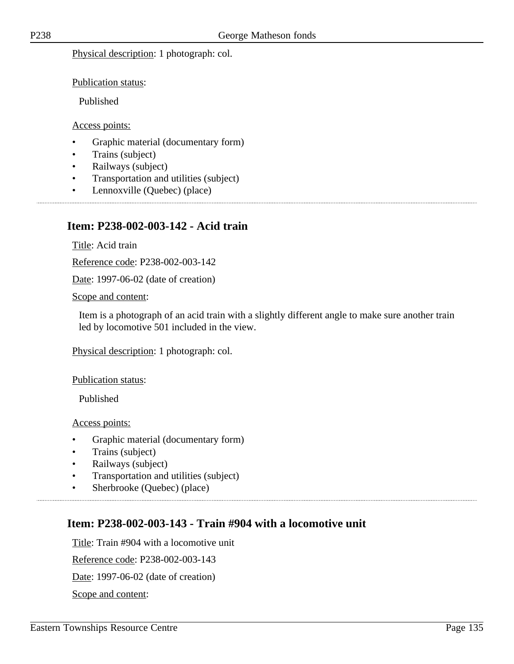Physical description: 1 photograph: col.

Publication status:

Published

Access points:

- Graphic material (documentary form)
- Trains (subject)
- Railways (subject)
- Transportation and utilities (subject)
- Lennoxville (Quebec) (place)

### **Item: P238-002-003-142 - Acid train**

Title: Acid train

Reference code: P238-002-003-142

Date: 1997-06-02 (date of creation)

Scope and content:

Item is a photograph of an acid train with a slightly different angle to make sure another train led by locomotive 501 included in the view.

Physical description: 1 photograph: col.

Publication status:

Published

Access points:

- Graphic material (documentary form)
- Trains (subject)
- Railways (subject)
- Transportation and utilities (subject)
- Sherbrooke (Quebec) (place)

### **Item: P238-002-003-143 - Train #904 with a locomotive unit**

Title: Train #904 with a locomotive unit

Reference code: P238-002-003-143

Date: 1997-06-02 (date of creation)

Scope and content: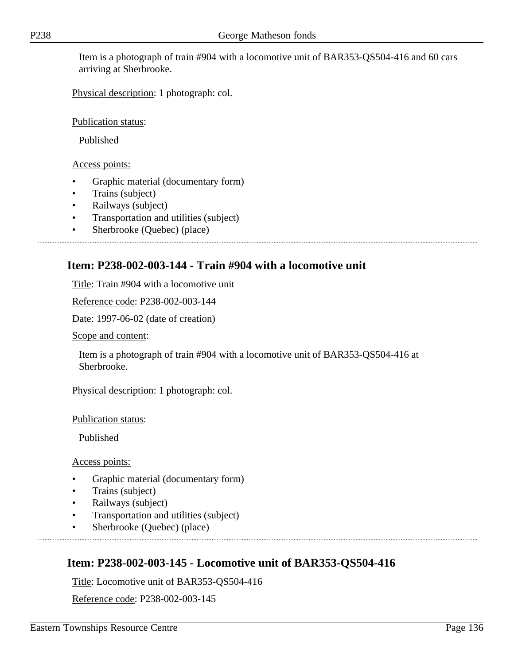Item is a photograph of train #904 with a locomotive unit of BAR353-QS504-416 and 60 cars arriving at Sherbrooke.

Physical description: 1 photograph: col.

Publication status:

Published

Access points:

- Graphic material (documentary form)
- Trains (subject)
- Railways (subject)
- Transportation and utilities (subject)
- Sherbrooke (Quebec) (place)

## **Item: P238-002-003-144 - Train #904 with a locomotive unit**

Title: Train #904 with a locomotive unit

Reference code: P238-002-003-144

Date: 1997-06-02 (date of creation)

Scope and content:

Item is a photograph of train #904 with a locomotive unit of BAR353-QS504-416 at Sherbrooke.

Physical description: 1 photograph: col.

Publication status:

Published

Access points:

- Graphic material (documentary form)
- Trains (subject)
- Railways (subject)
- Transportation and utilities (subject)
- Sherbrooke (Quebec) (place)

# **Item: P238-002-003-145 - Locomotive unit of BAR353-QS504-416**

Title: Locomotive unit of BAR353-QS504-416

Reference code: P238-002-003-145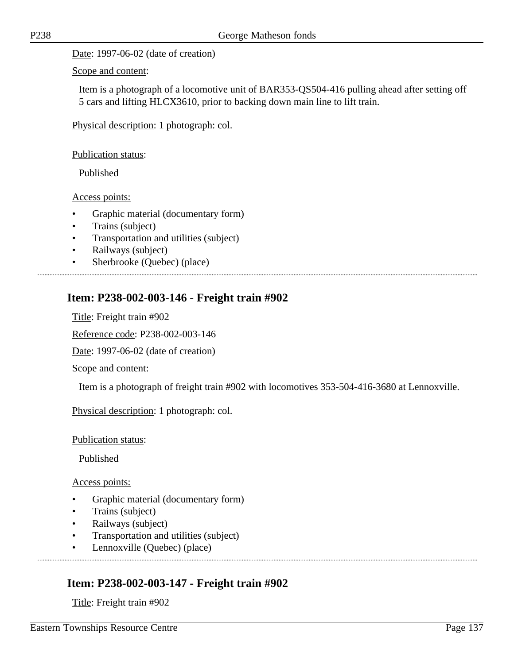Date: 1997-06-02 (date of creation)

Scope and content:

Item is a photograph of a locomotive unit of BAR353-QS504-416 pulling ahead after setting off 5 cars and lifting HLCX3610, prior to backing down main line to lift train.

Physical description: 1 photograph: col.

Publication status:

Published

Access points:

- Graphic material (documentary form)
- Trains (subject)
- Transportation and utilities (subject)
- Railways (subject)
- Sherbrooke (Quebec) (place)

### **Item: P238-002-003-146 - Freight train #902**

Title: Freight train #902

Reference code: P238-002-003-146

Date: 1997-06-02 (date of creation)

Scope and content:

Item is a photograph of freight train #902 with locomotives 353-504-416-3680 at Lennoxville.

Physical description: 1 photograph: col.

Publication status:

Published

Access points:

- Graphic material (documentary form)
- Trains (subject)
- Railways (subject)
- Transportation and utilities (subject)
- Lennoxville (Quebec) (place)

### **Item: P238-002-003-147 - Freight train #902**

Title: Freight train #902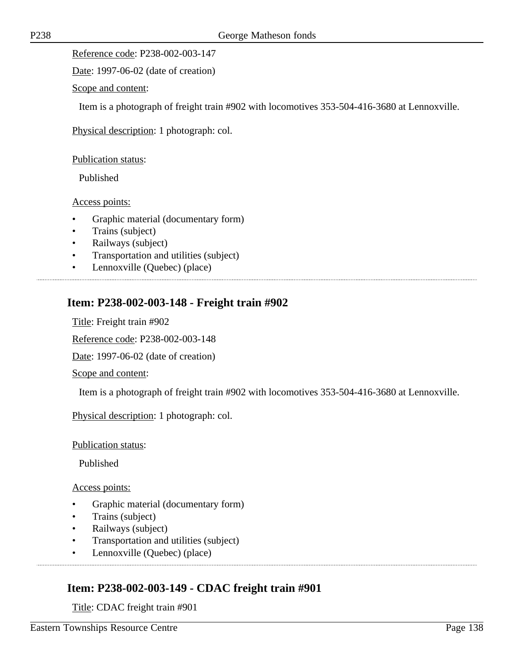Reference code: P238-002-003-147

Date: 1997-06-02 (date of creation)

Scope and content:

Item is a photograph of freight train #902 with locomotives 353-504-416-3680 at Lennoxville.

Physical description: 1 photograph: col.

Publication status:

Published

Access points:

- Graphic material (documentary form)
- Trains (subject)
- Railways (subject)
- Transportation and utilities (subject)
- Lennoxville (Quebec) (place)

### **Item: P238-002-003-148 - Freight train #902**

Title: Freight train #902

Reference code: P238-002-003-148

Date: 1997-06-02 (date of creation)

Scope and content:

Item is a photograph of freight train #902 with locomotives 353-504-416-3680 at Lennoxville.

Physical description: 1 photograph: col.

Publication status:

Published

Access points:

- Graphic material (documentary form)
- Trains (subject)
- Railways (subject)
- Transportation and utilities (subject)
- Lennoxville (Quebec) (place)

### **Item: P238-002-003-149 - CDAC freight train #901**

Title: CDAC freight train #901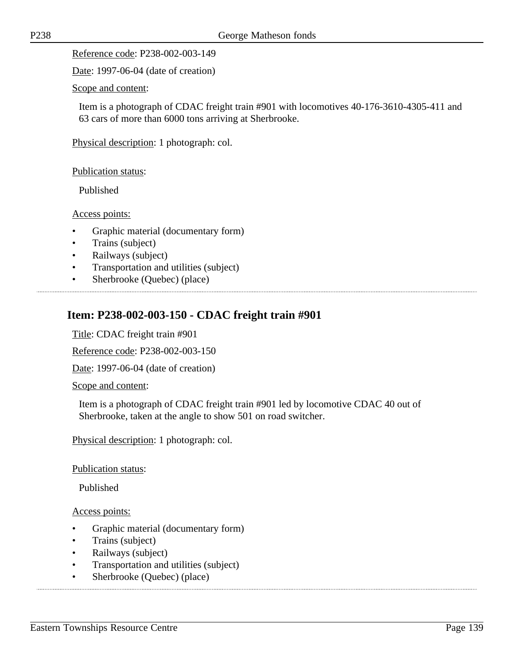Reference code: P238-002-003-149

Date: 1997-06-04 (date of creation)

Scope and content:

Item is a photograph of CDAC freight train #901 with locomotives 40-176-3610-4305-411 and 63 cars of more than 6000 tons arriving at Sherbrooke.

Physical description: 1 photograph: col.

Publication status:

Published

Access points:

- Graphic material (documentary form)
- Trains (subject)
- Railways (subject)
- Transportation and utilities (subject)
- Sherbrooke (Quebec) (place)

### **Item: P238-002-003-150 - CDAC freight train #901**

Title: CDAC freight train #901

Reference code: P238-002-003-150

Date: 1997-06-04 (date of creation)

Scope and content:

Item is a photograph of CDAC freight train #901 led by locomotive CDAC 40 out of Sherbrooke, taken at the angle to show 501 on road switcher.

Physical description: 1 photograph: col.

Publication status:

Published

- Graphic material (documentary form)
- Trains (subject)
- Railways (subject)
- Transportation and utilities (subject)
- Sherbrooke (Quebec) (place)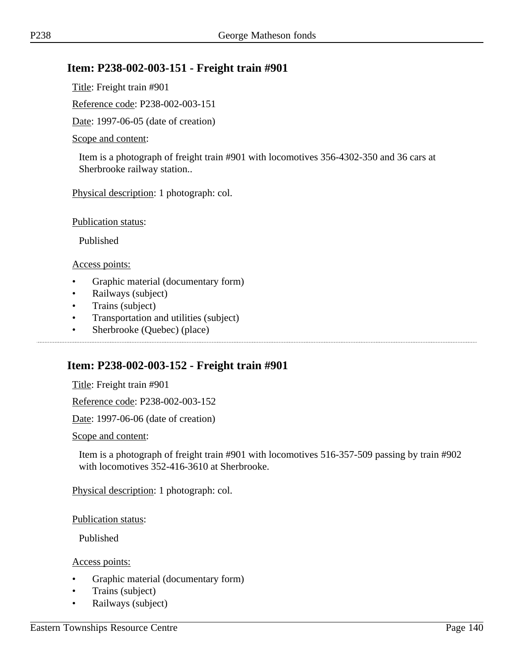### **Item: P238-002-003-151 - Freight train #901**

Title: Freight train #901

Reference code: P238-002-003-151

Date: 1997-06-05 (date of creation)

#### Scope and content:

Item is a photograph of freight train #901 with locomotives 356-4302-350 and 36 cars at Sherbrooke railway station..

Physical description: 1 photograph: col.

Publication status:

Published

Access points:

- Graphic material (documentary form)
- Railways (subject)
- Trains (subject)
- Transportation and utilities (subject)
- Sherbrooke (Quebec) (place)

### **Item: P238-002-003-152 - Freight train #901**

Title: Freight train #901

Reference code: P238-002-003-152

Date: 1997-06-06 (date of creation)

Scope and content:

Item is a photograph of freight train #901 with locomotives 516-357-509 passing by train #902 with locomotives 352-416-3610 at Sherbrooke.

Physical description: 1 photograph: col.

Publication status:

Published

- Graphic material (documentary form)
- Trains (subject)
- Railways (subject)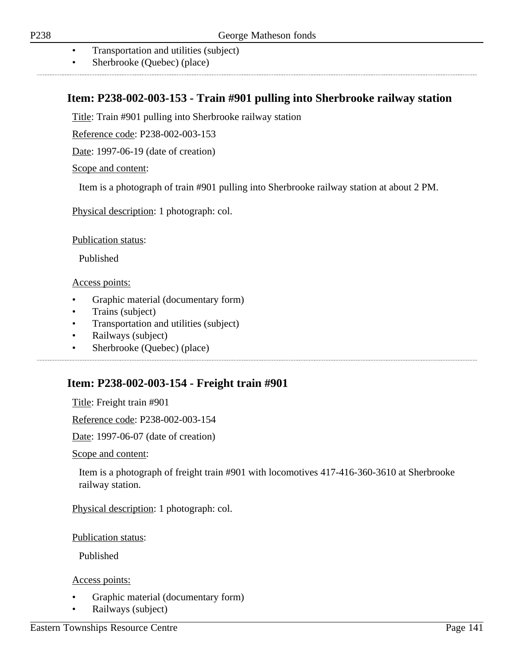- Transportation and utilities (subject)
- Sherbrooke (Quebec) (place)

### **Item: P238-002-003-153 - Train #901 pulling into Sherbrooke railway station**

Title: Train #901 pulling into Sherbrooke railway station

Reference code: P238-002-003-153

Date: 1997-06-19 (date of creation)

Scope and content:

Item is a photograph of train #901 pulling into Sherbrooke railway station at about 2 PM.

Physical description: 1 photograph: col.

Publication status:

Published

Access points:

- Graphic material (documentary form)
- Trains (subject)
- Transportation and utilities (subject)

- Railways (subject)
- Sherbrooke (Quebec) (place)

### **Item: P238-002-003-154 - Freight train #901**

Title: Freight train #901

Reference code: P238-002-003-154

Date: 1997-06-07 (date of creation)

Scope and content:

Item is a photograph of freight train #901 with locomotives 417-416-360-3610 at Sherbrooke railway station.

Physical description: 1 photograph: col.

Publication status:

Published

- Graphic material (documentary form)
- Railways (subject)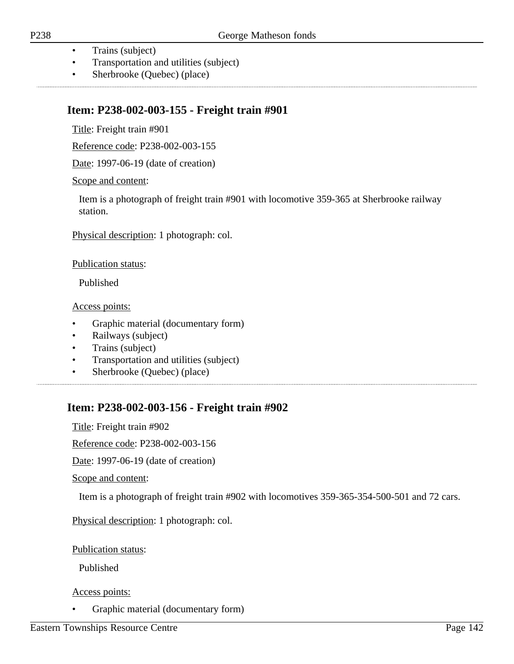- Trains (subject)
- Transportation and utilities (subject)
- Sherbrooke (Quebec) (place)

# **Item: P238-002-003-155 - Freight train #901**

Title: Freight train #901

Reference code: P238-002-003-155

Date: 1997-06-19 (date of creation)

### Scope and content:

Item is a photograph of freight train #901 with locomotive 359-365 at Sherbrooke railway station.

Physical description: 1 photograph: col.

### Publication status:

Published

Access points:

- Graphic material (documentary form)
- Railways (subject)
- Trains (subject)
- Transportation and utilities (subject)
- Sherbrooke (Quebec) (place)

## **Item: P238-002-003-156 - Freight train #902**

Title: Freight train #902

Reference code: P238-002-003-156

Date: 1997-06-19 (date of creation)

Scope and content:

Item is a photograph of freight train #902 with locomotives 359-365-354-500-501 and 72 cars.

Physical description: 1 photograph: col.

Publication status:

Published

Access points:

• Graphic material (documentary form)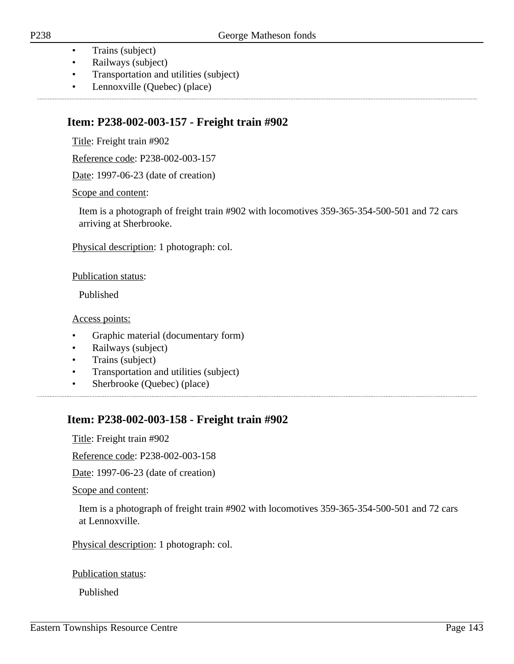- Trains (subject)
- Railways (subject)
- Transportation and utilities (subject)
- Lennoxville (Quebec) (place)

### **Item: P238-002-003-157 - Freight train #902**

Title: Freight train #902

Reference code: P238-002-003-157

Date: 1997-06-23 (date of creation)

Scope and content:

Item is a photograph of freight train #902 with locomotives 359-365-354-500-501 and 72 cars arriving at Sherbrooke.

Physical description: 1 photograph: col.

Publication status:

Published

Access points:

- Graphic material (documentary form)
- Railways (subject)
- Trains (subject)
- Transportation and utilities (subject)
- Sherbrooke (Quebec) (place)

## **Item: P238-002-003-158 - Freight train #902**

Title: Freight train #902

Reference code: P238-002-003-158

Date: 1997-06-23 (date of creation)

Scope and content:

Item is a photograph of freight train #902 with locomotives 359-365-354-500-501 and 72 cars at Lennoxville.

Physical description: 1 photograph: col.

Publication status:

Published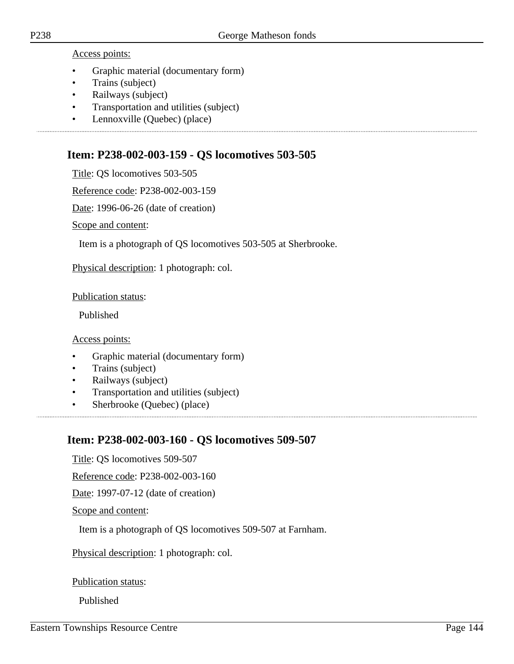Access points:

- Graphic material (documentary form)
- Trains (subject)
- Railways (subject)
- Transportation and utilities (subject)
- Lennoxville (Quebec) (place)

### **Item: P238-002-003-159 - QS locomotives 503-505**

Title: QS locomotives 503-505

Reference code: P238-002-003-159

Date: 1996-06-26 (date of creation)

Scope and content:

Item is a photograph of QS locomotives 503-505 at Sherbrooke.

Physical description: 1 photograph: col.

Publication status:

Published

Access points:

- Graphic material (documentary form)
- Trains (subject)
- Railways (subject)
- Transportation and utilities (subject)
- Sherbrooke (Quebec) (place)

## **Item: P238-002-003-160 - QS locomotives 509-507**

Title: QS locomotives 509-507

Reference code: P238-002-003-160

Date: 1997-07-12 (date of creation)

Scope and content:

Item is a photograph of QS locomotives 509-507 at Farnham.

Physical description: 1 photograph: col.

Publication status:

Published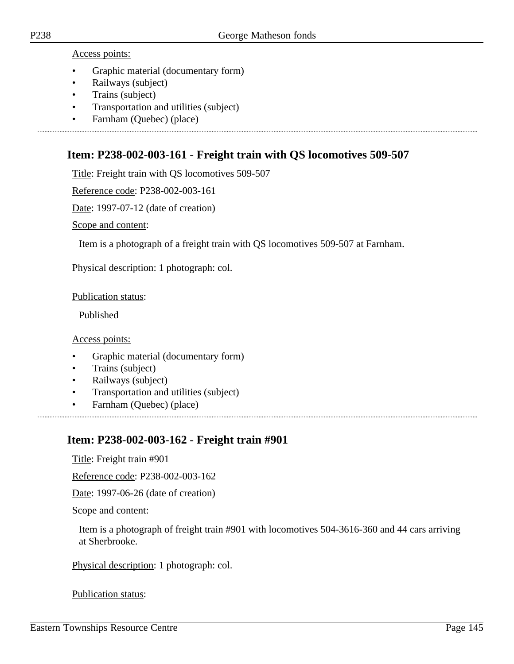Access points:

- Graphic material (documentary form)
- Railways (subject)
- Trains (subject)
- Transportation and utilities (subject)
- Farnham (Quebec) (place)

## **Item: P238-002-003-161 - Freight train with QS locomotives 509-507**

Title: Freight train with QS locomotives 509-507

Reference code: P238-002-003-161

Date: 1997-07-12 (date of creation)

Scope and content:

Item is a photograph of a freight train with QS locomotives 509-507 at Farnham.

Physical description: 1 photograph: col.

Publication status:

Published

Access points:

- Graphic material (documentary form)
- Trains (subject)
- Railways (subject)
- Transportation and utilities (subject)
- Farnham (Quebec) (place)

## **Item: P238-002-003-162 - Freight train #901**

Title: Freight train #901

Reference code: P238-002-003-162

Date: 1997-06-26 (date of creation)

Scope and content:

Item is a photograph of freight train #901 with locomotives 504-3616-360 and 44 cars arriving at Sherbrooke.

Physical description: 1 photograph: col.

Publication status: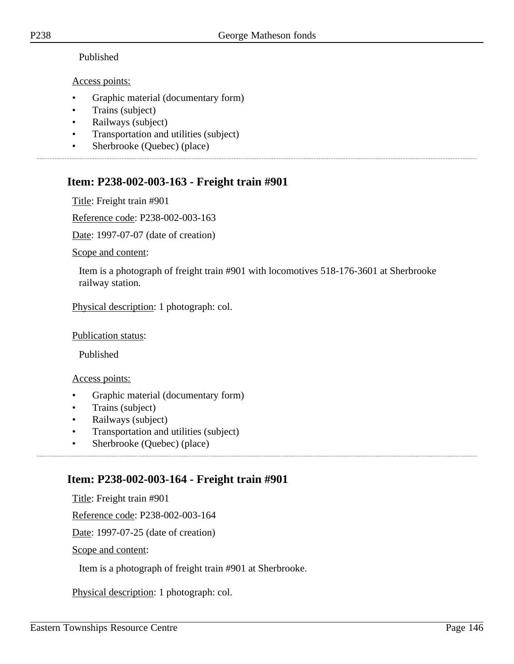### Published

### Access points:

- Graphic material (documentary form)
- Trains (subject)
- Railways (subject)
- Transportation and utilities (subject)
- Sherbrooke (Quebec) (place)

# **Item: P238-002-003-163 - Freight train #901**

Title: Freight train #901

Reference code: P238-002-003-163

Date: 1997-07-07 (date of creation)

Scope and content:

Item is a photograph of freight train #901 with locomotives 518-176-3601 at Sherbrooke railway station.

Physical description: 1 photograph: col.

Publication status:

Published

Access points:

- Graphic material (documentary form)
- Trains (subject)
- Railways (subject)
- Transportation and utilities (subject)
- Sherbrooke (Quebec) (place)

# **Item: P238-002-003-164 - Freight train #901**

Title: Freight train #901

Reference code: P238-002-003-164

Date: 1997-07-25 (date of creation)

Scope and content:

Item is a photograph of freight train #901 at Sherbrooke.

Physical description: 1 photograph: col.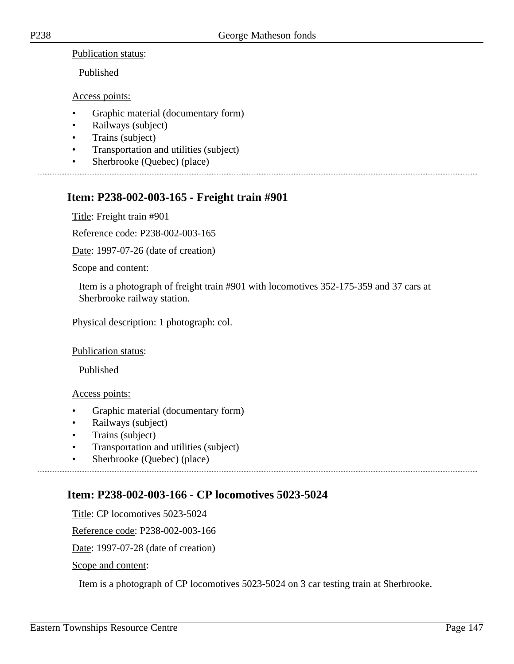Publication status:

Published

Access points:

- Graphic material (documentary form)
- Railways (subject)
- Trains (subject)
- Transportation and utilities (subject)
- Sherbrooke (Quebec) (place)

## **Item: P238-002-003-165 - Freight train #901**

Title: Freight train #901

Reference code: P238-002-003-165

Date: 1997-07-26 (date of creation)

Scope and content:

Item is a photograph of freight train #901 with locomotives 352-175-359 and 37 cars at Sherbrooke railway station.

Physical description: 1 photograph: col.

#### Publication status:

Published

#### Access points:

- Graphic material (documentary form)
- Railways (subject)
- Trains (subject)
- Transportation and utilities (subject)
- Sherbrooke (Quebec) (place)

## **Item: P238-002-003-166 - CP locomotives 5023-5024**

Title: CP locomotives 5023-5024

Reference code: P238-002-003-166

Date: 1997-07-28 (date of creation)

Scope and content:

Item is a photograph of CP locomotives 5023-5024 on 3 car testing train at Sherbrooke.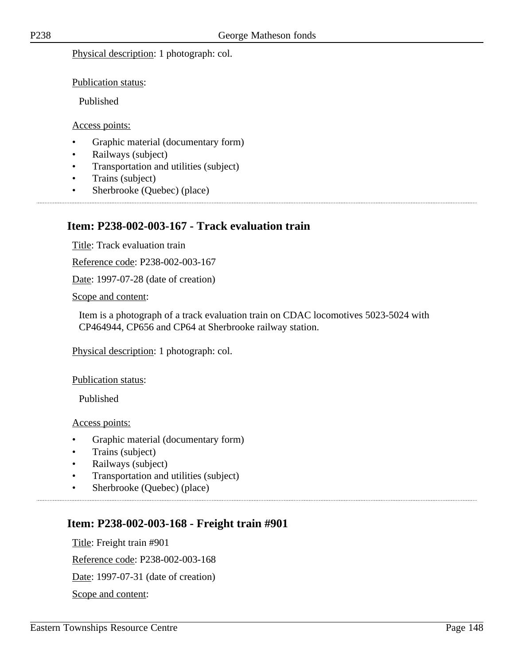Physical description: 1 photograph: col.

Publication status:

Published

#### Access points:

- Graphic material (documentary form)
- Railways (subject)
- Transportation and utilities (subject)

- Trains (subject)
- Sherbrooke (Quebec) (place)

### **Item: P238-002-003-167 - Track evaluation train**

Title: Track evaluation train

Reference code: P238-002-003-167

Date: 1997-07-28 (date of creation)

Scope and content:

Item is a photograph of a track evaluation train on CDAC locomotives 5023-5024 with CP464944, CP656 and CP64 at Sherbrooke railway station.

Physical description: 1 photograph: col.

Publication status:

Published

Access points:

- Graphic material (documentary form)
- Trains (subject)
- Railways (subject)
- Transportation and utilities (subject)
- Sherbrooke (Quebec) (place)

### **Item: P238-002-003-168 - Freight train #901**

Title: Freight train #901 Reference code: P238-002-003-168 Date: 1997-07-31 (date of creation) Scope and content: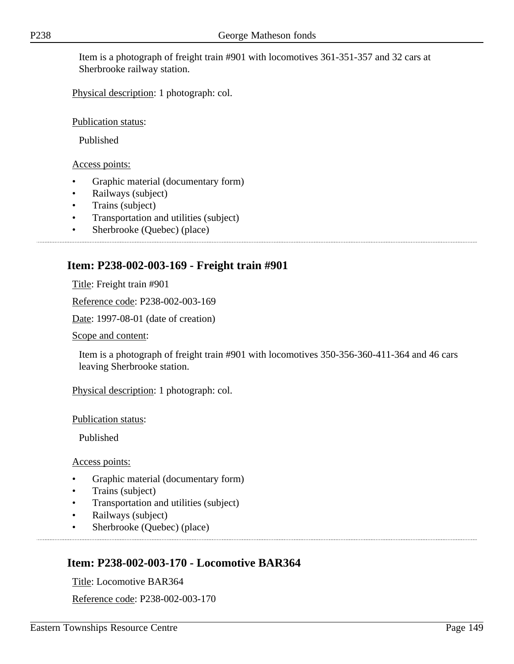Item is a photograph of freight train #901 with locomotives 361-351-357 and 32 cars at Sherbrooke railway station.

Physical description: 1 photograph: col.

Publication status:

Published

Access points:

- Graphic material (documentary form)
- Railways (subject)
- Trains (subject)
- Transportation and utilities (subject)
- Sherbrooke (Quebec) (place)

## **Item: P238-002-003-169 - Freight train #901**

Title: Freight train #901

Reference code: P238-002-003-169

Date: 1997-08-01 (date of creation)

Scope and content:

Item is a photograph of freight train #901 with locomotives 350-356-360-411-364 and 46 cars leaving Sherbrooke station.

Physical description: 1 photograph: col.

Publication status:

Published

Access points:

- Graphic material (documentary form)
- Trains (subject)
- Transportation and utilities (subject)
- Railways (subject)
- Sherbrooke (Quebec) (place)

## **Item: P238-002-003-170 - Locomotive BAR364**

Title: Locomotive BAR364

Reference code: P238-002-003-170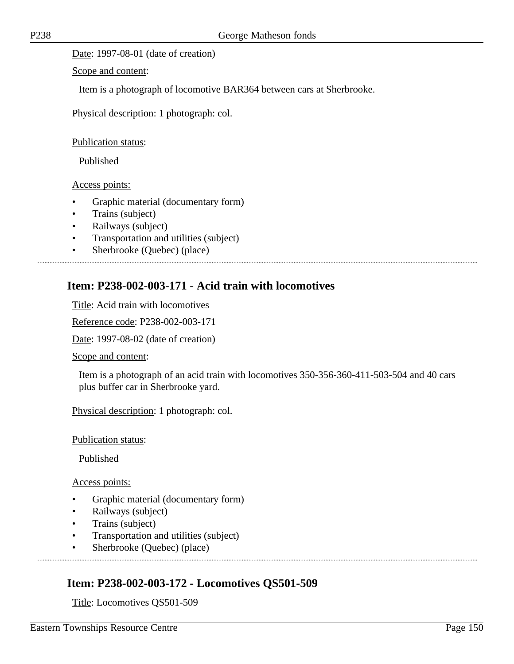Date: 1997-08-01 (date of creation)

Scope and content:

Item is a photograph of locomotive BAR364 between cars at Sherbrooke.

Physical description: 1 photograph: col.

Publication status:

Published

Access points:

- Graphic material (documentary form)
- Trains (subject)
- Railways (subject)
- Transportation and utilities (subject)
- Sherbrooke (Quebec) (place)

## **Item: P238-002-003-171 - Acid train with locomotives**

Title: Acid train with locomotives

Reference code: P238-002-003-171

Date: 1997-08-02 (date of creation)

Scope and content:

Item is a photograph of an acid train with locomotives 350-356-360-411-503-504 and 40 cars plus buffer car in Sherbrooke yard.

Physical description: 1 photograph: col.

Publication status:

Published

Access points:

- Graphic material (documentary form)
- Railways (subject)
- Trains (subject)
- Transportation and utilities (subject)
- Sherbrooke (Quebec) (place)

### **Item: P238-002-003-172 - Locomotives QS501-509**

Title: Locomotives QS501-509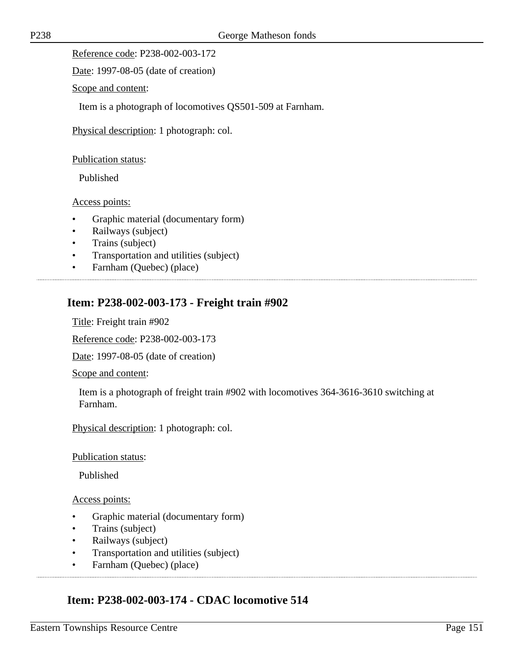Reference code: P238-002-003-172

Date: 1997-08-05 (date of creation)

Scope and content:

Item is a photograph of locomotives QS501-509 at Farnham.

Physical description: 1 photograph: col.

#### Publication status:

Published

#### Access points:

- Graphic material (documentary form)
- Railways (subject)
- Trains (subject)
- Transportation and utilities (subject)
- Farnham (Quebec) (place)

## **Item: P238-002-003-173 - Freight train #902**

Title: Freight train #902

Reference code: P238-002-003-173

Date: 1997-08-05 (date of creation)

Scope and content:

Item is a photograph of freight train #902 with locomotives 364-3616-3610 switching at Farnham.

Physical description: 1 photograph: col.

#### Publication status:

Published

#### Access points:

- Graphic material (documentary form)
- Trains (subject)
- Railways (subject)
- Transportation and utilities (subject)
- Farnham (Quebec) (place)

### **Item: P238-002-003-174 - CDAC locomotive 514**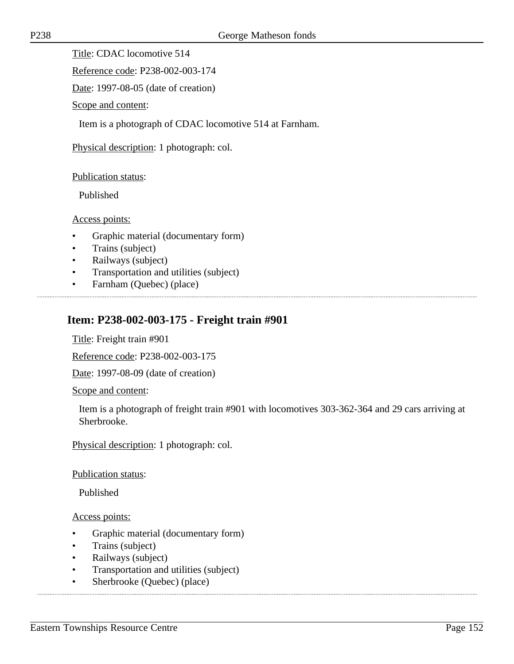Title: CDAC locomotive 514

Reference code: P238-002-003-174

Date: 1997-08-05 (date of creation)

Scope and content:

Item is a photograph of CDAC locomotive 514 at Farnham.

Physical description: 1 photograph: col.

#### Publication status:

Published

Access points:

- Graphic material (documentary form)
- Trains (subject)
- Railways (subject)
- Transportation and utilities (subject)
- Farnham (Quebec) (place)

## **Item: P238-002-003-175 - Freight train #901**

Title: Freight train #901

Reference code: P238-002-003-175

Date: 1997-08-09 (date of creation)

Scope and content:

Item is a photograph of freight train #901 with locomotives 303-362-364 and 29 cars arriving at Sherbrooke.

Physical description: 1 photograph: col.

#### Publication status:

Published

- Graphic material (documentary form)
- Trains (subject)
- Railways (subject)
- Transportation and utilities (subject)
- Sherbrooke (Quebec) (place)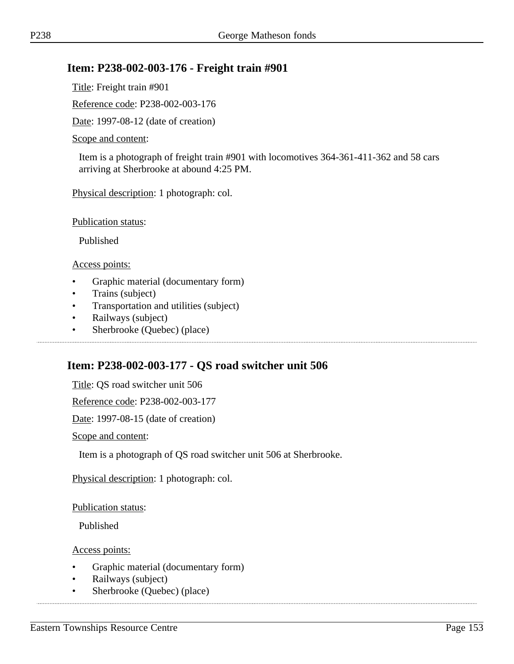### **Item: P238-002-003-176 - Freight train #901**

Title: Freight train #901

Reference code: P238-002-003-176

Date: 1997-08-12 (date of creation)

#### Scope and content:

Item is a photograph of freight train #901 with locomotives 364-361-411-362 and 58 cars arriving at Sherbrooke at abound 4:25 PM.

Physical description: 1 photograph: col.

Publication status:

Published

Access points:

- Graphic material (documentary form)
- Trains (subject)
- Transportation and utilities (subject)
- Railways (subject)
- Sherbrooke (Quebec) (place)

### **Item: P238-002-003-177 - QS road switcher unit 506**

Title: QS road switcher unit 506

Reference code: P238-002-003-177

Date: 1997-08-15 (date of creation)

Scope and content:

Item is a photograph of QS road switcher unit 506 at Sherbrooke.

Physical description: 1 photograph: col.

Publication status:

Published

- Graphic material (documentary form)
- Railways (subject)
- Sherbrooke (Quebec) (place)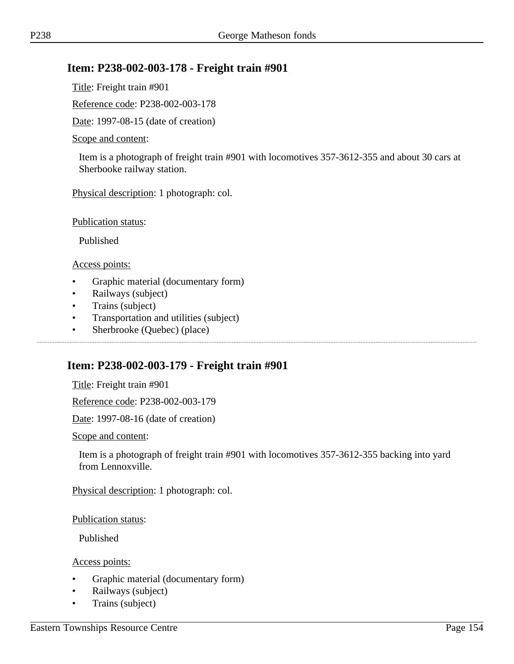### **Item: P238-002-003-178 - Freight train #901**

Title: Freight train #901

Reference code: P238-002-003-178

Date: 1997-08-15 (date of creation)

#### Scope and content:

Item is a photograph of freight train #901 with locomotives 357-3612-355 and about 30 cars at Sherbooke railway station.

Physical description: 1 photograph: col.

Publication status:

Published

Access points:

- Graphic material (documentary form)
- Railways (subject)
- Trains (subject)
- Transportation and utilities (subject)
- Sherbrooke (Quebec) (place)

### **Item: P238-002-003-179 - Freight train #901**

Title: Freight train #901

Reference code: P238-002-003-179

Date: 1997-08-16 (date of creation)

Scope and content:

Item is a photograph of freight train #901 with locomotives 357-3612-355 backing into yard from Lennoxville.

Physical description: 1 photograph: col.

Publication status:

Published

- Graphic material (documentary form)
- Railways (subject)
- Trains (subject)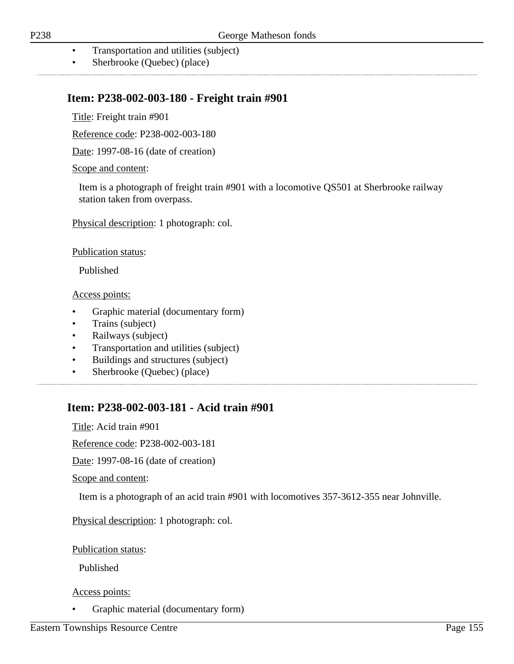- Transportation and utilities (subject)
- Sherbrooke (Quebec) (place)

### **Item: P238-002-003-180 - Freight train #901**

Title: Freight train #901

Reference code: P238-002-003-180

Date: 1997-08-16 (date of creation)

Scope and content:

Item is a photograph of freight train #901 with a locomotive QS501 at Sherbrooke railway station taken from overpass.

Physical description: 1 photograph: col.

Publication status:

Published

Access points:

- Graphic material (documentary form)
- Trains (subject)
- Railways (subject)
- Transportation and utilities (subject)
- Buildings and structures (subject)
- Sherbrooke (Quebec) (place)

### **Item: P238-002-003-181 - Acid train #901**

Title: Acid train #901

Reference code: P238-002-003-181

Date: 1997-08-16 (date of creation)

Scope and content:

Item is a photograph of an acid train #901 with locomotives 357-3612-355 near Johnville.

Physical description: 1 photograph: col.

Publication status:

Published

Access points:

• Graphic material (documentary form)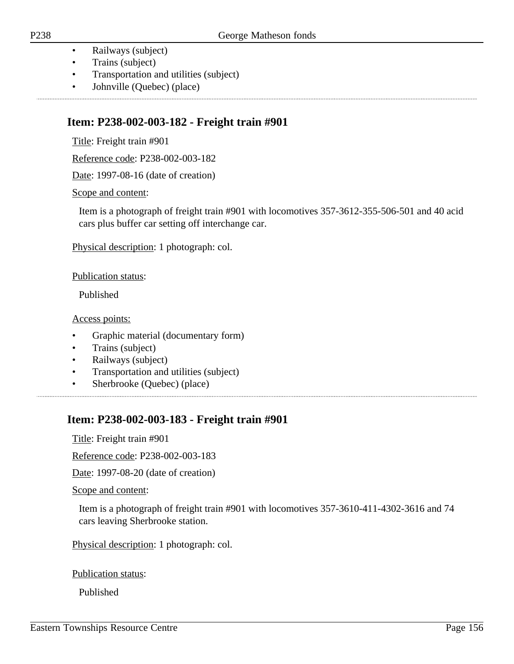- Railways (subject)
- Trains (subject)
- Transportation and utilities (subject)
- Johnville (Quebec) (place)

.................................

### **Item: P238-002-003-182 - Freight train #901**

Title: Freight train #901

Reference code: P238-002-003-182

Date: 1997-08-16 (date of creation)

Scope and content:

Item is a photograph of freight train #901 with locomotives 357-3612-355-506-501 and 40 acid cars plus buffer car setting off interchange car.

Physical description: 1 photograph: col.

Publication status:

Published

Access points:

- Graphic material (documentary form)
- Trains (subject)
- Railways (subject)
- Transportation and utilities (subject)
- Sherbrooke (Quebec) (place)

## **Item: P238-002-003-183 - Freight train #901**

Title: Freight train #901

Reference code: P238-002-003-183

Date: 1997-08-20 (date of creation)

Scope and content:

Item is a photograph of freight train #901 with locomotives 357-3610-411-4302-3616 and 74 cars leaving Sherbrooke station.

Physical description: 1 photograph: col.

Publication status:

Published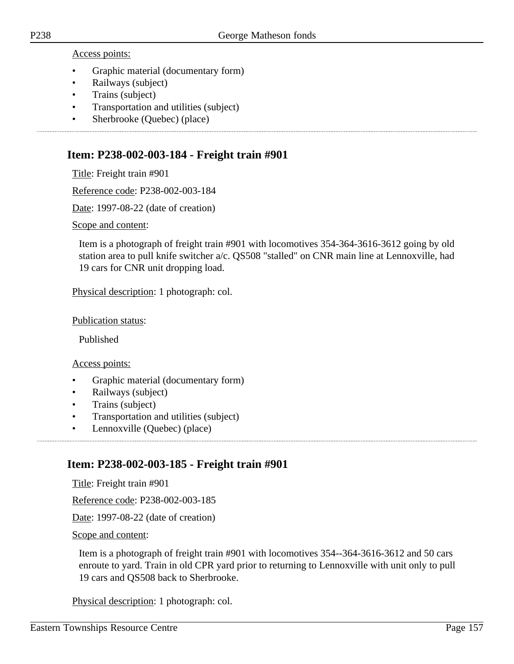Access points:

- Graphic material (documentary form)
- Railways (subject)
- Trains (subject)
- Transportation and utilities (subject)
- Sherbrooke (Quebec) (place)

## **Item: P238-002-003-184 - Freight train #901**

Title: Freight train #901

Reference code: P238-002-003-184

Date: 1997-08-22 (date of creation)

Scope and content:

Item is a photograph of freight train #901 with locomotives 354-364-3616-3612 going by old station area to pull knife switcher a/c. QS508 "stalled" on CNR main line at Lennoxville, had 19 cars for CNR unit dropping load.

Physical description: 1 photograph: col.

Publication status:

Published

Access points:

- Graphic material (documentary form)
- Railways (subject)
- Trains (subject)
- Transportation and utilities (subject)
- Lennoxville (Quebec) (place)

## **Item: P238-002-003-185 - Freight train #901**

Title: Freight train #901

Reference code: P238-002-003-185

Date: 1997-08-22 (date of creation)

Scope and content:

Item is a photograph of freight train #901 with locomotives 354--364-3616-3612 and 50 cars enroute to yard. Train in old CPR yard prior to returning to Lennoxville with unit only to pull 19 cars and QS508 back to Sherbrooke.

Physical description: 1 photograph: col.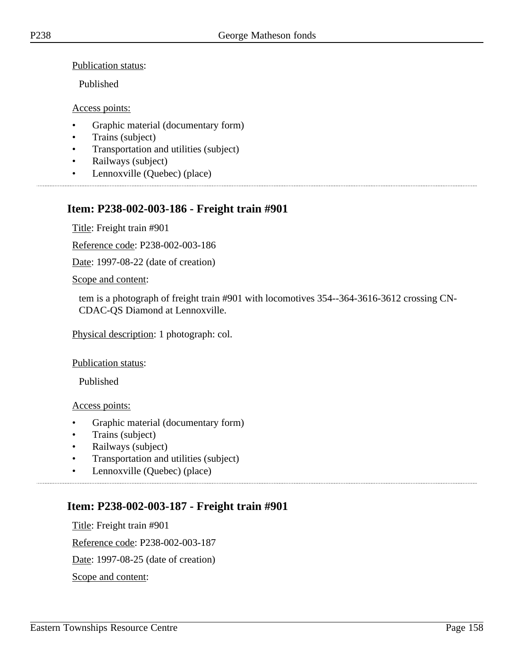Publication status:

Published

Access points:

- Graphic material (documentary form)
- Trains (subject)
- Transportation and utilities (subject)
- Railways (subject)
- Lennoxville (Quebec) (place)

# **Item: P238-002-003-186 - Freight train #901**

Title: Freight train #901

Reference code: P238-002-003-186

Date: 1997-08-22 (date of creation)

Scope and content:

tem is a photograph of freight train #901 with locomotives 354--364-3616-3612 crossing CN-CDAC-QS Diamond at Lennoxville.

Physical description: 1 photograph: col.

Publication status:

Published

Access points:

- Graphic material (documentary form)
- Trains (subject)
- Railways (subject)
- Transportation and utilities (subject)
- Lennoxville (Quebec) (place)

# **Item: P238-002-003-187 - Freight train #901**

Title: Freight train #901 Reference code: P238-002-003-187 Date: 1997-08-25 (date of creation) Scope and content: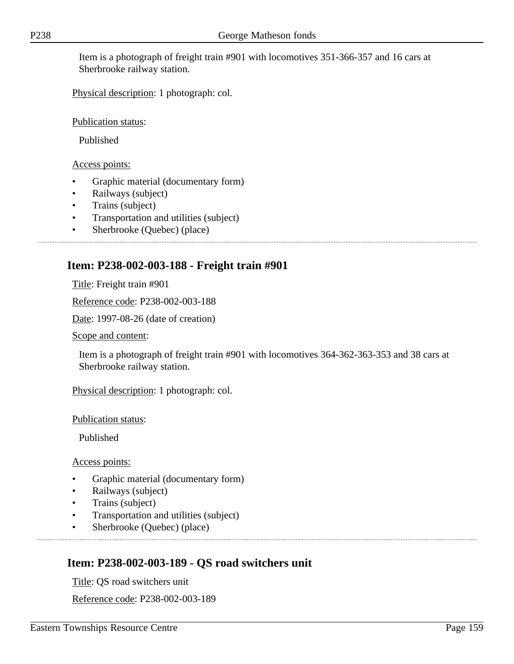Item is a photograph of freight train #901 with locomotives 351-366-357 and 16 cars at Sherbrooke railway station.

Physical description: 1 photograph: col.

Publication status:

Published

Access points:

- Graphic material (documentary form)
- Railways (subject)
- Trains (subject)
- Transportation and utilities (subject)
- Sherbrooke (Quebec) (place)

## **Item: P238-002-003-188 - Freight train #901**

Title: Freight train #901

Reference code: P238-002-003-188

Date: 1997-08-26 (date of creation)

Scope and content:

Item is a photograph of freight train #901 with locomotives 364-362-363-353 and 38 cars at Sherbrooke railway station.

Physical description: 1 photograph: col.

Publication status:

Published

Access points:

- Graphic material (documentary form)
- Railways (subject)
- Trains (subject)
- Transportation and utilities (subject)
- Sherbrooke (Quebec) (place)

## **Item: P238-002-003-189 - QS road switchers unit**

Title: QS road switchers unit

Reference code: P238-002-003-189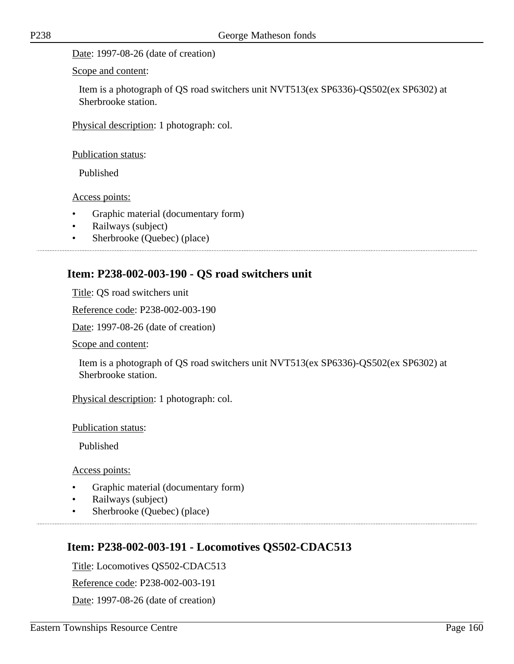Date: 1997-08-26 (date of creation)

Scope and content:

Item is a photograph of QS road switchers unit NVT513(ex SP6336)-QS502(ex SP6302) at Sherbrooke station.

Physical description: 1 photograph: col.

Publication status:

Published

Access points:

- Graphic material (documentary form)
- Railways (subject)
- Sherbrooke (Quebec) (place)

## **Item: P238-002-003-190 - QS road switchers unit**

Title: QS road switchers unit

Reference code: P238-002-003-190

Date: 1997-08-26 (date of creation)

Scope and content:

Item is a photograph of QS road switchers unit NVT513(ex SP6336)-QS502(ex SP6302) at Sherbrooke station.

Physical description: 1 photograph: col.

Publication status:

Published

Access points:

• Graphic material (documentary form)

- Railways (subject)
- Sherbrooke (Quebec) (place)

### **Item: P238-002-003-191 - Locomotives QS502-CDAC513**

Title: Locomotives QS502-CDAC513

Reference code: P238-002-003-191

Date: 1997-08-26 (date of creation)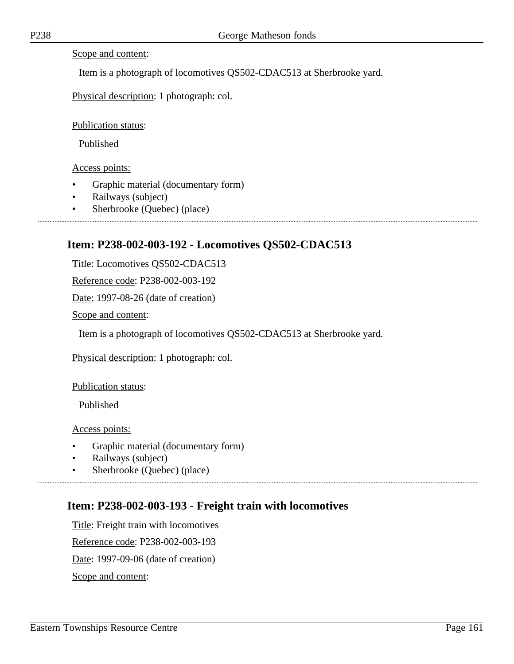#### Scope and content:

Item is a photograph of locomotives QS502-CDAC513 at Sherbrooke yard.

Physical description: 1 photograph: col.

Publication status:

Published

Access points:

- Graphic material (documentary form)
- Railways (subject)
- Sherbrooke (Quebec) (place)

## **Item: P238-002-003-192 - Locomotives QS502-CDAC513**

Title: Locomotives QS502-CDAC513

Reference code: P238-002-003-192

Date: 1997-08-26 (date of creation)

Scope and content:

Item is a photograph of locomotives QS502-CDAC513 at Sherbrooke yard.

Physical description: 1 photograph: col.

Publication status:

Published

Access points:

- Graphic material (documentary form)
- Railways (subject)
- Sherbrooke (Quebec) (place)

## **Item: P238-002-003-193 - Freight train with locomotives**

Title: Freight train with locomotives Reference code: P238-002-003-193 Date: 1997-09-06 (date of creation) Scope and content: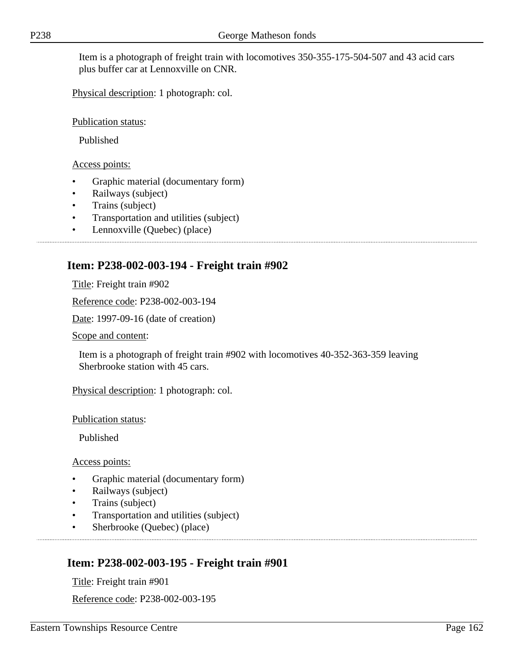Item is a photograph of freight train with locomotives 350-355-175-504-507 and 43 acid cars plus buffer car at Lennoxville on CNR.

Physical description: 1 photograph: col.

Publication status:

Published

Access points:

- Graphic material (documentary form)
- Railways (subject)
- Trains (subject)
- Transportation and utilities (subject)
- Lennoxville (Quebec) (place)

## **Item: P238-002-003-194 - Freight train #902**

Title: Freight train #902

Reference code: P238-002-003-194

Date: 1997-09-16 (date of creation)

Scope and content:

Item is a photograph of freight train #902 with locomotives 40-352-363-359 leaving Sherbrooke station with 45 cars.

Physical description: 1 photograph: col.

Publication status:

Published

Access points:

- Graphic material (documentary form)
- Railways (subject)
- Trains (subject)
- Transportation and utilities (subject)
- Sherbrooke (Quebec) (place)

# **Item: P238-002-003-195 - Freight train #901**

Title: Freight train #901

Reference code: P238-002-003-195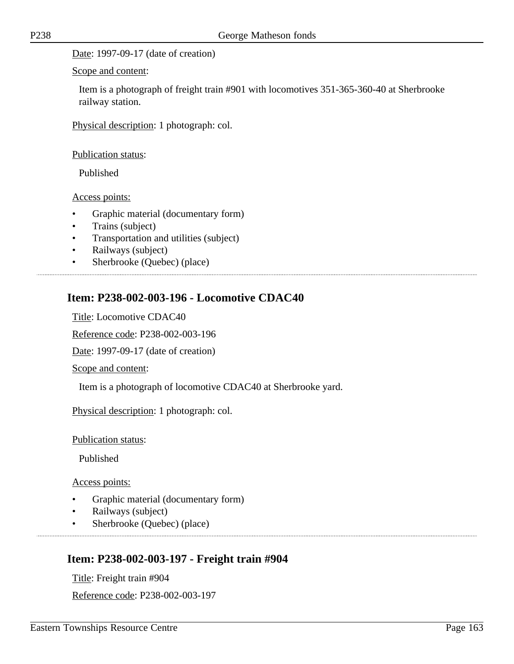Scope and content:

Item is a photograph of freight train #901 with locomotives 351-365-360-40 at Sherbrooke railway station.

Physical description: 1 photograph: col.

Publication status:

Published

Access points:

- Graphic material (documentary form)
- Trains (subject)
- Transportation and utilities (subject)
- Railways (subject)
- Sherbrooke (Quebec) (place)

## **Item: P238-002-003-196 - Locomotive CDAC40**

Title: Locomotive CDAC40

Reference code: P238-002-003-196

Date: 1997-09-17 (date of creation)

Scope and content:

Item is a photograph of locomotive CDAC40 at Sherbrooke yard.

Physical description: 1 photograph: col.

Publication status:

Published

Access points:

- Graphic material (documentary form)
- Railways (subject)
- Sherbrooke (Quebec) (place)

## **Item: P238-002-003-197 - Freight train #904**

Title: Freight train #904

Reference code: P238-002-003-197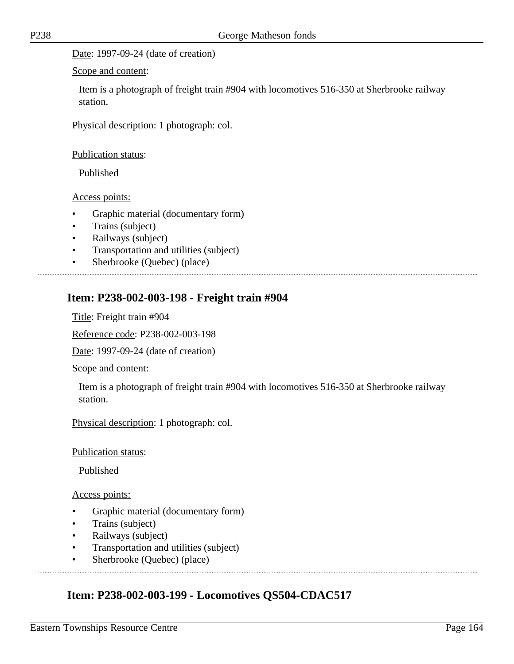#### Date: 1997-09-24 (date of creation)

#### Scope and content:

Item is a photograph of freight train #904 with locomotives 516-350 at Sherbrooke railway station.

Physical description: 1 photograph: col.

#### Publication status:

Published

#### Access points:

- Graphic material (documentary form)
- Trains (subject)
- Railways (subject)
- Transportation and utilities (subject)
- Sherbrooke (Quebec) (place)

### **Item: P238-002-003-198 - Freight train #904**

Title: Freight train #904

Reference code: P238-002-003-198

Date: 1997-09-24 (date of creation)

Scope and content:

Item is a photograph of freight train #904 with locomotives 516-350 at Sherbrooke railway station.

Physical description: 1 photograph: col.

Publication status:

Published

#### Access points:

- Graphic material (documentary form)
- Trains (subject)
- Railways (subject)
- Transportation and utilities (subject)
- Sherbrooke (Quebec) (place)

### **Item: P238-002-003-199 - Locomotives QS504-CDAC517**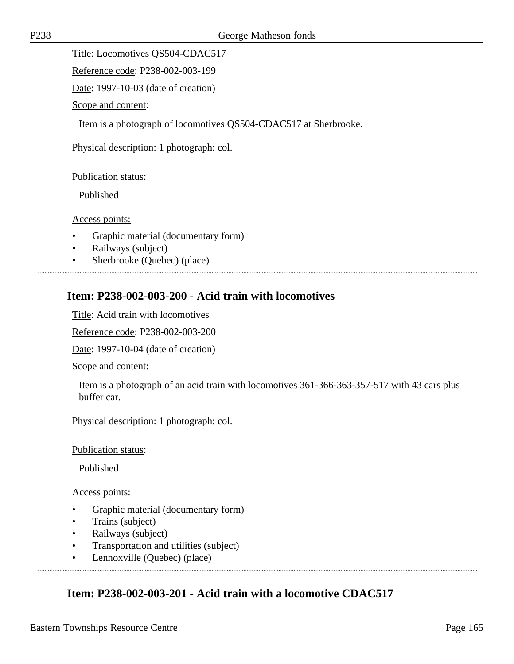Title: Locomotives QS504-CDAC517

Reference code: P238-002-003-199

Date: 1997-10-03 (date of creation)

Scope and content:

Item is a photograph of locomotives QS504-CDAC517 at Sherbrooke.

Physical description: 1 photograph: col.

#### Publication status:

Published

Access points:

- Graphic material (documentary form)
- Railways (subject)
- Sherbrooke (Quebec) (place)

### **Item: P238-002-003-200 - Acid train with locomotives**

Title: Acid train with locomotives

Reference code: P238-002-003-200

Date: 1997-10-04 (date of creation)

Scope and content:

Item is a photograph of an acid train with locomotives 361-366-363-357-517 with 43 cars plus buffer car.

Physical description: 1 photograph: col.

Publication status:

Published

#### Access points:

- Graphic material (documentary form)
- Trains (subject)
- Railways (subject)
- Transportation and utilities (subject)
- Lennoxville (Quebec) (place)

### **Item: P238-002-003-201 - Acid train with a locomotive CDAC517**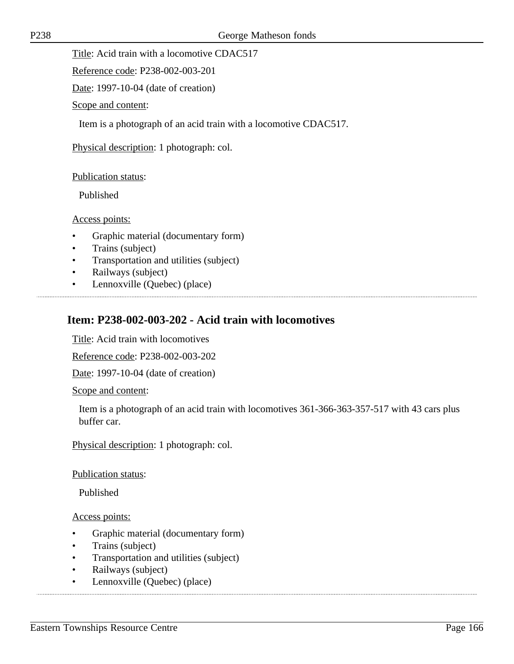Title: Acid train with a locomotive CDAC517

Reference code: P238-002-003-201

Date: 1997-10-04 (date of creation)

Scope and content:

Item is a photograph of an acid train with a locomotive CDAC517.

Physical description: 1 photograph: col.

#### Publication status:

Published

Access points:

- Graphic material (documentary form)
- Trains (subject)
- Transportation and utilities (subject)
- Railways (subject)
- Lennoxville (Quebec) (place)

## **Item: P238-002-003-202 - Acid train with locomotives**

Title: Acid train with locomotives

Reference code: P238-002-003-202

Date: 1997-10-04 (date of creation)

Scope and content:

Item is a photograph of an acid train with locomotives 361-366-363-357-517 with 43 cars plus buffer car.

Physical description: 1 photograph: col.

#### Publication status:

Published

- Graphic material (documentary form)
- Trains (subject)
- Transportation and utilities (subject)
- Railways (subject)
- Lennoxville (Quebec) (place)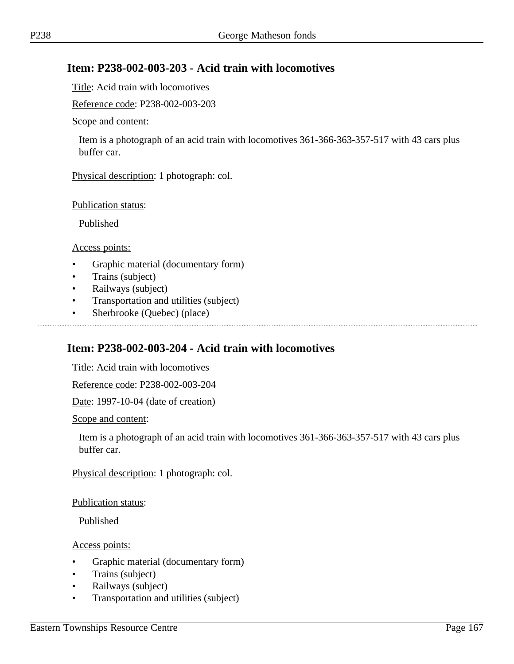## **Item: P238-002-003-203 - Acid train with locomotives**

Title: Acid train with locomotives

Reference code: P238-002-003-203

#### Scope and content:

Item is a photograph of an acid train with locomotives 361-366-363-357-517 with 43 cars plus buffer car.

Physical description: 1 photograph: col.

#### Publication status:

Published

#### Access points:

- Graphic material (documentary form)
- Trains (subject)
- Railways (subject)
- Transportation and utilities (subject)

• Sherbrooke (Quebec) (place)

## **Item: P238-002-003-204 - Acid train with locomotives**

Title: Acid train with locomotives

Reference code: P238-002-003-204

Date: 1997-10-04 (date of creation)

#### Scope and content:

Item is a photograph of an acid train with locomotives 361-366-363-357-517 with 43 cars plus buffer car.

Physical description: 1 photograph: col.

#### Publication status:

Published

- Graphic material (documentary form)
- Trains (subject)
- Railways (subject)
- Transportation and utilities (subject)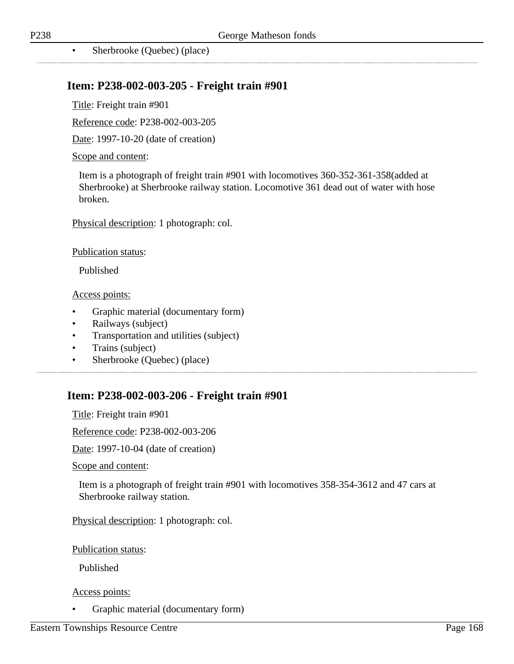................................

• Sherbrooke (Quebec) (place)

### **Item: P238-002-003-205 - Freight train #901**

Title: Freight train #901

Reference code: P238-002-003-205

Date: 1997-10-20 (date of creation)

#### Scope and content:

Item is a photograph of freight train #901 with locomotives 360-352-361-358(added at Sherbrooke) at Sherbrooke railway station. Locomotive 361 dead out of water with hose broken.

Physical description: 1 photograph: col.

Publication status:

Published

Access points:

- Graphic material (documentary form)
- Railways (subject)
- Transportation and utilities (subject)
- Trains (subject)
- Sherbrooke (Quebec) (place)

### **Item: P238-002-003-206 - Freight train #901**

Title: Freight train #901

Reference code: P238-002-003-206

Date: 1997-10-04 (date of creation)

Scope and content:

Item is a photograph of freight train #901 with locomotives 358-354-3612 and 47 cars at Sherbrooke railway station.

Physical description: 1 photograph: col.

Publication status:

Published

#### Access points:

• Graphic material (documentary form)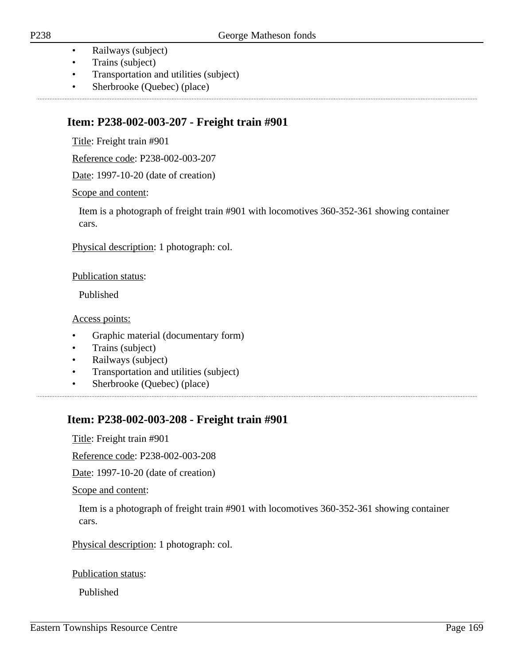- Railways (subject)
- Trains (subject)
- Transportation and utilities (subject)
- Sherbrooke (Quebec) (place)

## **Item: P238-002-003-207 - Freight train #901**

Title: Freight train #901

Reference code: P238-002-003-207

Date: 1997-10-20 (date of creation)

Scope and content:

Item is a photograph of freight train #901 with locomotives 360-352-361 showing container cars.

Physical description: 1 photograph: col.

Publication status:

Published

Access points:

- Graphic material (documentary form)
- Trains (subject)
- Railways (subject)
- Transportation and utilities (subject)
- Sherbrooke (Quebec) (place)

# **Item: P238-002-003-208 - Freight train #901**

Title: Freight train #901

Reference code: P238-002-003-208

Date: 1997-10-20 (date of creation)

Scope and content:

Item is a photograph of freight train #901 with locomotives 360-352-361 showing container cars.

Physical description: 1 photograph: col.

Publication status:

Published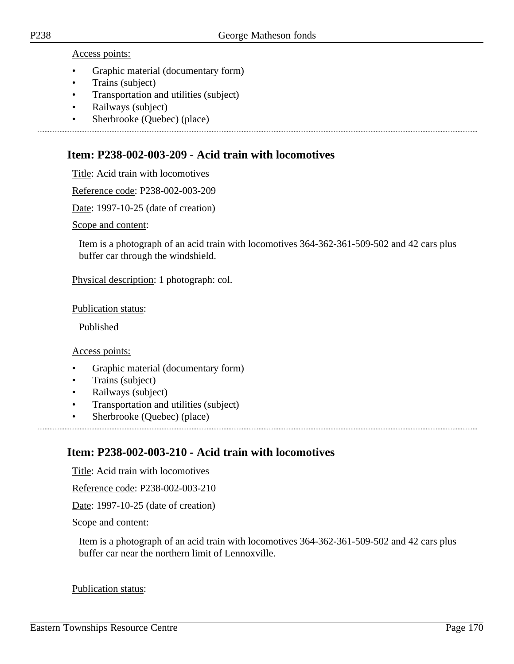Access points:

- Graphic material (documentary form)
- Trains (subject)
- Transportation and utilities (subject)

- Railways (subject)
- Sherbrooke (Quebec) (place)

### **Item: P238-002-003-209 - Acid train with locomotives**

Title: Acid train with locomotives

Reference code: P238-002-003-209

Date: 1997-10-25 (date of creation)

Scope and content:

Item is a photograph of an acid train with locomotives 364-362-361-509-502 and 42 cars plus buffer car through the windshield.

Physical description: 1 photograph: col.

Publication status:

Published

Access points:

- Graphic material (documentary form)
- Trains (subject)
- Railways (subject)
- Transportation and utilities (subject)
- Sherbrooke (Quebec) (place)

### **Item: P238-002-003-210 - Acid train with locomotives**

Title: Acid train with locomotives

Reference code: P238-002-003-210

Date: 1997-10-25 (date of creation)

#### Scope and content:

Item is a photograph of an acid train with locomotives 364-362-361-509-502 and 42 cars plus buffer car near the northern limit of Lennoxville.

#### Publication status: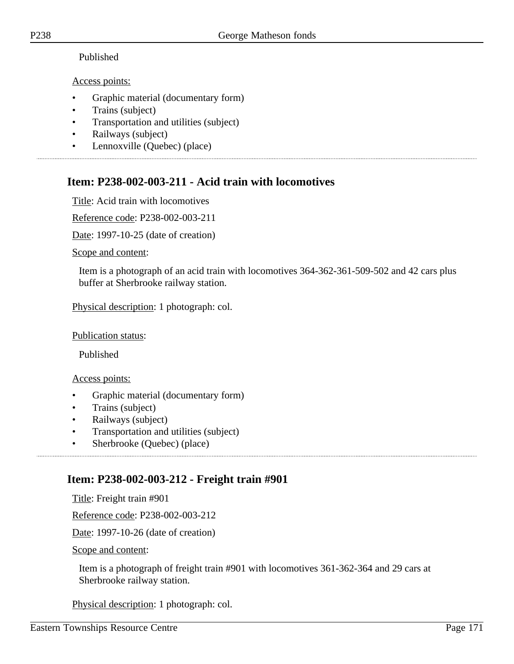### Published

### Access points:

- Graphic material (documentary form)
- Trains (subject)
- Transportation and utilities (subject)
- Railways (subject)
- Lennoxville (Quebec) (place)

# **Item: P238-002-003-211 - Acid train with locomotives**

Title: Acid train with locomotives

Reference code: P238-002-003-211

Date: 1997-10-25 (date of creation)

Scope and content:

Item is a photograph of an acid train with locomotives 364-362-361-509-502 and 42 cars plus buffer at Sherbrooke railway station.

Physical description: 1 photograph: col.

Publication status:

Published

Access points:

- Graphic material (documentary form)
- Trains (subject)
- Railways (subject)
- Transportation and utilities (subject)
- Sherbrooke (Quebec) (place)

# **Item: P238-002-003-212 - Freight train #901**

Title: Freight train #901

Reference code: P238-002-003-212

Date: 1997-10-26 (date of creation)

Scope and content:

Item is a photograph of freight train #901 with locomotives 361-362-364 and 29 cars at Sherbrooke railway station.

Physical description: 1 photograph: col.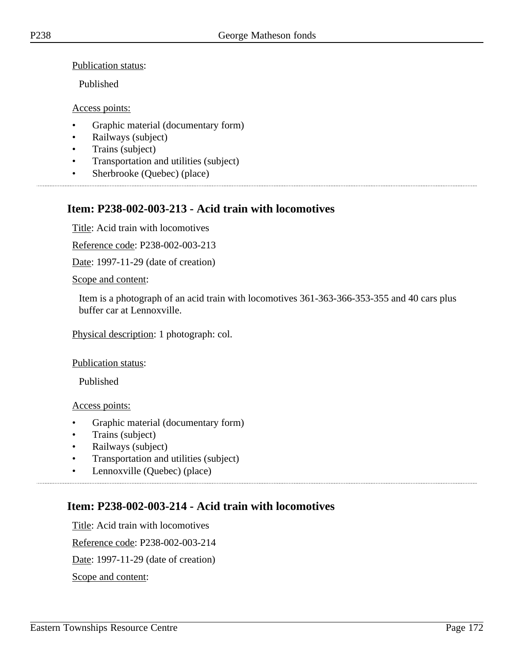Publication status:

Published

Access points:

- Graphic material (documentary form)
- Railways (subject)
- Trains (subject)
- Transportation and utilities (subject)
- Sherbrooke (Quebec) (place)

# **Item: P238-002-003-213 - Acid train with locomotives**

Title: Acid train with locomotives

Reference code: P238-002-003-213

Date: 1997-11-29 (date of creation)

Scope and content:

Item is a photograph of an acid train with locomotives 361-363-366-353-355 and 40 cars plus buffer car at Lennoxville.

Physical description: 1 photograph: col.

Publication status:

Published

Access points:

- Graphic material (documentary form)
- Trains (subject)
- Railways (subject)
- Transportation and utilities (subject)
- Lennoxville (Quebec) (place)

# **Item: P238-002-003-214 - Acid train with locomotives**

Title: Acid train with locomotives Reference code: P238-002-003-214 Date: 1997-11-29 (date of creation) Scope and content: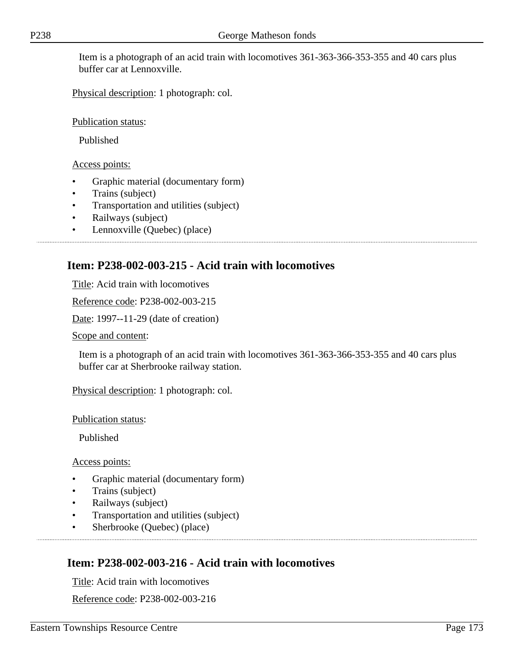Item is a photograph of an acid train with locomotives 361-363-366-353-355 and 40 cars plus buffer car at Lennoxville.

Physical description: 1 photograph: col.

Publication status:

Published

Access points:

- Graphic material (documentary form)
- Trains (subject)
- Transportation and utilities (subject)
- Railways (subject)
- Lennoxville (Quebec) (place)

## **Item: P238-002-003-215 - Acid train with locomotives**

Title: Acid train with locomotives

Reference code: P238-002-003-215

Date: 1997--11-29 (date of creation)

Scope and content:

Item is a photograph of an acid train with locomotives 361-363-366-353-355 and 40 cars plus buffer car at Sherbrooke railway station.

Physical description: 1 photograph: col.

Publication status:

Published

Access points:

- Graphic material (documentary form)
- Trains (subject)
- Railways (subject)
- Transportation and utilities (subject)
- Sherbrooke (Quebec) (place)

## **Item: P238-002-003-216 - Acid train with locomotives**

Title: Acid train with locomotives

Reference code: P238-002-003-216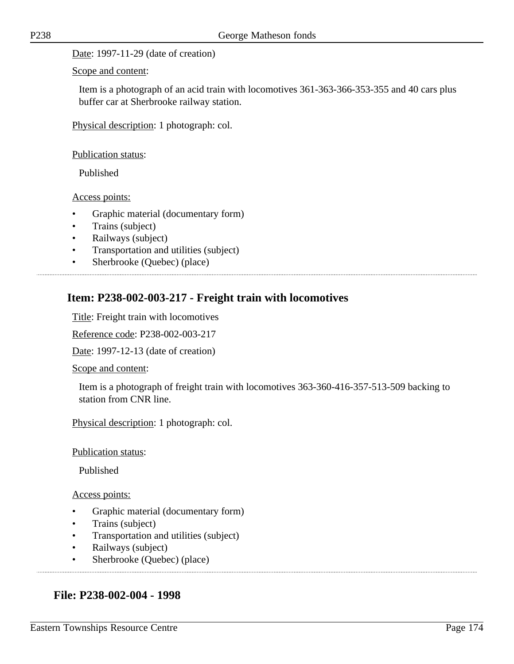Date: 1997-11-29 (date of creation)

Scope and content:

Item is a photograph of an acid train with locomotives 361-363-366-353-355 and 40 cars plus buffer car at Sherbrooke railway station.

Physical description: 1 photograph: col.

Publication status:

Published

Access points:

- Graphic material (documentary form)
- Trains (subject)
- Railways (subject)
- Transportation and utilities (subject)
- Sherbrooke (Quebec) (place)

## **Item: P238-002-003-217 - Freight train with locomotives**

Title: Freight train with locomotives

Reference code: P238-002-003-217

Date: 1997-12-13 (date of creation)

Scope and content:

Item is a photograph of freight train with locomotives 363-360-416-357-513-509 backing to station from CNR line.

Physical description: 1 photograph: col.

Publication status:

Published

#### Access points:

- Graphic material (documentary form)
- Trains (subject)
- Transportation and utilities (subject)
- Railways (subject)
- Sherbrooke (Quebec) (place)

### **File: P238-002-004 - 1998**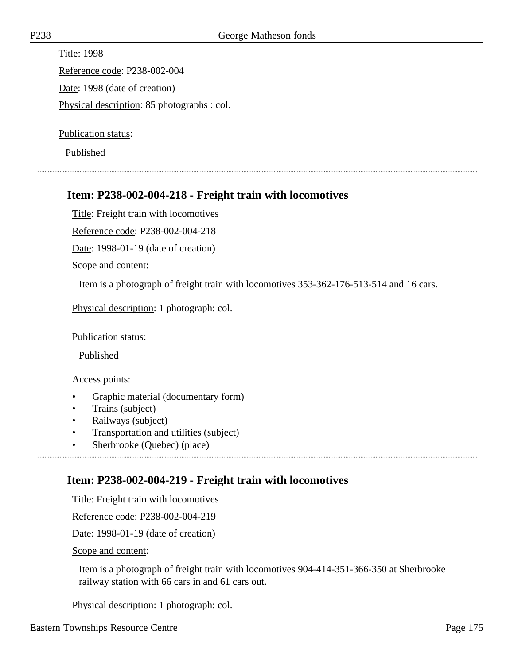Title: 1998 Reference code: P238-002-004 Date: 1998 (date of creation) Physical description: 85 photographs : col.

Publication status:

Published

## **Item: P238-002-004-218 - Freight train with locomotives**

Title: Freight train with locomotives

Reference code: P238-002-004-218

Date: 1998-01-19 (date of creation)

Scope and content:

Item is a photograph of freight train with locomotives 353-362-176-513-514 and 16 cars.

Physical description: 1 photograph: col.

Publication status:

Published

Access points:

- Graphic material (documentary form)
- Trains (subject)
- Railways (subject)
- Transportation and utilities (subject)
- Sherbrooke (Quebec) (place)

## **Item: P238-002-004-219 - Freight train with locomotives**

Title: Freight train with locomotives

Reference code: P238-002-004-219

Date: 1998-01-19 (date of creation)

Scope and content:

Item is a photograph of freight train with locomotives 904-414-351-366-350 at Sherbrooke railway station with 66 cars in and 61 cars out.

Physical description: 1 photograph: col.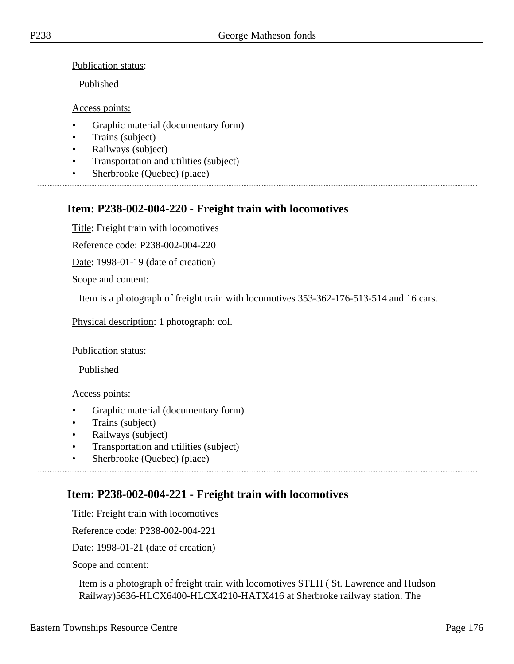Publication status:

Published

Access points:

- Graphic material (documentary form)
- Trains (subject)
- Railways (subject)
- Transportation and utilities (subject)
- Sherbrooke (Quebec) (place)

# **Item: P238-002-004-220 - Freight train with locomotives**

Title: Freight train with locomotives

Reference code: P238-002-004-220

Date: 1998-01-19 (date of creation)

Scope and content:

Item is a photograph of freight train with locomotives 353-362-176-513-514 and 16 cars.

Physical description: 1 photograph: col.

#### Publication status:

Published

#### Access points:

- Graphic material (documentary form)
- Trains (subject)
- Railways (subject)
- Transportation and utilities (subject)
- Sherbrooke (Quebec) (place)

## **Item: P238-002-004-221 - Freight train with locomotives**

Title: Freight train with locomotives

Reference code: P238-002-004-221

Date: 1998-01-21 (date of creation)

Scope and content:

Item is a photograph of freight train with locomotives STLH ( St. Lawrence and Hudson Railway)5636-HLCX6400-HLCX4210-HATX416 at Sherbroke railway station. The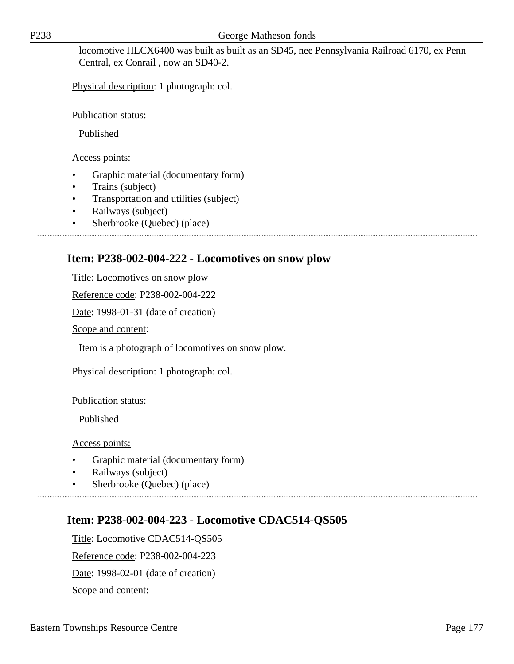locomotive HLCX6400 was built as built as an SD45, nee Pennsylvania Railroad 6170, ex Penn Central, ex Conrail , now an SD40-2.

Physical description: 1 photograph: col.

Publication status:

Published

Access points:

- Graphic material (documentary form)
- Trains (subject)
- Transportation and utilities (subject)
- Railways (subject)
- Sherbrooke (Quebec) (place)

### **Item: P238-002-004-222 - Locomotives on snow plow**

Title: Locomotives on snow plow

Reference code: P238-002-004-222

Date: 1998-01-31 (date of creation)

Scope and content:

Item is a photograph of locomotives on snow plow.

Physical description: 1 photograph: col.

Publication status:

Published

Access points:

- Graphic material (documentary form)
- Railways (subject)
- Sherbrooke (Quebec) (place)

### **Item: P238-002-004-223 - Locomotive CDAC514-QS505**

Title: Locomotive CDAC514-QS505 Reference code: P238-002-004-223 Date: 1998-02-01 (date of creation) Scope and content: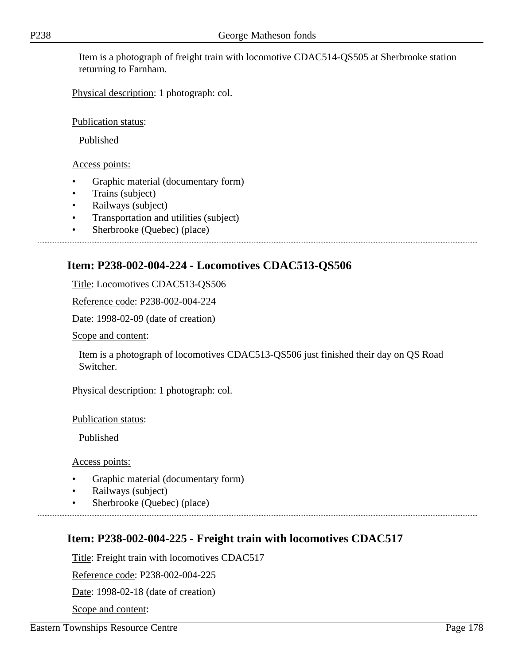Item is a photograph of freight train with locomotive CDAC514-QS505 at Sherbrooke station returning to Farnham.

Physical description: 1 photograph: col.

Publication status:

Published

Access points:

- Graphic material (documentary form)
- Trains (subject)
- Railways (subject)
- Transportation and utilities (subject)
- Sherbrooke (Quebec) (place)

# **Item: P238-002-004-224 - Locomotives CDAC513-QS506**

Title: Locomotives CDAC513-QS506

Reference code: P238-002-004-224

Date: 1998-02-09 (date of creation)

Scope and content:

Item is a photograph of locomotives CDAC513-QS506 just finished their day on QS Road Switcher.

Physical description: 1 photograph: col.

Publication status:

Published

Access points:

- Graphic material (documentary form)
- Railways (subject)
- Sherbrooke (Quebec) (place)

# **Item: P238-002-004-225 - Freight train with locomotives CDAC517**

Title: Freight train with locomotives CDAC517

Reference code: P238-002-004-225

Date: 1998-02-18 (date of creation)

Scope and content: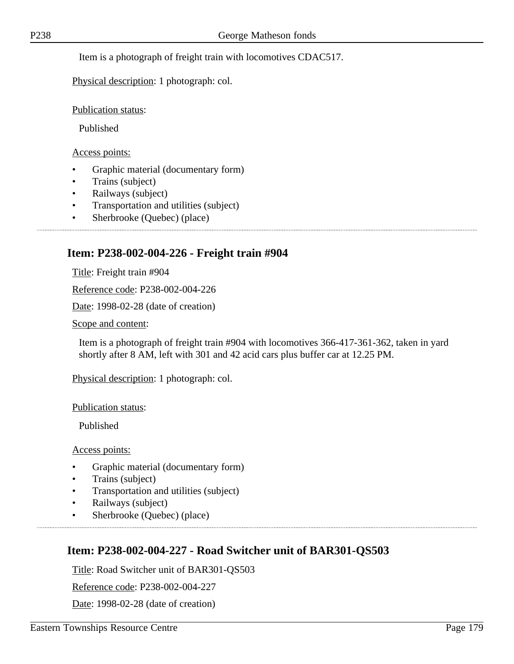Item is a photograph of freight train with locomotives CDAC517.

Physical description: 1 photograph: col.

Publication status:

Published

Access points:

- Graphic material (documentary form)
- Trains (subject)
- Railways (subject)
- Transportation and utilities (subject)
- Sherbrooke (Quebec) (place)

## **Item: P238-002-004-226 - Freight train #904**

Title: Freight train #904

Reference code: P238-002-004-226

Date: 1998-02-28 (date of creation)

Scope and content:

Item is a photograph of freight train #904 with locomotives 366-417-361-362, taken in yard shortly after 8 AM, left with 301 and 42 acid cars plus buffer car at 12.25 PM.

Physical description: 1 photograph: col.

Publication status:

Published

Access points:

- Graphic material (documentary form)
- Trains (subject)
- Transportation and utilities (subject)
- Railways (subject)
- Sherbrooke (Quebec) (place)

## **Item: P238-002-004-227 - Road Switcher unit of BAR301-QS503**

Title: Road Switcher unit of BAR301-QS503

Reference code: P238-002-004-227

Date: 1998-02-28 (date of creation)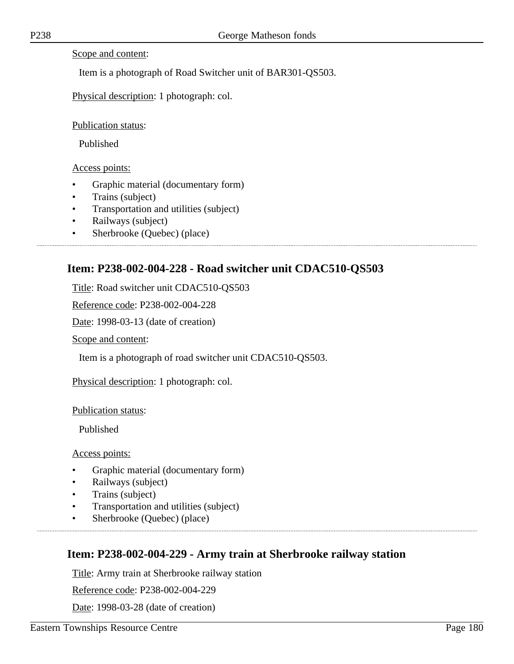Scope and content:

Item is a photograph of Road Switcher unit of BAR301-QS503.

Physical description: 1 photograph: col.

Publication status:

Published

Access points:

- Graphic material (documentary form)
- Trains (subject)
- Transportation and utilities (subject)
- Railways (subject)
- Sherbrooke (Quebec) (place)

### **Item: P238-002-004-228 - Road switcher unit CDAC510-QS503**

Title: Road switcher unit CDAC510-QS503

Reference code: P238-002-004-228

Date: 1998-03-13 (date of creation)

Scope and content:

Item is a photograph of road switcher unit CDAC510-QS503.

Physical description: 1 photograph: col.

Publication status:

Published

Access points:

- Graphic material (documentary form)
- Railways (subject)
- Trains (subject)
- Transportation and utilities (subject)
- Sherbrooke (Quebec) (place)

### **Item: P238-002-004-229 - Army train at Sherbrooke railway station**

Title: Army train at Sherbrooke railway station

Reference code: P238-002-004-229

Date: 1998-03-28 (date of creation)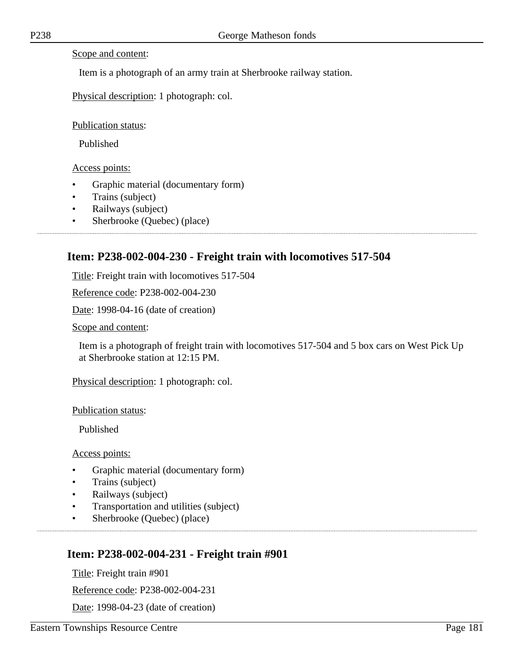Scope and content:

Item is a photograph of an army train at Sherbrooke railway station.

Physical description: 1 photograph: col.

#### Publication status:

Published

Access points:

- Graphic material (documentary form)
- Trains (subject)
- Railways (subject)
- Sherbrooke (Quebec) (place)

### **Item: P238-002-004-230 - Freight train with locomotives 517-504**

Title: Freight train with locomotives 517-504

Reference code: P238-002-004-230

Date: 1998-04-16 (date of creation)

Scope and content:

Item is a photograph of freight train with locomotives 517-504 and 5 box cars on West Pick Up at Sherbrooke station at 12:15 PM.

Physical description: 1 photograph: col.

Publication status:

Published

Access points:

- Graphic material (documentary form)
- Trains (subject)
- Railways (subject)
- Transportation and utilities (subject)
- Sherbrooke (Quebec) (place)

### **Item: P238-002-004-231 - Freight train #901**

Title: Freight train #901

Reference code: P238-002-004-231

Date: 1998-04-23 (date of creation)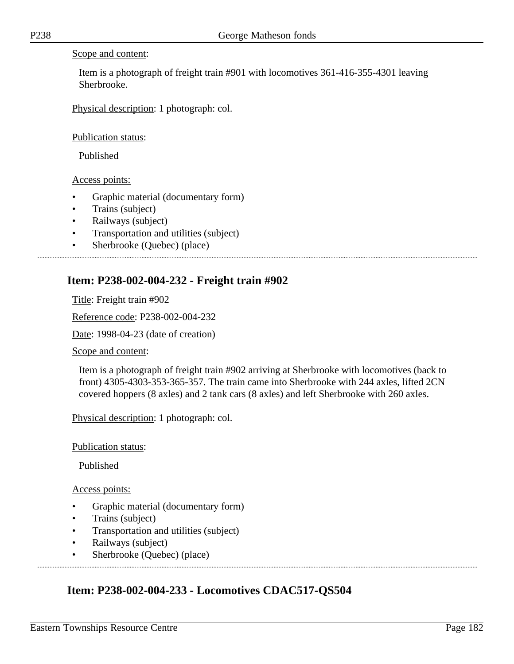#### Scope and content:

Item is a photograph of freight train #901 with locomotives 361-416-355-4301 leaving Sherbrooke.

Physical description: 1 photograph: col.

Publication status:

Published

Access points:

- Graphic material (documentary form)
- Trains (subject)
- Railways (subject)
- Transportation and utilities (subject)
- Sherbrooke (Quebec) (place)

### **Item: P238-002-004-232 - Freight train #902**

Title: Freight train #902 Reference code: P238-002-004-232 Date: 1998-04-23 (date of creation) Scope and content:

Item is a photograph of freight train #902 arriving at Sherbrooke with locomotives (back to front) 4305-4303-353-365-357. The train came into Sherbrooke with 244 axles, lifted 2CN covered hoppers (8 axles) and 2 tank cars (8 axles) and left Sherbrooke with 260 axles.

Physical description: 1 photograph: col.

Publication status:

Published

Access points:

- Graphic material (documentary form)
- Trains (subject)
- Transportation and utilities (subject)
- Railways (subject)
- Sherbrooke (Ouebec) (place)

### **Item: P238-002-004-233 - Locomotives CDAC517-QS504**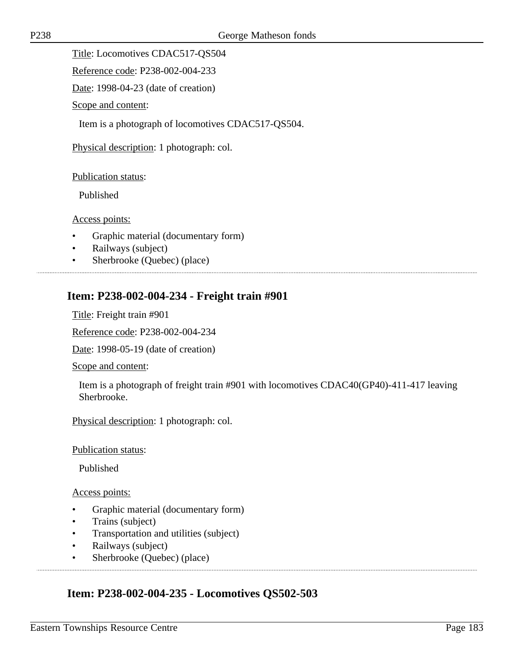Title: Locomotives CDAC517-QS504

Reference code: P238-002-004-233

Date: 1998-04-23 (date of creation)

Scope and content:

Item is a photograph of locomotives CDAC517-QS504.

Physical description: 1 photograph: col.

#### Publication status:

Published

Access points:

- Graphic material (documentary form)
- Railways (subject)
- Sherbrooke (Quebec) (place)

### **Item: P238-002-004-234 - Freight train #901**

Title: Freight train #901

Reference code: P238-002-004-234

Date: 1998-05-19 (date of creation)

Scope and content:

Item is a photograph of freight train #901 with locomotives CDAC40(GP40)-411-417 leaving Sherbrooke.

Physical description: 1 photograph: col.

Publication status:

Published

#### Access points:

- Graphic material (documentary form)
- Trains (subject)
- Transportation and utilities (subject)
- Railways (subject)
- Sherbrooke (Quebec) (place)

### **Item: P238-002-004-235 - Locomotives QS502-503**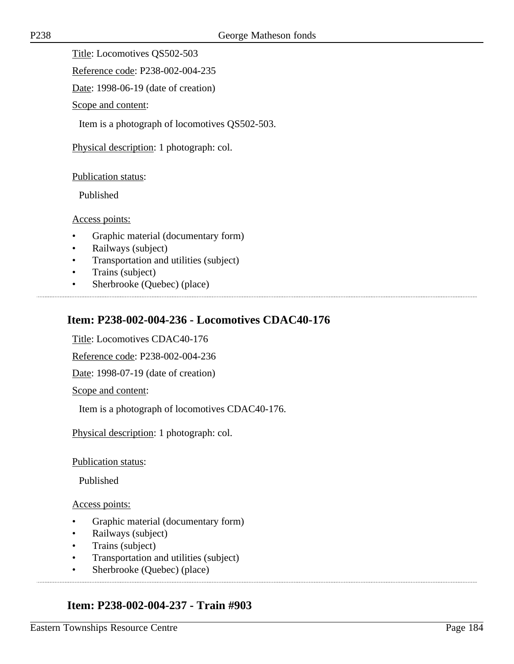Title: Locomotives QS502-503

Reference code: P238-002-004-235

Date: 1998-06-19 (date of creation)

Scope and content:

Item is a photograph of locomotives QS502-503.

Physical description: 1 photograph: col.

#### Publication status:

Published

Access points:

- Graphic material (documentary form)
- Railways (subject)
- Transportation and utilities (subject)
- Trains (subject)
- Sherbrooke (Quebec) (place)

# **Item: P238-002-004-236 - Locomotives CDAC40-176**

Title: Locomotives CDAC40-176

Reference code: P238-002-004-236

Date: 1998-07-19 (date of creation)

Scope and content:

Item is a photograph of locomotives CDAC40-176.

Physical description: 1 photograph: col.

Publication status:

Published

#### Access points:

- Graphic material (documentary form)
- Railways (subject)
- Trains (subject)
- Transportation and utilities (subject)
- Sherbrooke (Quebec) (place)

# **Item: P238-002-004-237 - Train #903**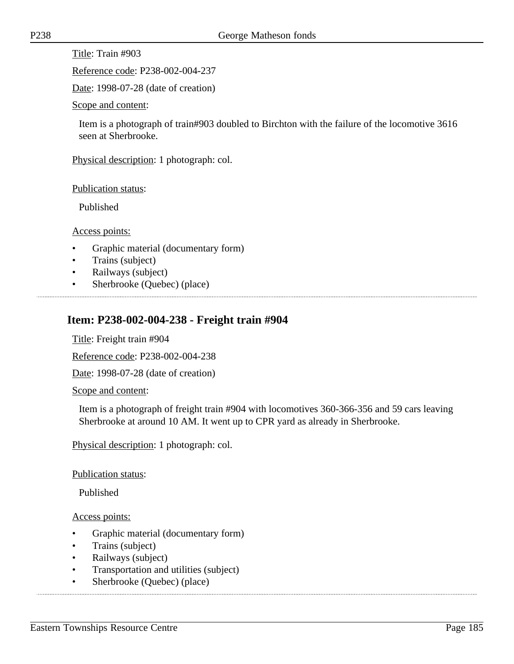Title: Train #903

Reference code: P238-002-004-237

Date: 1998-07-28 (date of creation)

Scope and content:

Item is a photograph of train#903 doubled to Birchton with the failure of the locomotive 3616 seen at Sherbrooke.

Physical description: 1 photograph: col.

Publication status:

Published

Access points:

- Graphic material (documentary form)
- Trains (subject)
- Railways (subject)
- Sherbrooke (Quebec) (place)

# **Item: P238-002-004-238 - Freight train #904**

Title: Freight train #904

Reference code: P238-002-004-238

Date: 1998-07-28 (date of creation)

Scope and content:

Item is a photograph of freight train #904 with locomotives 360-366-356 and 59 cars leaving Sherbrooke at around 10 AM. It went up to CPR yard as already in Sherbrooke.

Physical description: 1 photograph: col.

Publication status:

Published

- Graphic material (documentary form)
- Trains (subject)
- Railways (subject)
- Transportation and utilities (subject)
- Sherbrooke (Quebec) (place)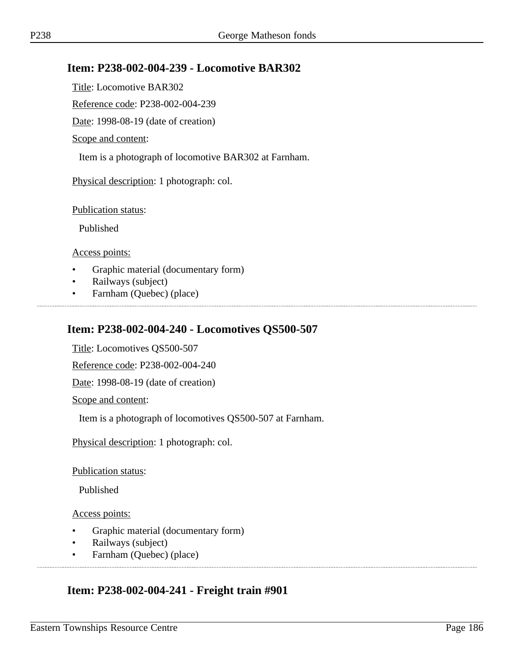### **Item: P238-002-004-239 - Locomotive BAR302**

Title: Locomotive BAR302

Reference code: P238-002-004-239

Date: 1998-08-19 (date of creation)

Scope and content:

Item is a photograph of locomotive BAR302 at Farnham.

Physical description: 1 photograph: col.

Publication status:

Published

Access points:

- Graphic material (documentary form)
- Railways (subject)
- Farnham (Quebec) (place)

### **Item: P238-002-004-240 - Locomotives QS500-507**

Title: Locomotives QS500-507

Reference code: P238-002-004-240

Date: 1998-08-19 (date of creation)

Scope and content:

Item is a photograph of locomotives QS500-507 at Farnham.

Physical description: 1 photograph: col.

Publication status:

Published

Access points:

- Graphic material (documentary form)
- Railways (subject)
- Farnham (Quebec) (place)

### **Item: P238-002-004-241 - Freight train #901**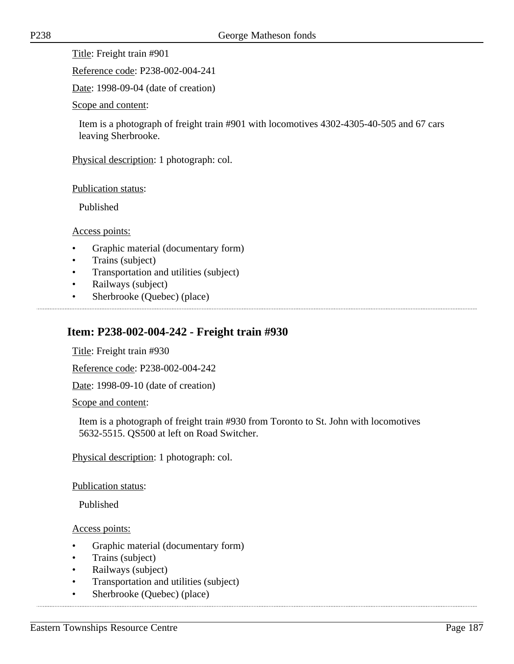Title: Freight train #901

Reference code: P238-002-004-241

Date: 1998-09-04 (date of creation)

Scope and content:

Item is a photograph of freight train #901 with locomotives 4302-4305-40-505 and 67 cars leaving Sherbrooke.

Physical description: 1 photograph: col.

Publication status:

Published

Access points:

- Graphic material (documentary form)
- Trains (subject)
- Transportation and utilities (subject)
- Railways (subject)
- Sherbrooke (Quebec) (place)

### **Item: P238-002-004-242 - Freight train #930**

Title: Freight train #930

Reference code: P238-002-004-242

Date: 1998-09-10 (date of creation)

Scope and content:

Item is a photograph of freight train #930 from Toronto to St. John with locomotives 5632-5515. QS500 at left on Road Switcher.

Physical description: 1 photograph: col.

Publication status:

Published

- Graphic material (documentary form)
- Trains (subject)
- Railways (subject)
- Transportation and utilities (subject)
- Sherbrooke (Quebec) (place)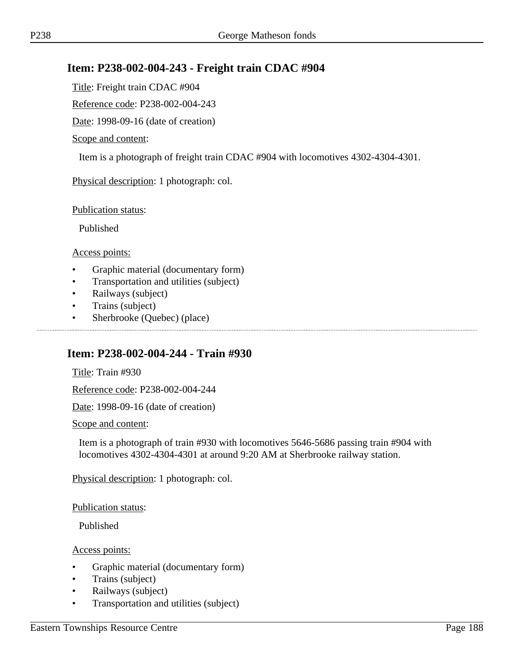# **Item: P238-002-004-243 - Freight train CDAC #904**

Title: Freight train CDAC #904

Reference code: P238-002-004-243

Date: 1998-09-16 (date of creation)

#### Scope and content:

Item is a photograph of freight train CDAC #904 with locomotives 4302-4304-4301.

Physical description: 1 photograph: col.

Publication status:

Published

Access points:

- Graphic material (documentary form)
- Transportation and utilities (subject)
- Railways (subject)
- Trains (subject)
- Sherbrooke (Quebec) (place)

### **Item: P238-002-004-244 - Train #930**

Title: Train #930

Reference code: P238-002-004-244

Date: 1998-09-16 (date of creation)

Scope and content:

Item is a photograph of train #930 with locomotives 5646-5686 passing train #904 with locomotives 4302-4304-4301 at around 9:20 AM at Sherbrooke railway station.

Physical description: 1 photograph: col.

Publication status:

Published

- Graphic material (documentary form)
- Trains (subject)
- Railways (subject)
- Transportation and utilities (subject)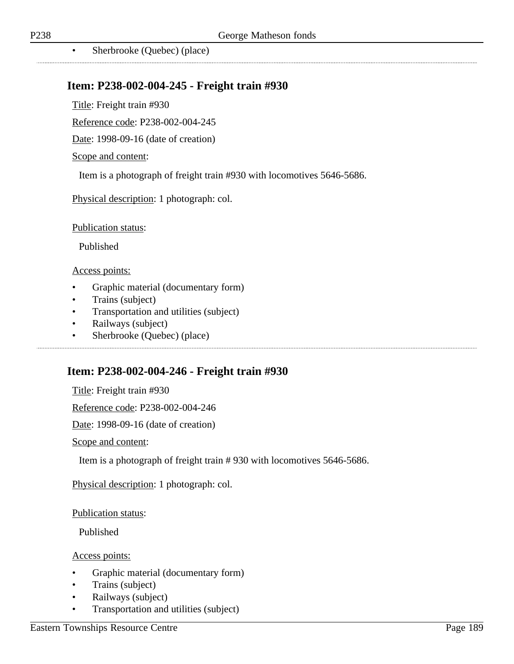..................................

• Sherbrooke (Quebec) (place)

### **Item: P238-002-004-245 - Freight train #930**

Title: Freight train #930

Reference code: P238-002-004-245

Date: 1998-09-16 (date of creation)

#### Scope and content:

Item is a photograph of freight train #930 with locomotives 5646-5686.

Physical description: 1 photograph: col.

Publication status:

Published

#### Access points:

- Graphic material (documentary form)
- Trains (subject)
- Transportation and utilities (subject)
- Railways (subject)
- Sherbrooke (Quebec) (place)

### **Item: P238-002-004-246 - Freight train #930**

Title: Freight train #930

Reference code: P238-002-004-246

Date: 1998-09-16 (date of creation)

Scope and content:

Item is a photograph of freight train # 930 with locomotives 5646-5686.

Physical description: 1 photograph: col.

#### Publication status:

Published

- Graphic material (documentary form)
- Trains (subject)
- Railways (subject)
- Transportation and utilities (subject)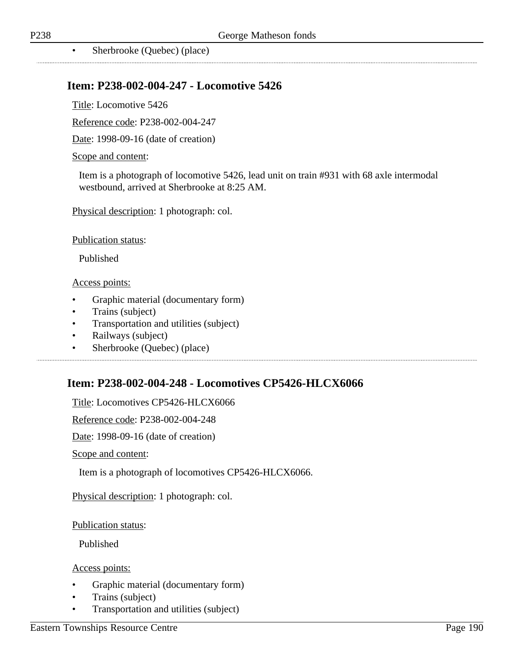### **Item: P238-002-004-247 - Locomotive 5426**

Title: Locomotive 5426

Reference code: P238-002-004-247

Date: 1998-09-16 (date of creation)

#### Scope and content:

Item is a photograph of locomotive 5426, lead unit on train #931 with 68 axle intermodal westbound, arrived at Sherbrooke at 8:25 AM.

Physical description: 1 photograph: col.

Publication status:

Published

#### Access points:

- Graphic material (documentary form)
- Trains (subject)
- Transportation and utilities (subject)

- Railways (subject)
- Sherbrooke (Quebec) (place)

# **Item: P238-002-004-248 - Locomotives CP5426-HLCX6066**

Title: Locomotives CP5426-HLCX6066

Reference code: P238-002-004-248

Date: 1998-09-16 (date of creation)

Scope and content:

Item is a photograph of locomotives CP5426-HLCX6066.

Physical description: 1 photograph: col.

Publication status:

Published

- Graphic material (documentary form)
- Trains (subject)
- Transportation and utilities (subject)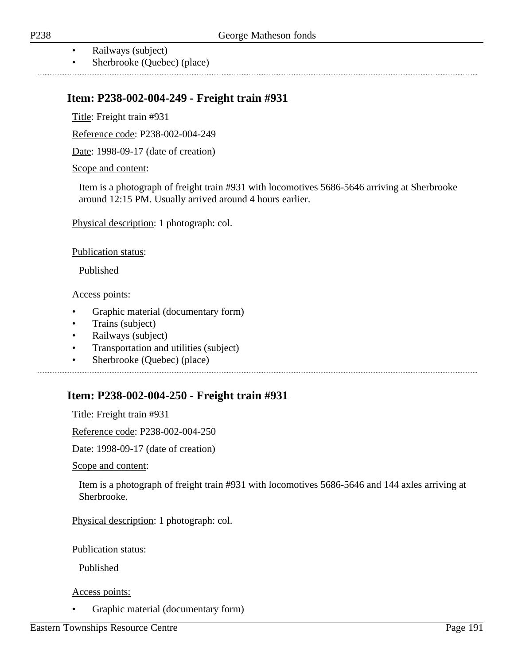- Railways (subject)
- Sherbrooke (Quebec) (place)

### **Item: P238-002-004-249 - Freight train #931**

Title: Freight train #931

Reference code: P238-002-004-249

Date: 1998-09-17 (date of creation)

Scope and content:

Item is a photograph of freight train #931 with locomotives 5686-5646 arriving at Sherbrooke around 12:15 PM. Usually arrived around 4 hours earlier.

Physical description: 1 photograph: col.

Publication status:

Published

Access points:

- Graphic material (documentary form)
- Trains (subject)
- Railways (subject)
- Transportation and utilities (subject)
- Sherbrooke (Quebec) (place)

### **Item: P238-002-004-250 - Freight train #931**

Title: Freight train #931

Reference code: P238-002-004-250

Date: 1998-09-17 (date of creation)

Scope and content:

Item is a photograph of freight train #931 with locomotives 5686-5646 and 144 axles arriving at Sherbrooke.

Physical description: 1 photograph: col.

Publication status:

Published

Access points:

• Graphic material (documentary form)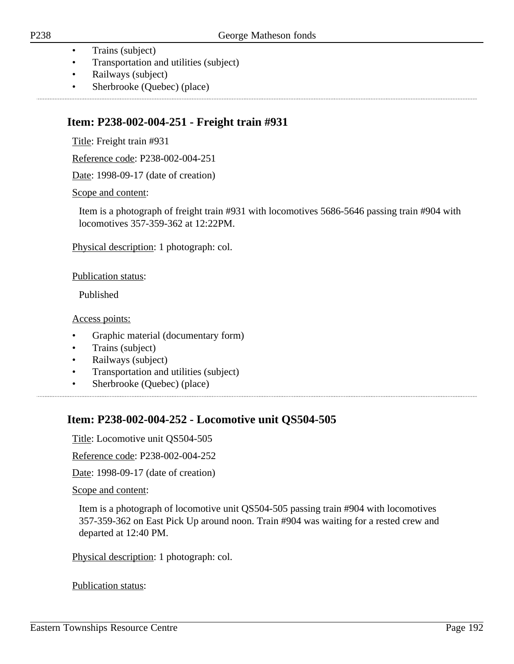- Trains (subject)
- Transportation and utilities (subject)
- Railways (subject)
- Sherbrooke (Quebec) (place)

### **Item: P238-002-004-251 - Freight train #931**

Title: Freight train #931

Reference code: P238-002-004-251

Date: 1998-09-17 (date of creation)

Scope and content:

Item is a photograph of freight train #931 with locomotives 5686-5646 passing train #904 with locomotives 357-359-362 at 12:22PM.

Physical description: 1 photograph: col.

Publication status:

Published

Access points:

- Graphic material (documentary form)
- Trains (subject)
- Railways (subject)
- Transportation and utilities (subject)
- Sherbrooke (Quebec) (place)

### **Item: P238-002-004-252 - Locomotive unit QS504-505**

Title: Locomotive unit QS504-505

Reference code: P238-002-004-252

Date: 1998-09-17 (date of creation)

Scope and content:

Item is a photograph of locomotive unit QS504-505 passing train #904 with locomotives 357-359-362 on East Pick Up around noon. Train #904 was waiting for a rested crew and departed at 12:40 PM.

Physical description: 1 photograph: col.

Publication status: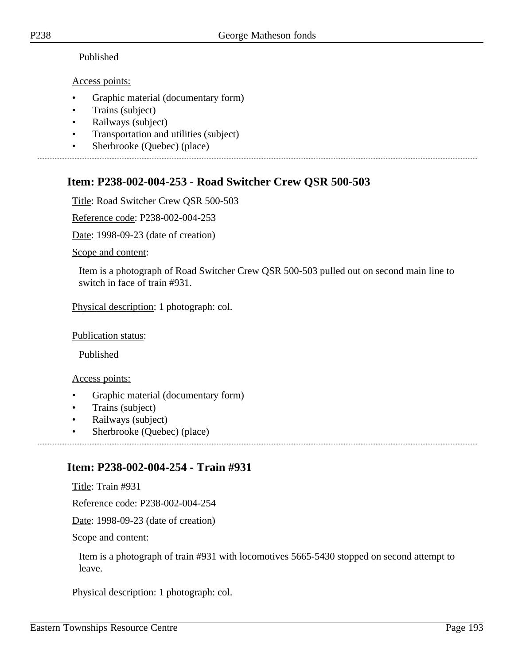# Published

# Access points:

- Graphic material (documentary form)
- Trains (subject)
- Railways (subject)
- Transportation and utilities (subject)
- Sherbrooke (Quebec) (place)

### **Item: P238-002-004-253 - Road Switcher Crew QSR 500-503**

Title: Road Switcher Crew QSR 500-503

Reference code: P238-002-004-253

Date: 1998-09-23 (date of creation)

Scope and content:

Item is a photograph of Road Switcher Crew QSR 500-503 pulled out on second main line to switch in face of train #931.

Physical description: 1 photograph: col.

Publication status:

Published

Access points:

- Graphic material (documentary form)
- Trains (subject)
- Railways (subject)
- Sherbrooke (Quebec) (place)

### **Item: P238-002-004-254 - Train #931**

Title: Train #931

Reference code: P238-002-004-254

Date: 1998-09-23 (date of creation)

Scope and content:

Item is a photograph of train #931 with locomotives 5665-5430 stopped on second attempt to leave.

Physical description: 1 photograph: col.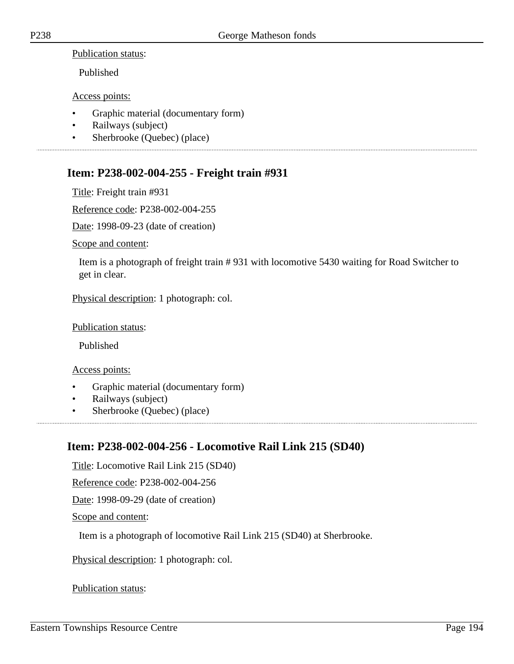Publication status:

Published

Access points:

- Graphic material (documentary form)
- Railways (subject)
- Sherbrooke (Quebec) (place)

### **Item: P238-002-004-255 - Freight train #931**

Title: Freight train #931

Reference code: P238-002-004-255

Date: 1998-09-23 (date of creation)

Scope and content:

Item is a photograph of freight train # 931 with locomotive 5430 waiting for Road Switcher to get in clear.

Physical description: 1 photograph: col.

#### Publication status:

Published

Access points:

- Graphic material (documentary form)
- Railways (subject)
- Sherbrooke (Quebec) (place)

# **Item: P238-002-004-256 - Locomotive Rail Link 215 (SD40)**

Title: Locomotive Rail Link 215 (SD40)

Reference code: P238-002-004-256

Date: 1998-09-29 (date of creation)

Scope and content:

Item is a photograph of locomotive Rail Link 215 (SD40) at Sherbrooke.

Physical description: 1 photograph: col.

#### Publication status: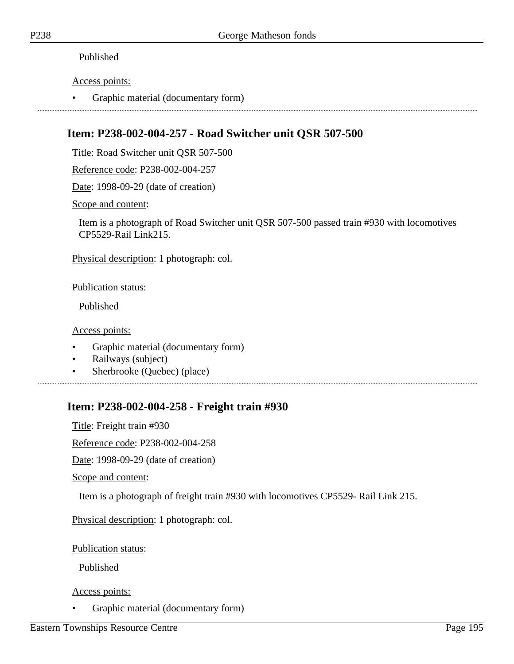#### Published

Access points:

• Graphic material (documentary form)

# **Item: P238-002-004-257 - Road Switcher unit QSR 507-500**

Title: Road Switcher unit QSR 507-500

Reference code: P238-002-004-257

Date: 1998-09-29 (date of creation)

Scope and content:

Item is a photograph of Road Switcher unit QSR 507-500 passed train #930 with locomotives CP5529-Rail Link215.

Physical description: 1 photograph: col.

Publication status:

Published

Access points:

- Graphic material (documentary form)
- Railways (subject)
- Sherbrooke (Quebec) (place)

# **Item: P238-002-004-258 - Freight train #930**

Title: Freight train #930

Reference code: P238-002-004-258

Date: 1998-09-29 (date of creation)

Scope and content:

Item is a photograph of freight train #930 with locomotives CP5529- Rail Link 215.

Physical description: 1 photograph: col.

Publication status:

Published

#### Access points:

• Graphic material (documentary form)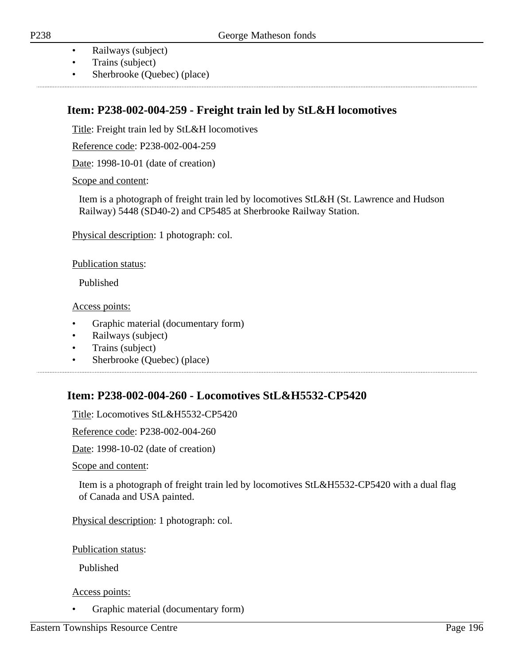- Railways (subject)
- Trains (subject)
- Sherbrooke (Quebec) (place)

### **Item: P238-002-004-259 - Freight train led by StL&H locomotives**

Title: Freight train led by StL&H locomotives

Reference code: P238-002-004-259

Date: 1998-10-01 (date of creation)

#### Scope and content:

Item is a photograph of freight train led by locomotives StL&H (St. Lawrence and Hudson Railway) 5448 (SD40-2) and CP5485 at Sherbrooke Railway Station.

Physical description: 1 photograph: col.

Publication status:

Published

Access points:

- Graphic material (documentary form)
- Railways (subject)
- Trains (subject)
- Sherbrooke (Quebec) (place)

### **Item: P238-002-004-260 - Locomotives StL&H5532-CP5420**

Title: Locomotives StL&H5532-CP5420

Reference code: P238-002-004-260

Date: 1998-10-02 (date of creation)

Scope and content:

Item is a photograph of freight train led by locomotives StL&H5532-CP5420 with a dual flag of Canada and USA painted.

Physical description: 1 photograph: col.

Publication status:

Published

#### Access points:

• Graphic material (documentary form)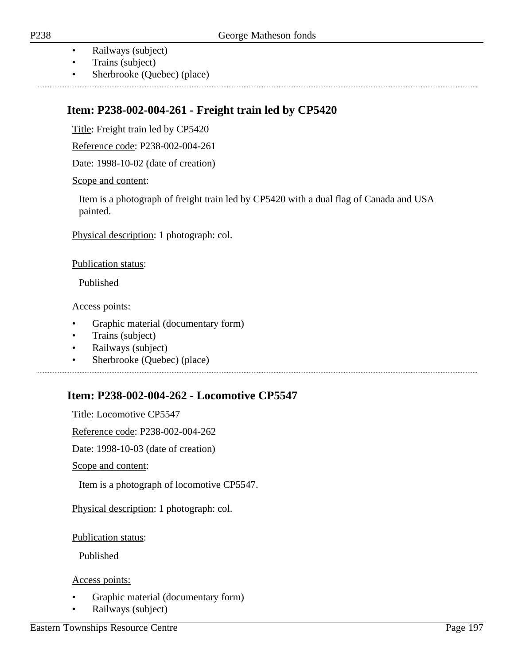• Railways (subject)

- Trains (subject)
- Sherbrooke (Quebec) (place)

# **Item: P238-002-004-261 - Freight train led by CP5420**

Title: Freight train led by CP5420

Reference code: P238-002-004-261

Date: 1998-10-02 (date of creation)

#### Scope and content:

Item is a photograph of freight train led by CP5420 with a dual flag of Canada and USA painted.

Physical description: 1 photograph: col.

#### Publication status:

Published

Access points:

- Graphic material (documentary form)
- Trains (subject)
- Railways (subject)
- Sherbrooke (Quebec) (place)

# **Item: P238-002-004-262 - Locomotive CP5547**

Title: Locomotive CP5547 Reference code: P238-002-004-262 Date: 1998-10-03 (date of creation) Scope and content: Item is a photograph of locomotive CP5547.

Physical description: 1 photograph: col.

Publication status:

Published

- Graphic material (documentary form)
- Railways (subject)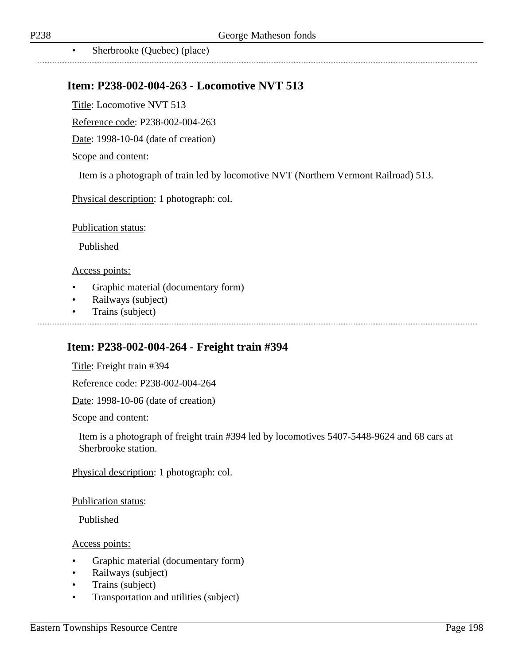• Sherbrooke (Quebec) (place)

#### **Item: P238-002-004-263 - Locomotive NVT 513**

Title: Locomotive NVT 513

Reference code: P238-002-004-263

Date: 1998-10-04 (date of creation)

#### Scope and content:

Item is a photograph of train led by locomotive NVT (Northern Vermont Railroad) 513.

Physical description: 1 photograph: col.

Publication status:

Published

#### Access points:

- Graphic material (documentary form)
- Railways (subject)
- Trains (subject)

### **Item: P238-002-004-264 - Freight train #394**

Title: Freight train #394

Reference code: P238-002-004-264

Date: 1998-10-06 (date of creation)

Scope and content:

Item is a photograph of freight train #394 led by locomotives 5407-5448-9624 and 68 cars at Sherbrooke station.

Physical description: 1 photograph: col.

Publication status:

Published

- Graphic material (documentary form)
- Railways (subject)
- Trains (subject)
- Transportation and utilities (subject)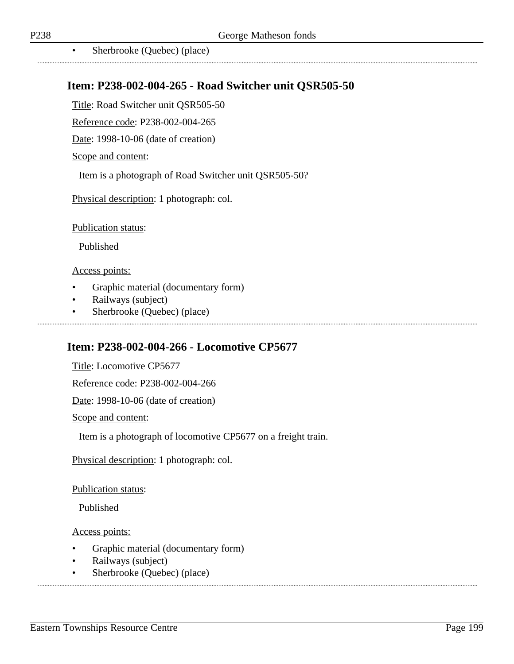• Sherbrooke (Quebec) (place)

### **Item: P238-002-004-265 - Road Switcher unit QSR505-50**

Title: Road Switcher unit QSR505-50

Reference code: P238-002-004-265

Date: 1998-10-06 (date of creation)

#### Scope and content:

Item is a photograph of Road Switcher unit QSR505-50?

Physical description: 1 photograph: col.

Publication status:

Published

#### Access points:

- Graphic material (documentary form)
- Railways (subject)
- Sherbrooke (Quebec) (place)

### **Item: P238-002-004-266 - Locomotive CP5677**

Title: Locomotive CP5677 Reference code: P238-002-004-266 Date: 1998-10-06 (date of creation) Scope and content: Item is a photograph of locomotive CP5677 on a freight train. Physical description: 1 photograph: col.

Publication status:

Published

- Graphic material (documentary form)
- Railways (subject)
- Sherbrooke (Quebec) (place)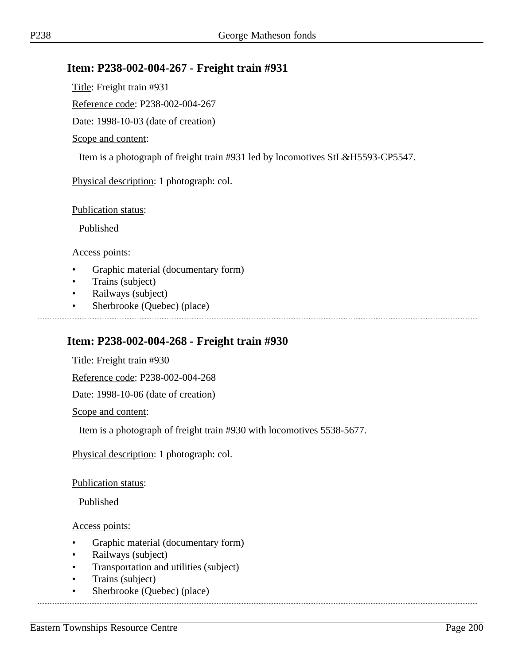### **Item: P238-002-004-267 - Freight train #931**

Title: Freight train #931

Reference code: P238-002-004-267

Date: 1998-10-03 (date of creation)

#### Scope and content:

Item is a photograph of freight train #931 led by locomotives StL&H5593-CP5547.

Physical description: 1 photograph: col.

#### Publication status:

Published

Access points:

- Graphic material (documentary form)
- Trains (subject)
- Railways (subject)
- Sherbrooke (Quebec) (place)

### **Item: P238-002-004-268 - Freight train #930**

Title: Freight train #930

Reference code: P238-002-004-268

Date: 1998-10-06 (date of creation)

Scope and content:

Item is a photograph of freight train #930 with locomotives 5538-5677.

Physical description: 1 photograph: col.

Publication status:

Published

- Graphic material (documentary form)
- Railways (subject)
- Transportation and utilities (subject)
- Trains (subject)
- Sherbrooke (Quebec) (place)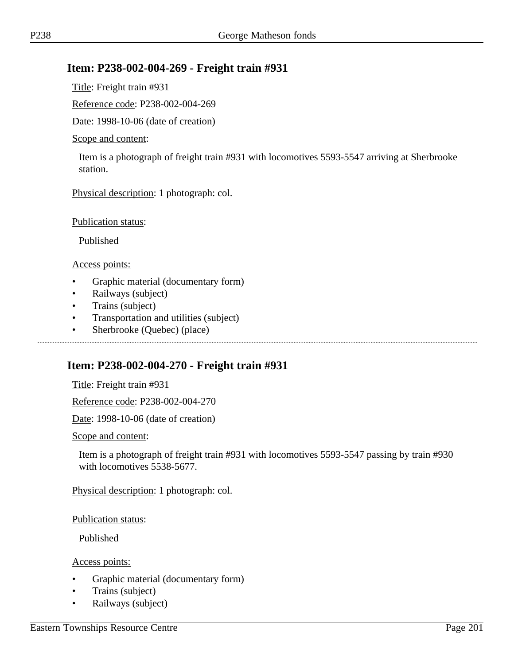### **Item: P238-002-004-269 - Freight train #931**

Title: Freight train #931

Reference code: P238-002-004-269

Date: 1998-10-06 (date of creation)

#### Scope and content:

Item is a photograph of freight train #931 with locomotives 5593-5547 arriving at Sherbrooke station.

Physical description: 1 photograph: col.

Publication status:

Published

Access points:

- Graphic material (documentary form)
- Railways (subject)
- Trains (subject)
- Transportation and utilities (subject)
- Sherbrooke (Quebec) (place)

### **Item: P238-002-004-270 - Freight train #931**

Title: Freight train #931

Reference code: P238-002-004-270

Date: 1998-10-06 (date of creation)

Scope and content:

Item is a photograph of freight train #931 with locomotives 5593-5547 passing by train #930 with locomotives 5538-5677.

Physical description: 1 photograph: col.

Publication status:

Published

- Graphic material (documentary form)
- Trains (subject)
- Railways (subject)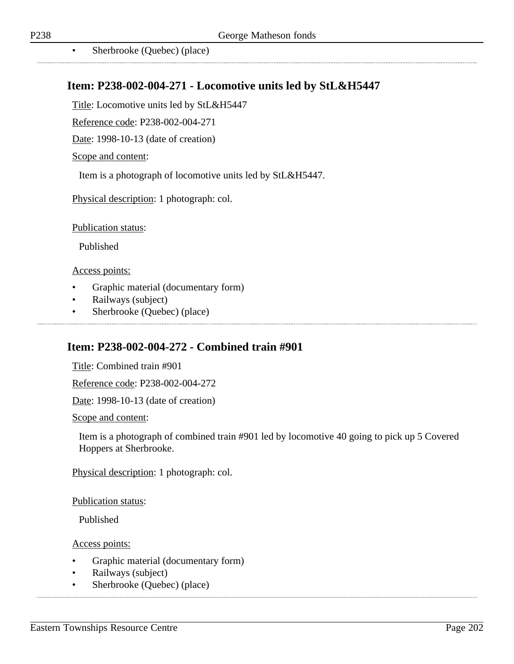• Sherbrooke (Quebec) (place)

### **Item: P238-002-004-271 - Locomotive units led by StL&H5447**

Title: Locomotive units led by StL&H5447

Reference code: P238-002-004-271

Date: 1998-10-13 (date of creation)

#### Scope and content:

Item is a photograph of locomotive units led by StL&H5447.

Physical description: 1 photograph: col.

Publication status:

Published

#### Access points:

- Graphic material (documentary form)
- Railways (subject)
- Sherbrooke (Quebec) (place)

### **Item: P238-002-004-272 - Combined train #901**

Title: Combined train #901

Reference code: P238-002-004-272

Date: 1998-10-13 (date of creation)

Scope and content:

Item is a photograph of combined train #901 led by locomotive 40 going to pick up 5 Covered Hoppers at Sherbrooke.

Physical description: 1 photograph: col.

Publication status:

Published

- Graphic material (documentary form)
- Railways (subject)
- Sherbrooke (Quebec) (place)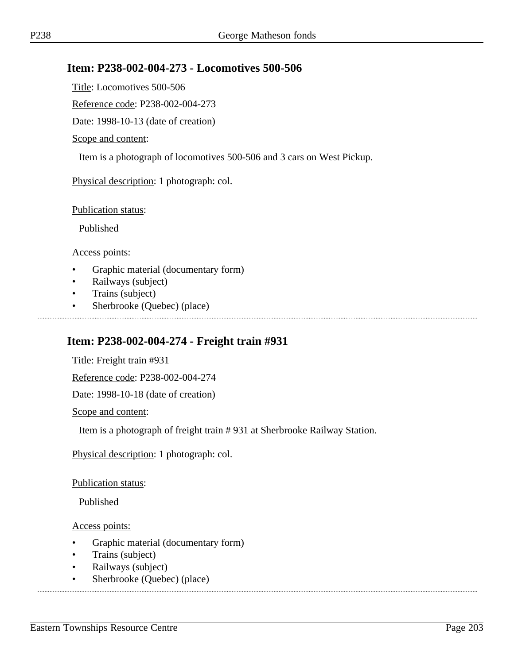### **Item: P238-002-004-273 - Locomotives 500-506**

Title: Locomotives 500-506

Reference code: P238-002-004-273

Date: 1998-10-13 (date of creation)

#### Scope and content:

Item is a photograph of locomotives 500-506 and 3 cars on West Pickup.

Physical description: 1 photograph: col.

Publication status:

Published

Access points:

- Graphic material (documentary form)
- Railways (subject)
- Trains (subject)
- Sherbrooke (Quebec) (place)

### **Item: P238-002-004-274 - Freight train #931**

Title: Freight train #931

Reference code: P238-002-004-274

Date: 1998-10-18 (date of creation)

Scope and content:

Item is a photograph of freight train # 931 at Sherbrooke Railway Station.

Physical description: 1 photograph: col.

Publication status:

Published

- Graphic material (documentary form)
- Trains (subject)
- Railways (subject)
- Sherbrooke (Quebec) (place)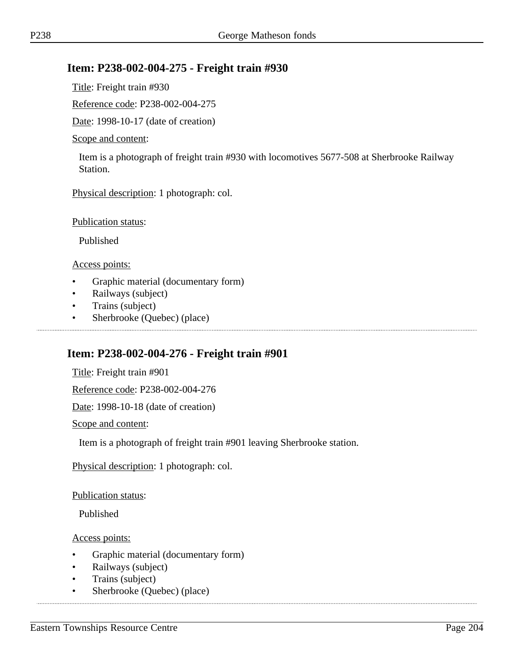### **Item: P238-002-004-275 - Freight train #930**

Title: Freight train #930

Reference code: P238-002-004-275

Date: 1998-10-17 (date of creation)

#### Scope and content:

Item is a photograph of freight train #930 with locomotives 5677-508 at Sherbrooke Railway Station.

Physical description: 1 photograph: col.

Publication status:

Published

Access points:

- Graphic material (documentary form)
- Railways (subject)
- Trains (subject)
- Sherbrooke (Quebec) (place)

### **Item: P238-002-004-276 - Freight train #901**

Title: Freight train #901

Reference code: P238-002-004-276

Date: 1998-10-18 (date of creation)

Scope and content:

Item is a photograph of freight train #901 leaving Sherbrooke station.

Physical description: 1 photograph: col.

Publication status:

Published

- Graphic material (documentary form)
- Railways (subject)
- Trains (subject)
- Sherbrooke (Quebec) (place)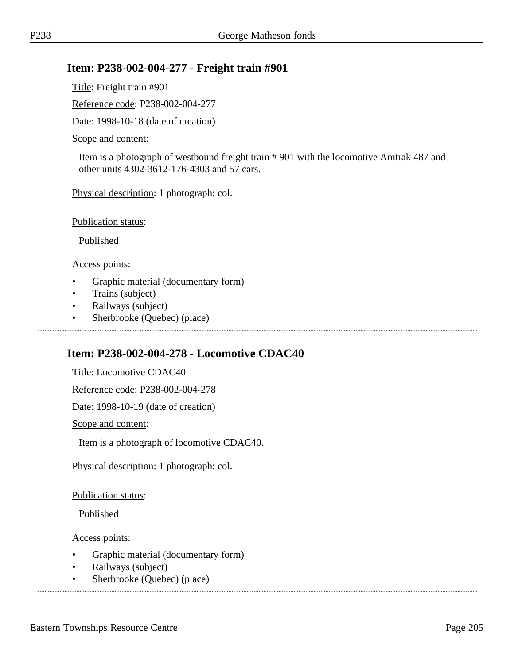### **Item: P238-002-004-277 - Freight train #901**

Title: Freight train #901

Reference code: P238-002-004-277

Date: 1998-10-18 (date of creation)

#### Scope and content:

Item is a photograph of westbound freight train # 901 with the locomotive Amtrak 487 and other units 4302-3612-176-4303 and 57 cars.

Physical description: 1 photograph: col.

Publication status:

Published

Access points:

- Graphic material (documentary form)
- Trains (subject)
- Railways (subject)
- Sherbrooke (Quebec) (place)

### **Item: P238-002-004-278 - Locomotive CDAC40**

Title: Locomotive CDAC40

Reference code: P238-002-004-278

Date: 1998-10-19 (date of creation)

Scope and content:

Item is a photograph of locomotive CDAC40.

Physical description: 1 photograph: col.

Publication status:

Published

- Graphic material (documentary form)
- Railways (subject)
- Sherbrooke (Quebec) (place)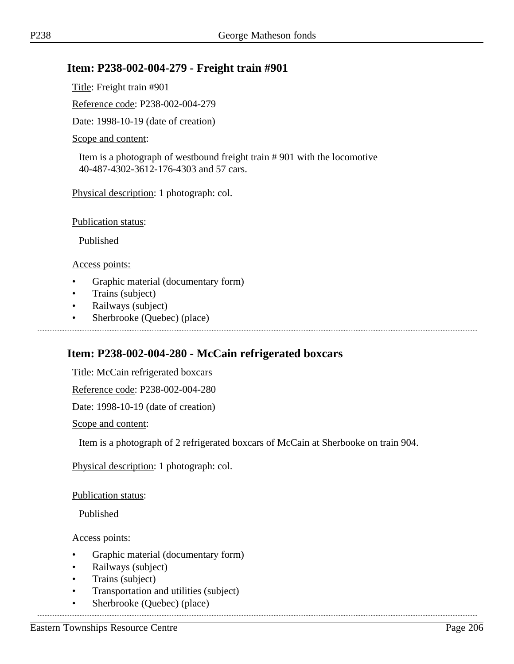### **Item: P238-002-004-279 - Freight train #901**

Title: Freight train #901

Reference code: P238-002-004-279

Date: 1998-10-19 (date of creation)

#### Scope and content:

Item is a photograph of westbound freight train # 901 with the locomotive 40-487-4302-3612-176-4303 and 57 cars.

Physical description: 1 photograph: col.

Publication status:

Published

Access points:

- Graphic material (documentary form)
- Trains (subject)
- Railways (subject)
- Sherbrooke (Quebec) (place)

### **Item: P238-002-004-280 - McCain refrigerated boxcars**

Title: McCain refrigerated boxcars

Reference code: P238-002-004-280

Date: 1998-10-19 (date of creation)

Scope and content:

Item is a photograph of 2 refrigerated boxcars of McCain at Sherbooke on train 904.

Physical description: 1 photograph: col.

Publication status:

Published

Access points:

- Graphic material (documentary form)
- Railways (subject)
- Trains (subject)
- Transportation and utilities (subject)

• Sherbrooke (Quebec) (place)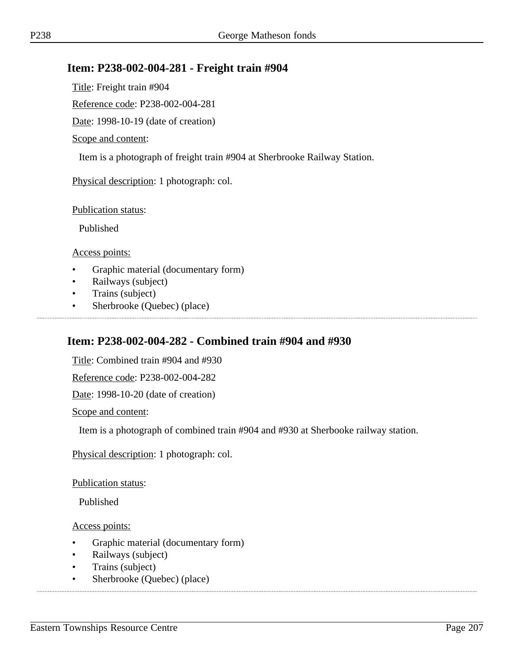### **Item: P238-002-004-281 - Freight train #904**

Title: Freight train #904

Reference code: P238-002-004-281

Date: 1998-10-19 (date of creation)

#### Scope and content:

Item is a photograph of freight train #904 at Sherbrooke Railway Station.

Physical description: 1 photograph: col.

Publication status:

Published

Access points:

- Graphic material (documentary form)
- Railways (subject)
- Trains (subject)
- Sherbrooke (Quebec) (place)

### **Item: P238-002-004-282 - Combined train #904 and #930**

Title: Combined train #904 and #930

Reference code: P238-002-004-282

Date: 1998-10-20 (date of creation)

Scope and content:

Item is a photograph of combined train #904 and #930 at Sherbooke railway station.

Physical description: 1 photograph: col.

Publication status:

Published

- Graphic material (documentary form)
- Railways (subject)
- Trains (subject)
- Sherbrooke (Quebec) (place)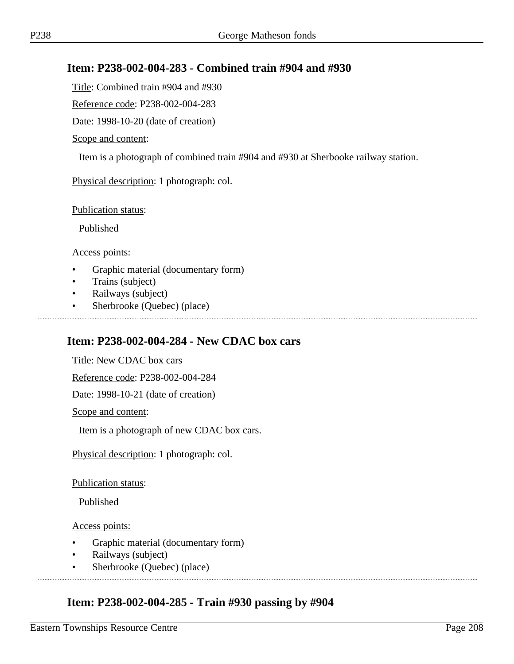### **Item: P238-002-004-283 - Combined train #904 and #930**

Title: Combined train #904 and #930

Reference code: P238-002-004-283

Date: 1998-10-20 (date of creation)

#### Scope and content:

Item is a photograph of combined train #904 and #930 at Sherbooke railway station.

Physical description: 1 photograph: col.

Publication status:

Published

Access points:

- Graphic material (documentary form)
- Trains (subject)
- Railways (subject)
- Sherbrooke (Quebec) (place)

### **Item: P238-002-004-284 - New CDAC box cars**

Title: New CDAC box cars

Reference code: P238-002-004-284

Date: 1998-10-21 (date of creation)

Scope and content:

Item is a photograph of new CDAC box cars.

Physical description: 1 photograph: col.

Publication status:

Published

Access points:

- Graphic material (documentary form)
- Railways (subject)
- Sherbrooke (Quebec) (place)

### **Item: P238-002-004-285 - Train #930 passing by #904**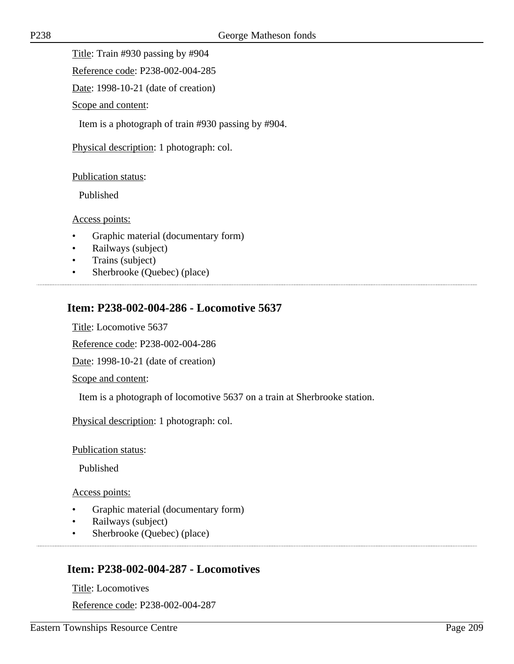Title: Train #930 passing by #904

Reference code: P238-002-004-285

Date: 1998-10-21 (date of creation)

Scope and content:

Item is a photograph of train #930 passing by #904.

Physical description: 1 photograph: col.

#### Publication status:

Published

#### Access points:

- Graphic material (documentary form)
- Railways (subject)
- Trains (subject)
- Sherbrooke (Quebec) (place)

# **Item: P238-002-004-286 - Locomotive 5637**

Title: Locomotive 5637

Reference code: P238-002-004-286

Date: 1998-10-21 (date of creation)

Scope and content:

Item is a photograph of locomotive 5637 on a train at Sherbrooke station.

Physical description: 1 photograph: col.

#### Publication status:

Published

#### Access points:

- Graphic material (documentary form)
- Railways (subject)
- Sherbrooke (Quebec) (place)

### **Item: P238-002-004-287 - Locomotives**

Title: Locomotives

Reference code: P238-002-004-287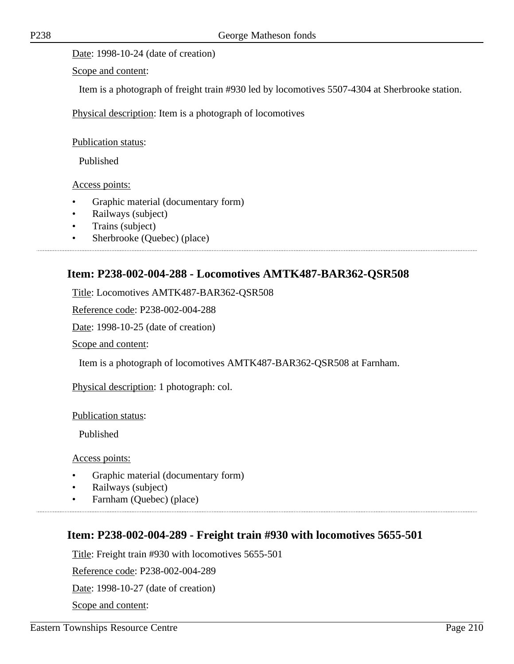Date: 1998-10-24 (date of creation)

Scope and content:

Item is a photograph of freight train #930 led by locomotives 5507-4304 at Sherbrooke station.

Physical description: Item is a photograph of locomotives

Publication status:

Published

Access points:

- Graphic material (documentary form)
- Railways (subject)
- Trains (subject)
- Sherbrooke (Quebec) (place)

### **Item: P238-002-004-288 - Locomotives AMTK487-BAR362-QSR508**

Title: Locomotives AMTK487-BAR362-QSR508

Reference code: P238-002-004-288

Date: 1998-10-25 (date of creation)

Scope and content:

Item is a photograph of locomotives AMTK487-BAR362-QSR508 at Farnham.

Physical description: 1 photograph: col.

Publication status:

Published

Access points:

- Graphic material (documentary form)
- Railways (subject)
- Farnham (Quebec) (place)

### **Item: P238-002-004-289 - Freight train #930 with locomotives 5655-501**

Title: Freight train #930 with locomotives 5655-501

Reference code: P238-002-004-289

Date: 1998-10-27 (date of creation)

Scope and content: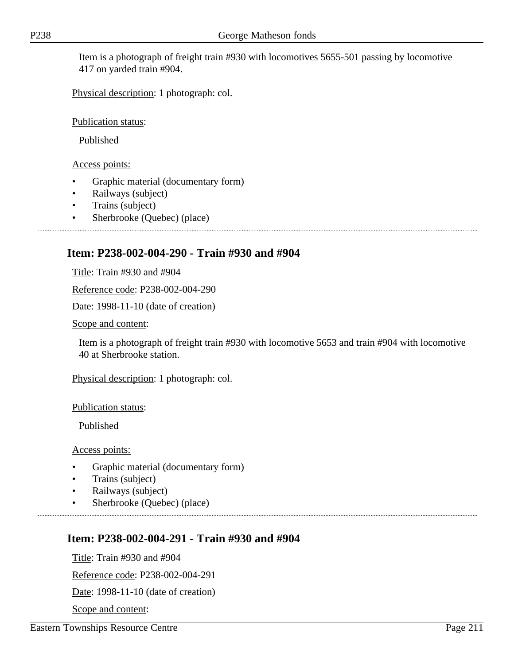Item is a photograph of freight train #930 with locomotives 5655-501 passing by locomotive 417 on yarded train #904.

Physical description: 1 photograph: col.

Publication status:

Published

Access points:

- Graphic material (documentary form)
- Railways (subject)
- Trains (subject)
- Sherbrooke (Quebec) (place)

# **Item: P238-002-004-290 - Train #930 and #904**

Title: Train #930 and #904

Reference code: P238-002-004-290

Date: 1998-11-10 (date of creation)

Scope and content:

Item is a photograph of freight train #930 with locomotive 5653 and train #904 with locomotive 40 at Sherbrooke station.

Physical description: 1 photograph: col.

Publication status:

Published

Access points:

- Graphic material (documentary form)
- Trains (subject)
- Railways (subject)
- Sherbrooke (Ouebec) (place)

# **Item: P238-002-004-291 - Train #930 and #904**

Title: Train #930 and #904

Reference code: P238-002-004-291

Date: 1998-11-10 (date of creation)

Scope and content: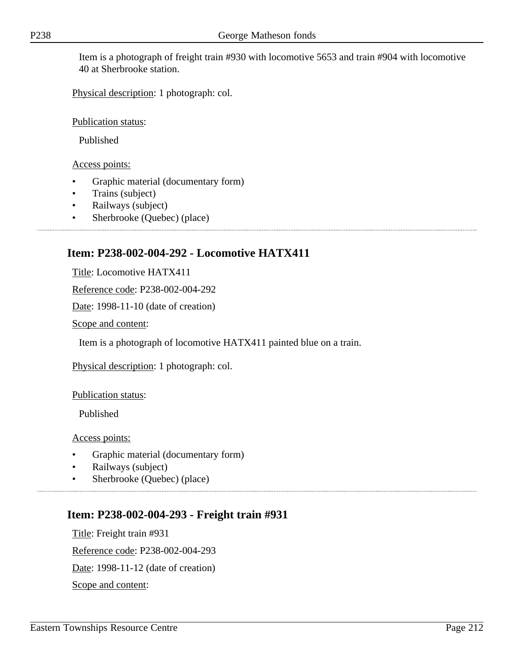Item is a photograph of freight train #930 with locomotive 5653 and train #904 with locomotive 40 at Sherbrooke station.

Physical description: 1 photograph: col.

Publication status:

Published

#### Access points:

- Graphic material (documentary form)
- Trains (subject)
- Railways (subject)
- Sherbrooke (Quebec) (place)

# **Item: P238-002-004-292 - Locomotive HATX411**

Title: Locomotive HATX411

Reference code: P238-002-004-292

Date: 1998-11-10 (date of creation)

Scope and content:

Item is a photograph of locomotive HATX411 painted blue on a train.

Physical description: 1 photograph: col.

Publication status:

Published

Access points:

- Graphic material (documentary form)
- Railways (subject)
- Sherbrooke (Quebec) (place)

### **Item: P238-002-004-293 - Freight train #931**

Title: Freight train #931 Reference code: P238-002-004-293 Date: 1998-11-12 (date of creation) Scope and content: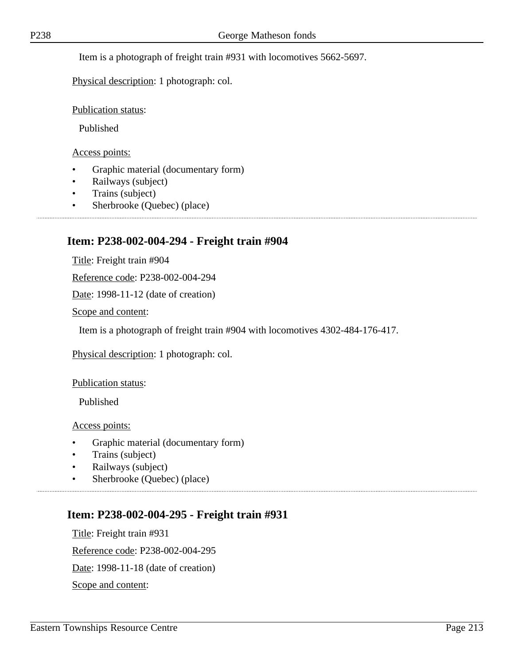Item is a photograph of freight train #931 with locomotives 5662-5697.

Physical description: 1 photograph: col.

Publication status:

Published

Access points:

- Graphic material (documentary form)
- Railways (subject)
- Trains (subject)
- Sherbrooke (Quebec) (place)

#### **Item: P238-002-004-294 - Freight train #904**

Title: Freight train #904

Reference code: P238-002-004-294

Date: 1998-11-12 (date of creation)

Scope and content:

Item is a photograph of freight train #904 with locomotives 4302-484-176-417.

Physical description: 1 photograph: col.

Publication status:

Published

Access points:

- Graphic material (documentary form)
- Trains (subject)
- Railways (subject)
- Sherbrooke (Quebec) (place)

### **Item: P238-002-004-295 - Freight train #931**

Title: Freight train #931 Reference code: P238-002-004-295 Date: 1998-11-18 (date of creation) Scope and content: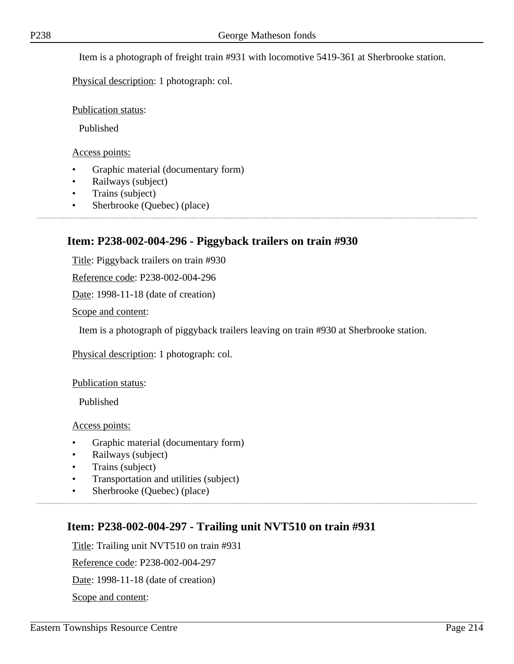Item is a photograph of freight train #931 with locomotive 5419-361 at Sherbrooke station.

Physical description: 1 photograph: col.

Publication status:

Published

Access points:

- Graphic material (documentary form)
- Railways (subject)
- Trains (subject)
- Sherbrooke (Quebec) (place)

### **Item: P238-002-004-296 - Piggyback trailers on train #930**

Title: Piggyback trailers on train #930

Reference code: P238-002-004-296

Date: 1998-11-18 (date of creation)

Scope and content:

Item is a photograph of piggyback trailers leaving on train #930 at Sherbrooke station.

Physical description: 1 photograph: col.

Publication status:

Published

Access points:

- Graphic material (documentary form)
- Railways (subject)
- Trains (subject)
- Transportation and utilities (subject)
- Sherbrooke (Quebec) (place)

### **Item: P238-002-004-297 - Trailing unit NVT510 on train #931**

Title: Trailing unit NVT510 on train #931

Reference code: P238-002-004-297

Date: 1998-11-18 (date of creation)

Scope and content: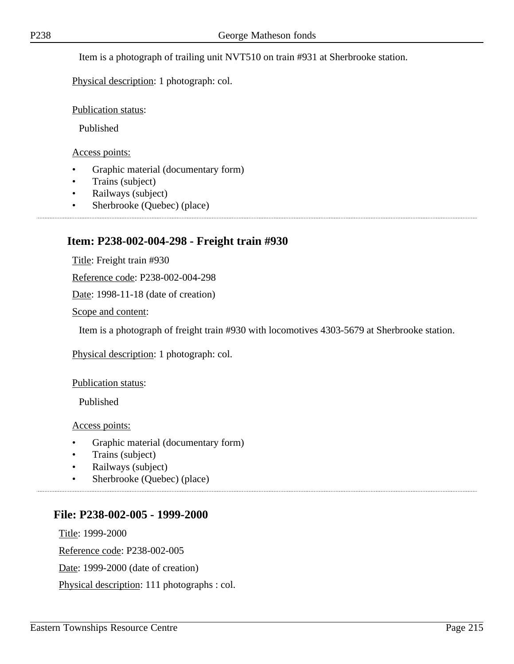Item is a photograph of trailing unit NVT510 on train #931 at Sherbrooke station.

Physical description: 1 photograph: col.

Publication status:

Published

Access points:

- Graphic material (documentary form)
- Trains (subject)
- Railways (subject)
- Sherbrooke (Quebec) (place)

#### **Item: P238-002-004-298 - Freight train #930**

Title: Freight train #930

Reference code: P238-002-004-298

Date: 1998-11-18 (date of creation)

Scope and content:

Item is a photograph of freight train #930 with locomotives 4303-5679 at Sherbrooke station.

Physical description: 1 photograph: col.

Publication status:

Published

Access points:

- Graphic material (documentary form)
- Trains (subject)
- Railways (subject)
- Sherbrooke (Quebec) (place)

#### **File: P238-002-005 - 1999-2000**

Title: 1999-2000 Reference code: P238-002-005 Date: 1999-2000 (date of creation) Physical description: 111 photographs : col.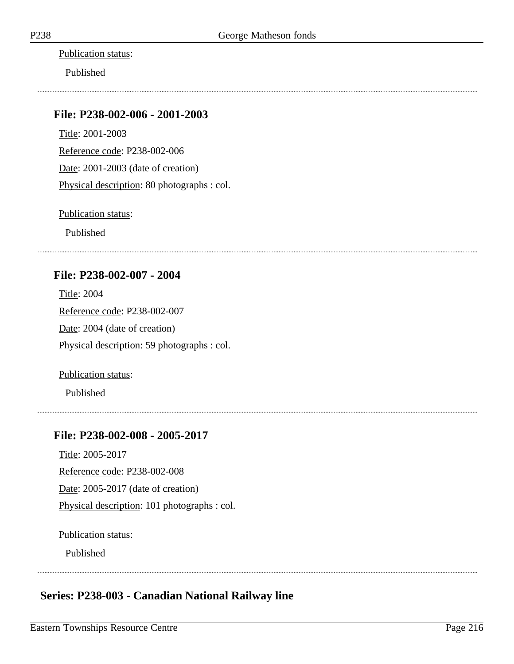Publication status:

Published

### **File: P238-002-006 - 2001-2003**

Title: 2001-2003 Reference code: P238-002-006 Date: 2001-2003 (date of creation) Physical description: 80 photographs : col.

Publication status:

Published

### **File: P238-002-007 - 2004**

Title: 2004 Reference code: P238-002-007 Date: 2004 (date of creation) Physical description: 59 photographs : col.

Publication status:

Published

### **File: P238-002-008 - 2005-2017**

Title: 2005-2017 Reference code: P238-002-008 Date: 2005-2017 (date of creation) Physical description: 101 photographs : col.

Publication status:

Published

# **Series: P238-003 - Canadian National Railway line**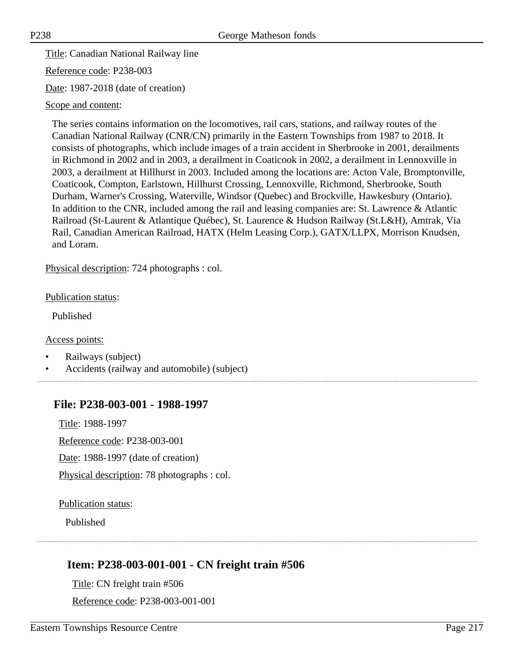Title: Canadian National Railway line

Reference code: P238-003

Date: 1987-2018 (date of creation)

#### Scope and content:

The series contains information on the locomotives, rail cars, stations, and railway routes of the Canadian National Railway (CNR/CN) primarily in the Eastern Townships from 1987 to 2018. It consists of photographs, which include images of a train accident in Sherbrooke in 2001, derailments in Richmond in 2002 and in 2003, a derailment in Coaticook in 2002, a derailment in Lennoxville in 2003, a derailment at Hillhurst in 2003. Included among the locations are: Acton Vale, Bromptonville, Coaticook, Compton, Earlstown, Hillhurst Crossing, Lennoxville, Richmond, Sherbrooke, South Durham, Warner's Crossing, Waterville, Windsor (Quebec) and Brockville, Hawkesbury (Ontario). In addition to the CNR, included among the rail and leasing companies are: St. Lawrence & Atlantic Railroad (St-Laurent & Atlantique Québec), St. Laurence & Hudson Railway (St.L&H), Amtrak, Via Rail, Canadian American Railroad, HATX (Helm Leasing Corp.), GATX/LLPX, Morrison Knudsen, and Loram.

Physical description: 724 photographs : col.

#### Publication status:

Published

#### Access points:

- Railways (subject)
- Accidents (railway and automobile) (subject)

#### **File: P238-003-001 - 1988-1997**

Title: 1988-1997 Reference code: P238-003-001 Date: 1988-1997 (date of creation)

Physical description: 78 photographs : col.

#### Publication status:

Published

# **Item: P238-003-001-001 - CN freight train #506**

Title: CN freight train #506 Reference code: P238-003-001-001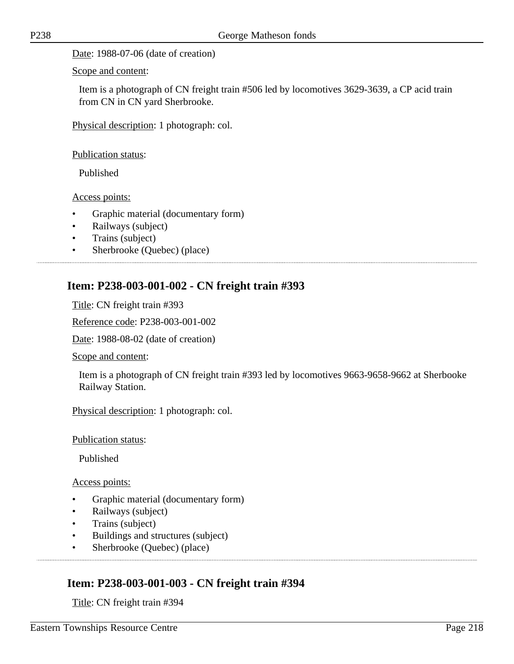Date: 1988-07-06 (date of creation)

Scope and content:

Item is a photograph of CN freight train #506 led by locomotives 3629-3639, a CP acid train from CN in CN yard Sherbrooke.

Physical description: 1 photograph: col.

Publication status:

Published

Access points:

- Graphic material (documentary form)
- Railways (subject)
- Trains (subject)
- Sherbrooke (Quebec) (place)

#### **Item: P238-003-001-002 - CN freight train #393**

Title: CN freight train #393

Reference code: P238-003-001-002

Date: 1988-08-02 (date of creation)

Scope and content:

Item is a photograph of CN freight train #393 led by locomotives 9663-9658-9662 at Sherbooke Railway Station.

Physical description: 1 photograph: col.

Publication status:

Published

Access points:

- Graphic material (documentary form)
- Railways (subject)
- Trains (subject)
- Buildings and structures (subject)
- Sherbrooke (Quebec) (place)

#### **Item: P238-003-001-003 - CN freight train #394**

Title: CN freight train #394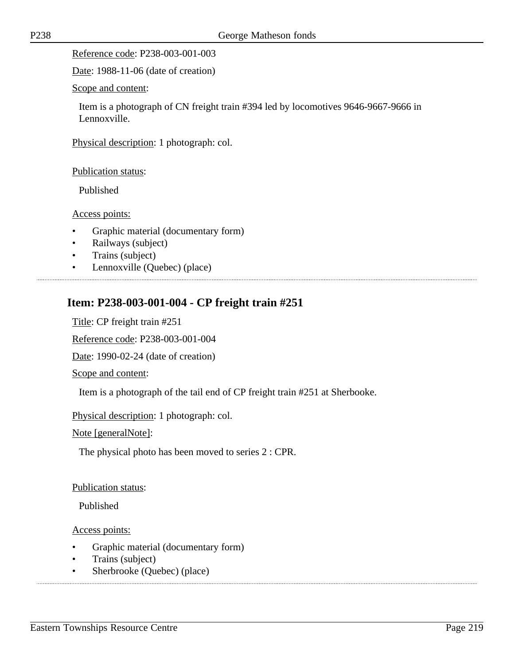Reference code: P238-003-001-003

Date: 1988-11-06 (date of creation)

Scope and content:

Item is a photograph of CN freight train #394 led by locomotives 9646-9667-9666 in Lennoxville.

Physical description: 1 photograph: col.

Publication status:

Published

Access points:

- Graphic material (documentary form)
- Railways (subject)
- Trains (subject)
- Lennoxville (Quebec) (place)

# **Item: P238-003-001-004 - CP freight train #251**

Title: CP freight train #251

Reference code: P238-003-001-004

Date: 1990-02-24 (date of creation)

Scope and content:

Item is a photograph of the tail end of CP freight train #251 at Sherbooke.

Physical description: 1 photograph: col.

Note [generalNote]:

The physical photo has been moved to series 2 : CPR.

Publication status:

Published

- Graphic material (documentary form)
- Trains (subject)
- Sherbrooke (Quebec) (place)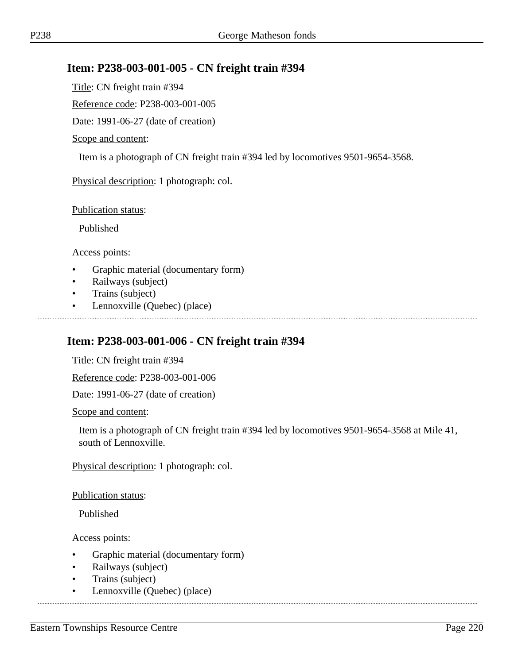#### **Item: P238-003-001-005 - CN freight train #394**

Title: CN freight train #394

Reference code: P238-003-001-005

Date: 1991-06-27 (date of creation)

#### Scope and content:

Item is a photograph of CN freight train #394 led by locomotives 9501-9654-3568.

Physical description: 1 photograph: col.

Publication status:

Published

Access points:

- Graphic material (documentary form)
- Railways (subject)
- Trains (subject)
- Lennoxville (Quebec) (place)

#### **Item: P238-003-001-006 - CN freight train #394**

Title: CN freight train #394

Reference code: P238-003-001-006

Date: 1991-06-27 (date of creation)

Scope and content:

Item is a photograph of CN freight train #394 led by locomotives 9501-9654-3568 at Mile 41, south of Lennoxville.

Physical description: 1 photograph: col.

Publication status:

Published

- Graphic material (documentary form)
- Railways (subject)
- Trains (subject)
- Lennoxville (Quebec) (place)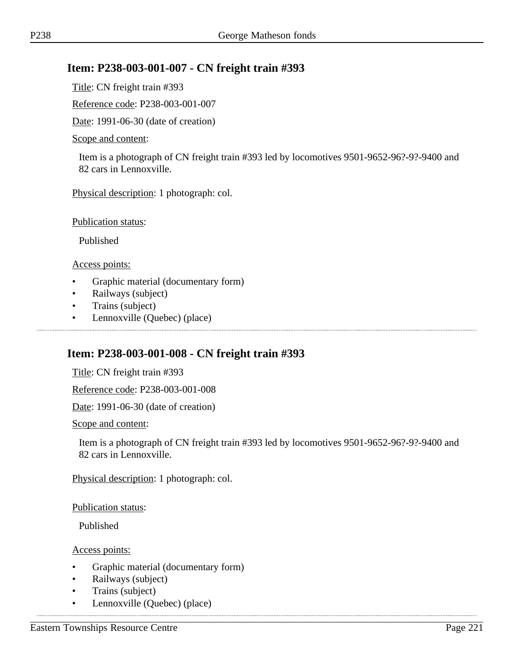#### **Item: P238-003-001-007 - CN freight train #393**

Title: CN freight train #393

Reference code: P238-003-001-007

Date: 1991-06-30 (date of creation)

#### Scope and content:

Item is a photograph of CN freight train #393 led by locomotives 9501-9652-96?-9?-9400 and 82 cars in Lennoxville.

Physical description: 1 photograph: col.

Publication status:

Published

Access points:

- Graphic material (documentary form)
- Railways (subject)
- Trains (subject)
- Lennoxville (Quebec) (place)

#### **Item: P238-003-001-008 - CN freight train #393**

Title: CN freight train #393

Reference code: P238-003-001-008

Date: 1991-06-30 (date of creation)

Scope and content:

Item is a photograph of CN freight train #393 led by locomotives 9501-9652-96?-9?-9400 and 82 cars in Lennoxville.

Physical description: 1 photograph: col.

Publication status:

Published

Access points:

• Graphic material (documentary form)

- Railways (subject)
- Trains (subject)
- Lennoxville (Quebec) (place)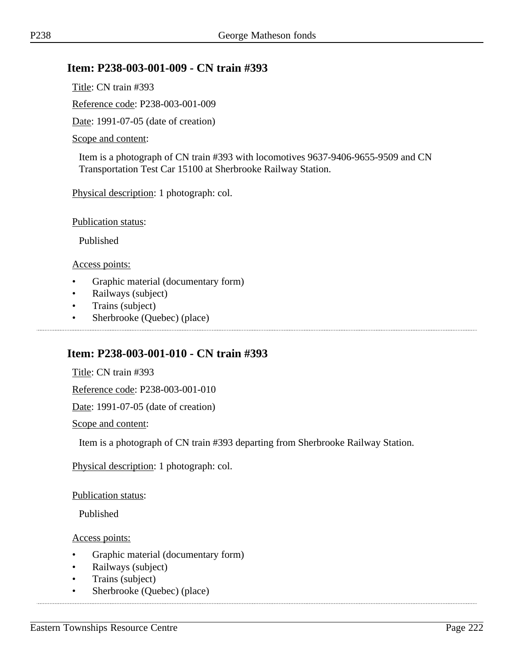#### **Item: P238-003-001-009 - CN train #393**

Title: CN train #393

Reference code: P238-003-001-009

Date: 1991-07-05 (date of creation)

#### Scope and content:

Item is a photograph of CN train #393 with locomotives 9637-9406-9655-9509 and CN Transportation Test Car 15100 at Sherbrooke Railway Station.

Physical description: 1 photograph: col.

Publication status:

Published

Access points:

- Graphic material (documentary form)
- Railways (subject)
- Trains (subject)
- Sherbrooke (Quebec) (place)

#### **Item: P238-003-001-010 - CN train #393**

Title: CN train #393

Reference code: P238-003-001-010

Date: 1991-07-05 (date of creation)

Scope and content:

Item is a photograph of CN train #393 departing from Sherbrooke Railway Station.

Physical description: 1 photograph: col.

Publication status:

Published

- Graphic material (documentary form)
- Railways (subject)
- Trains (subject)
- Sherbrooke (Quebec) (place)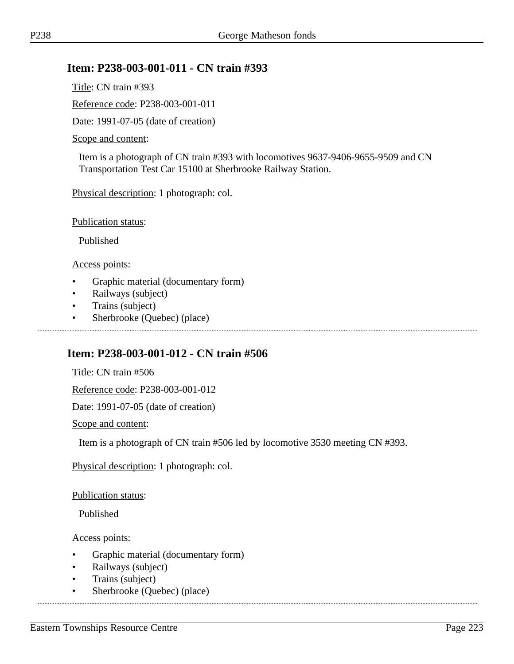#### **Item: P238-003-001-011 - CN train #393**

Title: CN train #393

Reference code: P238-003-001-011

Date: 1991-07-05 (date of creation)

#### Scope and content:

Item is a photograph of CN train #393 with locomotives 9637-9406-9655-9509 and CN Transportation Test Car 15100 at Sherbrooke Railway Station.

Physical description: 1 photograph: col.

Publication status:

Published

Access points:

- Graphic material (documentary form)
- Railways (subject)
- Trains (subject)
- Sherbrooke (Quebec) (place)

#### **Item: P238-003-001-012 - CN train #506**

Title: CN train #506

Reference code: P238-003-001-012

Date: 1991-07-05 (date of creation)

Scope and content:

Item is a photograph of CN train #506 led by locomotive 3530 meeting CN #393.

Physical description: 1 photograph: col.

Publication status:

Published

- Graphic material (documentary form)
- Railways (subject)
- Trains (subject)
- Sherbrooke (Quebec) (place)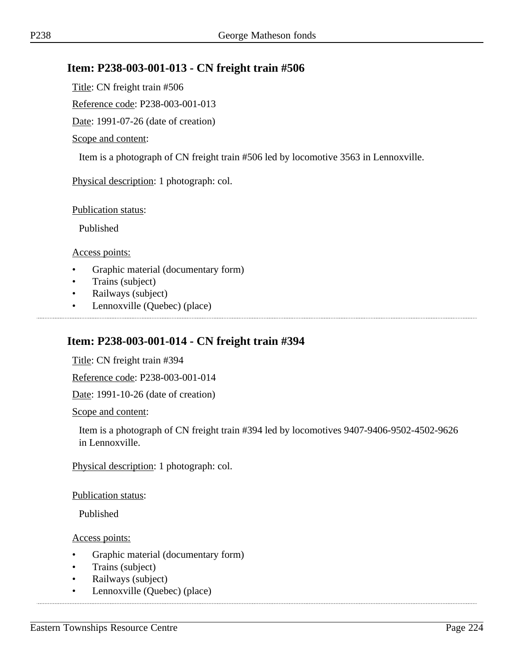#### **Item: P238-003-001-013 - CN freight train #506**

Title: CN freight train #506

Reference code: P238-003-001-013

Date: 1991-07-26 (date of creation)

#### Scope and content:

Item is a photograph of CN freight train #506 led by locomotive 3563 in Lennoxville.

Physical description: 1 photograph: col.

Publication status:

Published

Access points:

- Graphic material (documentary form)
- Trains (subject)
- Railways (subject)
- Lennoxville (Quebec) (place)

#### **Item: P238-003-001-014 - CN freight train #394**

Title: CN freight train #394

Reference code: P238-003-001-014

Date: 1991-10-26 (date of creation)

Scope and content:

Item is a photograph of CN freight train #394 led by locomotives 9407-9406-9502-4502-9626 in Lennoxville.

Physical description: 1 photograph: col.

Publication status:

Published

- Graphic material (documentary form)
- Trains (subject)
- Railways (subject)
- Lennoxville (Quebec) (place)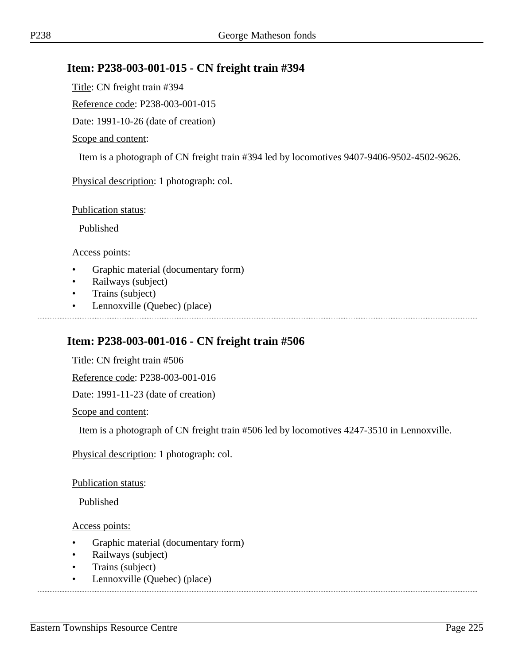## **Item: P238-003-001-015 - CN freight train #394**

Title: CN freight train #394

Reference code: P238-003-001-015

Date: 1991-10-26 (date of creation)

#### Scope and content:

Item is a photograph of CN freight train #394 led by locomotives 9407-9406-9502-4502-9626.

Physical description: 1 photograph: col.

Publication status:

Published

Access points:

- Graphic material (documentary form)
- Railways (subject)
- Trains (subject)
- Lennoxville (Quebec) (place)

#### **Item: P238-003-001-016 - CN freight train #506**

Title: CN freight train #506

Reference code: P238-003-001-016

Date: 1991-11-23 (date of creation)

Scope and content:

Item is a photograph of CN freight train #506 led by locomotives 4247-3510 in Lennoxville.

Physical description: 1 photograph: col.

Publication status:

Published

- Graphic material (documentary form)
- Railways (subject)
- Trains (subject)
- Lennoxville (Quebec) (place)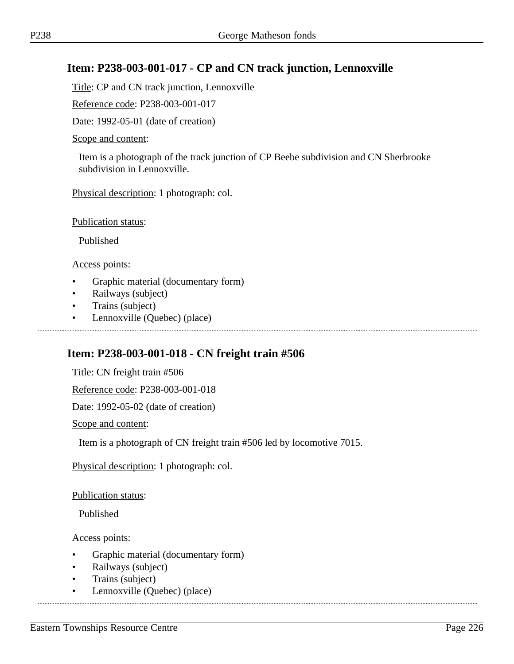## **Item: P238-003-001-017 - CP and CN track junction, Lennoxville**

Title: CP and CN track junction, Lennoxville

Reference code: P238-003-001-017

Date: 1992-05-01 (date of creation)

#### Scope and content:

Item is a photograph of the track junction of CP Beebe subdivision and CN Sherbrooke subdivision in Lennoxville.

Physical description: 1 photograph: col.

Publication status:

Published

Access points:

- Graphic material (documentary form)
- Railways (subject)
- Trains (subject)
- Lennoxville (Quebec) (place)

#### **Item: P238-003-001-018 - CN freight train #506**

Title: CN freight train #506

Reference code: P238-003-001-018

Date: 1992-05-02 (date of creation)

Scope and content:

Item is a photograph of CN freight train #506 led by locomotive 7015.

Physical description: 1 photograph: col.

Publication status:

Published

- Graphic material (documentary form)
- Railways (subject)
- Trains (subject)
- Lennoxville (Quebec) (place)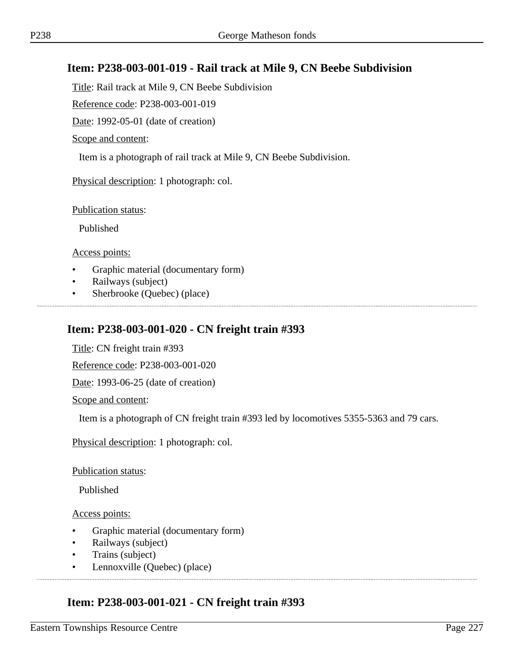### **Item: P238-003-001-019 - Rail track at Mile 9, CN Beebe Subdivision**

Title: Rail track at Mile 9, CN Beebe Subdivision

Reference code: P238-003-001-019

Date: 1992-05-01 (date of creation)

Scope and content:

Item is a photograph of rail track at Mile 9, CN Beebe Subdivision.

Physical description: 1 photograph: col.

Publication status:

Published

Access points:

- Graphic material (documentary form)
- Railways (subject)
- Sherbrooke (Quebec) (place)

#### **Item: P238-003-001-020 - CN freight train #393**

Title: CN freight train #393

Reference code: P238-003-001-020

Date: 1993-06-25 (date of creation)

Scope and content:

Item is a photograph of CN freight train #393 led by locomotives 5355-5363 and 79 cars.

Physical description: 1 photograph: col.

Publication status:

Published

Access points:

- Graphic material (documentary form)
- Railways (subject)
- Trains (subject)
- Lennoxville (Quebec) (place)

#### **Item: P238-003-001-021 - CN freight train #393**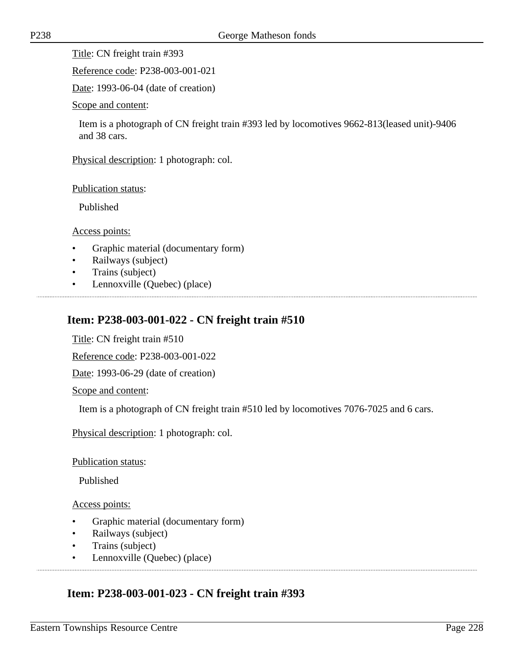Title: CN freight train #393

Reference code: P238-003-001-021

Date: 1993-06-04 (date of creation)

Scope and content:

Item is a photograph of CN freight train #393 led by locomotives 9662-813(leased unit)-9406 and 38 cars.

Physical description: 1 photograph: col.

Publication status:

Published

Access points:

- Graphic material (documentary form)
- Railways (subject)
- Trains (subject)
- Lennoxville (Quebec) (place)

# **Item: P238-003-001-022 - CN freight train #510**

Title: CN freight train #510

Reference code: P238-003-001-022

Date: 1993-06-29 (date of creation)

Scope and content:

Item is a photograph of CN freight train #510 led by locomotives 7076-7025 and 6 cars.

Physical description: 1 photograph: col.

Publication status:

Published

Access points:

- Graphic material (documentary form)
- Railways (subject)
- Trains (subject)
- Lennoxville (Quebec) (place)

# **Item: P238-003-001-023 - CN freight train #393**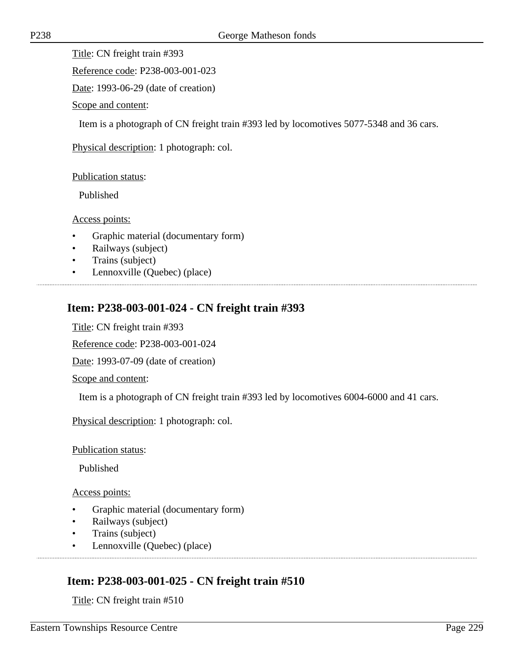Title: CN freight train #393

Reference code: P238-003-001-023

Date: 1993-06-29 (date of creation)

Scope and content:

Item is a photograph of CN freight train #393 led by locomotives 5077-5348 and 36 cars.

Physical description: 1 photograph: col.

Publication status:

Published

Access points:

- Graphic material (documentary form)
- Railways (subject)
- Trains (subject)
- Lennoxville (Quebec) (place)

# **Item: P238-003-001-024 - CN freight train #393**

Title: CN freight train #393

Reference code: P238-003-001-024

Date: 1993-07-09 (date of creation)

Scope and content:

Item is a photograph of CN freight train #393 led by locomotives 6004-6000 and 41 cars.

Physical description: 1 photograph: col.

Publication status:

Published

Access points:

- Graphic material (documentary form)
- Railways (subject)
- Trains (subject)
- Lennoxville (Quebec) (place)

# **Item: P238-003-001-025 - CN freight train #510**

Title: CN freight train #510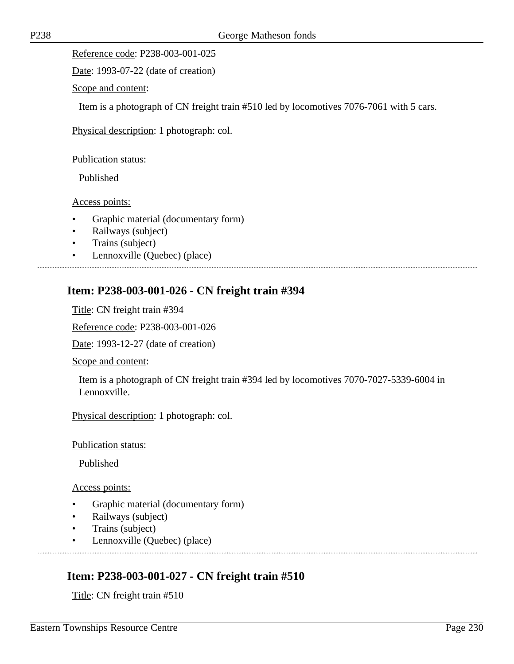Reference code: P238-003-001-025

Date: 1993-07-22 (date of creation)

Scope and content:

Item is a photograph of CN freight train #510 led by locomotives 7076-7061 with 5 cars.

Physical description: 1 photograph: col.

Publication status:

Published

Access points:

- Graphic material (documentary form)
- Railways (subject)
- Trains (subject)
- Lennoxville (Quebec) (place)

#### **Item: P238-003-001-026 - CN freight train #394**

Title: CN freight train #394

Reference code: P238-003-001-026

Date: 1993-12-27 (date of creation)

Scope and content:

Item is a photograph of CN freight train #394 led by locomotives 7070-7027-5339-6004 in Lennoxville.

Physical description: 1 photograph: col.

Publication status:

Published

Access points:

- Graphic material (documentary form)
- Railways (subject)
- Trains (subject)
- Lennoxville (Quebec) (place)

#### **Item: P238-003-001-027 - CN freight train #510**

Title: CN freight train #510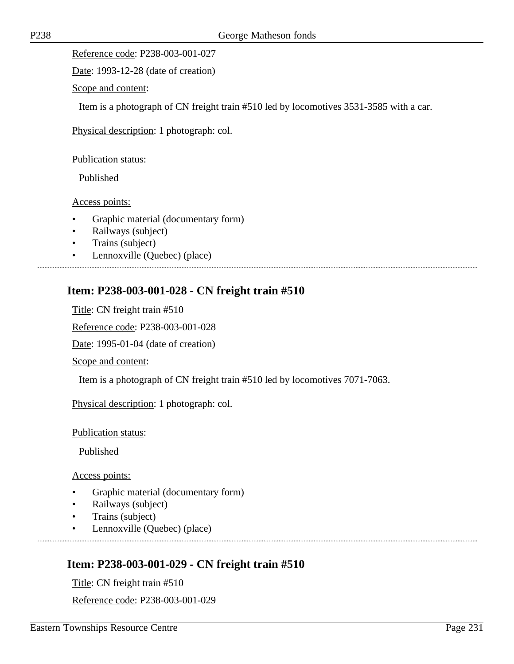Reference code: P238-003-001-027

Date: 1993-12-28 (date of creation)

Scope and content:

Item is a photograph of CN freight train #510 led by locomotives 3531-3585 with a car.

Physical description: 1 photograph: col.

Publication status:

Published

Access points:

- Graphic material (documentary form)
- Railways (subject)
- Trains (subject)
- Lennoxville (Quebec) (place)

#### **Item: P238-003-001-028 - CN freight train #510**

Title: CN freight train #510

Reference code: P238-003-001-028

Date: 1995-01-04 (date of creation)

Scope and content:

Item is a photograph of CN freight train #510 led by locomotives 7071-7063.

Physical description: 1 photograph: col.

Publication status:

Published

Access points:

- Graphic material (documentary form)
- Railways (subject)
- Trains (subject)
- Lennoxville (Quebec) (place)

# **Item: P238-003-001-029 - CN freight train #510**

Title: CN freight train #510 Reference code: P238-003-001-029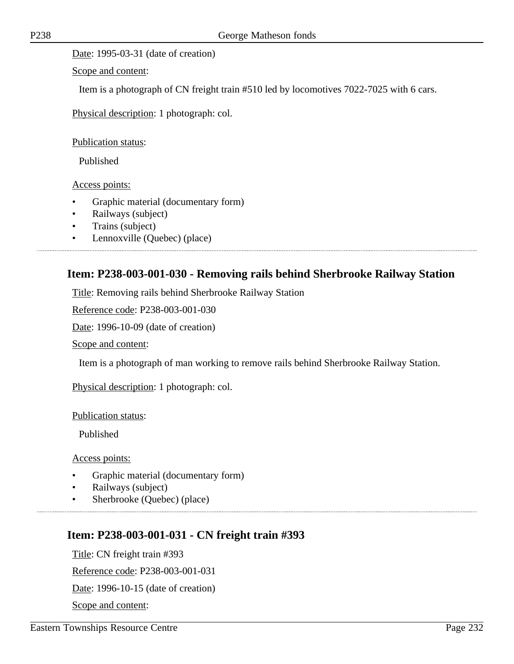Date: 1995-03-31 (date of creation)

Scope and content:

Item is a photograph of CN freight train #510 led by locomotives 7022-7025 with 6 cars.

Physical description: 1 photograph: col.

Publication status:

Published

Access points:

- Graphic material (documentary form)
- Railways (subject)
- Trains (subject)
- Lennoxville (Quebec) (place)

#### **Item: P238-003-001-030 - Removing rails behind Sherbrooke Railway Station**

Title: Removing rails behind Sherbrooke Railway Station

Reference code: P238-003-001-030

Date: 1996-10-09 (date of creation)

Scope and content:

Item is a photograph of man working to remove rails behind Sherbrooke Railway Station.

Physical description: 1 photograph: col.

Publication status:

Published

Access points:

- Graphic material (documentary form)
- Railways (subject)
- Sherbrooke (Quebec) (place)

#### **Item: P238-003-001-031 - CN freight train #393**

Title: CN freight train #393 Reference code: P238-003-001-031 Date: 1996-10-15 (date of creation) Scope and content: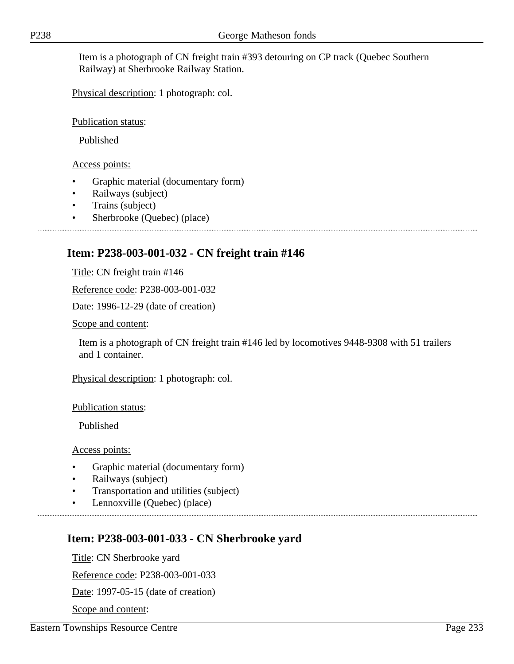Item is a photograph of CN freight train #393 detouring on CP track (Quebec Southern Railway) at Sherbrooke Railway Station.

Physical description: 1 photograph: col.

Publication status:

Published

Access points:

- Graphic material (documentary form)
- Railways (subject)
- Trains (subject)
- Sherbrooke (Quebec) (place)

# **Item: P238-003-001-032 - CN freight train #146**

Title: CN freight train #146

Reference code: P238-003-001-032

Date: 1996-12-29 (date of creation)

Scope and content:

Item is a photograph of CN freight train #146 led by locomotives 9448-9308 with 51 trailers and 1 container.

Physical description: 1 photograph: col.

Publication status:

Published

Access points:

- Graphic material (documentary form)
- Railways (subject)
- Transportation and utilities (subject)
- Lennoxville (Quebec) (place)

# **Item: P238-003-001-033 - CN Sherbrooke yard**

Title: CN Sherbrooke yard

Reference code: P238-003-001-033

Date: 1997-05-15 (date of creation)

Scope and content: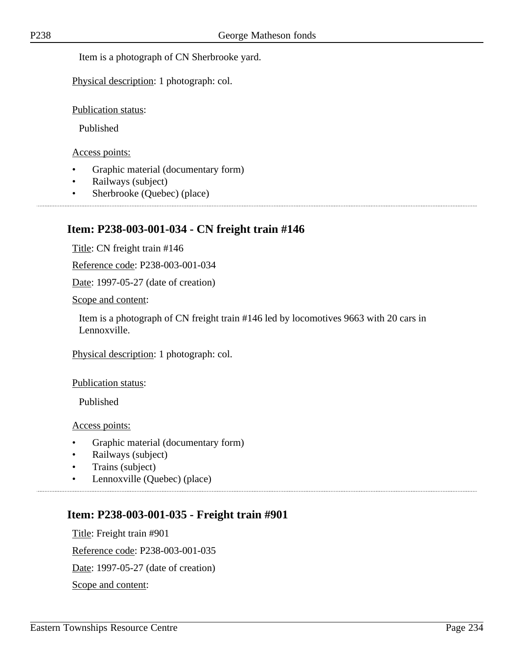Item is a photograph of CN Sherbrooke yard.

Physical description: 1 photograph: col.

Publication status:

Published

Access points:

- Graphic material (documentary form)
- Railways (subject)
- Sherbrooke (Quebec) (place)

#### **Item: P238-003-001-034 - CN freight train #146**

Title: CN freight train #146

Reference code: P238-003-001-034

Date: 1997-05-27 (date of creation)

Scope and content:

Item is a photograph of CN freight train #146 led by locomotives 9663 with 20 cars in Lennoxville.

Physical description: 1 photograph: col.

Publication status:

Published

Access points:

- Graphic material (documentary form)
- Railways (subject)
- Trains (subject)
- Lennoxville (Quebec) (place)

#### **Item: P238-003-001-035 - Freight train #901**

Title: Freight train #901 Reference code: P238-003-001-035 Date: 1997-05-27 (date of creation) Scope and content: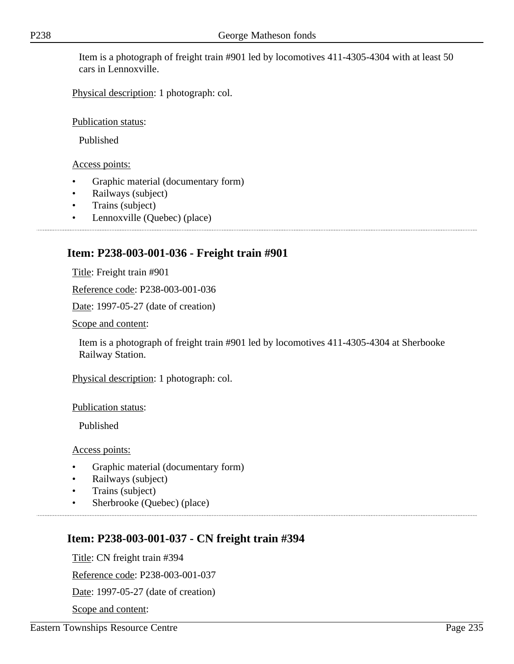Item is a photograph of freight train #901 led by locomotives 411-4305-4304 with at least 50 cars in Lennoxville.

Physical description: 1 photograph: col.

Publication status:

Published

Access points:

- Graphic material (documentary form)
- Railways (subject)
- Trains (subject)
- Lennoxville (Quebec) (place)

# **Item: P238-003-001-036 - Freight train #901**

Title: Freight train #901

Reference code: P238-003-001-036

Date: 1997-05-27 (date of creation)

Scope and content:

Item is a photograph of freight train #901 led by locomotives 411-4305-4304 at Sherbooke Railway Station.

Physical description: 1 photograph: col.

Publication status:

Published

Access points:

- Graphic material (documentary form)
- Railways (subject)
- Trains (subject)
- Sherbrooke (Ouebec) (place)

# **Item: P238-003-001-037 - CN freight train #394**

Title: CN freight train #394

Reference code: P238-003-001-037

Date: 1997-05-27 (date of creation)

Scope and content: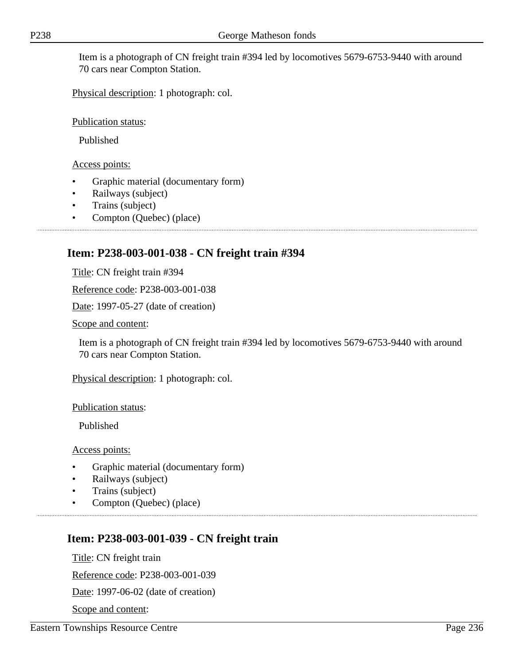Item is a photograph of CN freight train #394 led by locomotives 5679-6753-9440 with around 70 cars near Compton Station.

Physical description: 1 photograph: col.

Publication status:

Published

Access points:

- Graphic material (documentary form)
- Railways (subject)
- Trains (subject)
- Compton (Quebec) (place)

# **Item: P238-003-001-038 - CN freight train #394**

Title: CN freight train #394

Reference code: P238-003-001-038

Date: 1997-05-27 (date of creation)

Scope and content:

Item is a photograph of CN freight train #394 led by locomotives 5679-6753-9440 with around 70 cars near Compton Station.

Physical description: 1 photograph: col.

Publication status:

Published

Access points:

- Graphic material (documentary form)
- Railways (subject)
- Trains (subject)
- Compton (Quebec) (place)

# **Item: P238-003-001-039 - CN freight train**

Title: CN freight train

Reference code: P238-003-001-039

Date: 1997-06-02 (date of creation)

Scope and content: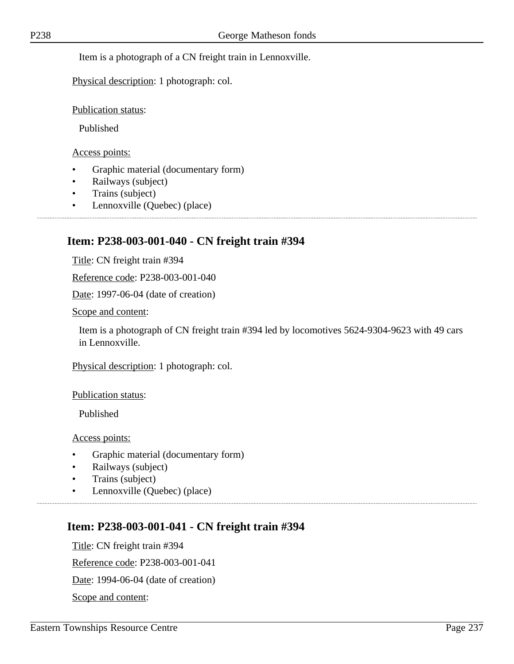Physical description: 1 photograph: col.

Publication status:

Published

Access points:

- Graphic material (documentary form)
- Railways (subject)
- Trains (subject)
- Lennoxville (Quebec) (place)

# **Item: P238-003-001-040 - CN freight train #394**

Title: CN freight train #394

Reference code: P238-003-001-040

Date: 1997-06-04 (date of creation)

Scope and content:

Item is a photograph of CN freight train #394 led by locomotives 5624-9304-9623 with 49 cars in Lennoxville.

Physical description: 1 photograph: col.

Publication status:

Published

Access points:

- Graphic material (documentary form)
- Railways (subject)
- Trains (subject)
- Lennoxville (Quebec) (place)

# **Item: P238-003-001-041 - CN freight train #394**

Title: CN freight train #394 Reference code: P238-003-001-041 Date: 1994-06-04 (date of creation) Scope and content: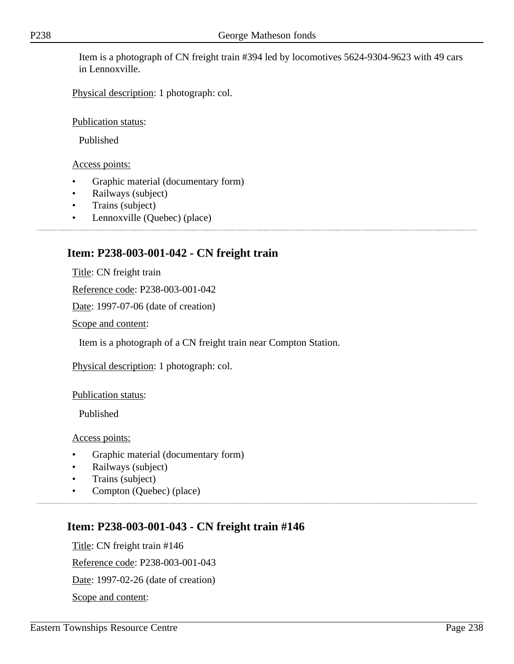Item is a photograph of CN freight train #394 led by locomotives 5624-9304-9623 with 49 cars in Lennoxville.

Physical description: 1 photograph: col.

Publication status:

Published

Access points:

- Graphic material (documentary form)
- Railways (subject)
- Trains (subject)
- Lennoxville (Quebec) (place)

# **Item: P238-003-001-042 - CN freight train**

Title: CN freight train

Reference code: P238-003-001-042

Date: 1997-07-06 (date of creation)

Scope and content:

Item is a photograph of a CN freight train near Compton Station.

Physical description: 1 photograph: col.

Publication status:

Published

Access points:

- Graphic material (documentary form)
- Railways (subject)
- Trains (subject)
- Compton (Quebec) (place)

# **Item: P238-003-001-043 - CN freight train #146**

Title: CN freight train #146 Reference code: P238-003-001-043 Date: 1997-02-26 (date of creation) Scope and content: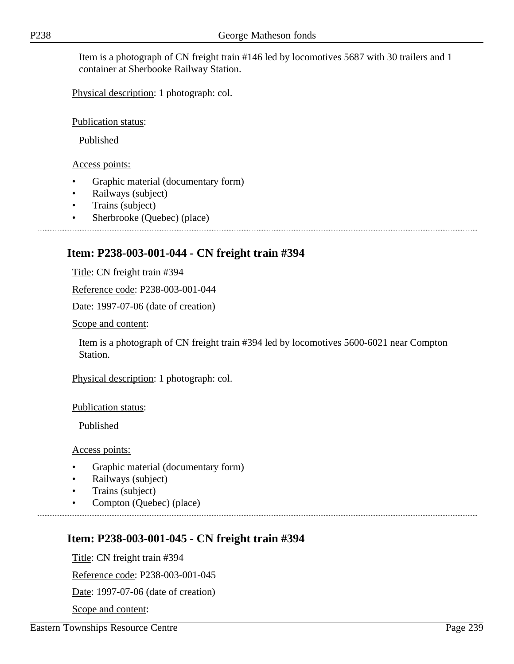Item is a photograph of CN freight train #146 led by locomotives 5687 with 30 trailers and 1 container at Sherbooke Railway Station.

Physical description: 1 photograph: col.

Publication status:

Published

#### Access points:

- Graphic material (documentary form)
- Railways (subject)
- Trains (subject)
- Sherbrooke (Quebec) (place)

## **Item: P238-003-001-044 - CN freight train #394**

Title: CN freight train #394

Reference code: P238-003-001-044

Date: 1997-07-06 (date of creation)

Scope and content:

Item is a photograph of CN freight train #394 led by locomotives 5600-6021 near Compton Station.

Physical description: 1 photograph: col.

Publication status:

Published

Access points:

- Graphic material (documentary form)
- Railways (subject)
- Trains (subject)
- Compton (Quebec) (place)

# **Item: P238-003-001-045 - CN freight train #394**

Title: CN freight train #394

Reference code: P238-003-001-045

Date: 1997-07-06 (date of creation)

Scope and content: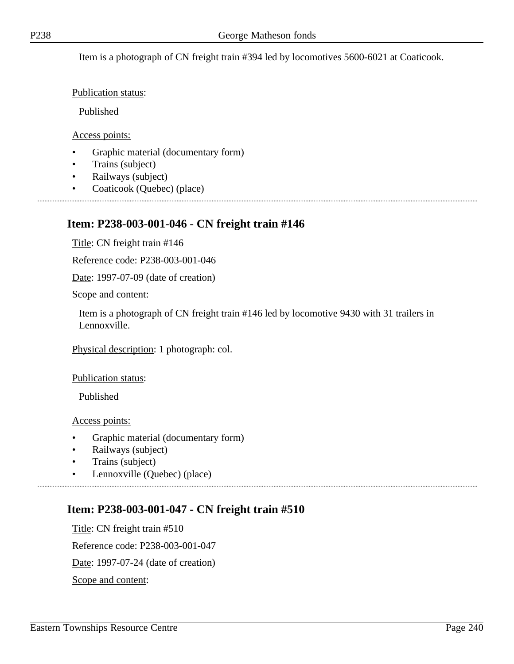Item is a photograph of CN freight train #394 led by locomotives 5600-6021 at Coaticook.

Publication status:

Published

#### Access points:

• Graphic material (documentary form)

- Trains (subject)
- Railways (subject)
- Coaticook (Quebec) (place)

#### **Item: P238-003-001-046 - CN freight train #146**

Title: CN freight train #146

Reference code: P238-003-001-046

Date: 1997-07-09 (date of creation)

Scope and content:

Item is a photograph of CN freight train #146 led by locomotive 9430 with 31 trailers in Lennoxville.

Physical description: 1 photograph: col.

Publication status:

Published

Access points:

- Graphic material (documentary form)
- Railways (subject)
- Trains (subject)
- Lennoxville (Quebec) (place)

## **Item: P238-003-001-047 - CN freight train #510**

Title: CN freight train #510 Reference code: P238-003-001-047 Date: 1997-07-24 (date of creation) Scope and content: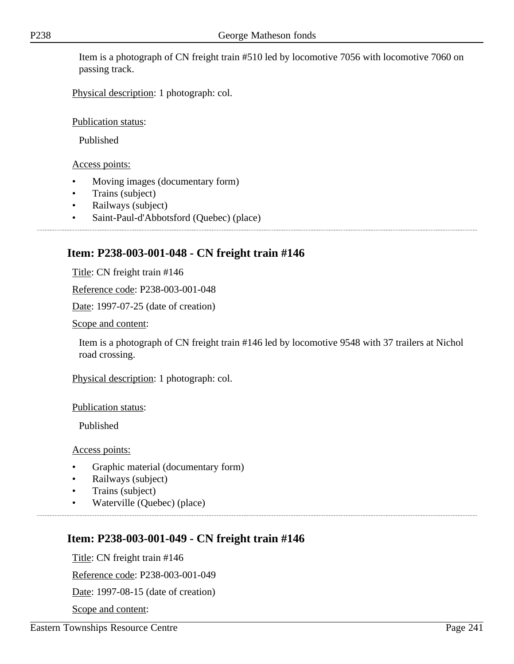Item is a photograph of CN freight train #510 led by locomotive 7056 with locomotive 7060 on passing track.

Physical description: 1 photograph: col.

Publication status:

Published

Access points:

- Moving images (documentary form)
- Trains (subject)
- Railways (subject)
- Saint-Paul-d'Abbotsford (Quebec) (place)

# **Item: P238-003-001-048 - CN freight train #146**

Title: CN freight train #146

Reference code: P238-003-001-048

Date: 1997-07-25 (date of creation)

Scope and content:

Item is a photograph of CN freight train #146 led by locomotive 9548 with 37 trailers at Nichol road crossing.

Physical description: 1 photograph: col.

Publication status:

Published

Access points:

- Graphic material (documentary form)
- Railways (subject)
- Trains (subject)
- Waterville (Quebec) (place)

# **Item: P238-003-001-049 - CN freight train #146**

Title: CN freight train #146

Reference code: P238-003-001-049

Date: 1997-08-15 (date of creation)

Scope and content: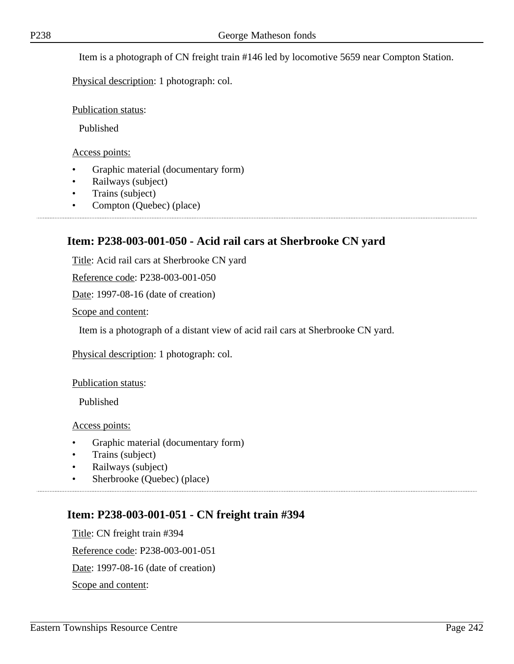Item is a photograph of CN freight train #146 led by locomotive 5659 near Compton Station.

Physical description: 1 photograph: col.

Publication status:

Published

Access points:

- Graphic material (documentary form)
- Railways (subject)
- Trains (subject)
- Compton (Quebec) (place)

#### **Item: P238-003-001-050 - Acid rail cars at Sherbrooke CN yard**

Title: Acid rail cars at Sherbrooke CN yard

Reference code: P238-003-001-050

Date: 1997-08-16 (date of creation)

Scope and content:

Item is a photograph of a distant view of acid rail cars at Sherbrooke CN yard.

Physical description: 1 photograph: col.

Publication status:

Published

Access points:

- Graphic material (documentary form)
- Trains (subject)
- Railways (subject)
- Sherbrooke (Quebec) (place)

#### **Item: P238-003-001-051 - CN freight train #394**

Title: CN freight train #394 Reference code: P238-003-001-051 Date: 1997-08-16 (date of creation) Scope and content: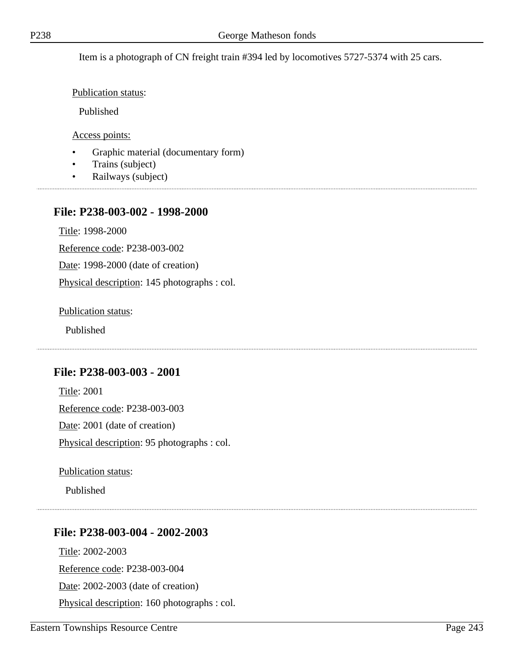Item is a photograph of CN freight train #394 led by locomotives 5727-5374 with 25 cars.

Publication status:

Published

Access points:

- Graphic material (documentary form)
- Trains (subject)
- Railways (subject)

#### **File: P238-003-002 - 1998-2000**

Title: 1998-2000

Reference code: P238-003-002

Date: 1998-2000 (date of creation)

Physical description: 145 photographs : col.

Publication status:

Published

## **File: P238-003-003 - 2001**

Title: 2001 Reference code: P238-003-003 Date: 2001 (date of creation) Physical description: 95 photographs : col.

Publication status:

Published

## **File: P238-003-004 - 2002-2003**

Title: 2002-2003 Reference code: P238-003-004 Date: 2002-2003 (date of creation) Physical description: 160 photographs : col.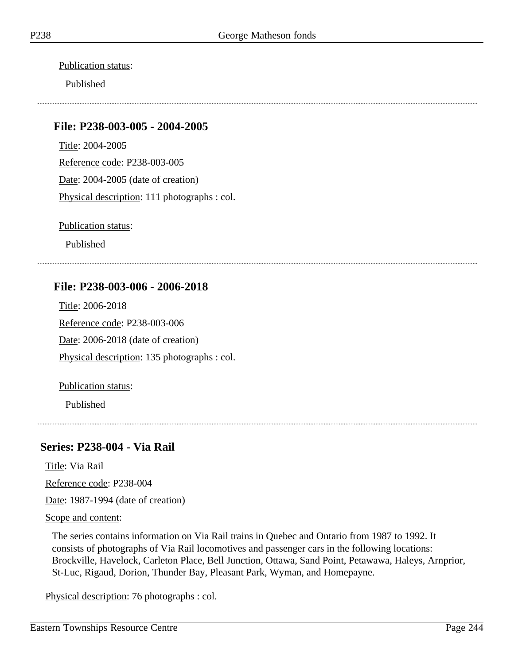Publication status:

Published

#### **File: P238-003-005 - 2004-2005**

Title: 2004-2005 Reference code: P238-003-005 Date: 2004-2005 (date of creation) Physical description: 111 photographs : col.

Publication status:

Published

## **File: P238-003-006 - 2006-2018**

Title: 2006-2018 Reference code: P238-003-006 Date: 2006-2018 (date of creation) Physical description: 135 photographs : col.

Publication status:

Published

## **Series: P238-004 - Via Rail**

Title: Via Rail

Reference code: P238-004

Date: 1987-1994 (date of creation)

Scope and content:

The series contains information on Via Rail trains in Quebec and Ontario from 1987 to 1992. It consists of photographs of Via Rail locomotives and passenger cars in the following locations: Brockville, Havelock, Carleton Place, Bell Junction, Ottawa, Sand Point, Petawawa, Haleys, Arnprior, St-Luc, Rigaud, Dorion, Thunder Bay, Pleasant Park, Wyman, and Homepayne.

Physical description: 76 photographs : col.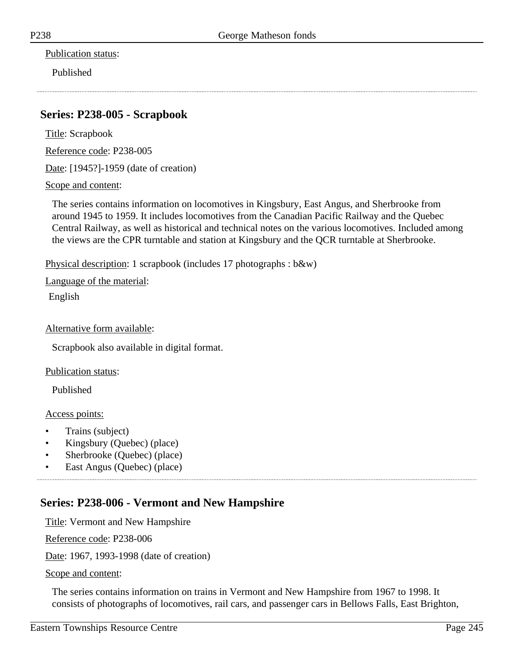Publication status:

Published

#### **Series: P238-005 - Scrapbook**

Title: Scrapbook

Reference code: P238-005

Date: [1945?]-1959 (date of creation)

Scope and content:

The series contains information on locomotives in Kingsbury, East Angus, and Sherbrooke from around 1945 to 1959. It includes locomotives from the Canadian Pacific Railway and the Quebec Central Railway, as well as historical and technical notes on the various locomotives. Included among the views are the CPR turntable and station at Kingsbury and the QCR turntable at Sherbrooke.

Physical description: 1 scrapbook (includes 17 photographs : b&w)

Language of the material:

English

#### Alternative form available:

Scrapbook also available in digital format.

Publication status:

Published

#### Access points:

- Trains (subject)
- Kingsbury (Quebec) (place)
- Sherbrooke (Quebec) (place)
- East Angus (Quebec) (place)

#### **Series: P238-006 - Vermont and New Hampshire**

Title: Vermont and New Hampshire

Reference code: P238-006

Date: 1967, 1993-1998 (date of creation)

Scope and content:

The series contains information on trains in Vermont and New Hampshire from 1967 to 1998. It consists of photographs of locomotives, rail cars, and passenger cars in Bellows Falls, East Brighton,